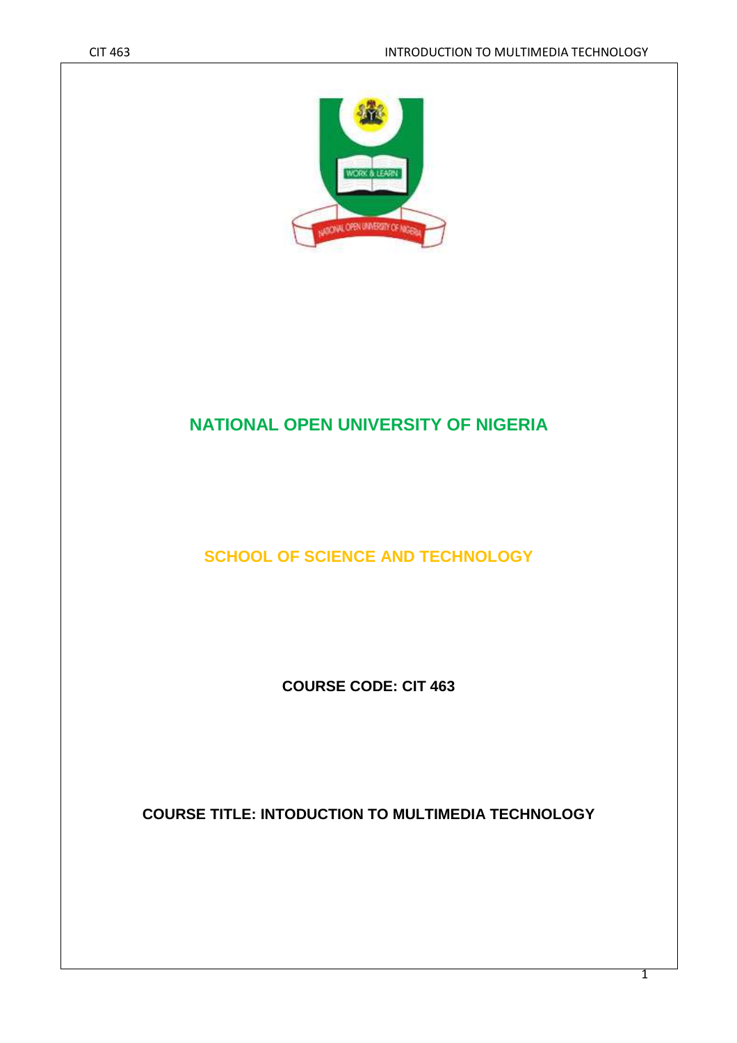

# **NATIONAL OPEN UNIVERSITY OF NIGERIA**

**SCHOOL OF SCIENCE AND TECHNOLOGY** 

**COURSE CODE: CIT 463** 

**COURSE TITLE: INTODUCTION TO MULTIMEDIA TECHNOLOGY**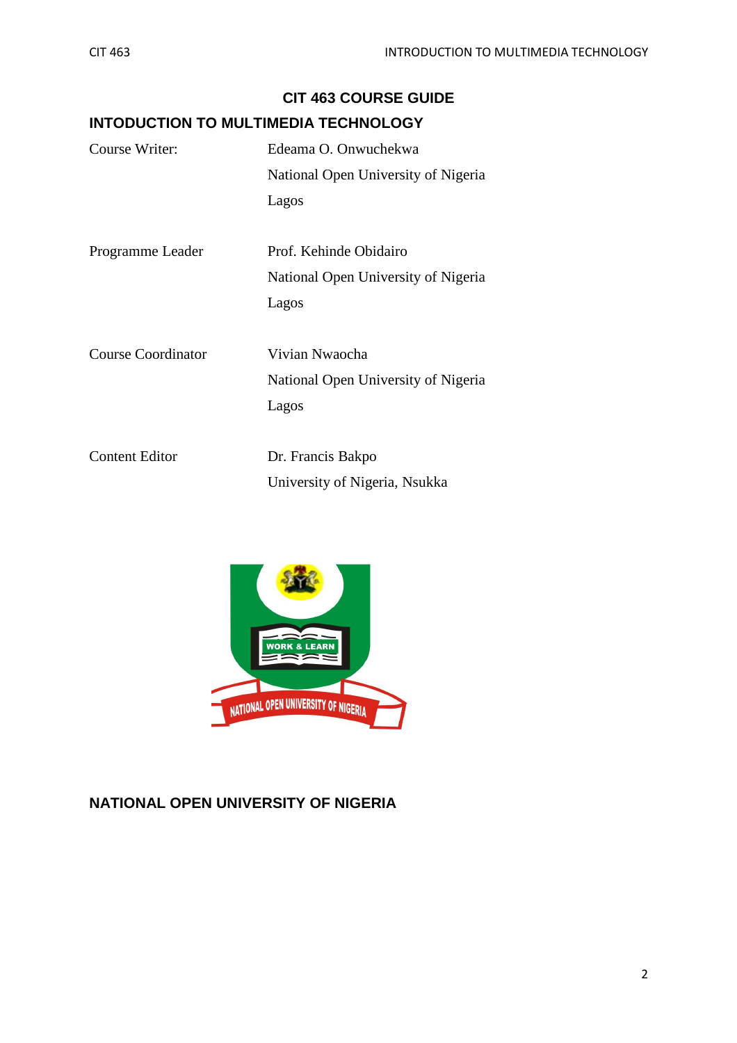|                           | <b>CIT 463 COURSE GUIDE</b><br><b>INTODUCTION TO MULTIMEDIA TECHNOLOGY</b> |
|---------------------------|----------------------------------------------------------------------------|
| Course Writer:            | Edeama O. Onwuchekwa                                                       |
|                           | National Open University of Nigeria                                        |
|                           | Lagos                                                                      |
| Programme Leader          | Prof. Kehinde Obidairo                                                     |
|                           | National Open University of Nigeria                                        |
|                           | Lagos                                                                      |
| <b>Course Coordinator</b> | Vivian Nwaocha                                                             |
|                           | National Open University of Nigeria                                        |
|                           | Lagos                                                                      |
| <b>Content Editor</b>     | Dr. Francis Bakpo                                                          |

| <b>WORK &amp; LEARN</b>             |
|-------------------------------------|
| NATIONAL OPEN UNIVERSITY OF NIGERIA |

University of Nigeria, Nsukka

# **NATIONAL OPEN UNIVERSITY OF NIGERIA**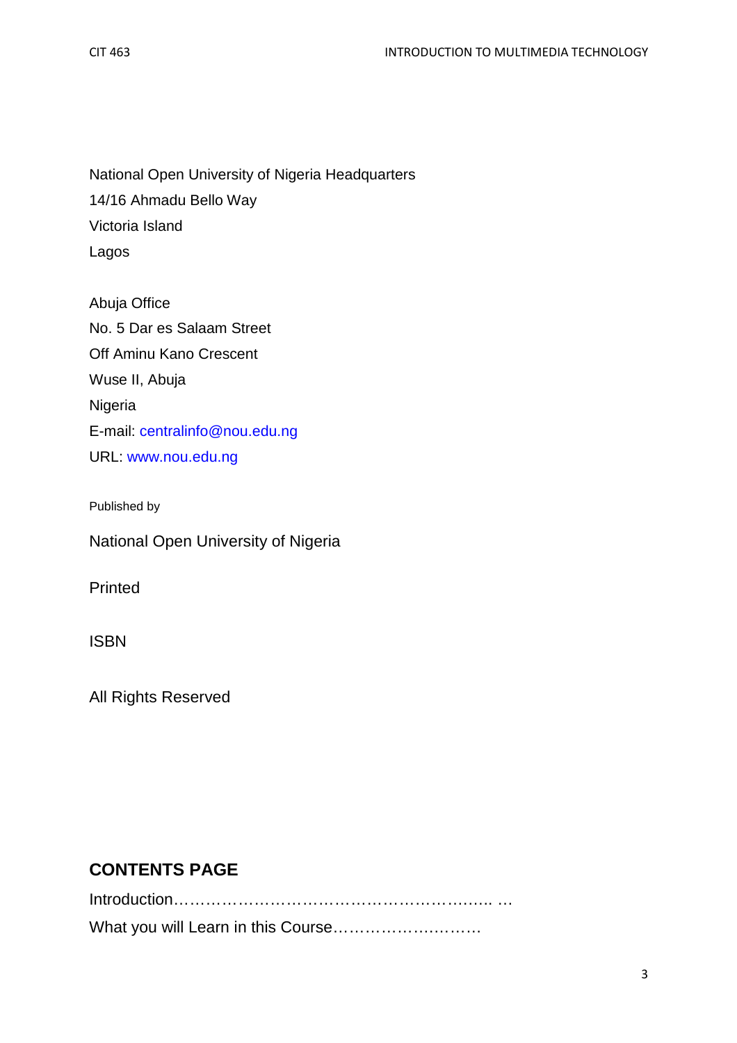National Open University of Nigeria Headquarters 14/16 Ahmadu Bello Way Victoria Island Lagos

Abuja Office No. 5 Dar es Salaam Street Off Aminu Kano Crescent Wuse II, Abuja Nigeria E-mail: centralinfo@nou.edu.ng URL: www.nou.edu.ng

Published by

National Open University of Nigeria

Printed

ISBN

All Rights Reserved

## **CONTENTS PAGE**

Introduction……………………………………………….….. … What you will Learn in this Course……………….………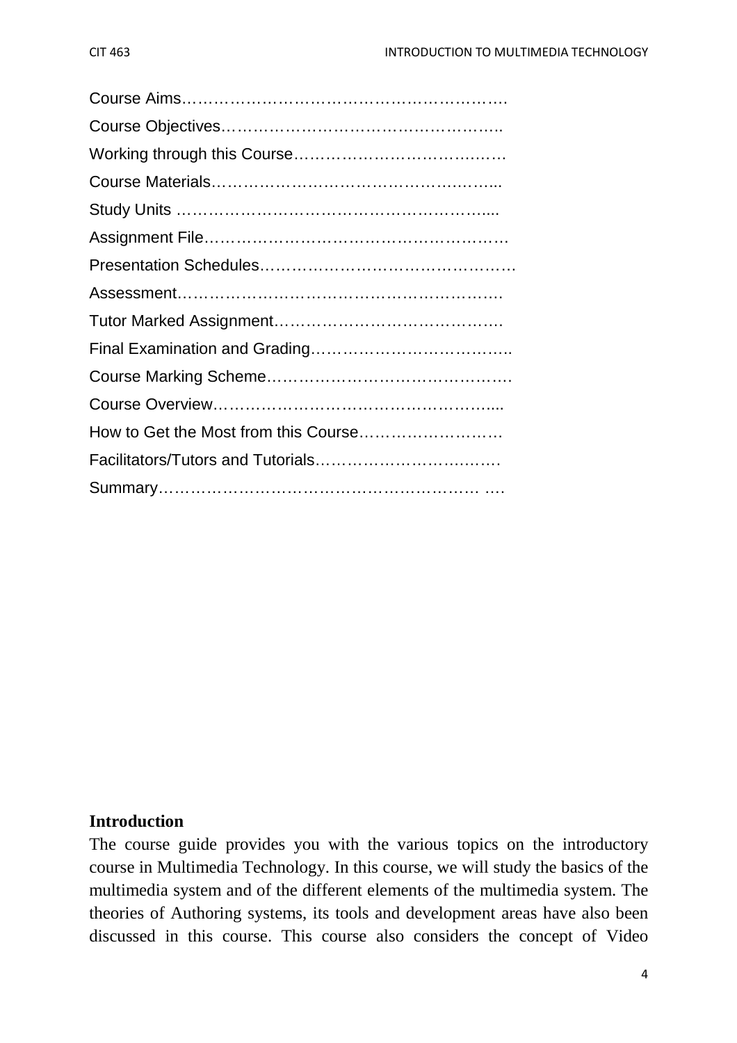## **Introduction**

The course guide provides you with the various topics on the introductory course in Multimedia Technology. In this course, we will study the basics of the multimedia system and of the different elements of the multimedia system. The theories of Authoring systems, its tools and development areas have also been discussed in this course. This course also considers the concept of Video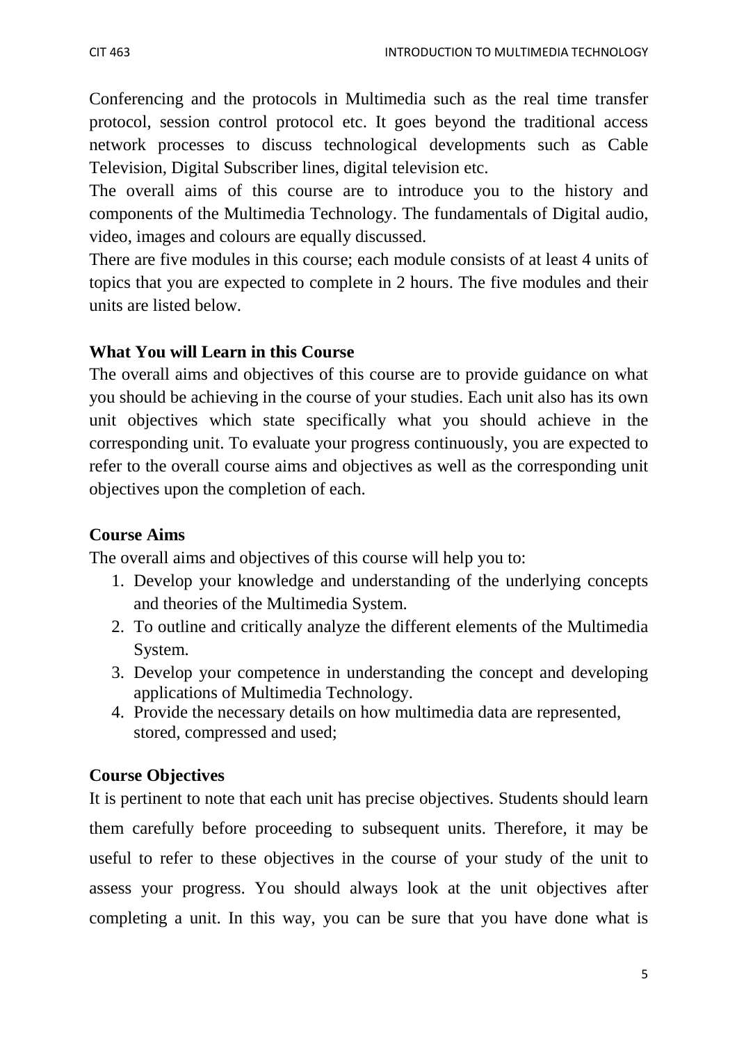Conferencing and the protocols in Multimedia such as the real time transfer protocol, session control protocol etc. It goes beyond the traditional access network processes to discuss technological developments such as Cable Television, Digital Subscriber lines, digital television etc.

The overall aims of this course are to introduce you to the history and components of the Multimedia Technology. The fundamentals of Digital audio, video, images and colours are equally discussed.

There are five modules in this course; each module consists of at least 4 units of topics that you are expected to complete in 2 hours. The five modules and their units are listed below.

## **What You will Learn in this Course**

The overall aims and objectives of this course are to provide guidance on what you should be achieving in the course of your studies. Each unit also has its own unit objectives which state specifically what you should achieve in the corresponding unit. To evaluate your progress continuously, you are expected to refer to the overall course aims and objectives as well as the corresponding unit objectives upon the completion of each.

## **Course Aims**

The overall aims and objectives of this course will help you to:

- 1. Develop your knowledge and understanding of the underlying concepts and theories of the Multimedia System.
- 2. To outline and critically analyze the different elements of the Multimedia System.
- 3. Develop your competence in understanding the concept and developing applications of Multimedia Technology.
- 4. Provide the necessary details on how multimedia data are represented, stored, compressed and used;

## **Course Objectives**

It is pertinent to note that each unit has precise objectives. Students should learn them carefully before proceeding to subsequent units. Therefore, it may be useful to refer to these objectives in the course of your study of the unit to assess your progress. You should always look at the unit objectives after completing a unit. In this way, you can be sure that you have done what is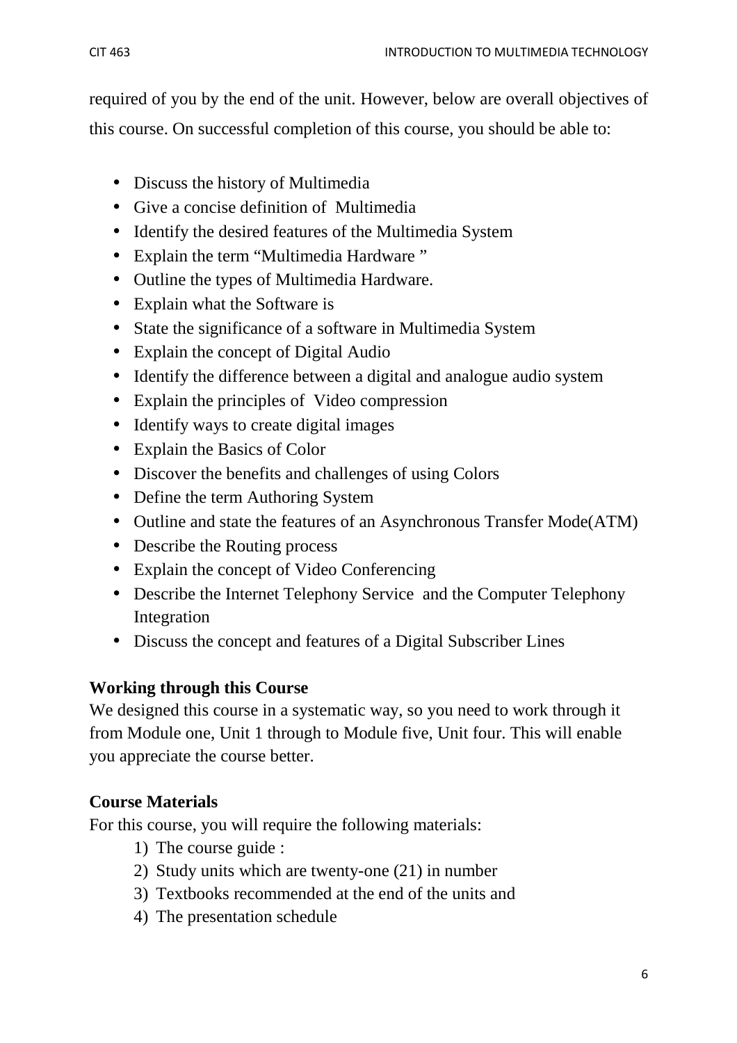required of you by the end of the unit. However, below are overall objectives of this course. On successful completion of this course, you should be able to:

- Discuss the history of Multimedia
- Give a concise definition of Multimedia
- Identify the desired features of the Multimedia System
- Explain the term "Multimedia Hardware "
- Outline the types of Multimedia Hardware.
- Explain what the Software is
- State the significance of a software in Multimedia System
- Explain the concept of Digital Audio
- Identify the difference between a digital and analogue audio system
- Explain the principles of Video compression
- Identify ways to create digital images
- Explain the Basics of Color
- Discover the benefits and challenges of using Colors
- Define the term Authoring System
- Outline and state the features of an Asynchronous Transfer Mode(ATM)
- Describe the Routing process
- Explain the concept of Video Conferencing
- Describe the Internet Telephony Service and the Computer Telephony Integration
- Discuss the concept and features of a Digital Subscriber Lines

# **Working through this Course**

We designed this course in a systematic way, so you need to work through it from Module one, Unit 1 through to Module five, Unit four. This will enable you appreciate the course better.

# **Course Materials**

For this course, you will require the following materials:

- 1) The course guide :
- 2) Study units which are twenty-one (21) in number
- 3) Textbooks recommended at the end of the units and
- 4) The presentation schedule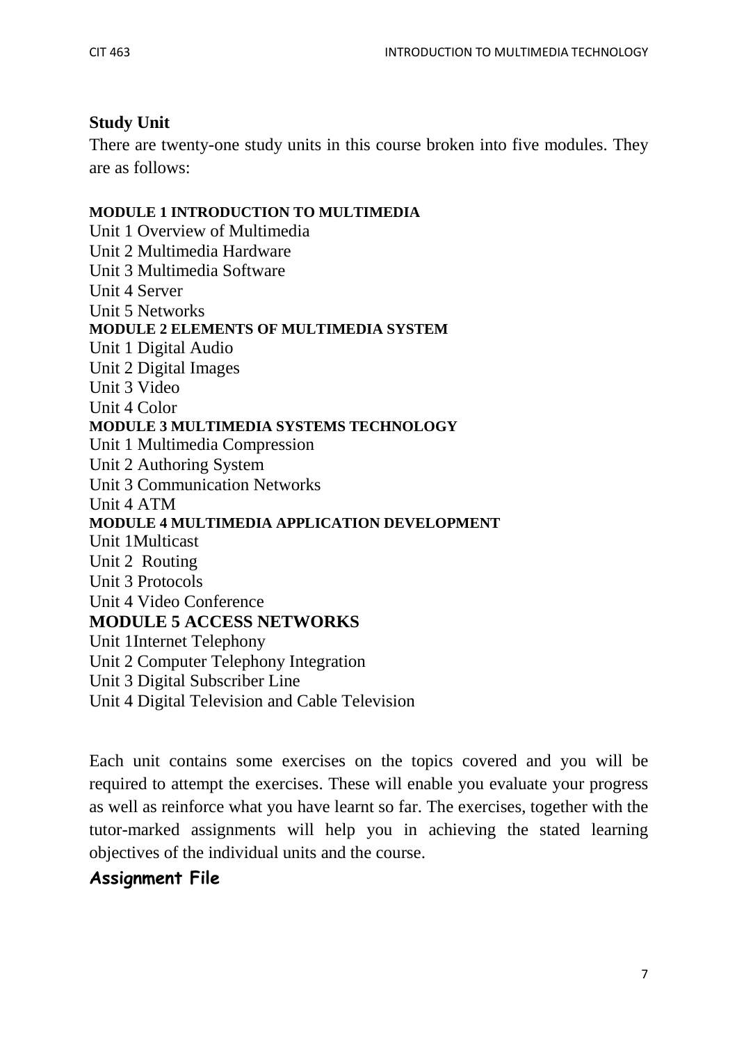# **Study Unit**

There are twenty-one study units in this course broken into five modules. They are as follows:

## **MODULE 1 INTRODUCTION TO MULTIMEDIA**

Unit 1 Overview of Multimedia Unit 2 Multimedia Hardware Unit 3 Multimedia Software Unit 4 Server Unit 5 Networks **MODULE 2 ELEMENTS OF MULTIMEDIA SYSTEM**  Unit 1 Digital Audio Unit 2 Digital Images Unit 3 Video Unit 4 Color **MODULE 3 MULTIMEDIA SYSTEMS TECHNOLOGY**  Unit 1 Multimedia Compression Unit 2 Authoring System Unit 3 Communication Networks Unit 4 ATM **MODULE 4 MULTIMEDIA APPLICATION DEVELOPMENT**  Unit 1Multicast Unit 2 Routing Unit 3 Protocols Unit 4 Video Conference **MODULE 5 ACCESS NETWORKS**  Unit 1Internet Telephony Unit 2 Computer Telephony Integration Unit 3 Digital Subscriber Line Unit 4 Digital Television and Cable Television

Each unit contains some exercises on the topics covered and you will be required to attempt the exercises. These will enable you evaluate your progress as well as reinforce what you have learnt so far. The exercises, together with the tutor-marked assignments will help you in achieving the stated learning objectives of the individual units and the course.

# **Assignment File**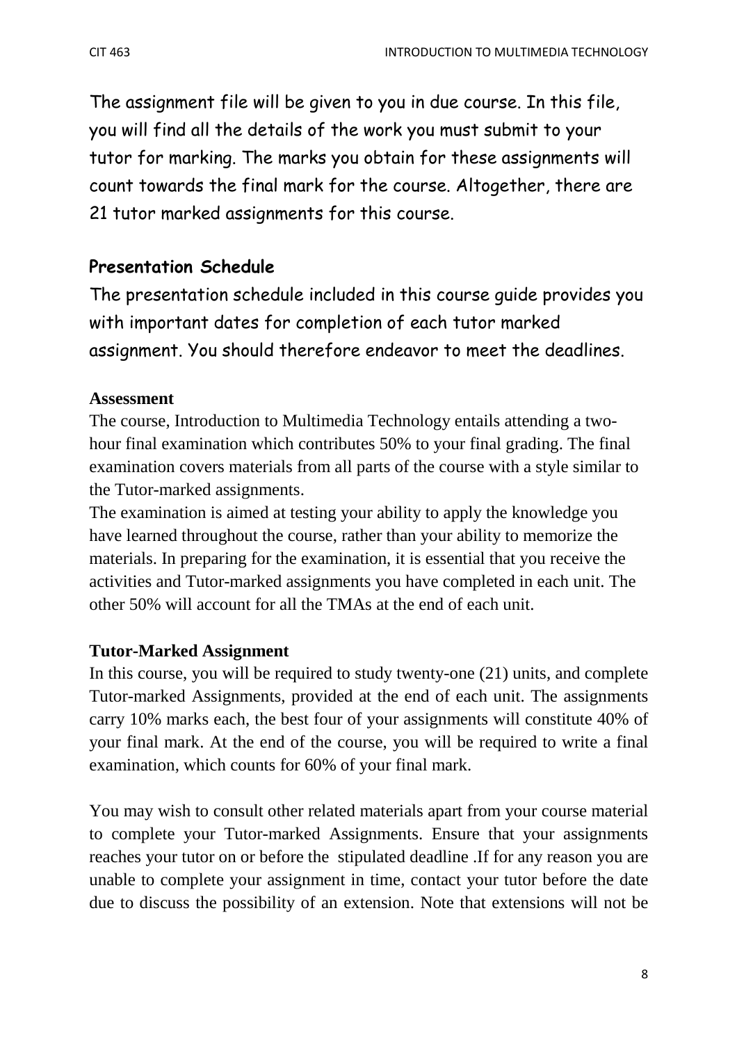The assignment file will be given to you in due course. In this file, you will find all the details of the work you must submit to your tutor for marking. The marks you obtain for these assignments will count towards the final mark for the course. Altogether, there are 21 tutor marked assignments for this course.

# **Presentation Schedule**

The presentation schedule included in this course guide provides you with important dates for completion of each tutor marked assignment. You should therefore endeavor to meet the deadlines.

## **Assessment**

The course, Introduction to Multimedia Technology entails attending a twohour final examination which contributes 50% to your final grading. The final examination covers materials from all parts of the course with a style similar to the Tutor-marked assignments.

The examination is aimed at testing your ability to apply the knowledge you have learned throughout the course, rather than your ability to memorize the materials. In preparing for the examination, it is essential that you receive the activities and Tutor-marked assignments you have completed in each unit. The other 50% will account for all the TMAs at the end of each unit.

## **Tutor-Marked Assignment**

In this course, you will be required to study twenty-one (21) units, and complete Tutor-marked Assignments, provided at the end of each unit. The assignments carry 10% marks each, the best four of your assignments will constitute 40% of your final mark. At the end of the course, you will be required to write a final examination, which counts for 60% of your final mark.

You may wish to consult other related materials apart from your course material to complete your Tutor-marked Assignments. Ensure that your assignments reaches your tutor on or before the stipulated deadline .If for any reason you are unable to complete your assignment in time, contact your tutor before the date due to discuss the possibility of an extension. Note that extensions will not be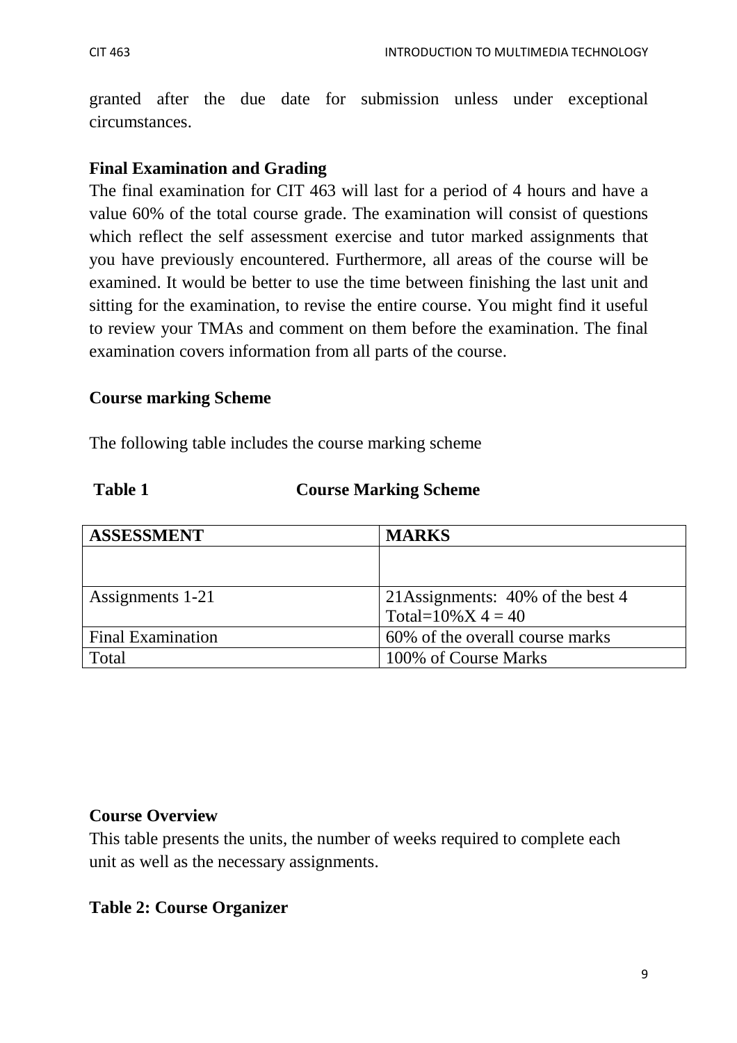granted after the due date for submission unless under exceptional circumstances.

## **Final Examination and Grading**

The final examination for CIT 463 will last for a period of 4 hours and have a value 60% of the total course grade. The examination will consist of questions which reflect the self assessment exercise and tutor marked assignments that you have previously encountered. Furthermore, all areas of the course will be examined. It would be better to use the time between finishing the last unit and sitting for the examination, to revise the entire course. You might find it useful to review your TMAs and comment on them before the examination. The final examination covers information from all parts of the course.

## **Course marking Scheme**

The following table includes the course marking scheme

### **Table 1 Course Marking Scheme**

| <b>ASSESSMENT</b>        | <b>MARKS</b>                      |
|--------------------------|-----------------------------------|
|                          |                                   |
|                          |                                   |
| Assignments 1-21         | 21 Assignments: 40% of the best 4 |
|                          | Total= $10\%$ X 4 = 40            |
| <b>Final Examination</b> | 60% of the overall course marks   |
| Total                    | 100% of Course Marks              |

## **Course Overview**

This table presents the units, the number of weeks required to complete each unit as well as the necessary assignments.

## **Table 2: Course Organizer**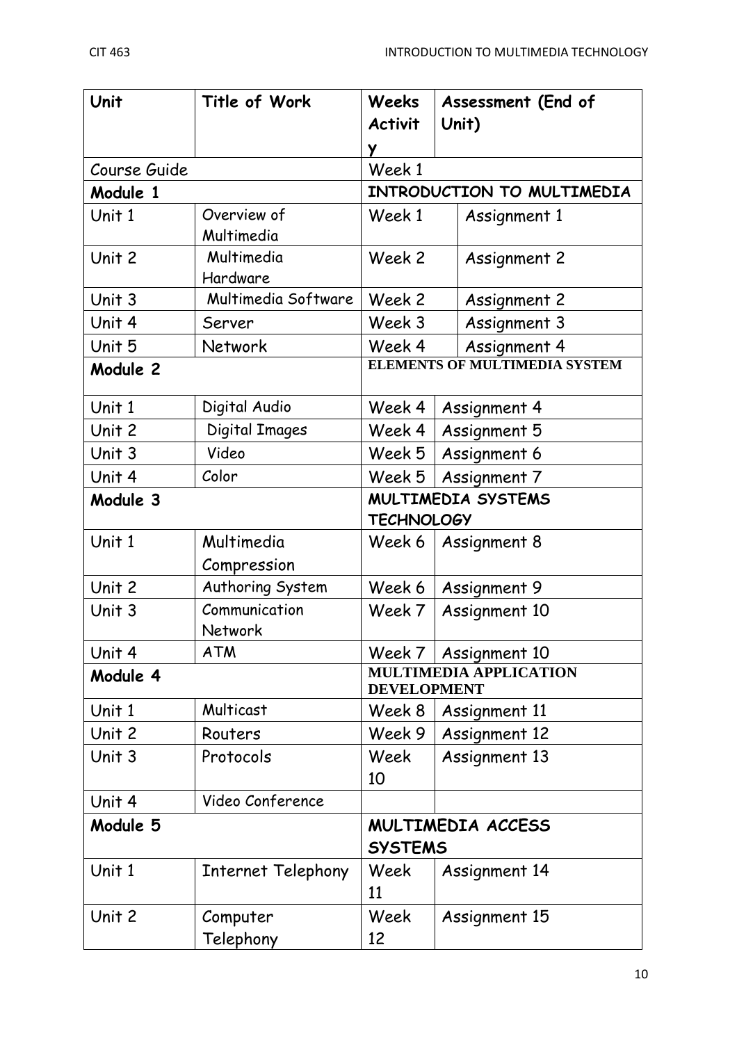| Unit         | Title of Work             | Weeks<br><b>Activit</b><br>Y         | Assessment (End of<br>Unit)   |
|--------------|---------------------------|--------------------------------------|-------------------------------|
| Course Guide |                           | Week 1                               |                               |
| Module 1     |                           | INTRODUCTION TO MULTIMEDIA           |                               |
| Unit 1       | Overview of<br>Multimedia | Week 1                               | Assignment 1                  |
| Unit 2       | Multimedia<br>Hardware    | Week 2                               | <b>Assignment 2</b>           |
| Unit 3       | Multimedia Software       | Week 2                               | Assignment 2                  |
| Unit 4       | Server                    | Week 3                               | Assignment 3                  |
| Unit 5       | Network                   | Week 4                               | Assignment 4                  |
| Module 2     |                           | <b>ELEMENTS OF MULTIMEDIA SYSTEM</b> |                               |
| Unit 1       | Digital Audio             | Week 4                               | Assignment 4                  |
| Unit 2       | Digital Images            | Week 4                               | Assignment 5                  |
| Unit 3       | Video                     | Week 5                               | Assignment 6                  |
| Unit 4       | Color                     | Week 5                               | Assignment 7                  |
| Module 3     |                           | <b>TECHNOLOGY</b>                    | <b>MULTIMEDIA SYSTEMS</b>     |
| Unit 1       | Multimedia<br>Compression | Week 6                               | Assignment 8                  |
| Unit 2       | Authoring System          | Week 6                               | Assignment 9                  |
| Unit 3       | Communication<br>Network  | Week 7                               | Assignment 10                 |
| Unit 4       | <b>ATM</b>                | Week 7                               | Assignment 10                 |
| Module 4     |                           | <b>DEVELOPMENT</b>                   | <b>MULTIMEDIA APPLICATION</b> |
| Unit 1       | Multicast                 | Week 8                               | Assignment 11                 |
| Unit 2       | Routers                   | Week 9                               | <b>Assignment 12</b>          |
| Unit 3       | Protocols                 | Week<br>10                           | Assignment 13                 |
| Unit 4       | Video Conference          |                                      |                               |
| Module 5     |                           | <b>SYSTEMS</b>                       | MULTIMEDIA ACCESS             |
| Unit 1       | Internet Telephony        | Week<br>11                           | <b>Assignment 14</b>          |
| Unit 2       | Computer<br>Telephony     | Week<br>12                           | Assignment 15                 |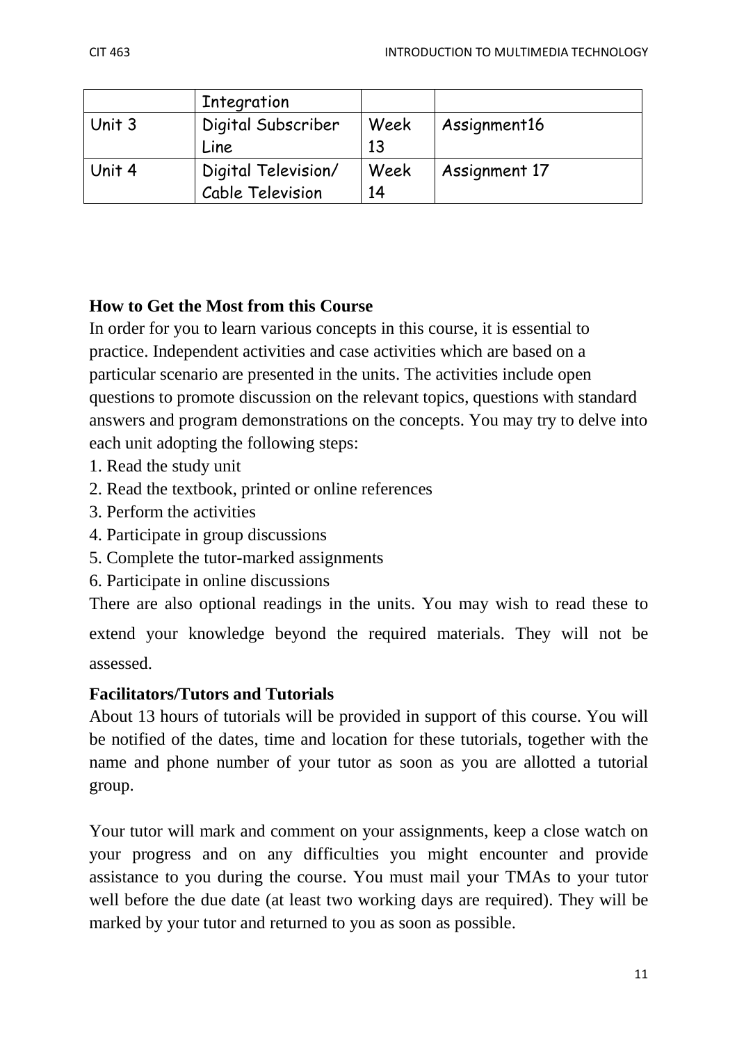|        | Integration         |      |               |
|--------|---------------------|------|---------------|
| Unit 3 | Digital Subscriber  | Week | Assignment16  |
|        | Line                | 13   |               |
| Unit 4 | Digital Television/ | Week | Assignment 17 |
|        | Cable Television    | 14   |               |

# **How to Get the Most from this Course**

In order for you to learn various concepts in this course, it is essential to practice. Independent activities and case activities which are based on a particular scenario are presented in the units. The activities include open questions to promote discussion on the relevant topics, questions with standard answers and program demonstrations on the concepts. You may try to delve into each unit adopting the following steps:

- 1. Read the study unit
- 2. Read the textbook, printed or online references
- 3. Perform the activities
- 4. Participate in group discussions
- 5. Complete the tutor-marked assignments
- 6. Participate in online discussions

There are also optional readings in the units. You may wish to read these to

extend your knowledge beyond the required materials. They will not be assessed.

## **Facilitators/Tutors and Tutorials**

About 13 hours of tutorials will be provided in support of this course. You will be notified of the dates, time and location for these tutorials, together with the name and phone number of your tutor as soon as you are allotted a tutorial group.

Your tutor will mark and comment on your assignments, keep a close watch on your progress and on any difficulties you might encounter and provide assistance to you during the course. You must mail your TMAs to your tutor well before the due date (at least two working days are required). They will be marked by your tutor and returned to you as soon as possible.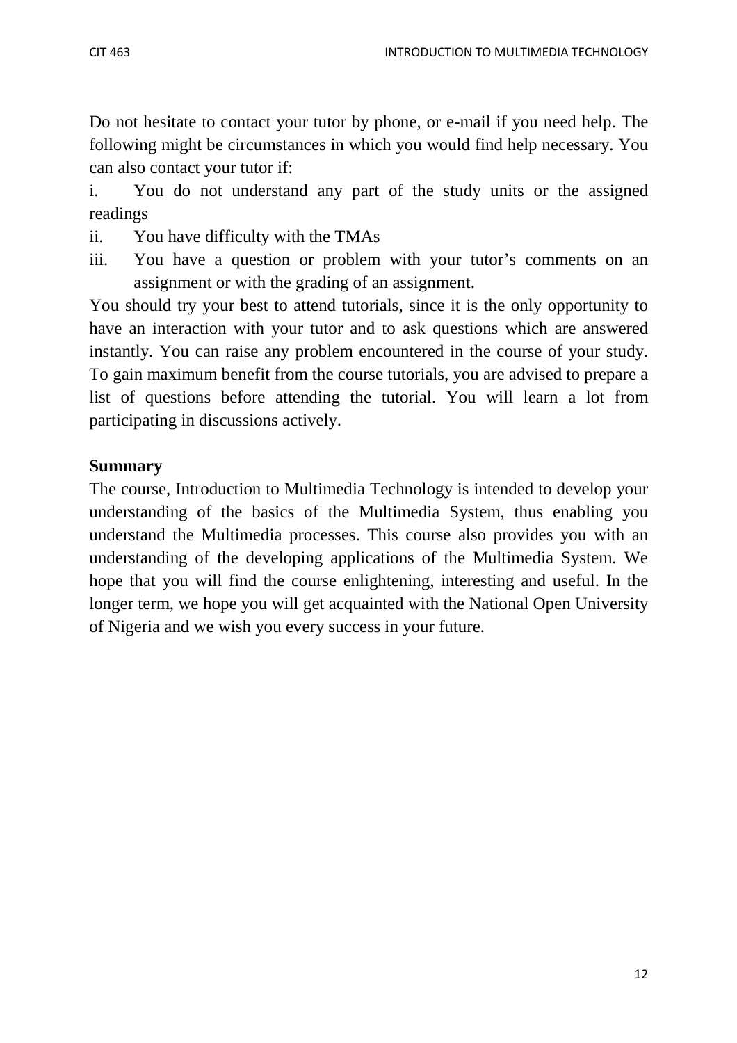Do not hesitate to contact your tutor by phone, or e-mail if you need help. The following might be circumstances in which you would find help necessary. You can also contact your tutor if:

i. You do not understand any part of the study units or the assigned readings

- ii. You have difficulty with the TMAs
- iii. You have a question or problem with your tutor's comments on an assignment or with the grading of an assignment.

You should try your best to attend tutorials, since it is the only opportunity to have an interaction with your tutor and to ask questions which are answered instantly. You can raise any problem encountered in the course of your study. To gain maximum benefit from the course tutorials, you are advised to prepare a list of questions before attending the tutorial. You will learn a lot from participating in discussions actively.

## **Summary**

The course, Introduction to Multimedia Technology is intended to develop your understanding of the basics of the Multimedia System, thus enabling you understand the Multimedia processes. This course also provides you with an understanding of the developing applications of the Multimedia System. We hope that you will find the course enlightening, interesting and useful. In the longer term, we hope you will get acquainted with the National Open University of Nigeria and we wish you every success in your future.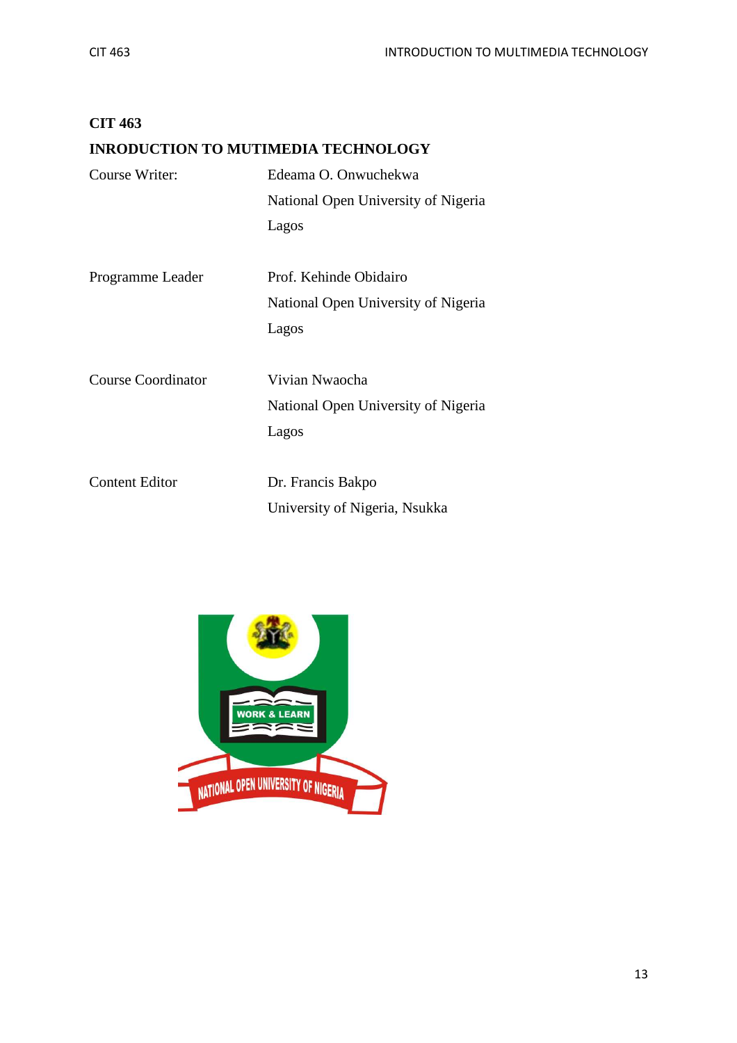| <b>CIT 463</b>                             |                                     |
|--------------------------------------------|-------------------------------------|
| <b>INRODUCTION TO MUTIMEDIA TECHNOLOGY</b> |                                     |
| Course Writer:                             | Edeama O. Onwuchekwa                |
|                                            | National Open University of Nigeria |
|                                            | Lagos                               |
| Programme Leader                           | Prof. Kehinde Obidairo              |
|                                            | National Open University of Nigeria |
|                                            | Lagos                               |
| <b>Course Coordinator</b>                  | Vivian Nwaocha                      |
|                                            | National Open University of Nigeria |
|                                            | Lagos                               |
| <b>Content Editor</b>                      | Dr. Francis Bakpo                   |
|                                            | University of Nigeria, Nsukka       |

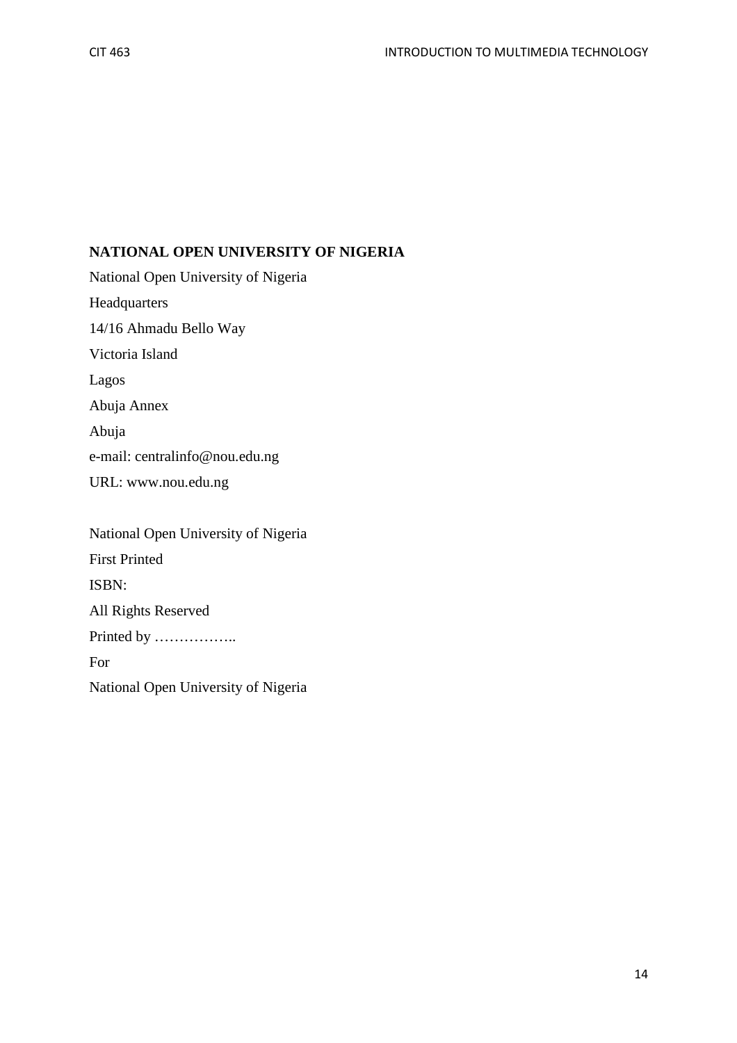## **NATIONAL OPEN UNIVERSITY OF NIGERIA**

National Open University of Nigeria Headquarters 14/16 Ahmadu Bello Way Victoria Island Lagos Abuja Annex Abuja e-mail: centralinfo@nou.edu.ng URL: www.nou.edu.ng

National Open University of Nigeria First Printed ISBN: All Rights Reserved Printed by …………….. For National Open University of Nigeria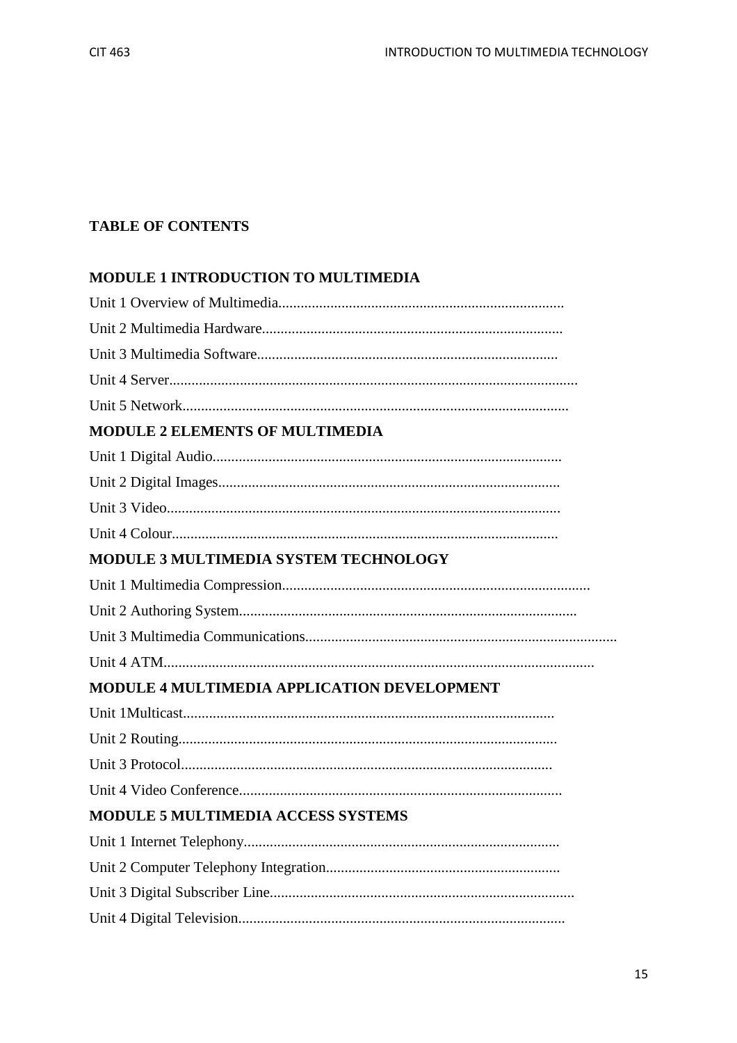## **TABLE OF CONTENTS**

### MODULE 1 INTRODUCTION TO MULTIMEDIA

| <b>MODULE 2 ELEMENTS OF MULTIMEDIA</b>      |
|---------------------------------------------|
|                                             |
|                                             |
|                                             |
|                                             |
| MODULE 3 MULTIMEDIA SYSTEM TECHNOLOGY       |
|                                             |
|                                             |
|                                             |
|                                             |
| MODULE 4 MULTIMEDIA APPLICATION DEVELOPMENT |
|                                             |
|                                             |
|                                             |
|                                             |
| <b>MODULE 5 MULTIMEDIA ACCESS SYSTEMS</b>   |
|                                             |
|                                             |
|                                             |
|                                             |
|                                             |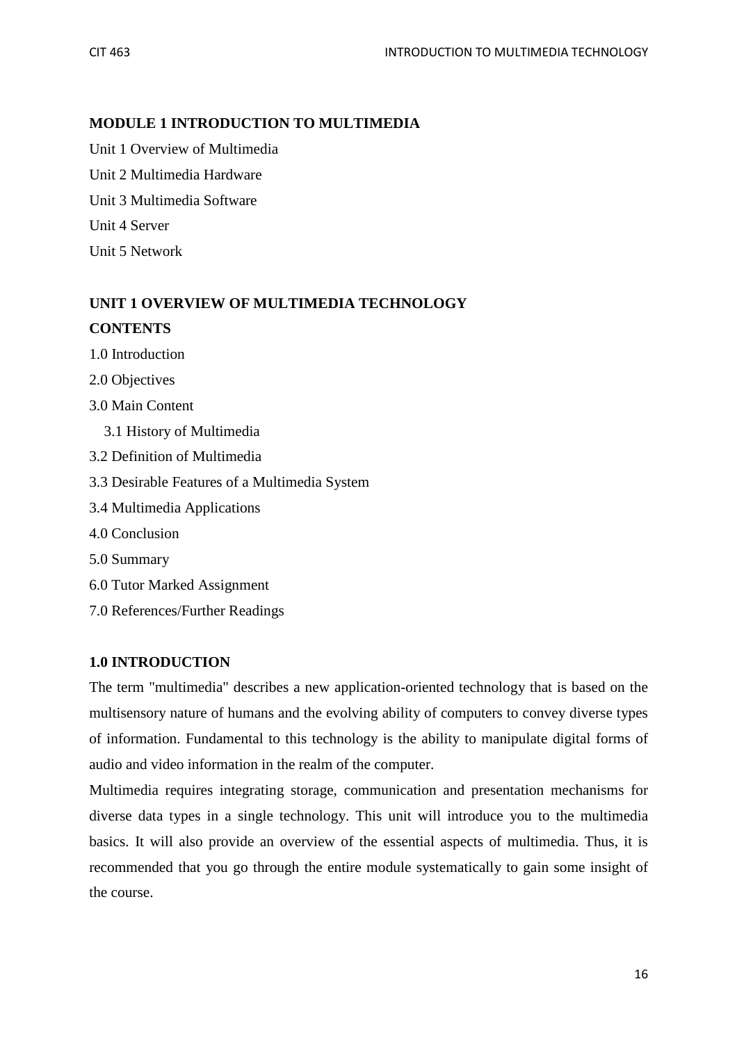## **MODULE 1 INTRODUCTION TO MULTIMEDIA**

Unit 1 Overview of Multimedia Unit 2 Multimedia Hardware Unit 3 Multimedia Software Unit 4 Server Unit 5 Network

# **UNIT 1 OVERVIEW OF MULTIMEDIA TECHNOLOGY CONTENTS**

- 1.0 Introduction
- 2.0 Objectives
- 3.0 Main Content
	- 3.1 History of Multimedia
- 3.2 Definition of Multimedia
- 3.3 Desirable Features of a Multimedia System
- 3.4 Multimedia Applications
- 4.0 Conclusion
- 5.0 Summary
- 6.0 Tutor Marked Assignment
- 7.0 References/Further Readings

### **1.0 INTRODUCTION**

The term "multimedia" describes a new application-oriented technology that is based on the multisensory nature of humans and the evolving ability of computers to convey diverse types of information. Fundamental to this technology is the ability to manipulate digital forms of audio and video information in the realm of the computer.

Multimedia requires integrating storage, communication and presentation mechanisms for diverse data types in a single technology. This unit will introduce you to the multimedia basics. It will also provide an overview of the essential aspects of multimedia. Thus, it is recommended that you go through the entire module systematically to gain some insight of the course.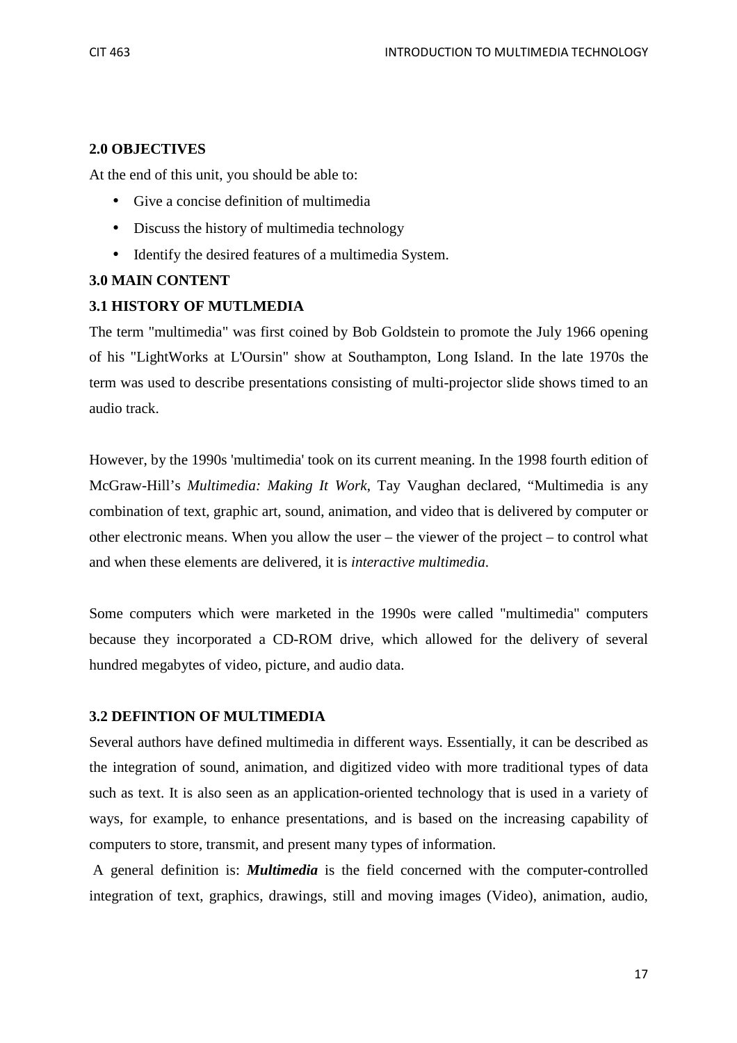### **2.0 OBJECTIVES**

At the end of this unit, you should be able to:

- Give a concise definition of multimedia
- Discuss the history of multimedia technology
- Identify the desired features of a multimedia System.

### **3.0 MAIN CONTENT**

### **3.1 HISTORY OF MUTLMEDIA**

The term "multimedia" was first coined by Bob Goldstein to promote the July 1966 opening of his "LightWorks at L'Oursin" show at Southampton, Long Island. In the late 1970s the term was used to describe presentations consisting of multi-projector slide shows timed to an audio track.

However, by the 1990s 'multimedia' took on its current meaning. In the 1998 fourth edition of McGraw-Hill's *Multimedia: Making It Work*, Tay Vaughan declared, "Multimedia is any combination of text, graphic art, sound, animation, and video that is delivered by computer or other electronic means. When you allow the user – the viewer of the project – to control what and when these elements are delivered, it is *interactive multimedia*.

Some computers which were marketed in the 1990s were called "multimedia" computers because they incorporated a CD-ROM drive, which allowed for the delivery of several hundred megabytes of video, picture, and audio data.

### **3.2 DEFINTION OF MULTIMEDIA**

Several authors have defined multimedia in different ways. Essentially, it can be described as the integration of sound, animation, and digitized video with more traditional types of data such as text. It is also seen as an application-oriented technology that is used in a variety of ways, for example, to enhance presentations, and is based on the increasing capability of computers to store, transmit, and present many types of information.

 A general definition is: *Multimedia* is the field concerned with the computer-controlled integration of text, graphics, drawings, still and moving images (Video), animation, audio,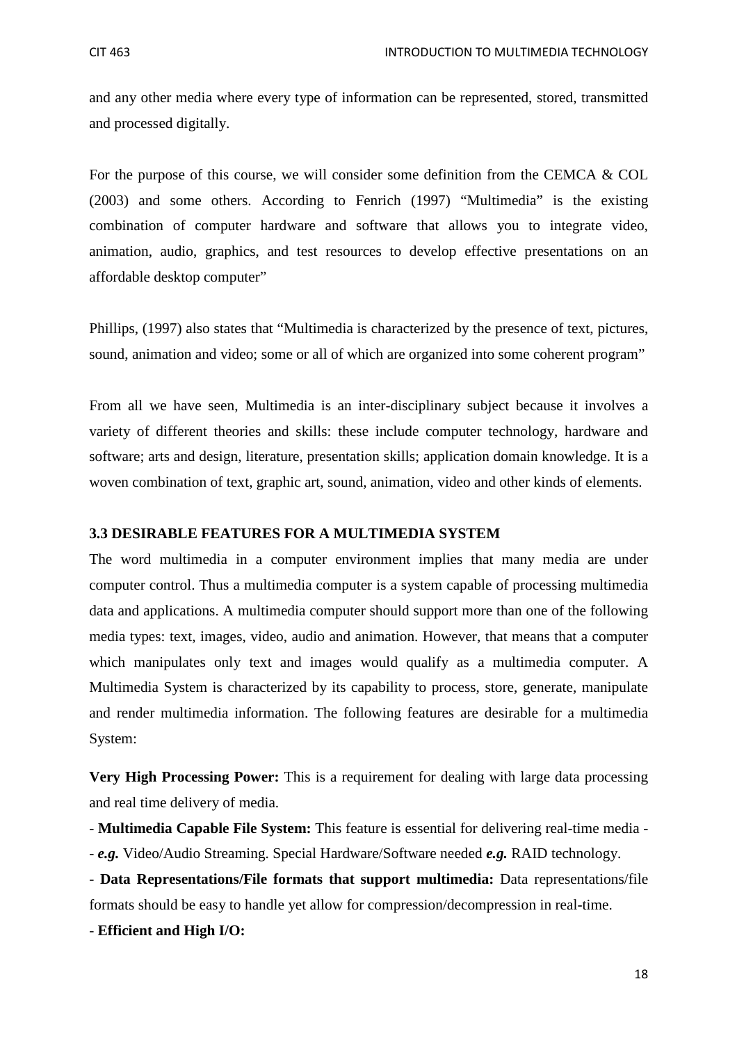and any other media where every type of information can be represented, stored, transmitted and processed digitally.

For the purpose of this course, we will consider some definition from the CEMCA & COL (2003) and some others. According to Fenrich (1997) "Multimedia" is the existing combination of computer hardware and software that allows you to integrate video, animation, audio, graphics, and test resources to develop effective presentations on an affordable desktop computer"

Phillips, (1997) also states that "Multimedia is characterized by the presence of text, pictures, sound, animation and video; some or all of which are organized into some coherent program"

From all we have seen, Multimedia is an inter-disciplinary subject because it involves a variety of different theories and skills: these include computer technology, hardware and software; arts and design, literature, presentation skills; application domain knowledge. It is a woven combination of text, graphic art, sound, animation, video and other kinds of elements.

#### **3.3 DESIRABLE FEATURES FOR A MULTIMEDIA SYSTEM**

The word multimedia in a computer environment implies that many media are under computer control. Thus a multimedia computer is a system capable of processing multimedia data and applications. A multimedia computer should support more than one of the following media types: text, images, video, audio and animation. However, that means that a computer which manipulates only text and images would qualify as a multimedia computer. A Multimedia System is characterized by its capability to process, store, generate, manipulate and render multimedia information. The following features are desirable for a multimedia System:

**Very High Processing Power:** This is a requirement for dealing with large data processing and real time delivery of media.

- **Multimedia Capable File System:** This feature is essential for delivering real-time media - - *e.g.* Video/Audio Streaming. Special Hardware/Software needed *e.g.* RAID technology.

- **Data Representations/File formats that support multimedia:** Data representations/file formats should be easy to handle yet allow for compression/decompression in real-time.

- **Efficient and High I/O:**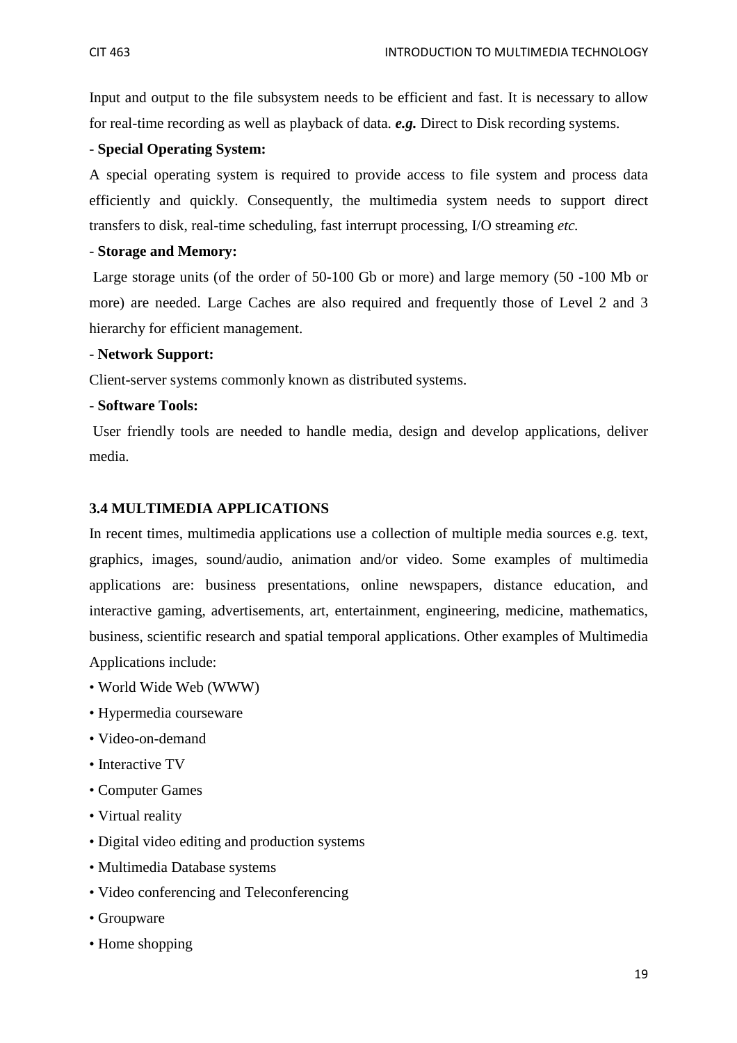Input and output to the file subsystem needs to be efficient and fast. It is necessary to allow for real-time recording as well as playback of data. *e.g.* Direct to Disk recording systems.

#### - **Special Operating System:**

A special operating system is required to provide access to file system and process data efficiently and quickly. Consequently, the multimedia system needs to support direct transfers to disk, real-time scheduling, fast interrupt processing, I/O streaming *etc.*

#### - **Storage and Memory:**

Large storage units (of the order of 50-100 Gb or more) and large memory (50 -100 Mb or more) are needed. Large Caches are also required and frequently those of Level 2 and 3 hierarchy for efficient management.

#### - **Network Support:**

Client-server systems commonly known as distributed systems.

#### - **Software Tools:**

User friendly tools are needed to handle media, design and develop applications, deliver media.

#### **3.4 MULTIMEDIA APPLICATIONS**

In recent times, multimedia applications use a collection of multiple media sources e.g. text, graphics, images, sound/audio, animation and/or video. Some examples of multimedia applications are: business presentations, online newspapers, distance education, and interactive gaming, advertisements, art, entertainment, engineering, medicine, mathematics, business, scientific research and spatial temporal applications. Other examples of Multimedia Applications include:

- World Wide Web (WWW)
- Hypermedia courseware
- Video-on-demand
- Interactive TV
- Computer Games
- Virtual reality
- Digital video editing and production systems
- Multimedia Database systems
- Video conferencing and Teleconferencing
- Groupware
- Home shopping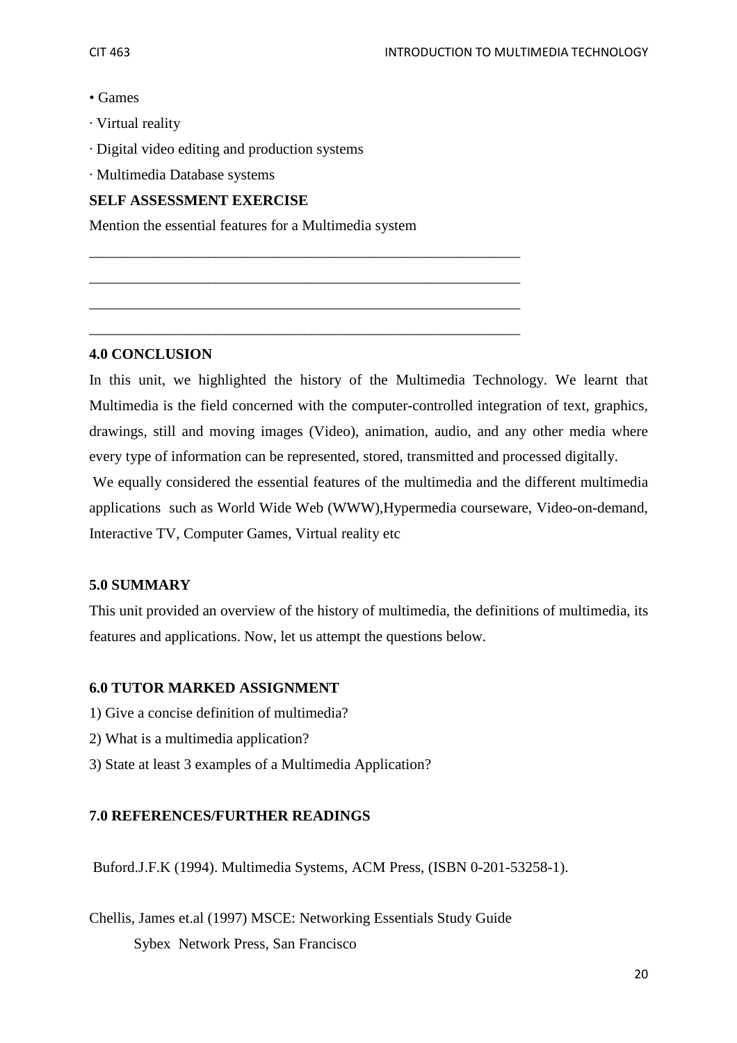- Games
- · Virtual reality
- · Digital video editing and production systems
- · Multimedia Database systems

#### **SELF ASSESSMENT EXERCISE**

Mention the essential features for a Multimedia system

\_\_\_\_\_\_\_\_\_\_\_\_\_\_\_\_\_\_\_\_\_\_\_\_\_\_\_\_\_\_\_\_\_\_\_\_\_\_\_\_\_\_\_\_\_\_\_\_\_\_\_\_\_\_\_\_\_\_

\_\_\_\_\_\_\_\_\_\_\_\_\_\_\_\_\_\_\_\_\_\_\_\_\_\_\_\_\_\_\_\_\_\_\_\_\_\_\_\_\_\_\_\_\_\_\_\_\_\_\_\_\_\_\_\_\_\_

\_\_\_\_\_\_\_\_\_\_\_\_\_\_\_\_\_\_\_\_\_\_\_\_\_\_\_\_\_\_\_\_\_\_\_\_\_\_\_\_\_\_\_\_\_\_\_\_\_\_\_\_\_\_\_\_\_\_

\_\_\_\_\_\_\_\_\_\_\_\_\_\_\_\_\_\_\_\_\_\_\_\_\_\_\_\_\_\_\_\_\_\_\_\_\_\_\_\_\_\_\_\_\_\_\_\_\_\_\_\_\_\_\_\_\_\_

#### **4.0 CONCLUSION**

In this unit, we highlighted the history of the Multimedia Technology. We learnt that Multimedia is the field concerned with the computer-controlled integration of text, graphics, drawings, still and moving images (Video), animation, audio, and any other media where every type of information can be represented, stored, transmitted and processed digitally.

 We equally considered the essential features of the multimedia and the different multimedia applications such as World Wide Web (WWW),Hypermedia courseware, Video-on-demand, Interactive TV, Computer Games, Virtual reality etc

### **5.0 SUMMARY**

This unit provided an overview of the history of multimedia, the definitions of multimedia, its features and applications. Now, let us attempt the questions below.

### **6.0 TUTOR MARKED ASSIGNMENT**

- 1) Give a concise definition of multimedia?
- 2) What is a multimedia application?
- 3) State at least 3 examples of a Multimedia Application?

### **7.0 REFERENCES/FURTHER READINGS**

Buford.J.F.K (1994). Multimedia Systems, ACM Press, (ISBN 0-201-53258-1).

Chellis, James et.al (1997) MSCE: Networking Essentials Study Guide Sybex Network Press, San Francisco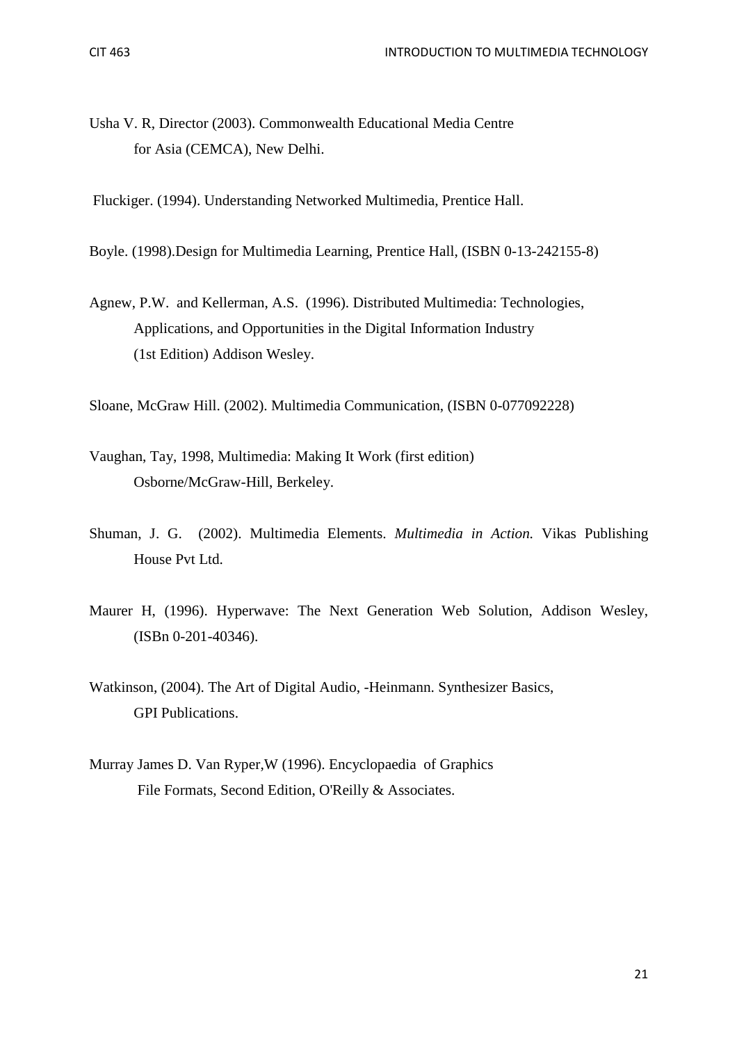Usha V. R, Director (2003). Commonwealth Educational Media Centre for Asia (CEMCA), New Delhi.

Fluckiger. (1994). Understanding Networked Multimedia, Prentice Hall.

Boyle. (1998).Design for Multimedia Learning, Prentice Hall, (ISBN 0-13-242155-8)

Agnew, P.W. and Kellerman, A.S. (1996). Distributed Multimedia: Technologies, Applications, and Opportunities in the Digital Information Industry (1st Edition) Addison Wesley.

Sloane, McGraw Hill. (2002). Multimedia Communication, (ISBN 0-077092228)

- Vaughan, Tay, 1998, Multimedia: Making It Work (first edition) Osborne/McGraw-Hill, Berkeley.
- Shuman, J. G. (2002). Multimedia Elements. *Multimedia in Action.* Vikas Publishing House Pvt Ltd.
- Maurer H, (1996). Hyperwave: The Next Generation Web Solution, Addison Wesley, (ISBn 0-201-40346).
- Watkinson, (2004). The Art of Digital Audio, -Heinmann. Synthesizer Basics, GPI Publications.
- Murray James D. Van Ryper,W (1996). Encyclopaedia of Graphics File Formats, Second Edition, O'Reilly & Associates.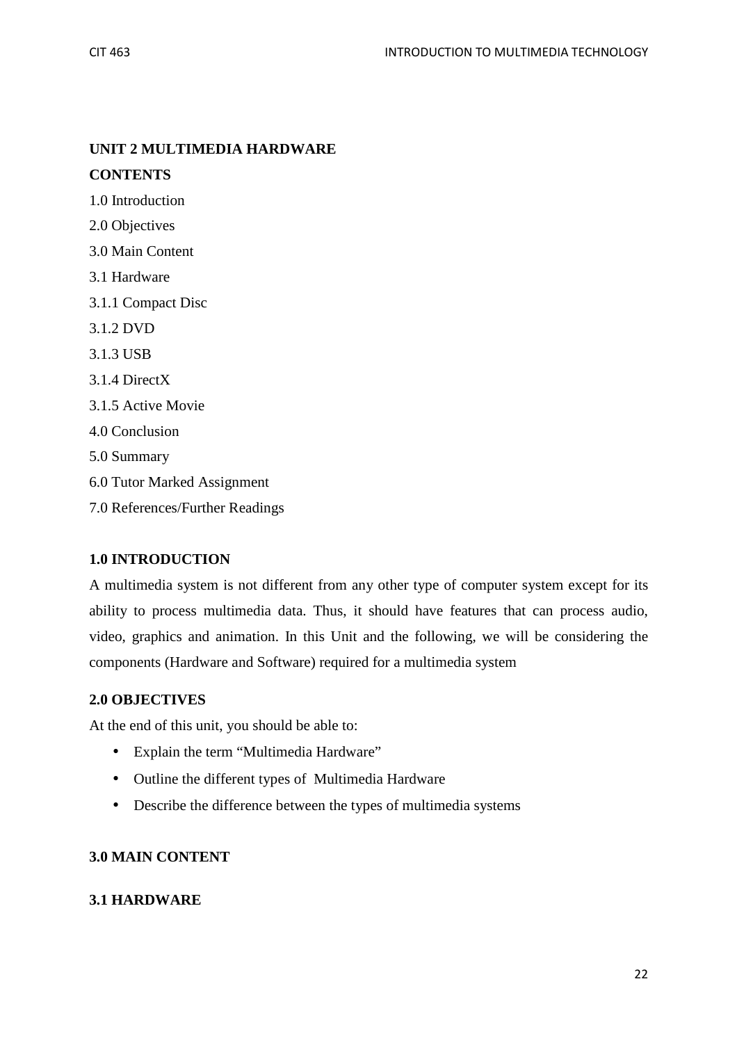## **UNIT 2 MULTIMEDIA HARDWARE**

## **CONTENTS**

1.0 Introduction

2.0 Objectives

3.0 Main Content

- 3.1 Hardware
- 3.1.1 Compact Disc
- 3.1.2 DVD
- 3.1.3 USB
- 3.1.4 DirectX
- 3.1.5 Active Movie
- 4.0 Conclusion

5.0 Summary

- 6.0 Tutor Marked Assignment
- 7.0 References/Further Readings

### **1.0 INTRODUCTION**

A multimedia system is not different from any other type of computer system except for its ability to process multimedia data. Thus, it should have features that can process audio, video, graphics and animation. In this Unit and the following, we will be considering the components (Hardware and Software) required for a multimedia system

### **2.0 OBJECTIVES**

At the end of this unit, you should be able to:

- Explain the term "Multimedia Hardware"
- Outline the different types of Multimedia Hardware
- Describe the difference between the types of multimedia systems

### **3.0 MAIN CONTENT**

### **3.1 HARDWARE**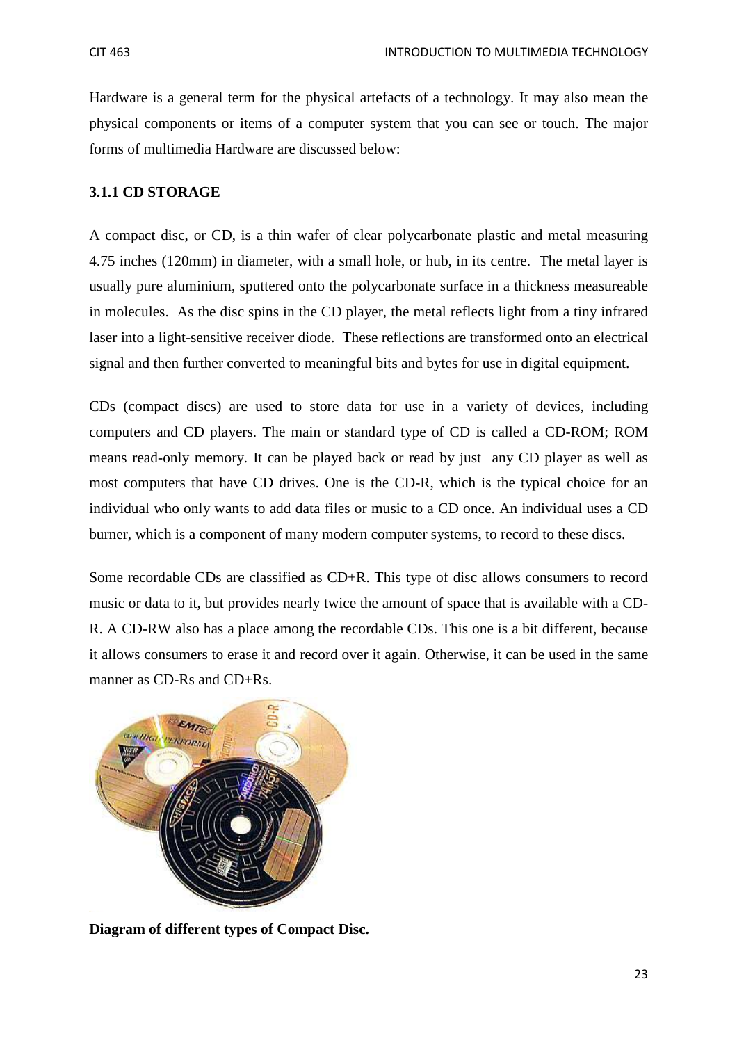Hardware is a general term for the physical artefacts of a technology. It may also mean the physical components or items of a computer system that you can see or touch. The major forms of multimedia Hardware are discussed below:

#### **3.1.1 CD STORAGE**

A compact disc, or CD, is a thin wafer of clear polycarbonate plastic and metal measuring 4.75 inches (120mm) in diameter, with a small hole, or hub, in its centre. The metal layer is usually pure aluminium, sputtered onto the polycarbonate surface in a thickness measureable in molecules. As the disc spins in the CD player, the metal reflects light from a tiny infrared laser into a light-sensitive receiver diode. These reflections are transformed onto an electrical signal and then further converted to meaningful bits and bytes for use in digital equipment.

CDs (compact discs) are used to store data for use in a variety of devices, including computers and CD players. The main or standard type of CD is called a CD-ROM; ROM means read-only memory. It can be played back or read by just any CD player as well as most computers that have CD drives. One is the CD-R, which is the typical choice for an individual who only wants to add data files or music to a CD once. An individual uses a CD burner, which is a component of many modern computer systems, to record to these discs.

Some recordable CDs are classified as CD+R. This type of disc allows consumers to record music or data to it, but provides nearly twice the amount of space that is available with a CD-R. A CD-RW also has a place among the recordable CDs. This one is a bit different, because it allows consumers to erase it and record over it again. Otherwise, it can be used in the same manner as CD-Rs and CD+Rs.



**Diagram of different types of Compact Disc.**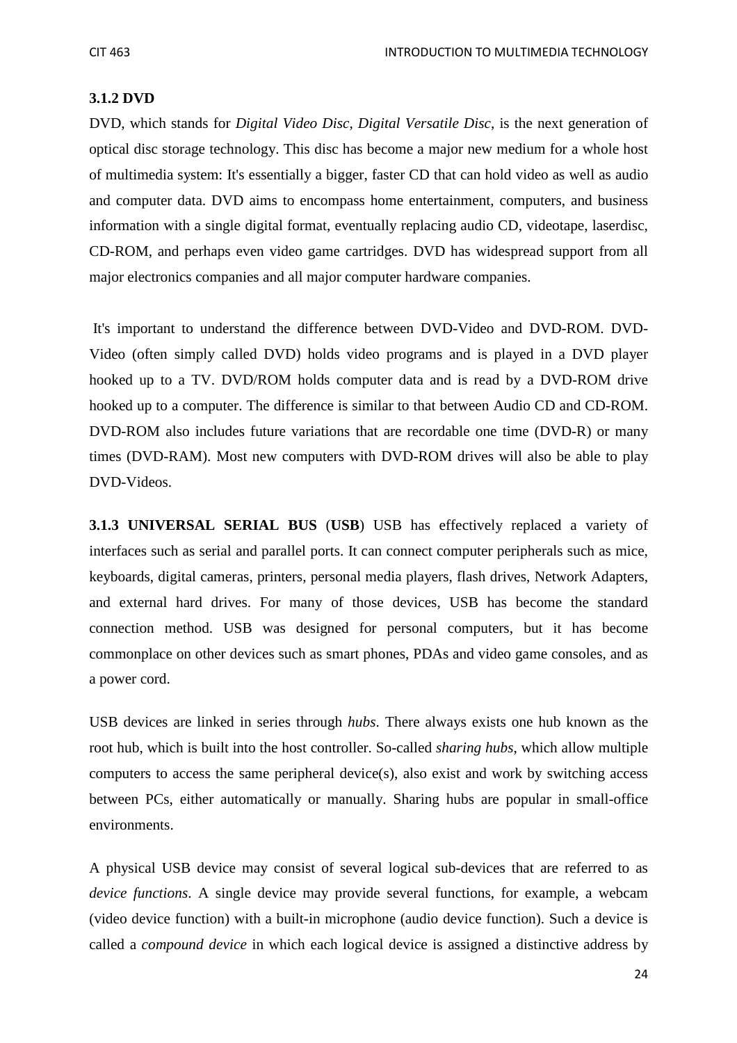#### **3.1.2 DVD**

DVD, which stands for *Digital Video Disc*, *Digital Versatile Disc*, is the next generation of optical disc storage technology. This disc has become a major new medium for a whole host of multimedia system: It's essentially a bigger, faster CD that can hold video as well as audio and computer data. DVD aims to encompass home entertainment, computers, and business information with a single digital format, eventually replacing audio CD, videotape, laserdisc, CD-ROM, and perhaps even video game cartridges. DVD has widespread support from all major electronics companies and all major computer hardware companies.

 It's important to understand the difference between DVD-Video and DVD-ROM. DVD-Video (often simply called DVD) holds video programs and is played in a DVD player hooked up to a TV. DVD/ROM holds computer data and is read by a DVD-ROM drive hooked up to a computer. The difference is similar to that between Audio CD and CD-ROM. DVD-ROM also includes future variations that are recordable one time (DVD-R) or many times (DVD-RAM). Most new computers with DVD-ROM drives will also be able to play DVD-Videos.

**3.1.3 UNIVERSAL SERIAL BUS** (**USB**) USB has effectively replaced a variety of interfaces such as serial and parallel ports. It can connect computer peripherals such as mice, keyboards, digital cameras, printers, personal media players, flash drives, Network Adapters, and external hard drives. For many of those devices, USB has become the standard connection method. USB was designed for personal computers, but it has become commonplace on other devices such as smart phones, PDAs and video game consoles, and as a power cord.

USB devices are linked in series through *hubs*. There always exists one hub known as the root hub, which is built into the host controller. So-called *sharing hubs*, which allow multiple computers to access the same peripheral device(s), also exist and work by switching access between PCs, either automatically or manually. Sharing hubs are popular in small-office environments.

A physical USB device may consist of several logical sub-devices that are referred to as *device functions*. A single device may provide several functions, for example, a webcam (video device function) with a built-in microphone (audio device function). Such a device is called a *compound device* in which each logical device is assigned a distinctive address by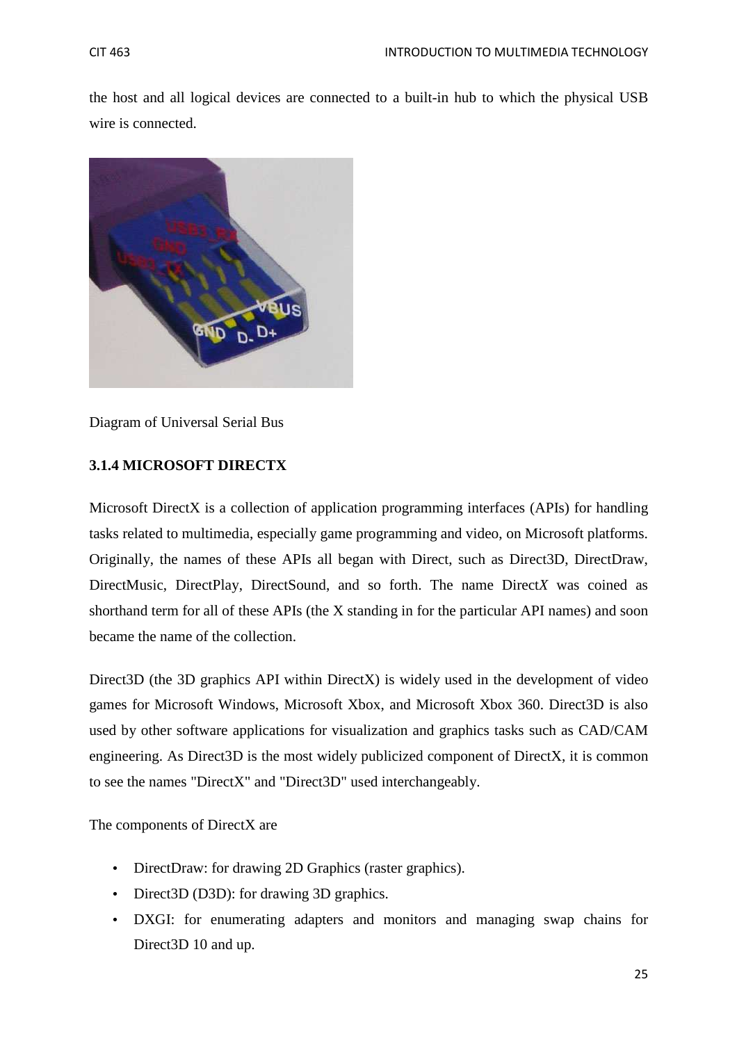the host and all logical devices are connected to a built-in hub to which the physical USB wire is connected.



Diagram of Universal Serial Bus

## **3.1.4 MICROSOFT DIRECTX**

Microsoft DirectX is a collection of application programming interfaces (APIs) for handling tasks related to multimedia, especially game programming and video, on Microsoft platforms. Originally, the names of these APIs all began with Direct, such as Direct3D, DirectDraw, DirectMusic, DirectPlay, DirectSound, and so forth. The name Direct*X* was coined as shorthand term for all of these APIs (the X standing in for the particular API names) and soon became the name of the collection.

Direct3D (the 3D graphics API within DirectX) is widely used in the development of video games for Microsoft Windows, Microsoft Xbox, and Microsoft Xbox 360. Direct3D is also used by other software applications for visualization and graphics tasks such as CAD/CAM engineering. As Direct3D is the most widely publicized component of DirectX, it is common to see the names "DirectX" and "Direct3D" used interchangeably.

The components of DirectX are

- DirectDraw: for drawing 2D Graphics (raster graphics).
- Direct3D (D3D): for drawing 3D graphics.
- DXGI: for enumerating adapters and monitors and managing swap chains for Direct3D 10 and up.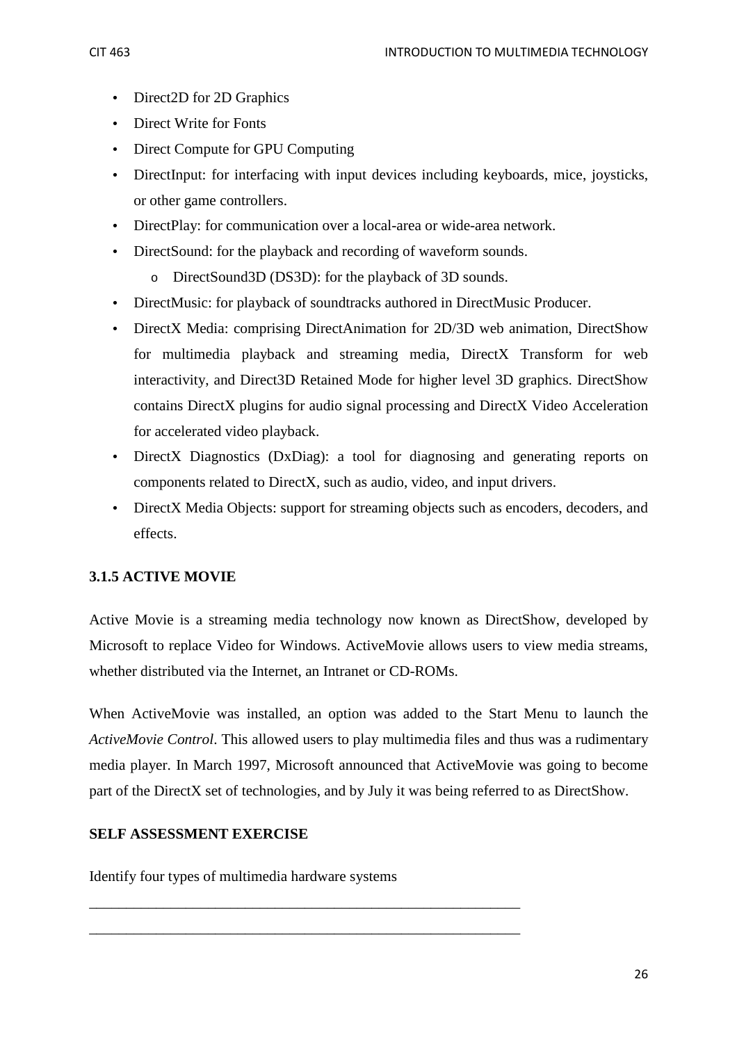- Direct2D for 2D Graphics
- Direct Write for Fonts
- Direct Compute for GPU Computing
- DirectInput: for interfacing with input devices including keyboards, mice, joysticks, or other game controllers.
- DirectPlay: for communication over a local-area or wide-area network.
- DirectSound: for the playback and recording of waveform sounds.
	- o DirectSound3D (DS3D): for the playback of 3D sounds.
- DirectMusic: for playback of soundtracks authored in DirectMusic Producer.
- DirectX Media: comprising DirectAnimation for 2D/3D web animation, DirectShow for multimedia playback and streaming media, DirectX Transform for web interactivity, and Direct3D Retained Mode for higher level 3D graphics. DirectShow contains DirectX plugins for audio signal processing and DirectX Video Acceleration for accelerated video playback.
- DirectX Diagnostics (DxDiag): a tool for diagnosing and generating reports on components related to DirectX, such as audio, video, and input drivers.
- DirectX Media Objects: support for streaming objects such as encoders, decoders, and effects.

## **3.1.5 ACTIVE MOVIE**

Active Movie is a streaming media technology now known as DirectShow, developed by Microsoft to replace Video for Windows. ActiveMovie allows users to view media streams, whether distributed via the Internet, an Intranet or CD-ROMs.

When ActiveMovie was installed, an option was added to the Start Menu to launch the *ActiveMovie Control*. This allowed users to play multimedia files and thus was a rudimentary media player. In March 1997, Microsoft announced that ActiveMovie was going to become part of the DirectX set of technologies, and by July it was being referred to as DirectShow.

### **SELF ASSESSMENT EXERCISE**

Identify four types of multimedia hardware systems

\_\_\_\_\_\_\_\_\_\_\_\_\_\_\_\_\_\_\_\_\_\_\_\_\_\_\_\_\_\_\_\_\_\_\_\_\_\_\_\_\_\_\_\_\_\_\_\_\_\_\_\_\_\_\_\_\_\_

\_\_\_\_\_\_\_\_\_\_\_\_\_\_\_\_\_\_\_\_\_\_\_\_\_\_\_\_\_\_\_\_\_\_\_\_\_\_\_\_\_\_\_\_\_\_\_\_\_\_\_\_\_\_\_\_\_\_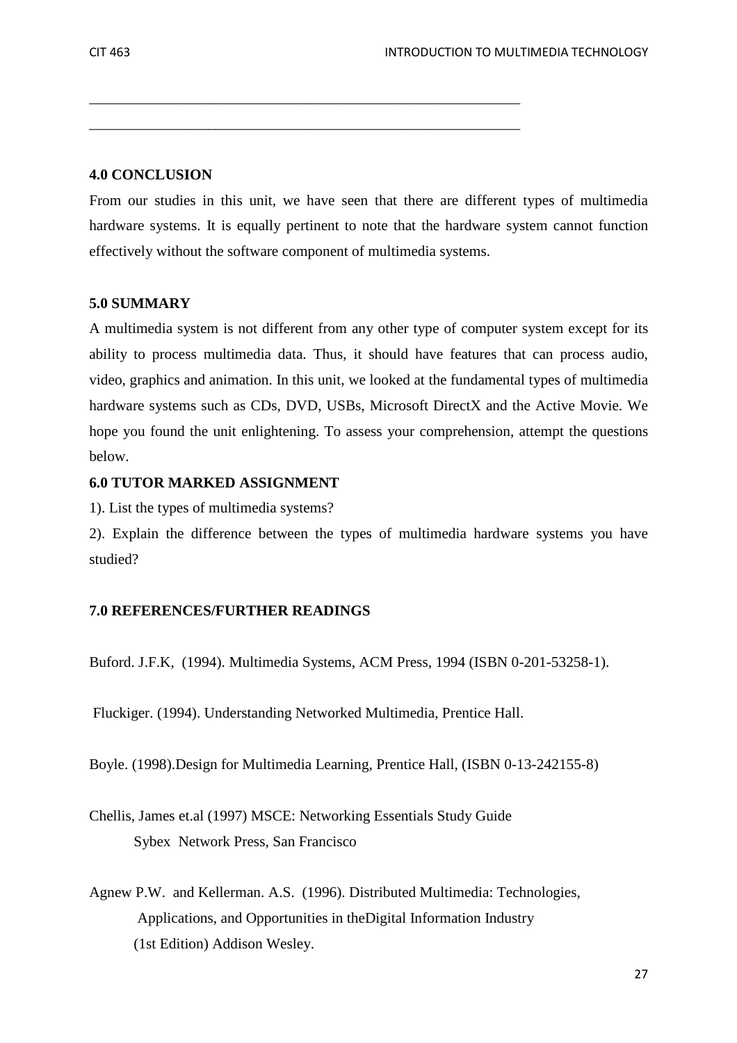#### **4.0 CONCLUSION**

From our studies in this unit, we have seen that there are different types of multimedia hardware systems. It is equally pertinent to note that the hardware system cannot function effectively without the software component of multimedia systems.

\_\_\_\_\_\_\_\_\_\_\_\_\_\_\_\_\_\_\_\_\_\_\_\_\_\_\_\_\_\_\_\_\_\_\_\_\_\_\_\_\_\_\_\_\_\_\_\_\_\_\_\_\_\_\_\_\_\_

\_\_\_\_\_\_\_\_\_\_\_\_\_\_\_\_\_\_\_\_\_\_\_\_\_\_\_\_\_\_\_\_\_\_\_\_\_\_\_\_\_\_\_\_\_\_\_\_\_\_\_\_\_\_\_\_\_\_

#### **5.0 SUMMARY**

A multimedia system is not different from any other type of computer system except for its ability to process multimedia data. Thus, it should have features that can process audio, video, graphics and animation. In this unit, we looked at the fundamental types of multimedia hardware systems such as CDs, DVD, USBs, Microsoft DirectX and the Active Movie. We hope you found the unit enlightening. To assess your comprehension, attempt the questions below.

#### **6.0 TUTOR MARKED ASSIGNMENT**

1). List the types of multimedia systems?

2). Explain the difference between the types of multimedia hardware systems you have studied?

#### **7.0 REFERENCES/FURTHER READINGS**

Buford. J.F.K, (1994). Multimedia Systems, ACM Press, 1994 (ISBN 0-201-53258-1).

Fluckiger. (1994). Understanding Networked Multimedia, Prentice Hall.

Boyle. (1998).Design for Multimedia Learning, Prentice Hall, (ISBN 0-13-242155-8)

Chellis, James et.al (1997) MSCE: Networking Essentials Study Guide Sybex Network Press, San Francisco

Agnew P.W. and Kellerman. A.S. (1996). Distributed Multimedia: Technologies, Applications, and Opportunities in theDigital Information Industry (1st Edition) Addison Wesley.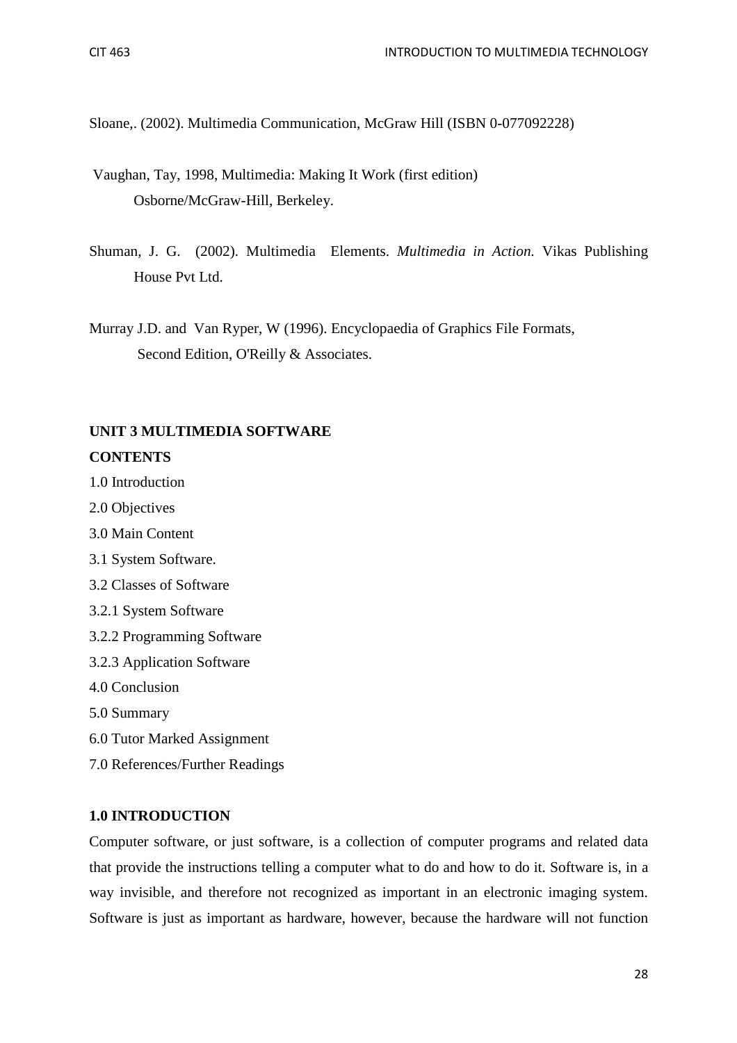Sloane,. (2002). Multimedia Communication, McGraw Hill (ISBN 0-077092228)

- Vaughan, Tay, 1998, Multimedia: Making It Work (first edition) Osborne/McGraw-Hill, Berkeley.
- Shuman, J. G. (2002). Multimedia Elements. *Multimedia in Action.* Vikas Publishing House Pvt Ltd.
- Murray J.D. and Van Ryper, W (1996). Encyclopaedia of Graphics File Formats, Second Edition, O'Reilly & Associates.

## **UNIT 3 MULTIMEDIA SOFTWARE CONTENTS**

- 1.0 Introduction
- 2.0 Objectives
- 3.0 Main Content
- 3.1 System Software.
- 3.2 Classes of Software
- 3.2.1 System Software
- 3.2.2 Programming Software
- 3.2.3 Application Software
- 4.0 Conclusion
- 5.0 Summary
- 6.0 Tutor Marked Assignment
- 7.0 References/Further Readings

#### **1.0 INTRODUCTION**

Computer software, or just software, is a collection of computer programs and related data that provide the instructions telling a computer what to do and how to do it. Software is, in a way invisible, and therefore not recognized as important in an electronic imaging system. Software is just as important as hardware, however, because the hardware will not function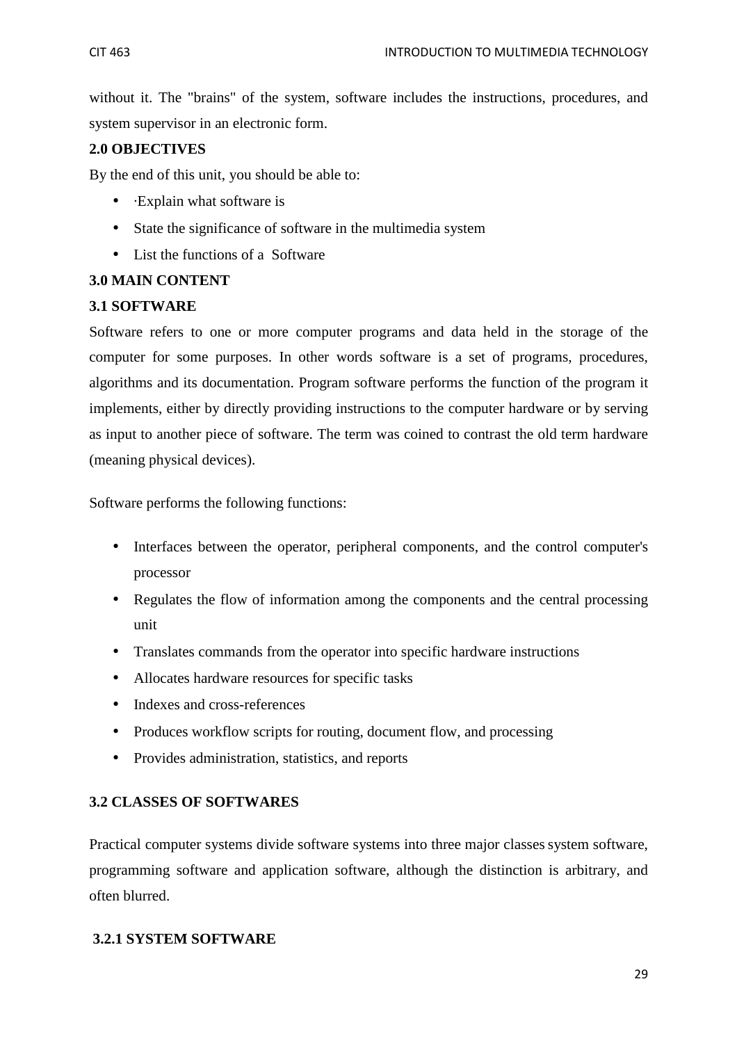without it. The "brains" of the system, software includes the instructions, procedures, and system supervisor in an electronic form.

## **2.0 OBJECTIVES**

By the end of this unit, you should be able to:

- ·Explain what software is
- State the significance of software in the multimedia system
- List the functions of a Software

### **3.0 MAIN CONTENT**

#### **3.1 SOFTWARE**

Software refers to one or more computer programs and data held in the storage of the computer for some purposes. In other words software is a set of programs, procedures, algorithms and its documentation. Program software performs the function of the program it implements, either by directly providing instructions to the computer hardware or by serving as input to another piece of software. The term was coined to contrast the old term hardware (meaning physical devices).

Software performs the following functions:

- Interfaces between the operator, peripheral components, and the control computer's processor
- Regulates the flow of information among the components and the central processing unit
- Translates commands from the operator into specific hardware instructions
- Allocates hardware resources for specific tasks
- Indexes and cross-references
- Produces workflow scripts for routing, document flow, and processing
- Provides administration, statistics, and reports

#### **3.2 CLASSES OF SOFTWARES**

Practical computer systems divide software systems into three major classes system software, programming software and application software, although the distinction is arbitrary, and often blurred.

### **3.2.1 SYSTEM SOFTWARE**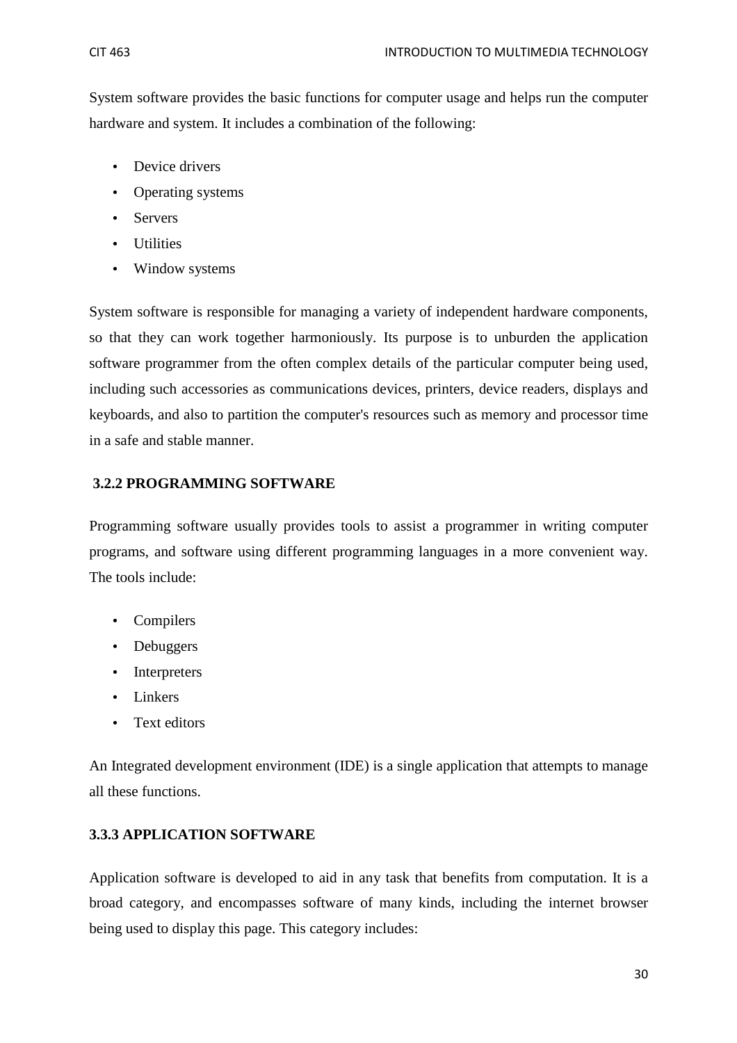System software provides the basic functions for computer usage and helps run the computer hardware and system. It includes a combination of the following:

- Device drivers
- Operating systems
- Servers
- Utilities
- Window systems

System software is responsible for managing a variety of independent hardware components, so that they can work together harmoniously. Its purpose is to unburden the application software programmer from the often complex details of the particular computer being used, including such accessories as communications devices, printers, device readers, displays and keyboards, and also to partition the computer's resources such as memory and processor time in a safe and stable manner.

## **3.2.2 PROGRAMMING SOFTWARE**

Programming software usually provides tools to assist a programmer in writing computer programs, and software using different programming languages in a more convenient way. The tools include:

- Compilers
- Debuggers
- Interpreters
- Linkers
- Text editors

An Integrated development environment (IDE) is a single application that attempts to manage all these functions.

## **3.3.3 APPLICATION SOFTWARE**

Application software is developed to aid in any task that benefits from computation. It is a broad category, and encompasses software of many kinds, including the internet browser being used to display this page. This category includes: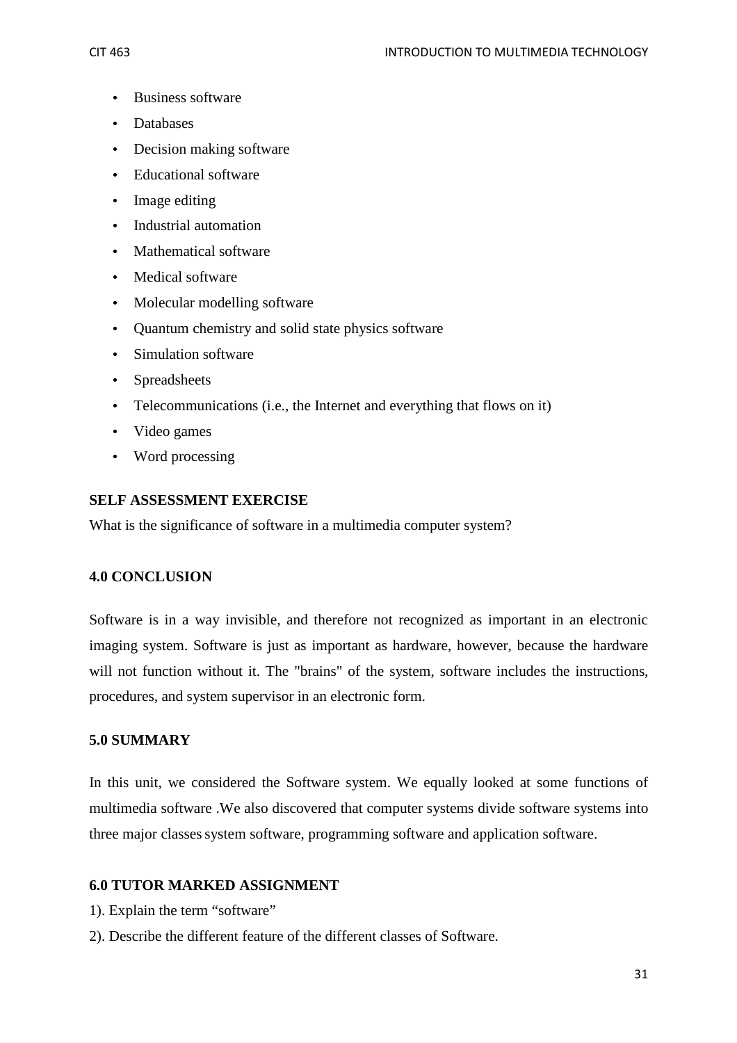- Business software
- Databases
- Decision making software
- Educational software
- Image editing
- Industrial automation
- Mathematical software
- Medical software
- Molecular modelling software
- Quantum chemistry and solid state physics software
- Simulation software
- Spreadsheets
- Telecommunications (i.e., the Internet and everything that flows on it)
- Video games
- Word processing

### **SELF ASSESSMENT EXERCISE**

What is the significance of software in a multimedia computer system?

### **4.0 CONCLUSION**

Software is in a way invisible, and therefore not recognized as important in an electronic imaging system. Software is just as important as hardware, however, because the hardware will not function without it. The "brains" of the system, software includes the instructions, procedures, and system supervisor in an electronic form.

### **5.0 SUMMARY**

In this unit, we considered the Software system. We equally looked at some functions of multimedia software .We also discovered that computer systems divide software systems into three major classessystem software, programming software and application software.

### **6.0 TUTOR MARKED ASSIGNMENT**

- 1). Explain the term "software"
- 2). Describe the different feature of the different classes of Software.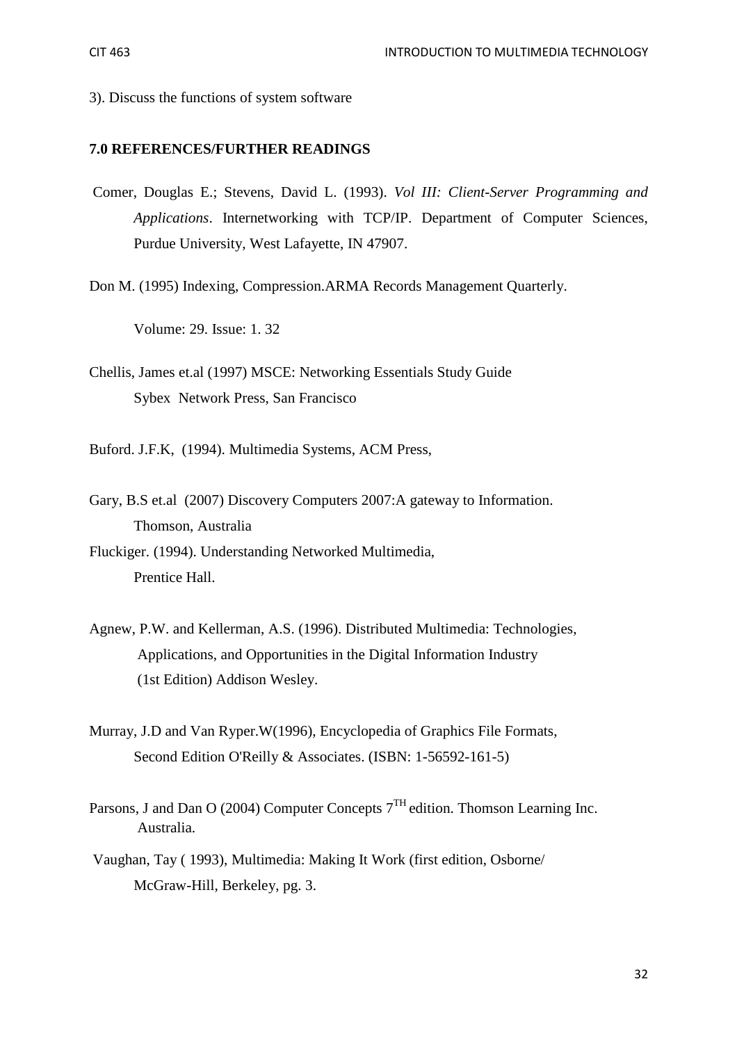3). Discuss the functions of system software

#### **7.0 REFERENCES/FURTHER READINGS**

- Comer, Douglas E.; Stevens, David L. (1993). *Vol III: Client-Server Programming and Applications*. Internetworking with TCP/IP. Department of Computer Sciences, Purdue University, West Lafayette, IN 47907.
- Don M. (1995) Indexing, Compression.ARMA Records Management Quarterly.

Volume: 29. Issue: 1. 32

Chellis, James et.al (1997) MSCE: Networking Essentials Study Guide Sybex Network Press, San Francisco

Buford. J.F.K, (1994). Multimedia Systems, ACM Press,

Gary, B.S et.al (2007) Discovery Computers 2007:A gateway to Information. Thomson, Australia

Fluckiger. (1994). Understanding Networked Multimedia, Prentice Hall.

- Agnew, P.W. and Kellerman, A.S. (1996). Distributed Multimedia: Technologies, Applications, and Opportunities in the Digital Information Industry (1st Edition) Addison Wesley.
- Murray, J.D and Van Ryper.W(1996), Encyclopedia of Graphics File Formats, Second Edition O'Reilly & Associates. (ISBN: 1-56592-161-5)
- Parsons, J and Dan O (2004) Computer Concepts  $7<sup>TH</sup>$  edition. Thomson Learning Inc. Australia.
- Vaughan, Tay ( 1993), Multimedia: Making It Work (first edition, Osborne/ McGraw-Hill, Berkeley, pg. 3.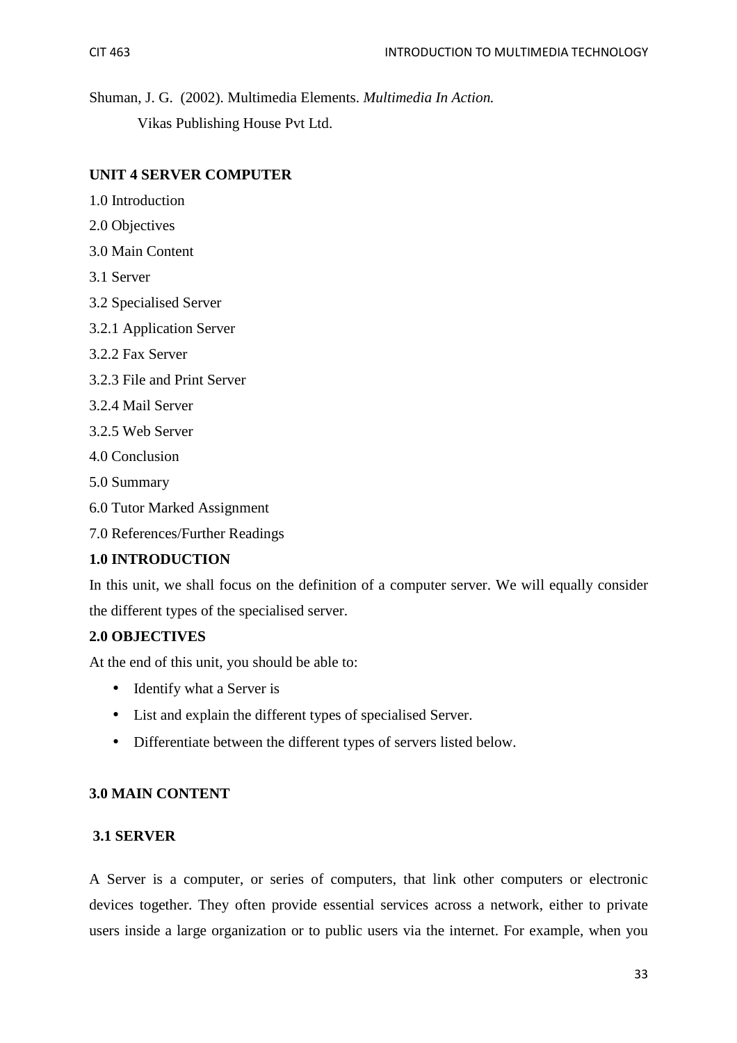Shuman, J. G. (2002). Multimedia Elements. *Multimedia In Action.* Vikas Publishing House Pvt Ltd.

## **UNIT 4 SERVER COMPUTER**

- 1.0 Introduction
- 2.0 Objectives
- 3.0 Main Content
- 3.1 Server
- 3.2 Specialised Server
- 3.2.1 Application Server
- 3.2.2 Fax Server
- 3.2.3 File and Print Server
- 3.2.4 Mail Server
- 3.2.5 Web Server
- 4.0 Conclusion
- 5.0 Summary
- 6.0 Tutor Marked Assignment
- 7.0 References/Further Readings

### **1.0 INTRODUCTION**

In this unit, we shall focus on the definition of a computer server. We will equally consider the different types of the specialised server.

### **2.0 OBJECTIVES**

At the end of this unit, you should be able to:

- Identify what a Server is
- List and explain the different types of specialised Server.
- Differentiate between the different types of servers listed below.

### **3.0 MAIN CONTENT**

### **3.1 SERVER**

A Server is a computer, or series of computers, that link other computers or electronic devices together. They often provide essential services across a network, either to private users inside a large organization or to public users via the internet. For example, when you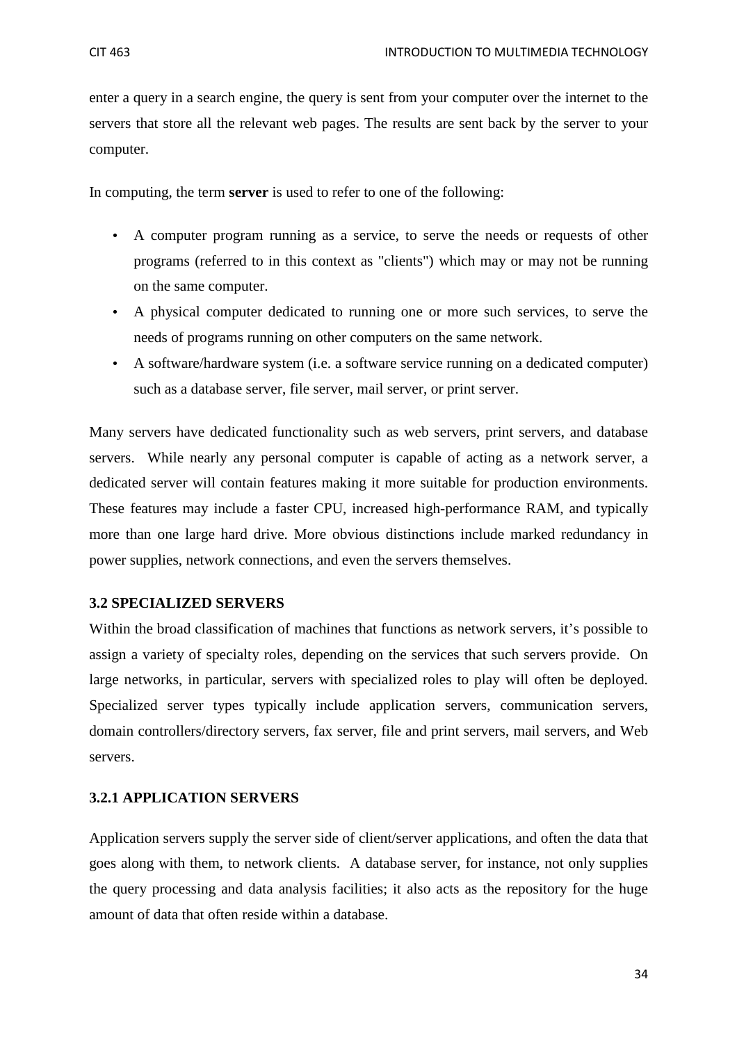enter a query in a search engine, the query is sent from your computer over the internet to the servers that store all the relevant web pages. The results are sent back by the server to your computer.

In computing, the term **server** is used to refer to one of the following:

- A computer program running as a service, to serve the needs or requests of other programs (referred to in this context as "clients") which may or may not be running on the same computer.
- A physical computer dedicated to running one or more such services, to serve the needs of programs running on other computers on the same network.
- A software/hardware system (i.e. a software service running on a dedicated computer) such as a database server, file server, mail server, or print server.

Many servers have dedicated functionality such as web servers, print servers, and database servers. While nearly any personal computer is capable of acting as a network server, a dedicated server will contain features making it more suitable for production environments. These features may include a faster CPU, increased high-performance RAM, and typically more than one large hard drive. More obvious distinctions include marked redundancy in power supplies, network connections, and even the servers themselves.

#### **3.2 SPECIALIZED SERVERS**

Within the broad classification of machines that functions as network servers, it's possible to assign a variety of specialty roles, depending on the services that such servers provide. On large networks, in particular, servers with specialized roles to play will often be deployed. Specialized server types typically include application servers, communication servers, domain controllers/directory servers, fax server, file and print servers, mail servers, and Web servers.

#### **3.2.1 APPLICATION SERVERS**

Application servers supply the server side of client/server applications, and often the data that goes along with them, to network clients. A database server, for instance, not only supplies the query processing and data analysis facilities; it also acts as the repository for the huge amount of data that often reside within a database.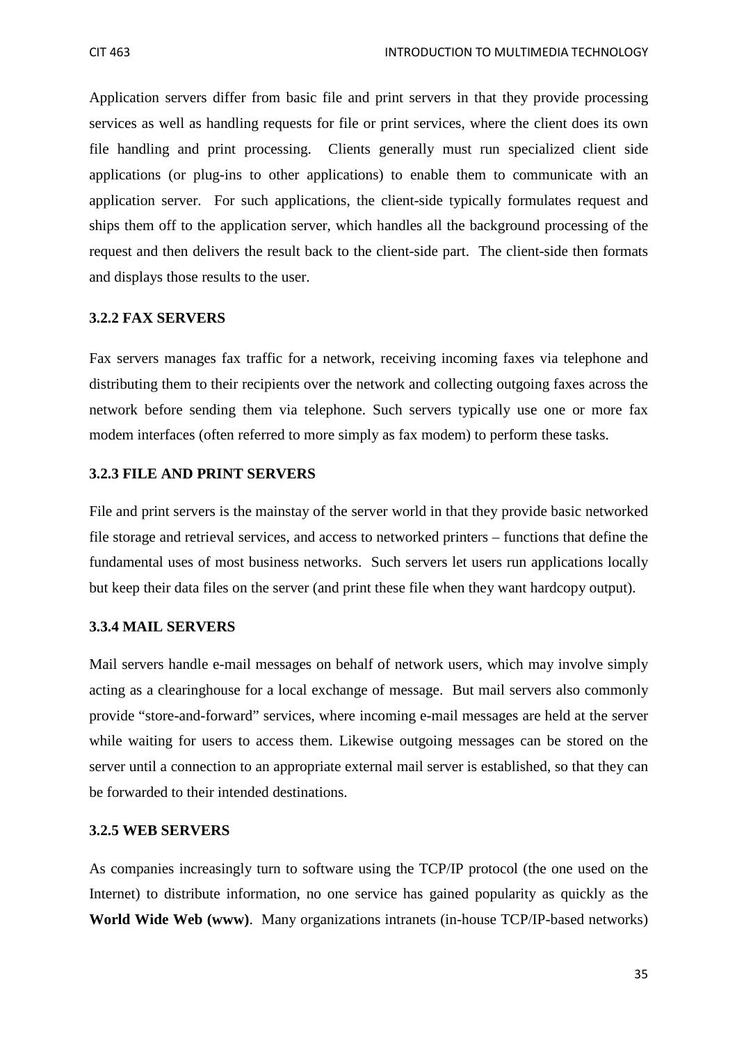Application servers differ from basic file and print servers in that they provide processing services as well as handling requests for file or print services, where the client does its own file handling and print processing. Clients generally must run specialized client side applications (or plug-ins to other applications) to enable them to communicate with an application server. For such applications, the client-side typically formulates request and ships them off to the application server, which handles all the background processing of the request and then delivers the result back to the client-side part. The client-side then formats and displays those results to the user.

#### **3.2.2 FAX SERVERS**

Fax servers manages fax traffic for a network, receiving incoming faxes via telephone and distributing them to their recipients over the network and collecting outgoing faxes across the network before sending them via telephone. Such servers typically use one or more fax modem interfaces (often referred to more simply as fax modem) to perform these tasks.

#### **3.2.3 FILE AND PRINT SERVERS**

File and print servers is the mainstay of the server world in that they provide basic networked file storage and retrieval services, and access to networked printers – functions that define the fundamental uses of most business networks. Such servers let users run applications locally but keep their data files on the server (and print these file when they want hardcopy output).

#### **3.3.4 MAIL SERVERS**

Mail servers handle e-mail messages on behalf of network users, which may involve simply acting as a clearinghouse for a local exchange of message. But mail servers also commonly provide "store-and-forward" services, where incoming e-mail messages are held at the server while waiting for users to access them. Likewise outgoing messages can be stored on the server until a connection to an appropriate external mail server is established, so that they can be forwarded to their intended destinations.

#### **3.2.5 WEB SERVERS**

As companies increasingly turn to software using the TCP/IP protocol (the one used on the Internet) to distribute information, no one service has gained popularity as quickly as the **World Wide Web (www)**. Many organizations intranets (in-house TCP/IP-based networks)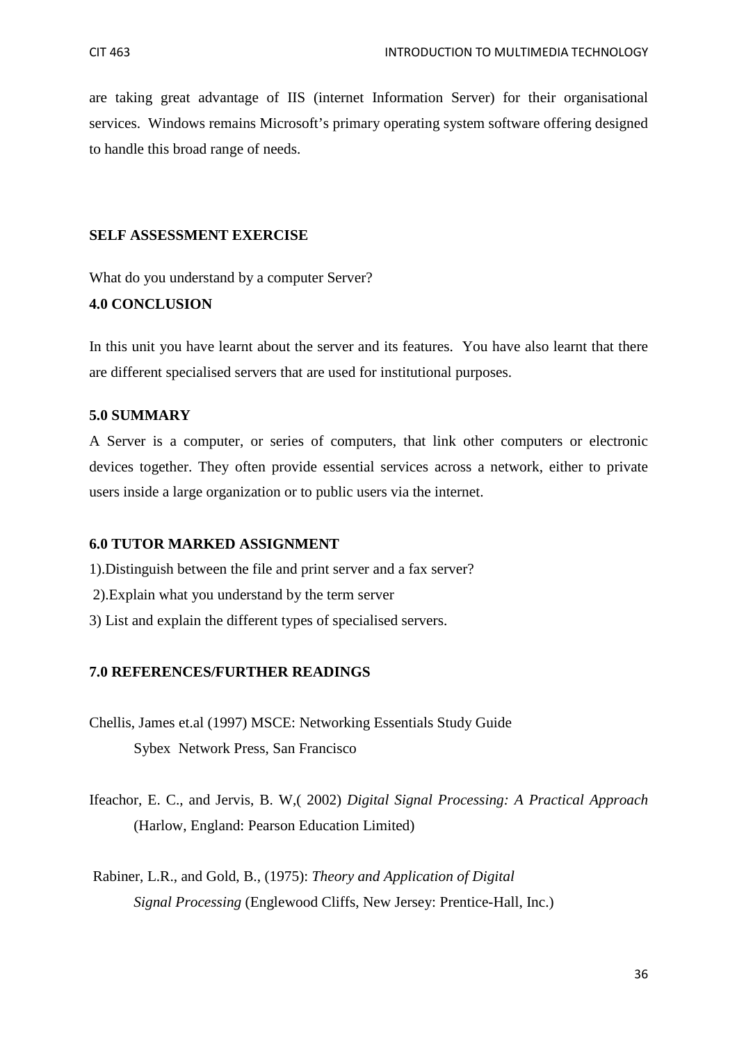are taking great advantage of IIS (internet Information Server) for their organisational services. Windows remains Microsoft's primary operating system software offering designed to handle this broad range of needs.

#### **SELF ASSESSMENT EXERCISE**

What do you understand by a computer Server?

#### **4.0 CONCLUSION**

In this unit you have learnt about the server and its features. You have also learnt that there are different specialised servers that are used for institutional purposes.

#### **5.0 SUMMARY**

A Server is a computer, or series of computers, that link other computers or electronic devices together. They often provide essential services across a network, either to private users inside a large organization or to public users via the internet.

#### **6.0 TUTOR MARKED ASSIGNMENT**

- 1).Distinguish between the file and print server and a fax server?
- 2).Explain what you understand by the term server
- 3) List and explain the different types of specialised servers.

#### **7.0 REFERENCES/FURTHER READINGS**

- Chellis, James et.al (1997) MSCE: Networking Essentials Study Guide Sybex Network Press, San Francisco
- Ifeachor, E. C., and Jervis, B. W,( 2002) *Digital Signal Processing: A Practical Approach* (Harlow, England: Pearson Education Limited)
- Rabiner, L.R., and Gold, B., (1975): *Theory and Application of Digital Signal Processing* (Englewood Cliffs, New Jersey: Prentice-Hall, Inc.)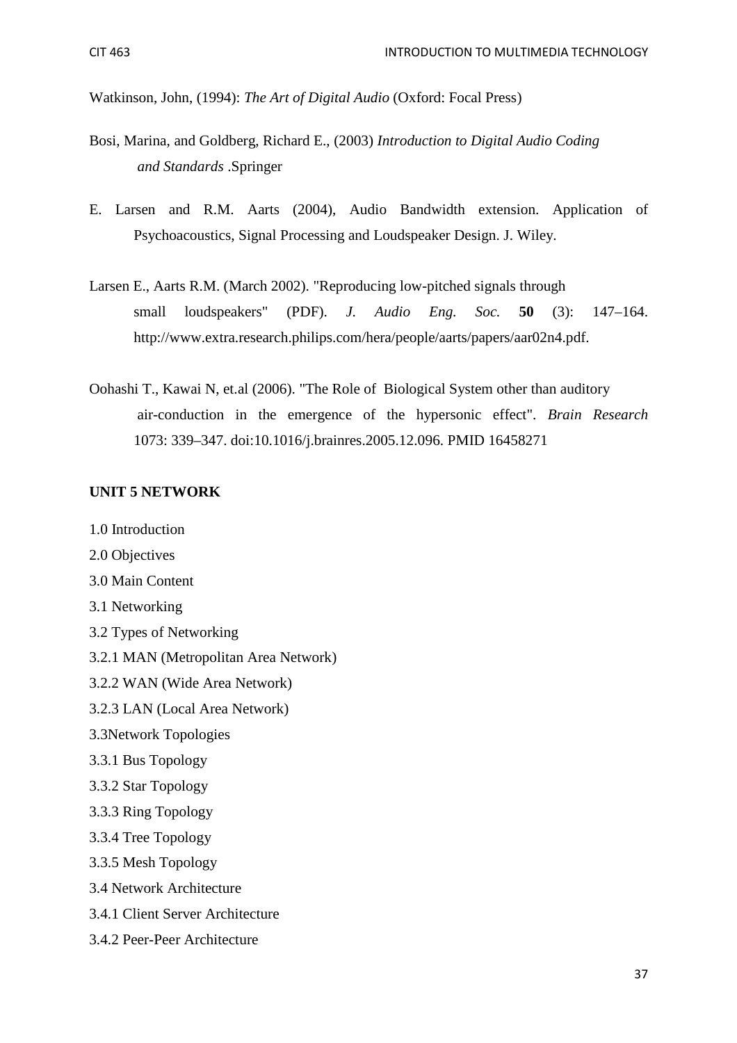Watkinson, John, (1994): *The Art of Digital Audio* (Oxford: Focal Press)

- Bosi, Marina, and Goldberg, Richard E., (2003) *Introduction to Digital Audio Coding and Standards* .Springer
- E. Larsen and R.M. Aarts (2004), Audio Bandwidth extension. Application of Psychoacoustics, Signal Processing and Loudspeaker Design. J. Wiley.
- Larsen E., Aarts R.M. (March 2002). "Reproducing low-pitched signals through small loudspeakers" (PDF). *J. Audio Eng. Soc.* **50** (3): 147–164. http://www.extra.research.philips.com/hera/people/aarts/papers/aar02n4.pdf.
- Oohashi T., Kawai N, et.al (2006). "The Role of Biological System other than auditory air-conduction in the emergence of the hypersonic effect". *Brain Research* 1073: 339–347. doi:10.1016/j.brainres.2005.12.096. PMID 16458271

#### **UNIT 5 NETWORK**

- 1.0 Introduction
- 2.0 Objectives
- 3.0 Main Content
- 3.1 Networking
- 3.2 Types of Networking
- 3.2.1 MAN (Metropolitan Area Network)
- 3.2.2 WAN (Wide Area Network)
- 3.2.3 LAN (Local Area Network)
- 3.3Network Topologies
- 3.3.1 Bus Topology
- 3.3.2 Star Topology
- 3.3.3 Ring Topology
- 3.3.4 Tree Topology
- 3.3.5 Mesh Topology
- 3.4 Network Architecture
- 3.4.1 Client Server Architecture
- 3.4.2 Peer-Peer Architecture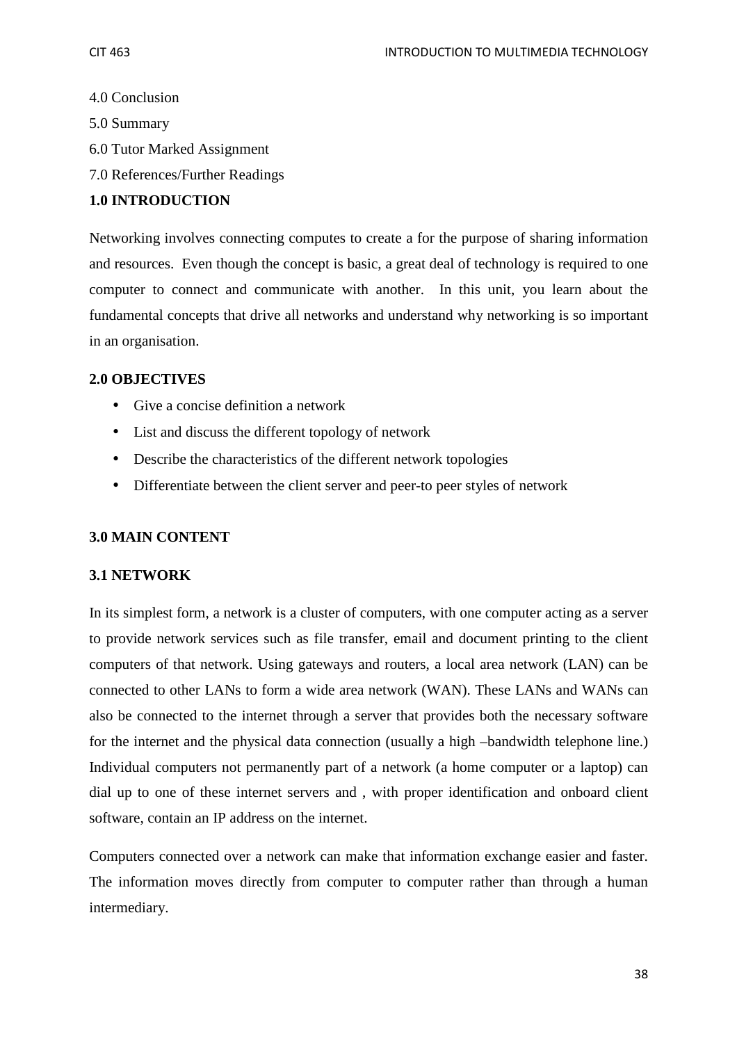- 4.0 Conclusion
- 5.0 Summary
- 6.0 Tutor Marked Assignment
- 7.0 References/Further Readings

## **1.0 INTRODUCTION**

Networking involves connecting computes to create a for the purpose of sharing information and resources. Even though the concept is basic, a great deal of technology is required to one computer to connect and communicate with another. In this unit, you learn about the fundamental concepts that drive all networks and understand why networking is so important in an organisation.

## **2.0 OBJECTIVES**

- Give a concise definition a network
- List and discuss the different topology of network
- Describe the characteristics of the different network topologies
- Differentiate between the client server and peer-to peer styles of network

## **3.0 MAIN CONTENT**

## **3.1 NETWORK**

In its simplest form, a network is a cluster of computers, with one computer acting as a server to provide network services such as file transfer, email and document printing to the client computers of that network. Using gateways and routers, a local area network (LAN) can be connected to other LANs to form a wide area network (WAN). These LANs and WANs can also be connected to the internet through a server that provides both the necessary software for the internet and the physical data connection (usually a high –bandwidth telephone line.) Individual computers not permanently part of a network (a home computer or a laptop) can dial up to one of these internet servers and , with proper identification and onboard client software, contain an IP address on the internet.

Computers connected over a network can make that information exchange easier and faster. The information moves directly from computer to computer rather than through a human intermediary.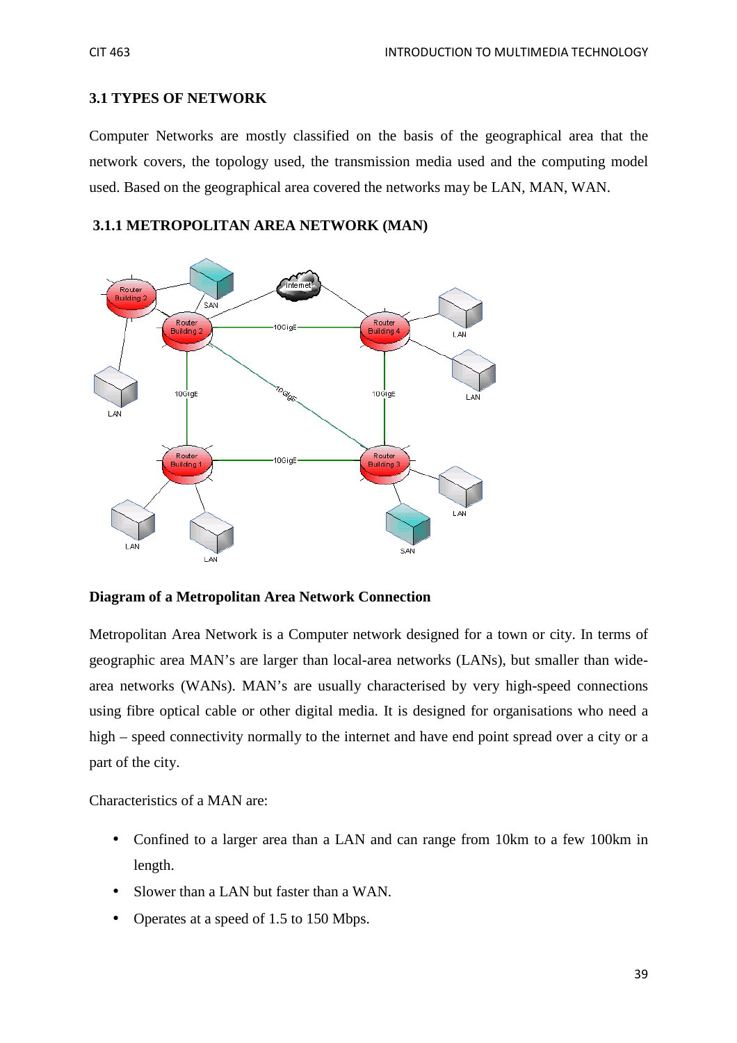## **3.1 TYPES OF NETWORK**

Computer Networks are mostly classified on the basis of the geographical area that the network covers, the topology used, the transmission media used and the computing model used. Based on the geographical area covered the networks may be LAN, MAN, WAN.

## **3.1.1 METROPOLITAN AREA NETWORK (MAN)**



**Diagram of a Metropolitan Area Network Connection** 

Metropolitan Area Network is a Computer network designed for a town or city. In terms of geographic area MAN's are larger than local-area networks (LANs), but smaller than widearea networks (WANs). MAN's are usually characterised by very high-speed connections using fibre optical cable or other digital media. It is designed for organisations who need a high – speed connectivity normally to the internet and have end point spread over a city or a part of the city.

Characteristics of a MAN are:

- Confined to a larger area than a LAN and can range from 10km to a few 100km in length.
- Slower than a LAN but faster than a WAN.
- Operates at a speed of 1.5 to 150 Mbps.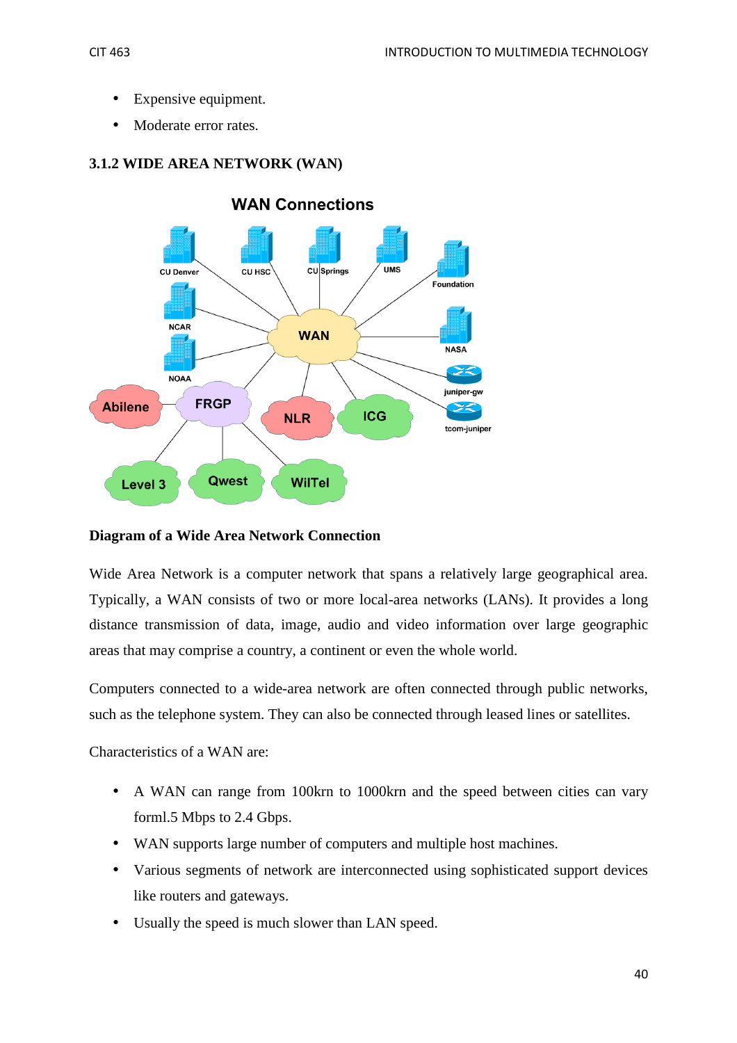- Expensive equipment.
- Moderate error rates.



# **3.1.2 WIDE AREA NETWORK (WAN)**

## **Diagram of a Wide Area Network Connection**

Wide Area Network is a computer network that spans a relatively large geographical area. Typically, a WAN consists of two or more local-area networks (LANs). It provides a long distance transmission of data, image, audio and video information over large geographic areas that may comprise a country, a continent or even the whole world.

Computers connected to a wide-area network are often connected through public networks, such as the telephone system. They can also be connected through leased lines or satellites.

Characteristics of a WAN are:

- A WAN can range from 100km to 1000km and the speed between cities can vary forml.5 Mbps to 2.4 Gbps.
- WAN supports large number of computers and multiple host machines.
- Various segments of network are interconnected using sophisticated support devices like routers and gateways.
- Usually the speed is much slower than LAN speed.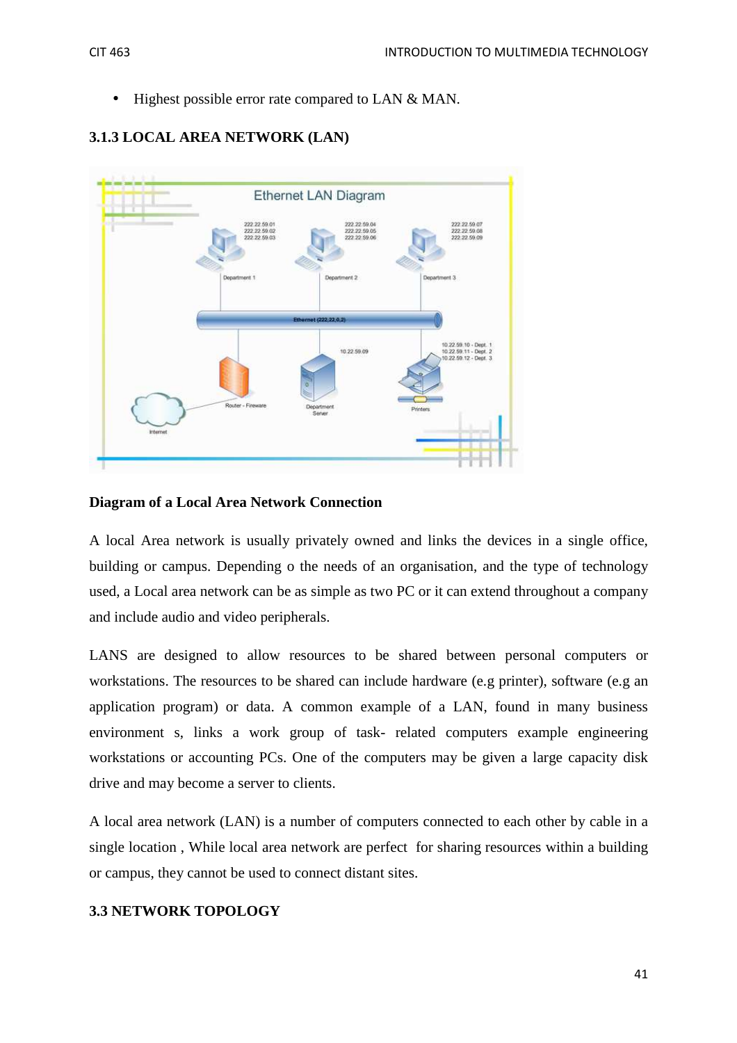• Highest possible error rate compared to LAN & MAN.



## **3.1.3 LOCAL AREA NETWORK (LAN)**

## **Diagram of a Local Area Network Connection**

A local Area network is usually privately owned and links the devices in a single office, building or campus. Depending o the needs of an organisation, and the type of technology used, a Local area network can be as simple as two PC or it can extend throughout a company and include audio and video peripherals.

LANS are designed to allow resources to be shared between personal computers or workstations. The resources to be shared can include hardware (e.g printer), software (e.g an application program) or data. A common example of a LAN, found in many business environment s, links a work group of task- related computers example engineering workstations or accounting PCs. One of the computers may be given a large capacity disk drive and may become a server to clients.

A local area network (LAN) is a number of computers connected to each other by cable in a single location , While local area network are perfect for sharing resources within a building or campus, they cannot be used to connect distant sites.

## **3.3 NETWORK TOPOLOGY**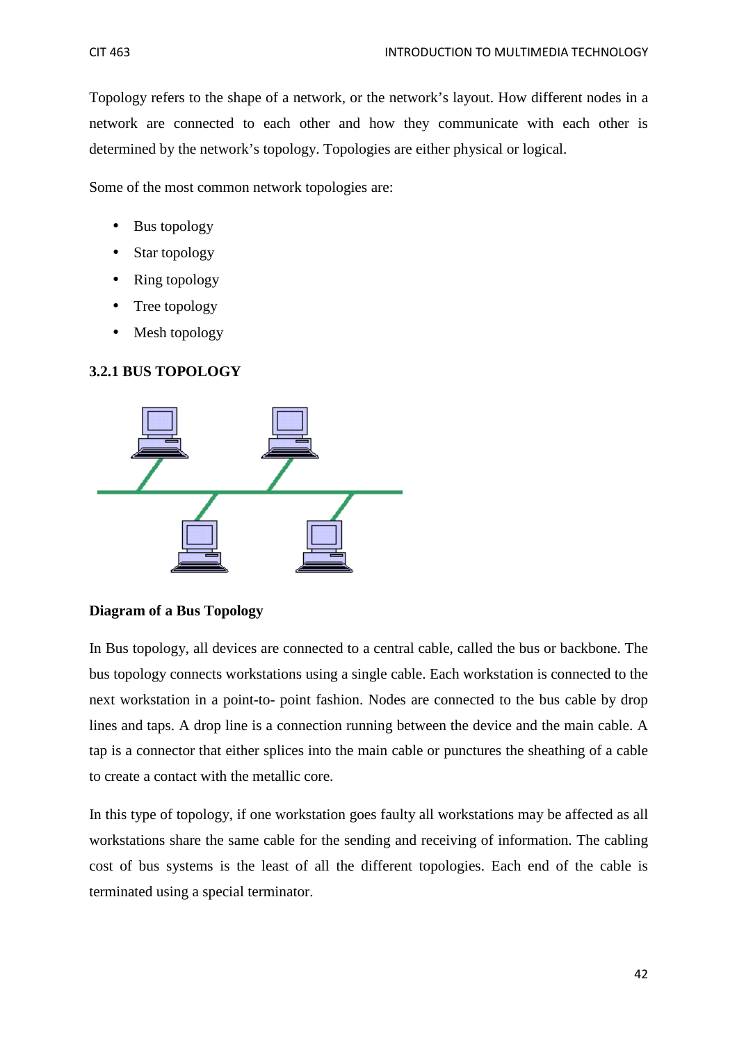Topology refers to the shape of a network, or the network's layout. How different nodes in a network are connected to each other and how they communicate with each other is determined by the network's topology. Topologies are either physical or logical.

Some of the most common network topologies are:

- Bus topology
- Star topology
- Ring topology
- Tree topology
- Mesh topology

## **3.2.1 BUS TOPOLOGY**



## **Diagram of a Bus Topology**

In Bus topology, all devices are connected to a central cable, called the bus or backbone. The bus topology connects workstations using a single cable. Each workstation is connected to the next workstation in a point-to- point fashion. Nodes are connected to the bus cable by drop lines and taps. A drop line is a connection running between the device and the main cable. A tap is a connector that either splices into the main cable or punctures the sheathing of a cable to create a contact with the metallic core.

In this type of topology, if one workstation goes faulty all workstations may be affected as all workstations share the same cable for the sending and receiving of information. The cabling cost of bus systems is the least of all the different topologies. Each end of the cable is terminated using a special terminator.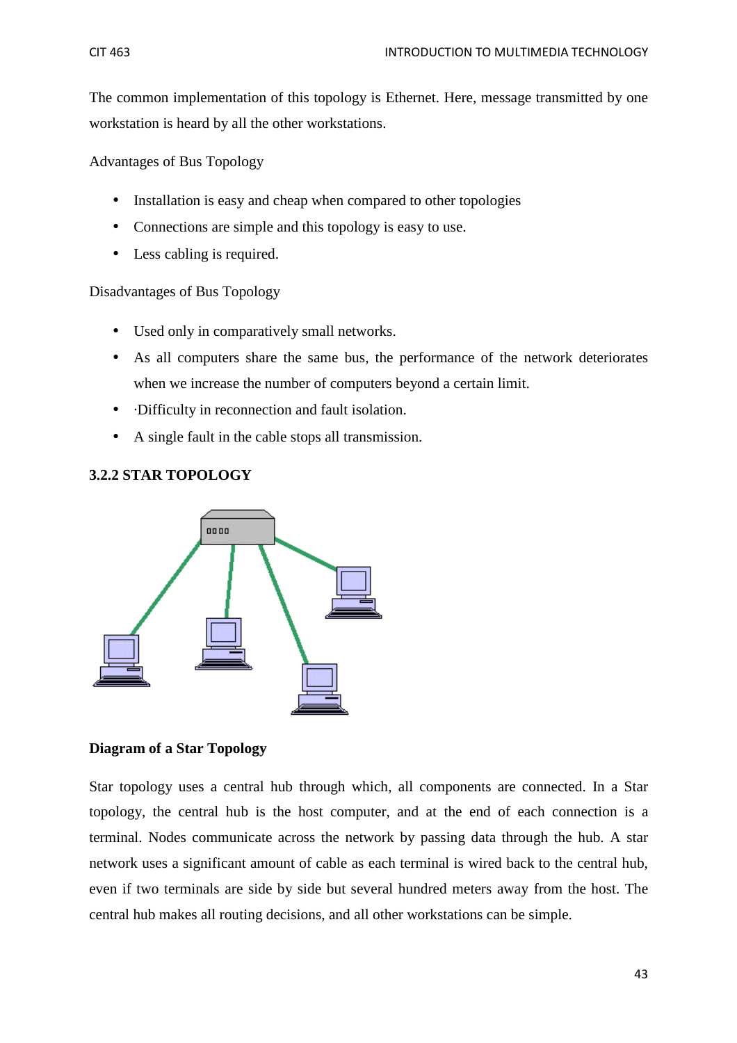The common implementation of this topology is Ethernet. Here, message transmitted by one workstation is heard by all the other workstations.

Advantages of Bus Topology

- Installation is easy and cheap when compared to other topologies
- Connections are simple and this topology is easy to use.
- Less cabling is required.

## Disadvantages of Bus Topology

- Used only in comparatively small networks.
- As all computers share the same bus, the performance of the network deteriorates when we increase the number of computers beyond a certain limit.
- **·Difficulty in reconnection and fault isolation.**
- A single fault in the cable stops all transmission.

## **3.2.2 STAR TOPOLOGY**



## **Diagram of a Star Topology**

Star topology uses a central hub through which, all components are connected. In a Star topology, the central hub is the host computer, and at the end of each connection is a terminal. Nodes communicate across the network by passing data through the hub. A star network uses a significant amount of cable as each terminal is wired back to the central hub, even if two terminals are side by side but several hundred meters away from the host. The central hub makes all routing decisions, and all other workstations can be simple.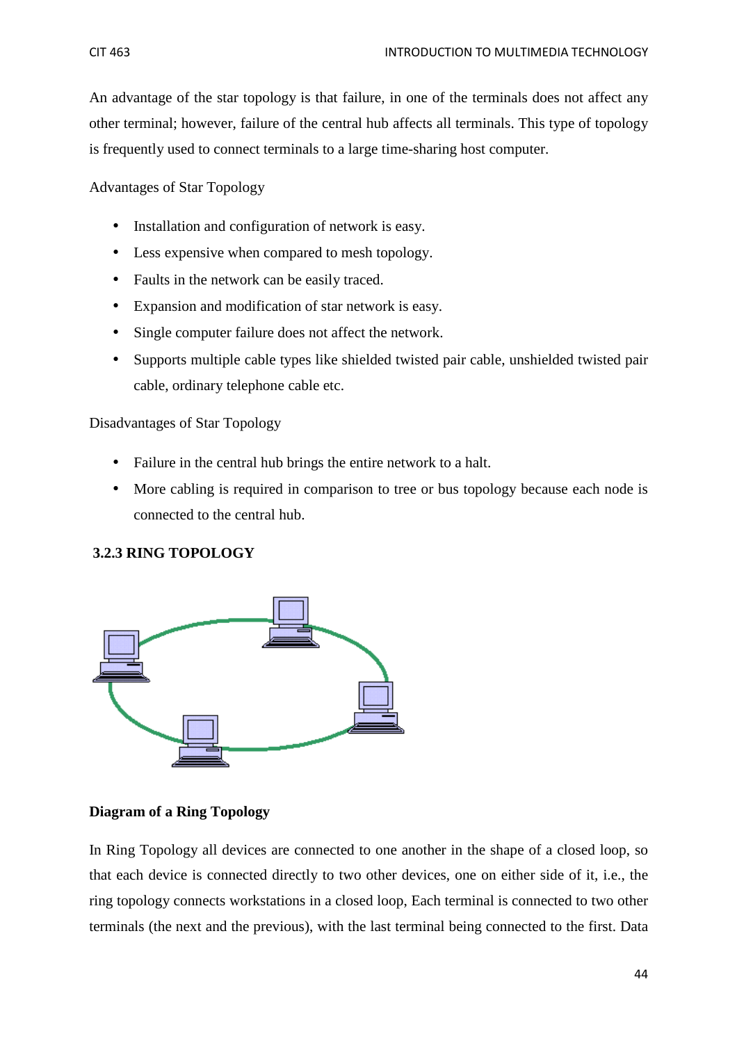An advantage of the star topology is that failure, in one of the terminals does not affect any other terminal; however, failure of the central hub affects all terminals. This type of topology is frequently used to connect terminals to a large time-sharing host computer.

Advantages of Star Topology

- Installation and configuration of network is easy.
- Less expensive when compared to mesh topology.
- Faults in the network can be easily traced.
- Expansion and modification of star network is easy.
- Single computer failure does not affect the network.
- Supports multiple cable types like shielded twisted pair cable, unshielded twisted pair cable, ordinary telephone cable etc.

Disadvantages of Star Topology

- Failure in the central hub brings the entire network to a halt.
- More cabling is required in comparison to tree or bus topology because each node is connected to the central hub.

## **3.2.3 RING TOPOLOGY**



## **Diagram of a Ring Topology**

In Ring Topology all devices are connected to one another in the shape of a closed loop, so that each device is connected directly to two other devices, one on either side of it, i.e., the ring topology connects workstations in a closed loop, Each terminal is connected to two other terminals (the next and the previous), with the last terminal being connected to the first. Data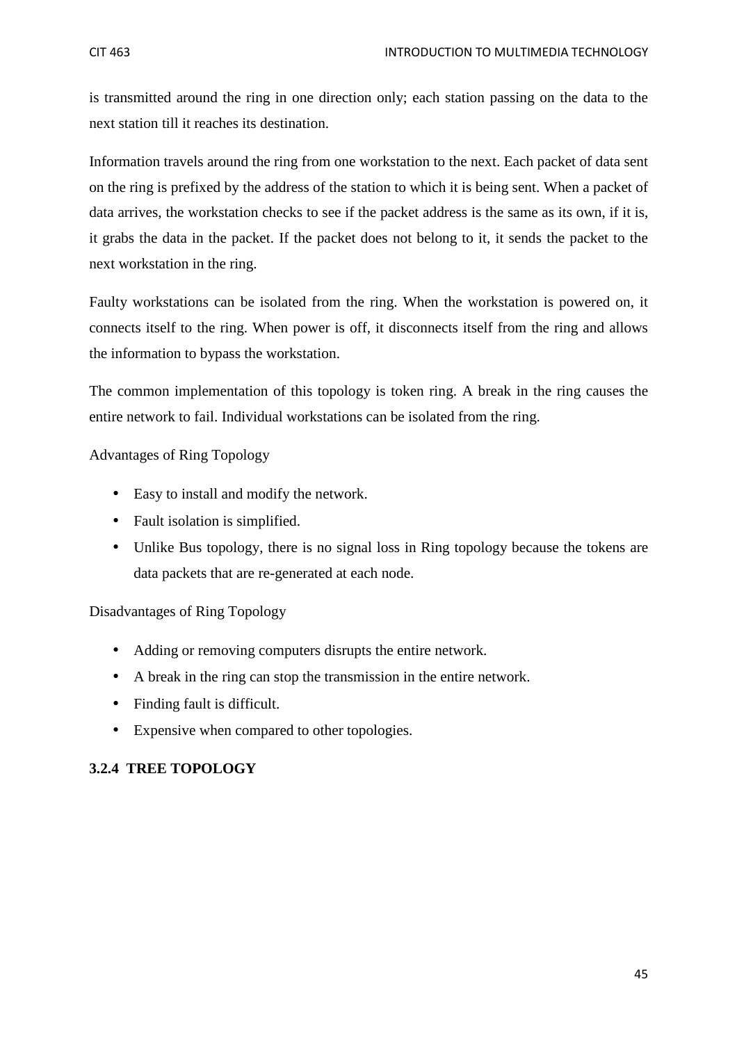is transmitted around the ring in one direction only; each station passing on the data to the next station till it reaches its destination.

Information travels around the ring from one workstation to the next. Each packet of data sent on the ring is prefixed by the address of the station to which it is being sent. When a packet of data arrives, the workstation checks to see if the packet address is the same as its own, if it is, it grabs the data in the packet. If the packet does not belong to it, it sends the packet to the next workstation in the ring.

Faulty workstations can be isolated from the ring. When the workstation is powered on, it connects itself to the ring. When power is off, it disconnects itself from the ring and allows the information to bypass the workstation.

The common implementation of this topology is token ring. A break in the ring causes the entire network to fail. Individual workstations can be isolated from the ring.

Advantages of Ring Topology

- Easy to install and modify the network.
- Fault isolation is simplified.
- Unlike Bus topology, there is no signal loss in Ring topology because the tokens are data packets that are re-generated at each node.

Disadvantages of Ring Topology

- Adding or removing computers disrupts the entire network.
- A break in the ring can stop the transmission in the entire network.
- Finding fault is difficult.
- Expensive when compared to other topologies.

## **3.2.4 TREE TOPOLOGY**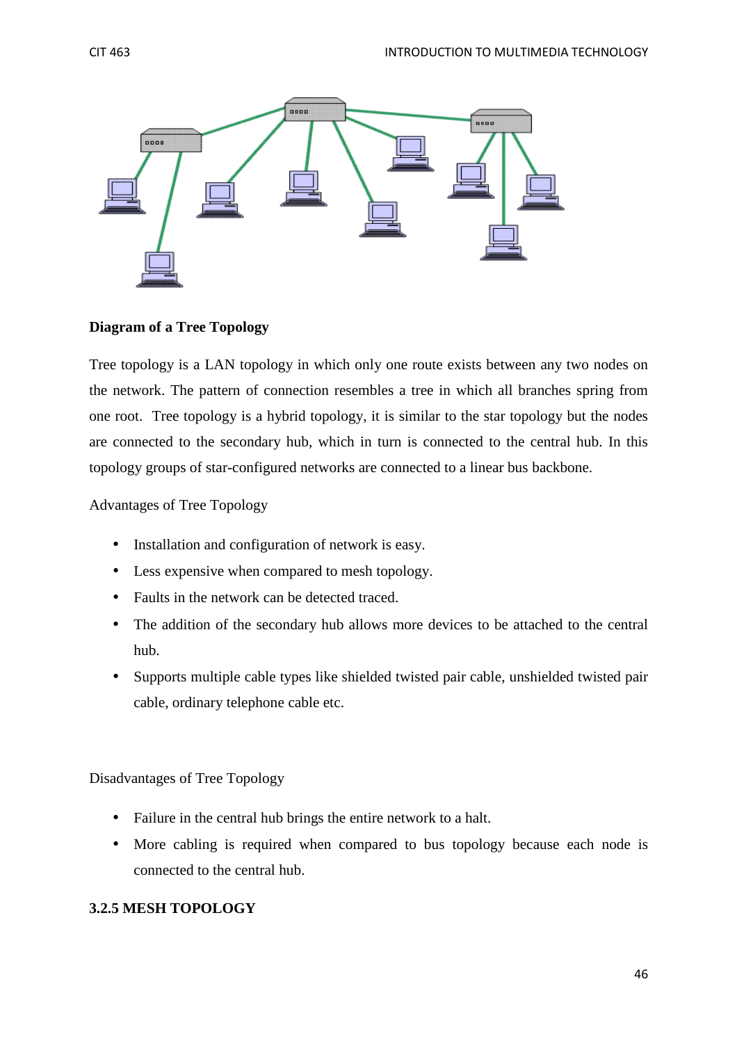

## **Diagram of a Tree Topology**

Tree topology is a LAN topology in which only one route exists between any two nodes on the network. The pattern of connection resembles a tree in which all branches spring from one root. Tree topology is a hybrid topology, it is similar to the star topology but the nodes are connected to the secondary hub, which in turn is connected to the central hub. In this topology groups of star-configured networks are connected to a linear bus backbone.

Advantages of Tree Topology

- Installation and configuration of network is easy.
- Less expensive when compared to mesh topology.
- Faults in the network can be detected traced.
- The addition of the secondary hub allows more devices to be attached to the central hub.
- Supports multiple cable types like shielded twisted pair cable, unshielded twisted pair cable, ordinary telephone cable etc.

Disadvantages of Tree Topology

- Failure in the central hub brings the entire network to a halt.
- More cabling is required when compared to bus topology because each node is connected to the central hub.

## **3.2.5 MESH TOPOLOGY**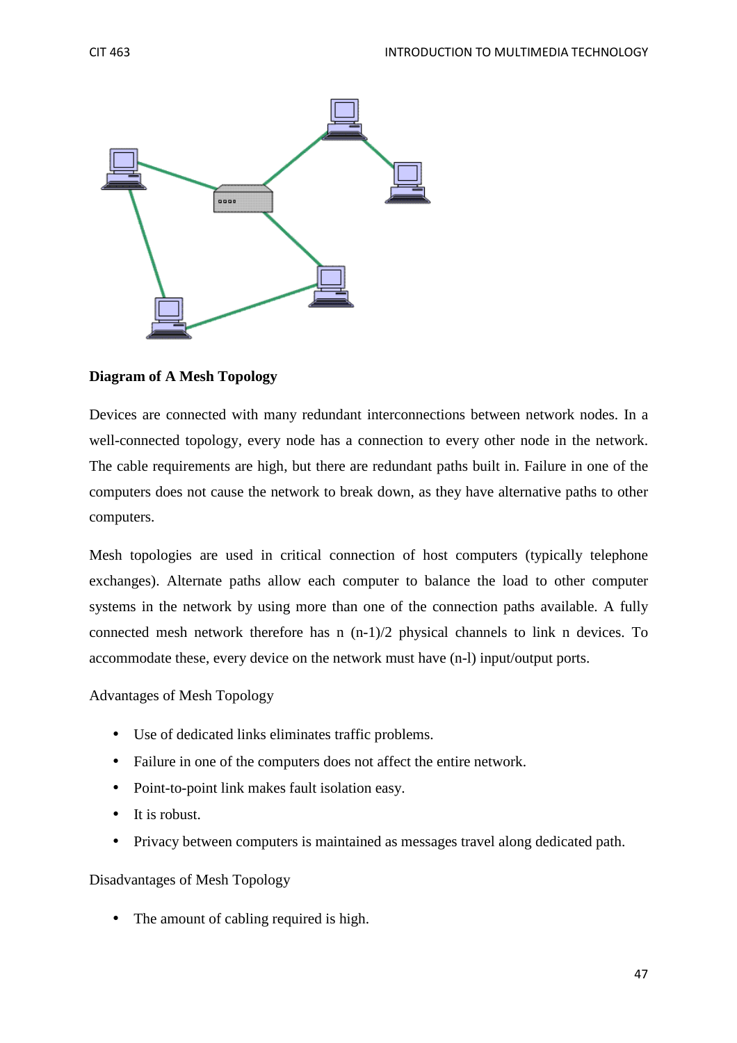

## **Diagram of A Mesh Topology**

Devices are connected with many redundant interconnections between network nodes. In a well-connected topology, every node has a connection to every other node in the network. The cable requirements are high, but there are redundant paths built in. Failure in one of the computers does not cause the network to break down, as they have alternative paths to other computers.

Mesh topologies are used in critical connection of host computers (typically telephone exchanges). Alternate paths allow each computer to balance the load to other computer systems in the network by using more than one of the connection paths available. A fully connected mesh network therefore has n  $(n-1)/2$  physical channels to link n devices. To accommodate these, every device on the network must have (n-l) input/output ports.

Advantages of Mesh Topology

- Use of dedicated links eliminates traffic problems.
- Failure in one of the computers does not affect the entire network.
- Point-to-point link makes fault isolation easy.
- It is robust.
- Privacy between computers is maintained as messages travel along dedicated path.

## Disadvantages of Mesh Topology

• The amount of cabling required is high.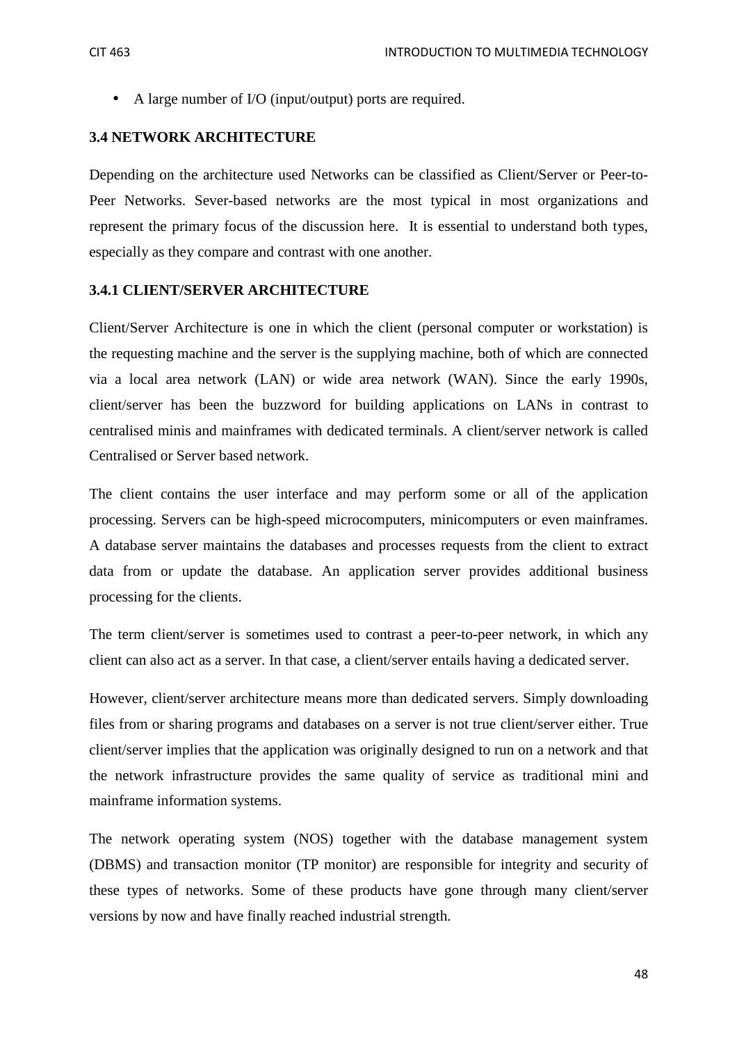• A large number of I/O (input/output) ports are required.

## **3.4 NETWORK ARCHITECTURE**

Depending on the architecture used Networks can be classified as Client/Server or Peer-to-Peer Networks. Sever-based networks are the most typical in most organizations and represent the primary focus of the discussion here. It is essential to understand both types, especially as they compare and contrast with one another.

## **3.4.1 CLIENT/SERVER ARCHITECTURE**

Client/Server Architecture is one in which the client (personal computer or workstation) is the requesting machine and the server is the supplying machine, both of which are connected via a local area network (LAN) or wide area network (WAN). Since the early 1990s, client/server has been the buzzword for building applications on LANs in contrast to centralised minis and mainframes with dedicated terminals. A client/server network is called Centralised or Server based network.

The client contains the user interface and may perform some or all of the application processing. Servers can be high-speed microcomputers, minicomputers or even mainframes. A database server maintains the databases and processes requests from the client to extract data from or update the database. An application server provides additional business processing for the clients.

The term client/server is sometimes used to contrast a peer-to-peer network, in which any client can also act as a server. In that case, a client/server entails having a dedicated server.

However, client/server architecture means more than dedicated servers. Simply downloading files from or sharing programs and databases on a server is not true client/server either. True client/server implies that the application was originally designed to run on a network and that the network infrastructure provides the same quality of service as traditional mini and mainframe information systems.

The network operating system (NOS) together with the database management system (DBMS) and transaction monitor (TP monitor) are responsible for integrity and security of these types of networks. Some of these products have gone through many client/server versions by now and have finally reached industrial strength.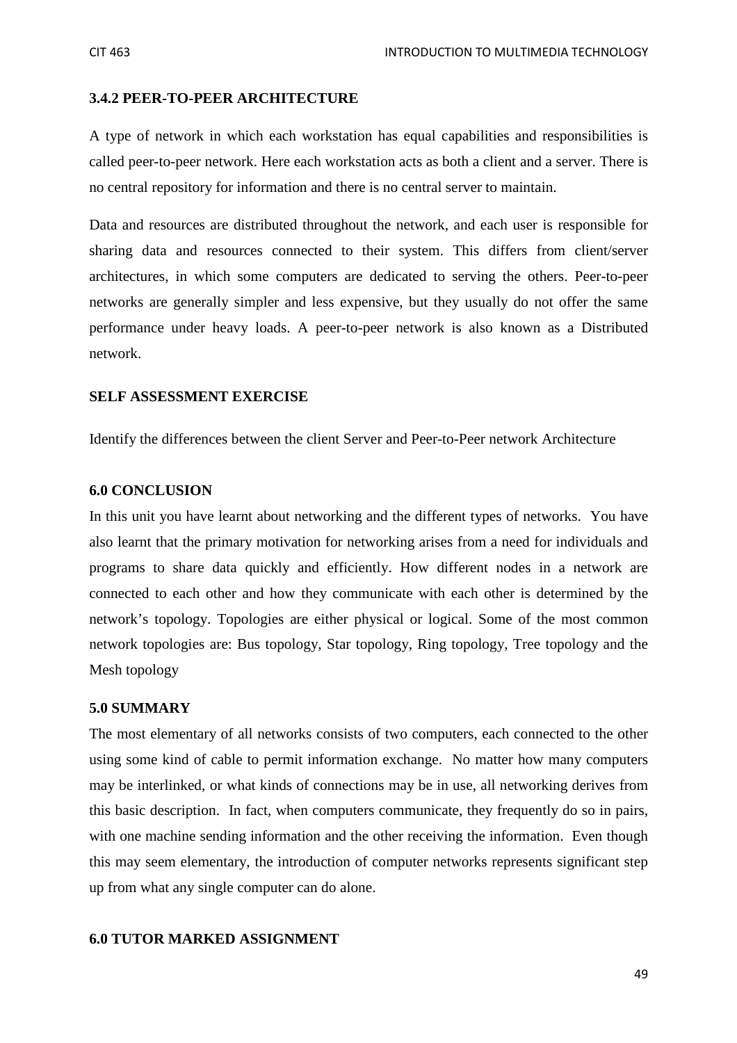#### **3.4.2 PEER-TO-PEER ARCHITECTURE**

A type of network in which each workstation has equal capabilities and responsibilities is called peer-to-peer network. Here each workstation acts as both a client and a server. There is no central repository for information and there is no central server to maintain.

Data and resources are distributed throughout the network, and each user is responsible for sharing data and resources connected to their system. This differs from client/server architectures, in which some computers are dedicated to serving the others. Peer-to-peer networks are generally simpler and less expensive, but they usually do not offer the same performance under heavy loads. A peer-to-peer network is also known as a Distributed network.

#### **SELF ASSESSMENT EXERCISE**

Identify the differences between the client Server and Peer-to-Peer network Architecture

#### **6.0 CONCLUSION**

In this unit you have learnt about networking and the different types of networks. You have also learnt that the primary motivation for networking arises from a need for individuals and programs to share data quickly and efficiently. How different nodes in a network are connected to each other and how they communicate with each other is determined by the network's topology. Topologies are either physical or logical. Some of the most common network topologies are: Bus topology, Star topology, Ring topology, Tree topology and the Mesh topology

#### **5.0 SUMMARY**

The most elementary of all networks consists of two computers, each connected to the other using some kind of cable to permit information exchange. No matter how many computers may be interlinked, or what kinds of connections may be in use, all networking derives from this basic description. In fact, when computers communicate, they frequently do so in pairs, with one machine sending information and the other receiving the information. Even though this may seem elementary, the introduction of computer networks represents significant step up from what any single computer can do alone.

#### **6.0 TUTOR MARKED ASSIGNMENT**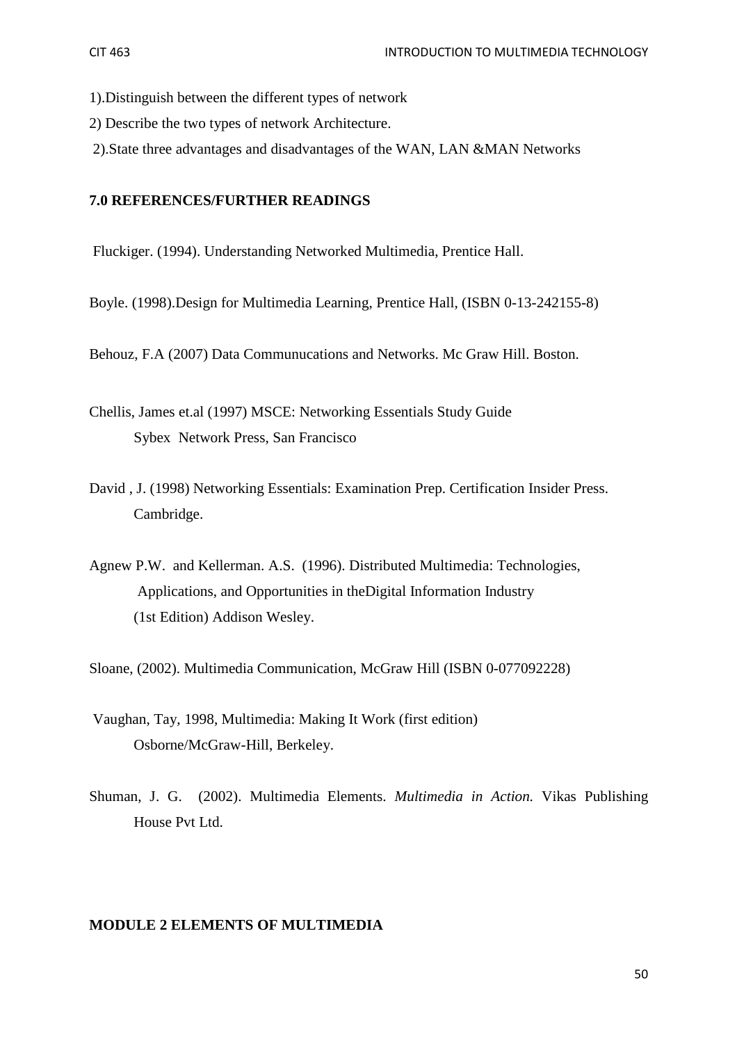- 1).Distinguish between the different types of network
- 2) Describe the two types of network Architecture.
- 2).State three advantages and disadvantages of the WAN, LAN &MAN Networks

## **7.0 REFERENCES/FURTHER READINGS**

Fluckiger. (1994). Understanding Networked Multimedia, Prentice Hall.

Boyle. (1998).Design for Multimedia Learning, Prentice Hall, (ISBN 0-13-242155-8)

Behouz, F.A (2007) Data Communucations and Networks. Mc Graw Hill. Boston.

Chellis, James et.al (1997) MSCE: Networking Essentials Study Guide Sybex Network Press, San Francisco

- David , J. (1998) Networking Essentials: Examination Prep. Certification Insider Press. Cambridge.
- Agnew P.W. and Kellerman. A.S. (1996). Distributed Multimedia: Technologies, Applications, and Opportunities in theDigital Information Industry (1st Edition) Addison Wesley.

Sloane, (2002). Multimedia Communication, McGraw Hill (ISBN 0-077092228)

- Vaughan, Tay, 1998, Multimedia: Making It Work (first edition) Osborne/McGraw-Hill, Berkeley.
- Shuman, J. G. (2002). Multimedia Elements. *Multimedia in Action.* Vikas Publishing House Pvt Ltd.

#### **MODULE 2 ELEMENTS OF MULTIMEDIA**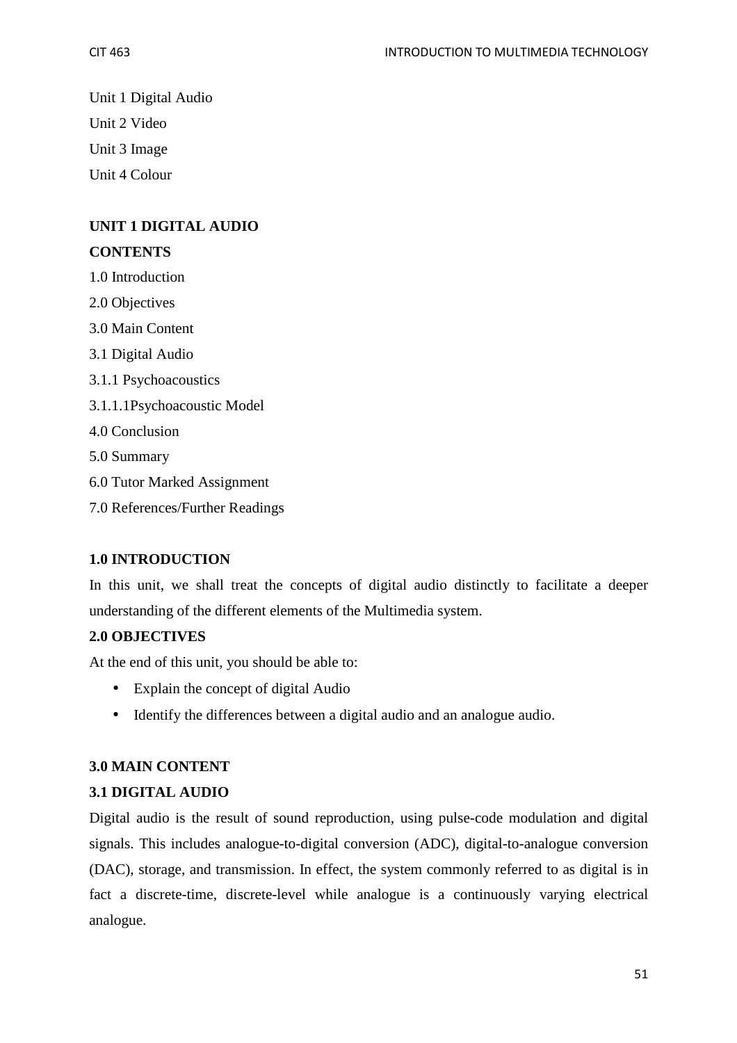Unit 1 Digital Audio Unit 2 Video Unit 3 Image Unit 4 Colour

## **UNIT 1 DIGITAL AUDIO**

## **CONTENTS**

1.0 Introduction

2.0 Objectives

3.0 Main Content

3.1 Digital Audio

- 3.1.1 Psychoacoustics
- 3.1.1.1Psychoacoustic Model
- 4.0 Conclusion

5.0 Summary

- 6.0 Tutor Marked Assignment
- 7.0 References/Further Readings

## **1.0 INTRODUCTION**

In this unit, we shall treat the concepts of digital audio distinctly to facilitate a deeper understanding of the different elements of the Multimedia system.

## **2.0 OBJECTIVES**

At the end of this unit, you should be able to:

- Explain the concept of digital Audio
- Identify the differences between a digital audio and an analogue audio.

## **3.0 MAIN CONTENT**

## **3.1 DIGITAL AUDIO**

Digital audio is the result of sound reproduction, using pulse-code modulation and digital signals. This includes analogue-to-digital conversion (ADC), digital-to-analogue conversion (DAC), storage, and transmission. In effect, the system commonly referred to as digital is in fact a discrete-time, discrete-level while analogue is a continuously varying electrical analogue.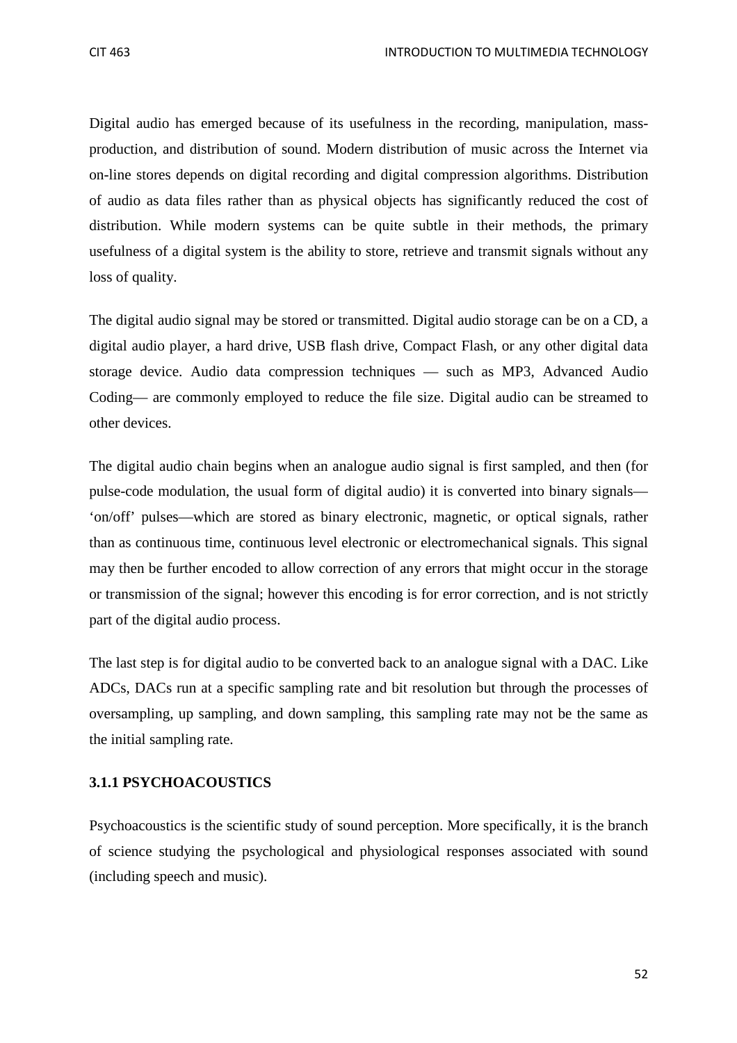Digital audio has emerged because of its usefulness in the recording, manipulation, massproduction, and distribution of sound. Modern distribution of music across the Internet via on-line stores depends on digital recording and digital compression algorithms. Distribution of audio as data files rather than as physical objects has significantly reduced the cost of distribution. While modern systems can be quite subtle in their methods, the primary usefulness of a digital system is the ability to store, retrieve and transmit signals without any loss of quality.

The digital audio signal may be stored or transmitted. Digital audio storage can be on a CD, a digital audio player, a hard drive, USB flash drive, Compact Flash, or any other digital data storage device. Audio data compression techniques — such as MP3, Advanced Audio Coding— are commonly employed to reduce the file size. Digital audio can be streamed to other devices.

The digital audio chain begins when an analogue audio signal is first sampled, and then (for pulse-code modulation, the usual form of digital audio) it is converted into binary signals— 'on/off' pulses—which are stored as binary electronic, magnetic, or optical signals, rather than as continuous time, continuous level electronic or electromechanical signals. This signal may then be further encoded to allow correction of any errors that might occur in the storage or transmission of the signal; however this encoding is for error correction, and is not strictly part of the digital audio process.

The last step is for digital audio to be converted back to an analogue signal with a DAC. Like ADCs, DACs run at a specific sampling rate and bit resolution but through the processes of oversampling, up sampling, and down sampling, this sampling rate may not be the same as the initial sampling rate.

## **3.1.1 PSYCHOACOUSTICS**

Psychoacoustics is the scientific study of sound perception. More specifically, it is the branch of science studying the psychological and physiological responses associated with sound (including speech and music).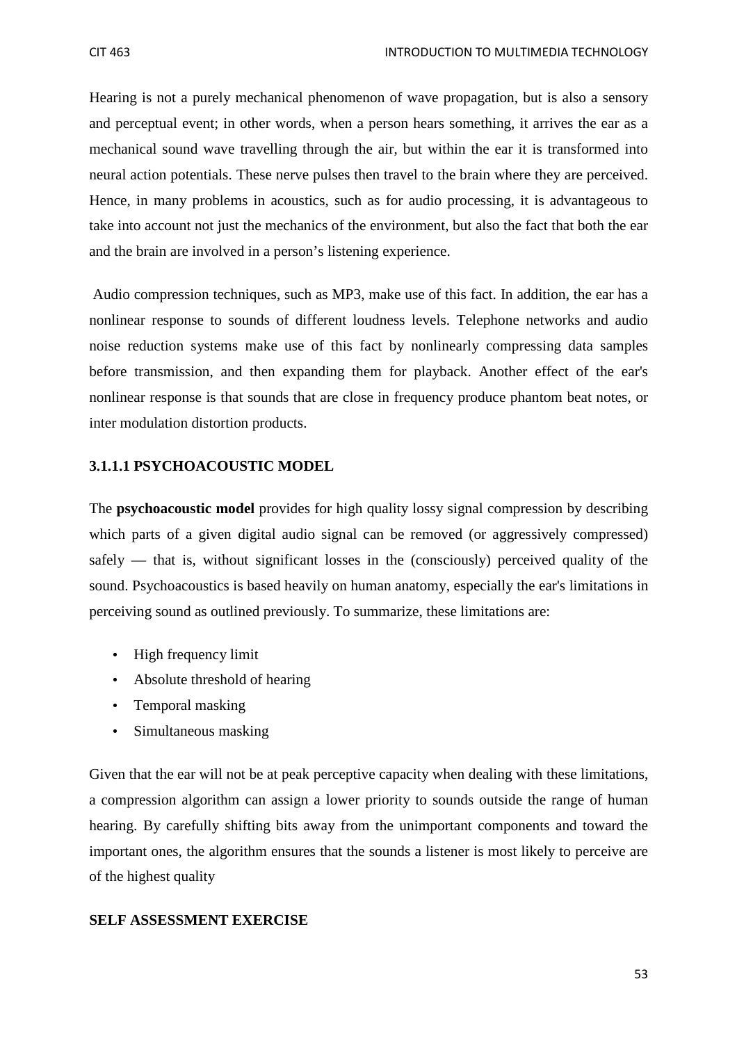Hearing is not a purely mechanical phenomenon of wave propagation, but is also a sensory and perceptual event; in other words, when a person hears something, it arrives the ear as a mechanical sound wave travelling through the air, but within the ear it is transformed into neural action potentials. These nerve pulses then travel to the brain where they are perceived. Hence, in many problems in acoustics, such as for audio processing, it is advantageous to take into account not just the mechanics of the environment, but also the fact that both the ear and the brain are involved in a person's listening experience.

 Audio compression techniques, such as MP3, make use of this fact. In addition, the ear has a nonlinear response to sounds of different loudness levels. Telephone networks and audio noise reduction systems make use of this fact by nonlinearly compressing data samples before transmission, and then expanding them for playback. Another effect of the ear's nonlinear response is that sounds that are close in frequency produce phantom beat notes, or inter modulation distortion products.

## **3.1.1.1 PSYCHOACOUSTIC MODEL**

The **psychoacoustic model** provides for high quality lossy signal compression by describing which parts of a given digital audio signal can be removed (or aggressively compressed) safely — that is, without significant losses in the (consciously) perceived quality of the sound. Psychoacoustics is based heavily on human anatomy, especially the ear's limitations in perceiving sound as outlined previously. To summarize, these limitations are:

- High frequency limit
- Absolute threshold of hearing
- Temporal masking
- Simultaneous masking

Given that the ear will not be at peak perceptive capacity when dealing with these limitations, a compression algorithm can assign a lower priority to sounds outside the range of human hearing. By carefully shifting bits away from the unimportant components and toward the important ones, the algorithm ensures that the sounds a listener is most likely to perceive are of the highest quality

## **SELF ASSESSMENT EXERCISE**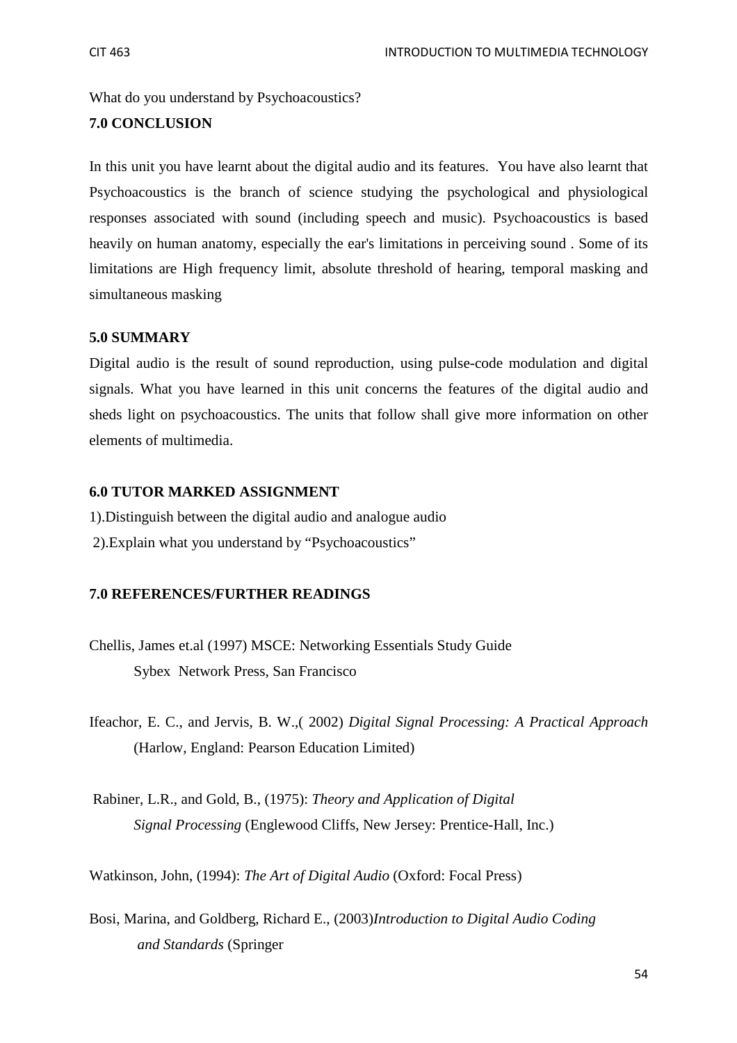What do you understand by Psychoacoustics?

## **7.0 CONCLUSION**

In this unit you have learnt about the digital audio and its features. You have also learnt that Psychoacoustics is the branch of science studying the psychological and physiological responses associated with sound (including speech and music). Psychoacoustics is based heavily on human anatomy, especially the ear's limitations in perceiving sound . Some of its limitations are High frequency limit, absolute threshold of hearing, temporal masking and simultaneous masking

## **5.0 SUMMARY**

Digital audio is the result of sound reproduction, using pulse-code modulation and digital signals. What you have learned in this unit concerns the features of the digital audio and sheds light on psychoacoustics. The units that follow shall give more information on other elements of multimedia.

## **6.0 TUTOR MARKED ASSIGNMENT**

1).Distinguish between the digital audio and analogue audio 2).Explain what you understand by "Psychoacoustics"

## **7.0 REFERENCES/FURTHER READINGS**

- Chellis, James et.al (1997) MSCE: Networking Essentials Study Guide Sybex Network Press, San Francisco
- Ifeachor, E. C., and Jervis, B. W.,( 2002) *Digital Signal Processing: A Practical Approach* (Harlow, England: Pearson Education Limited)
- Rabiner, L.R., and Gold, B., (1975): *Theory and Application of Digital Signal Processing* (Englewood Cliffs, New Jersey: Prentice-Hall, Inc.)

Watkinson, John, (1994): *The Art of Digital Audio* (Oxford: Focal Press)

Bosi, Marina, and Goldberg, Richard E., (2003)*Introduction to Digital Audio Coding and Standards* (Springer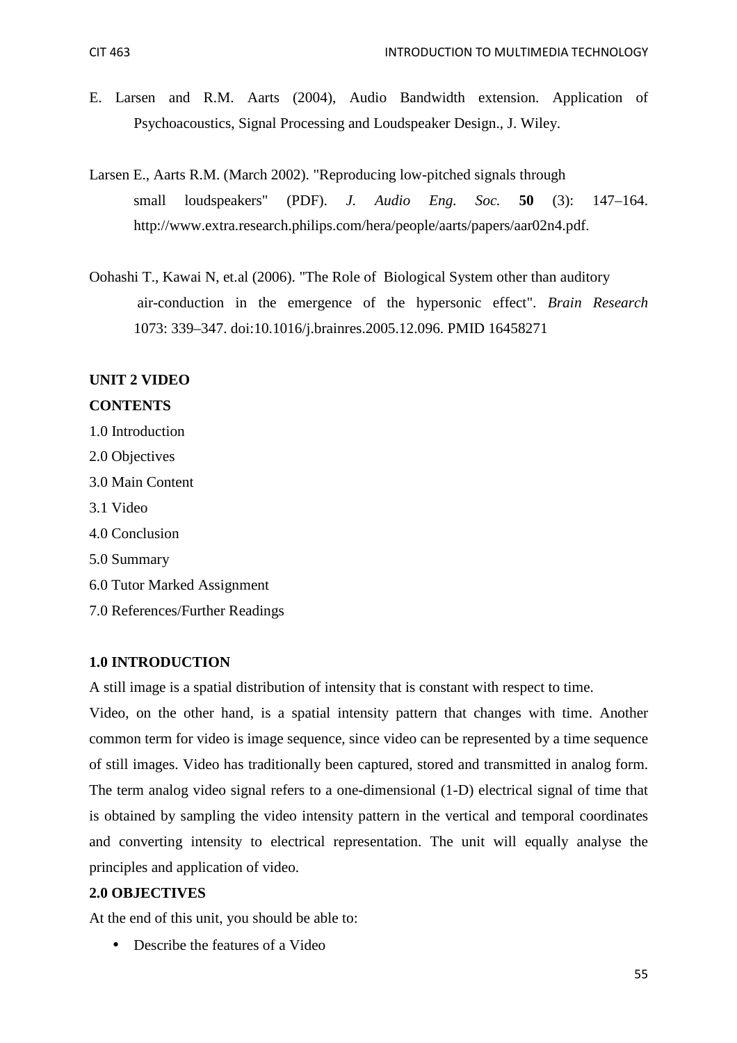- E. Larsen and R.M. Aarts (2004), Audio Bandwidth extension. Application of Psychoacoustics, Signal Processing and Loudspeaker Design., J. Wiley.
- Larsen E., Aarts R.M. (March 2002). "Reproducing low-pitched signals through small loudspeakers" (PDF). *J. Audio Eng. Soc.* **50** (3): 147–164. http://www.extra.research.philips.com/hera/people/aarts/papers/aar02n4.pdf.
- Oohashi T., Kawai N, et.al (2006). "The Role of Biological System other than auditory air-conduction in the emergence of the hypersonic effect". *Brain Research* 1073: 339–347. doi:10.1016/j.brainres.2005.12.096. PMID 16458271

## **UNIT 2 VIDEO**

#### **CONTENTS**

- 1.0 Introduction
- 2.0 Objectives
- 3.0 Main Content
- 3.1 Video
- 4.0 Conclusion
- 5.0 Summary
- 6.0 Tutor Marked Assignment
- 7.0 References/Further Readings

#### **1.0 INTRODUCTION**

A still image is a spatial distribution of intensity that is constant with respect to time.

Video, on the other hand, is a spatial intensity pattern that changes with time. Another common term for video is image sequence, since video can be represented by a time sequence of still images. Video has traditionally been captured, stored and transmitted in analog form. The term analog video signal refers to a one-dimensional (1-D) electrical signal of time that is obtained by sampling the video intensity pattern in the vertical and temporal coordinates and converting intensity to electrical representation. The unit will equally analyse the principles and application of video.

## **2.0 OBJECTIVES**

At the end of this unit, you should be able to:

• Describe the features of a Video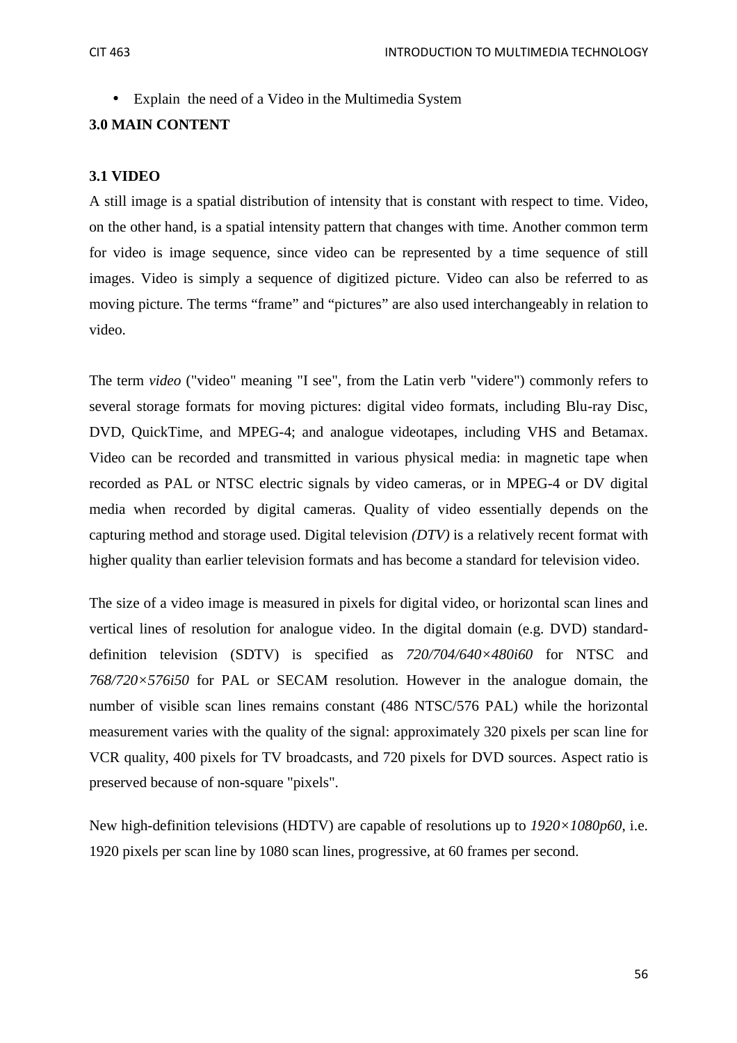• Explain the need of a Video in the Multimedia System

## **3.0 MAIN CONTENT**

## **3.1 VIDEO**

A still image is a spatial distribution of intensity that is constant with respect to time. Video, on the other hand, is a spatial intensity pattern that changes with time. Another common term for video is image sequence, since video can be represented by a time sequence of still images. Video is simply a sequence of digitized picture. Video can also be referred to as moving picture. The terms "frame" and "pictures" are also used interchangeably in relation to video.

The term *video* ("video" meaning "I see", from the Latin verb "videre") commonly refers to several storage formats for moving pictures: digital video formats, including Blu-ray Disc, DVD, QuickTime, and MPEG-4; and analogue videotapes, including VHS and Betamax. Video can be recorded and transmitted in various physical media: in magnetic tape when recorded as PAL or NTSC electric signals by video cameras, or in MPEG-4 or DV digital media when recorded by digital cameras. Quality of video essentially depends on the capturing method and storage used. Digital television *(DTV)* is a relatively recent format with higher quality than earlier television formats and has become a standard for television video.

The size of a video image is measured in pixels for digital video, or horizontal scan lines and vertical lines of resolution for analogue video. In the digital domain (e.g. DVD) standarddefinition television (SDTV) is specified as *720/704/640×480i60* for NTSC and *768/720×576i50* for PAL or SECAM resolution. However in the analogue domain, the number of visible scan lines remains constant (486 NTSC/576 PAL) while the horizontal measurement varies with the quality of the signal: approximately 320 pixels per scan line for VCR quality, 400 pixels for TV broadcasts, and 720 pixels for DVD sources. Aspect ratio is preserved because of non-square "pixels".

New high-definition televisions (HDTV) are capable of resolutions up to *1920×1080p60*, i.e. 1920 pixels per scan line by 1080 scan lines, progressive, at 60 frames per second.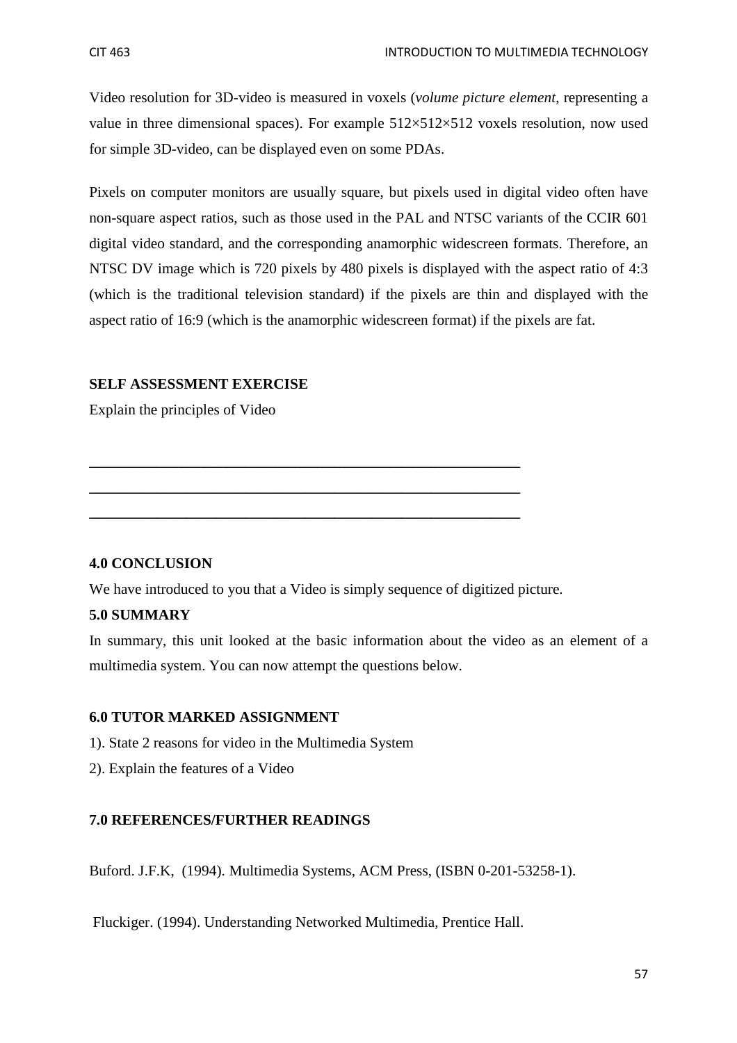Video resolution for 3D-video is measured in voxels (*volume picture element*, representing a value in three dimensional spaces). For example  $512\times512\times512$  voxels resolution, now used for simple 3D-video, can be displayed even on some PDAs.

Pixels on computer monitors are usually square, but pixels used in digital video often have non-square aspect ratios, such as those used in the PAL and NTSC variants of the CCIR 601 digital video standard, and the corresponding anamorphic widescreen formats. Therefore, an NTSC DV image which is 720 pixels by 480 pixels is displayed with the aspect ratio of 4:3 (which is the traditional television standard) if the pixels are thin and displayed with the aspect ratio of 16:9 (which is the anamorphic widescreen format) if the pixels are fat.

## **SELF ASSESSMENT EXERCISE**

Explain the principles of Video

## **4.0 CONCLUSION**

We have introduced to you that a Video is simply sequence of digitized picture.

**\_\_\_\_\_\_\_\_\_\_\_\_\_\_\_\_\_\_\_\_\_\_\_\_\_\_\_\_\_\_\_\_\_\_\_\_\_\_\_\_\_\_\_\_\_\_\_\_\_\_\_\_\_\_\_\_\_\_** 

**\_\_\_\_\_\_\_\_\_\_\_\_\_\_\_\_\_\_\_\_\_\_\_\_\_\_\_\_\_\_\_\_\_\_\_\_\_\_\_\_\_\_\_\_\_\_\_\_\_\_\_\_\_\_\_\_\_\_** 

**\_\_\_\_\_\_\_\_\_\_\_\_\_\_\_\_\_\_\_\_\_\_\_\_\_\_\_\_\_\_\_\_\_\_\_\_\_\_\_\_\_\_\_\_\_\_\_\_\_\_\_\_\_\_\_\_\_\_** 

## **5.0 SUMMARY**

In summary, this unit looked at the basic information about the video as an element of a multimedia system. You can now attempt the questions below.

## **6.0 TUTOR MARKED ASSIGNMENT**

- 1). State 2 reasons for video in the Multimedia System
- 2). Explain the features of a Video

## **7.0 REFERENCES/FURTHER READINGS**

Buford. J.F.K, (1994). Multimedia Systems, ACM Press, (ISBN 0-201-53258-1).

Fluckiger. (1994). Understanding Networked Multimedia, Prentice Hall.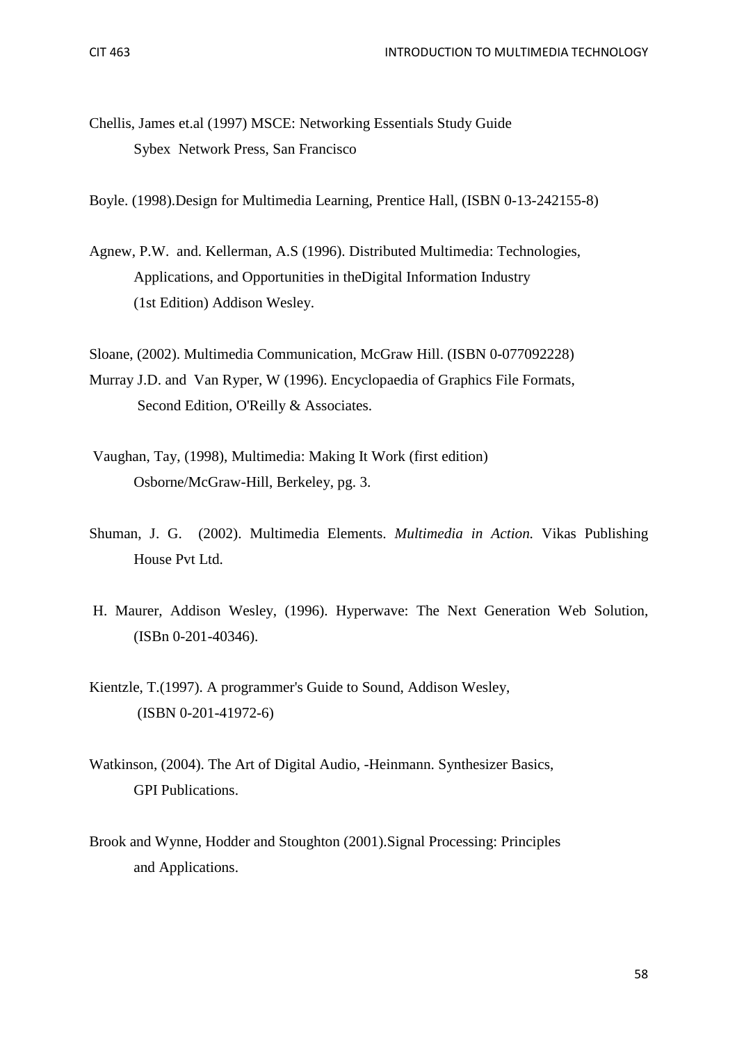Chellis, James et.al (1997) MSCE: Networking Essentials Study Guide Sybex Network Press, San Francisco

Boyle. (1998).Design for Multimedia Learning, Prentice Hall, (ISBN 0-13-242155-8)

Agnew, P.W. and. Kellerman, A.S (1996). Distributed Multimedia: Technologies, Applications, and Opportunities in theDigital Information Industry (1st Edition) Addison Wesley.

Sloane, (2002). Multimedia Communication, McGraw Hill. (ISBN 0-077092228) Murray J.D. and Van Ryper, W (1996). Encyclopaedia of Graphics File Formats, Second Edition, O'Reilly & Associates.

- Vaughan, Tay, (1998), Multimedia: Making It Work (first edition) Osborne/McGraw-Hill, Berkeley, pg. 3.
- Shuman, J. G. (2002). Multimedia Elements. *Multimedia in Action.* Vikas Publishing House Pvt Ltd.
- H. Maurer, Addison Wesley, (1996). Hyperwave: The Next Generation Web Solution, (ISBn 0-201-40346).
- Kientzle, T.(1997). A programmer's Guide to Sound, Addison Wesley, (ISBN 0-201-41972-6)
- Watkinson, (2004). The Art of Digital Audio, -Heinmann. Synthesizer Basics, GPI Publications.
- Brook and Wynne, Hodder and Stoughton (2001).Signal Processing: Principles and Applications.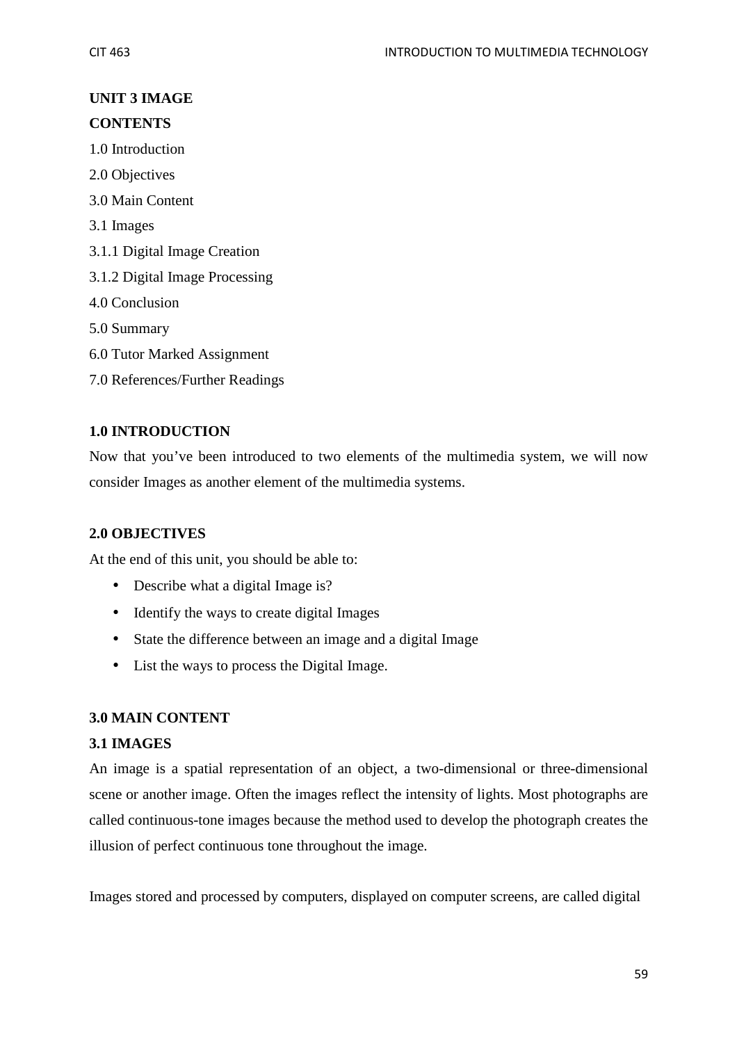## **UNIT 3 IMAGE CONTENTS**

- 1.0 Introduction
- 2.0 Objectives
- 3.0 Main Content
- 3.1 Images
- 3.1.1 Digital Image Creation
- 3.1.2 Digital Image Processing
- 4.0 Conclusion
- 5.0 Summary
- 6.0 Tutor Marked Assignment
- 7.0 References/Further Readings

## **1.0 INTRODUCTION**

Now that you've been introduced to two elements of the multimedia system, we will now consider Images as another element of the multimedia systems.

## **2.0 OBJECTIVES**

At the end of this unit, you should be able to:

- Describe what a digital Image is?
- Identify the ways to create digital Images
- State the difference between an image and a digital Image
- List the ways to process the Digital Image.

## **3.0 MAIN CONTENT**

## **3.1 IMAGES**

An image is a spatial representation of an object, a two-dimensional or three-dimensional scene or another image. Often the images reflect the intensity of lights. Most photographs are called continuous-tone images because the method used to develop the photograph creates the illusion of perfect continuous tone throughout the image.

Images stored and processed by computers, displayed on computer screens, are called digital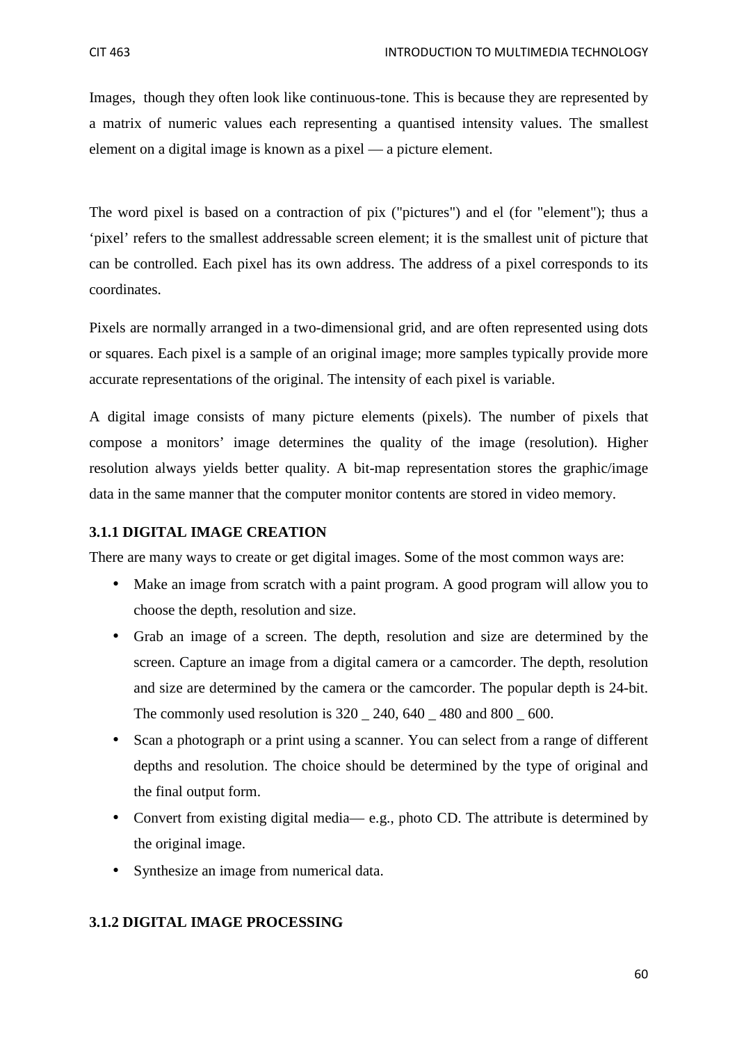Images, though they often look like continuous-tone. This is because they are represented by a matrix of numeric values each representing a quantised intensity values. The smallest element on a digital image is known as a pixel — a picture element.

The word pixel is based on a contraction of pix ("pictures") and el (for "element"); thus a 'pixel' refers to the smallest addressable screen element; it is the smallest unit of picture that can be controlled. Each pixel has its own address. The address of a pixel corresponds to its coordinates.

Pixels are normally arranged in a two-dimensional grid, and are often represented using dots or squares. Each pixel is a sample of an original image; more samples typically provide more accurate representations of the original. The intensity of each pixel is variable.

A digital image consists of many picture elements (pixels). The number of pixels that compose a monitors' image determines the quality of the image (resolution). Higher resolution always yields better quality. A bit-map representation stores the graphic/image data in the same manner that the computer monitor contents are stored in video memory.

## **3.1.1 DIGITAL IMAGE CREATION**

There are many ways to create or get digital images. Some of the most common ways are:

- Make an image from scratch with a paint program. A good program will allow you to choose the depth, resolution and size.
- Grab an image of a screen. The depth, resolution and size are determined by the screen. Capture an image from a digital camera or a camcorder. The depth, resolution and size are determined by the camera or the camcorder. The popular depth is 24-bit. The commonly used resolution is 320 \_ 240, 640 \_ 480 and 800 \_ 600.
- Scan a photograph or a print using a scanner. You can select from a range of different depths and resolution. The choice should be determined by the type of original and the final output form.
- Convert from existing digital media— e.g., photo CD. The attribute is determined by the original image.
- Synthesize an image from numerical data.

## **3.1.2 DIGITAL IMAGE PROCESSING**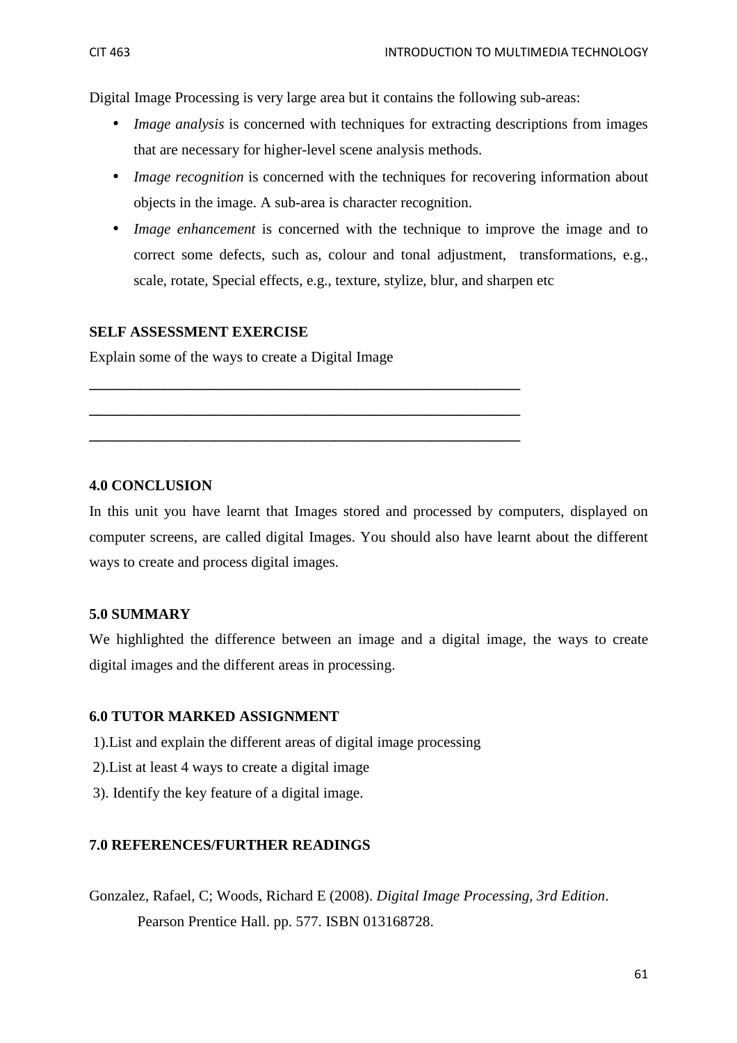Digital Image Processing is very large area but it contains the following sub-areas:

- *Image analysis* is concerned with techniques for extracting descriptions from images that are necessary for higher-level scene analysis methods.
- *Image recognition* is concerned with the techniques for recovering information about objects in the image. A sub-area is character recognition.
- *Image enhancement* is concerned with the technique to improve the image and to correct some defects, such as, colour and tonal adjustment, transformations, e.g., scale, rotate, Special effects, e.g., texture, stylize, blur, and sharpen etc

## **SELF ASSESSMENT EXERCISE**

Explain some of the ways to create a Digital Image

**\_\_\_\_\_\_\_\_\_\_\_\_\_\_\_\_\_\_\_\_\_\_\_\_\_\_\_\_\_\_\_\_\_\_\_\_\_\_\_\_\_\_\_\_\_\_\_\_\_\_\_\_\_\_\_\_\_\_** 

**\_\_\_\_\_\_\_\_\_\_\_\_\_\_\_\_\_\_\_\_\_\_\_\_\_\_\_\_\_\_\_\_\_\_\_\_\_\_\_\_\_\_\_\_\_\_\_\_\_\_\_\_\_\_\_\_\_\_** 

**\_\_\_\_\_\_\_\_\_\_\_\_\_\_\_\_\_\_\_\_\_\_\_\_\_\_\_\_\_\_\_\_\_\_\_\_\_\_\_\_\_\_\_\_\_\_\_\_\_\_\_\_\_\_\_\_\_\_** 

## **4.0 CONCLUSION**

In this unit you have learnt that Images stored and processed by computers, displayed on computer screens, are called digital Images. You should also have learnt about the different ways to create and process digital images.

## **5.0 SUMMARY**

We highlighted the difference between an image and a digital image, the ways to create digital images and the different areas in processing.

## **6.0 TUTOR MARKED ASSIGNMENT**

- 1).List and explain the different areas of digital image processing
- 2).List at least 4 ways to create a digital image
- 3). Identify the key feature of a digital image.

## **7.0 REFERENCES/FURTHER READINGS**

Gonzalez, Rafael, C; Woods, Richard E (2008). *Digital Image Processing, 3rd Edition*. Pearson Prentice Hall. pp. 577. ISBN 013168728.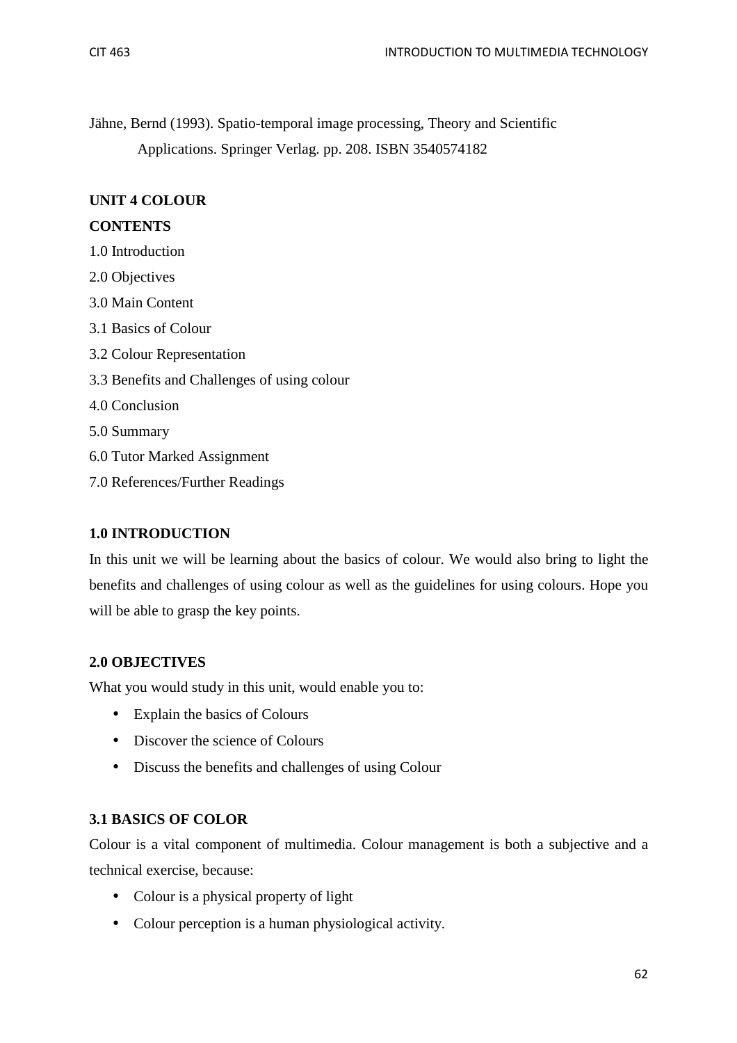Jähne, Bernd (1993). Spatio-temporal image processing, Theory and Scientific Applications. Springer Verlag. pp. 208. ISBN 3540574182

## **UNIT 4 COLOUR**

## **CONTENTS**

- 1.0 Introduction
- 2.0 Objectives
- 3.0 Main Content
- 3.1 Basics of Colour
- 3.2 Colour Representation
- 3.3 Benefits and Challenges of using colour
- 4.0 Conclusion
- 5.0 Summary
- 6.0 Tutor Marked Assignment
- 7.0 References/Further Readings

## **1.0 INTRODUCTION**

In this unit we will be learning about the basics of colour. We would also bring to light the benefits and challenges of using colour as well as the guidelines for using colours. Hope you will be able to grasp the key points.

## **2.0 OBJECTIVES**

What you would study in this unit, would enable you to:

- Explain the basics of Colours
- Discover the science of Colours
- Discuss the benefits and challenges of using Colour

## **3.1 BASICS OF COLOR**

Colour is a vital component of multimedia. Colour management is both a subjective and a technical exercise, because:

- Colour is a physical property of light
- Colour perception is a human physiological activity.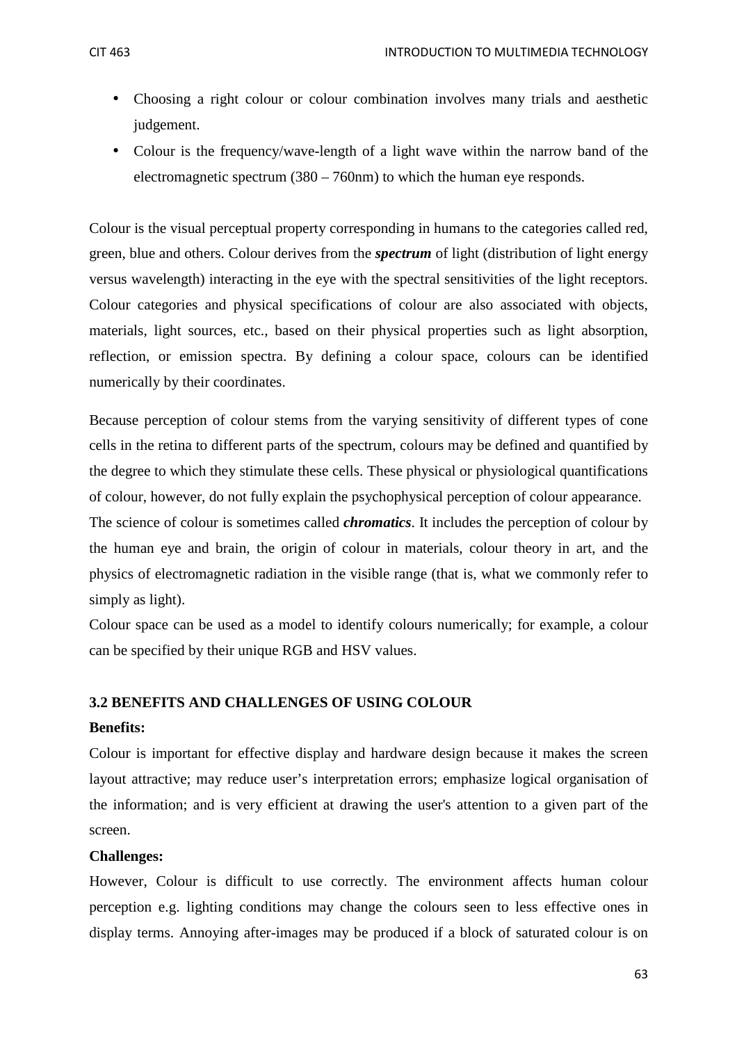- Choosing a right colour or colour combination involves many trials and aesthetic judgement.
- Colour is the frequency/wave-length of a light wave within the narrow band of the electromagnetic spectrum (380 – 760nm) to which the human eye responds.

Colour is the visual perceptual property corresponding in humans to the categories called red, green, blue and others. Colour derives from the *spectrum* of light (distribution of light energy versus wavelength) interacting in the eye with the spectral sensitivities of the light receptors. Colour categories and physical specifications of colour are also associated with objects, materials, light sources, etc., based on their physical properties such as light absorption, reflection, or emission spectra. By defining a colour space, colours can be identified numerically by their coordinates.

Because perception of colour stems from the varying sensitivity of different types of cone cells in the retina to different parts of the spectrum, colours may be defined and quantified by the degree to which they stimulate these cells. These physical or physiological quantifications of colour, however, do not fully explain the psychophysical perception of colour appearance.

The science of colour is sometimes called *chromatics*. It includes the perception of colour by the human eye and brain, the origin of colour in materials, colour theory in art, and the physics of electromagnetic radiation in the visible range (that is, what we commonly refer to simply as light).

Colour space can be used as a model to identify colours numerically; for example, a colour can be specified by their unique RGB and HSV values.

## **3.2 BENEFITS AND CHALLENGES OF USING COLOUR**

#### **Benefits:**

Colour is important for effective display and hardware design because it makes the screen layout attractive; may reduce user's interpretation errors; emphasize logical organisation of the information; and is very efficient at drawing the user's attention to a given part of the screen.

#### **Challenges:**

However, Colour is difficult to use correctly. The environment affects human colour perception e.g. lighting conditions may change the colours seen to less effective ones in display terms. Annoying after-images may be produced if a block of saturated colour is on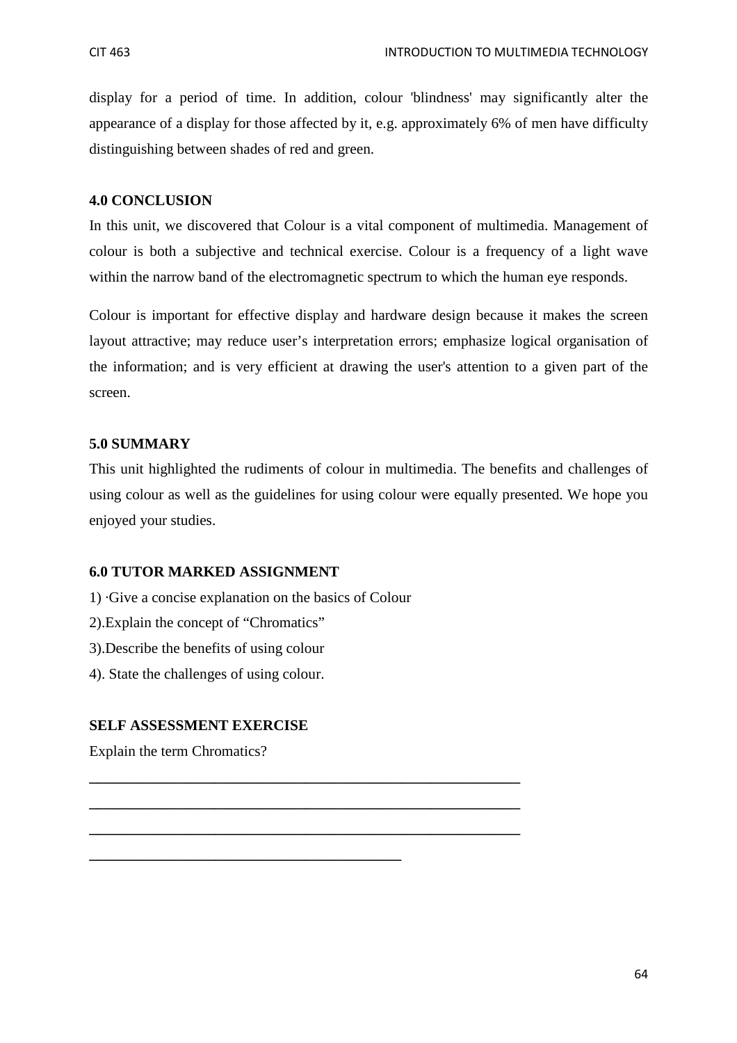display for a period of time. In addition, colour 'blindness' may significantly alter the appearance of a display for those affected by it, e.g. approximately 6% of men have difficulty distinguishing between shades of red and green.

## **4.0 CONCLUSION**

In this unit, we discovered that Colour is a vital component of multimedia. Management of colour is both a subjective and technical exercise. Colour is a frequency of a light wave within the narrow band of the electromagnetic spectrum to which the human eye responds.

Colour is important for effective display and hardware design because it makes the screen layout attractive; may reduce user's interpretation errors; emphasize logical organisation of the information; and is very efficient at drawing the user's attention to a given part of the screen.

## **5.0 SUMMARY**

This unit highlighted the rudiments of colour in multimedia. The benefits and challenges of using colour as well as the guidelines for using colour were equally presented. We hope you enjoyed your studies.

## **6.0 TUTOR MARKED ASSIGNMENT**

1) ·Give a concise explanation on the basics of Colour

**\_\_\_\_\_\_\_\_\_\_\_\_\_\_\_\_\_\_\_\_\_\_\_\_\_\_\_\_\_\_\_\_\_\_\_\_\_\_\_\_\_\_** 

**\_\_\_\_\_\_\_\_\_\_\_\_\_\_\_\_\_\_\_\_\_\_\_\_\_\_\_\_\_\_\_\_\_\_\_\_\_\_\_\_\_\_\_\_\_\_\_\_\_\_\_\_\_\_\_\_\_\_** 

**\_\_\_\_\_\_\_\_\_\_\_\_\_\_\_\_\_\_\_\_\_\_\_\_\_\_\_\_\_\_\_\_\_\_\_\_\_\_\_\_\_\_\_\_\_\_\_\_\_\_\_\_\_\_\_\_\_\_** 

**\_\_\_\_\_\_\_\_\_\_\_\_\_\_\_\_\_\_\_\_\_\_\_\_\_\_\_\_\_\_\_\_\_\_\_\_\_\_\_\_\_\_\_\_\_\_\_\_\_\_\_\_\_\_\_\_\_\_** 

- 2).Explain the concept of "Chromatics"
- 3).Describe the benefits of using colour
- 4). State the challenges of using colour.

## **SELF ASSESSMENT EXERCISE**

Explain the term Chromatics?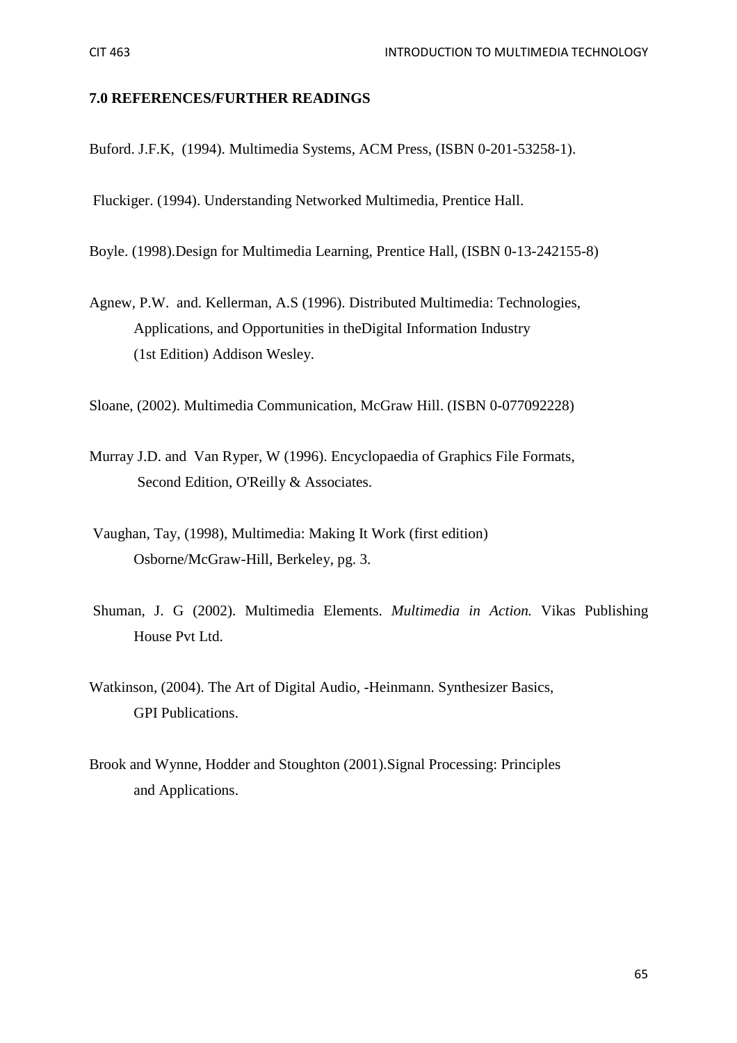#### **7.0 REFERENCES/FURTHER READINGS**

Buford. J.F.K, (1994). Multimedia Systems, ACM Press, (ISBN 0-201-53258-1).

Fluckiger. (1994). Understanding Networked Multimedia, Prentice Hall.

Boyle. (1998).Design for Multimedia Learning, Prentice Hall, (ISBN 0-13-242155-8)

Agnew, P.W. and. Kellerman, A.S (1996). Distributed Multimedia: Technologies, Applications, and Opportunities in theDigital Information Industry (1st Edition) Addison Wesley.

Sloane, (2002). Multimedia Communication, McGraw Hill. (ISBN 0-077092228)

- Murray J.D. and Van Ryper, W (1996). Encyclopaedia of Graphics File Formats, Second Edition, O'Reilly & Associates.
- Vaughan, Tay, (1998), Multimedia: Making It Work (first edition) Osborne/McGraw-Hill, Berkeley, pg. 3.
- Shuman, J. G (2002). Multimedia Elements. *Multimedia in Action.* Vikas Publishing House Pvt Ltd.
- Watkinson, (2004). The Art of Digital Audio, -Heinmann. Synthesizer Basics, GPI Publications.
- Brook and Wynne, Hodder and Stoughton (2001).Signal Processing: Principles and Applications.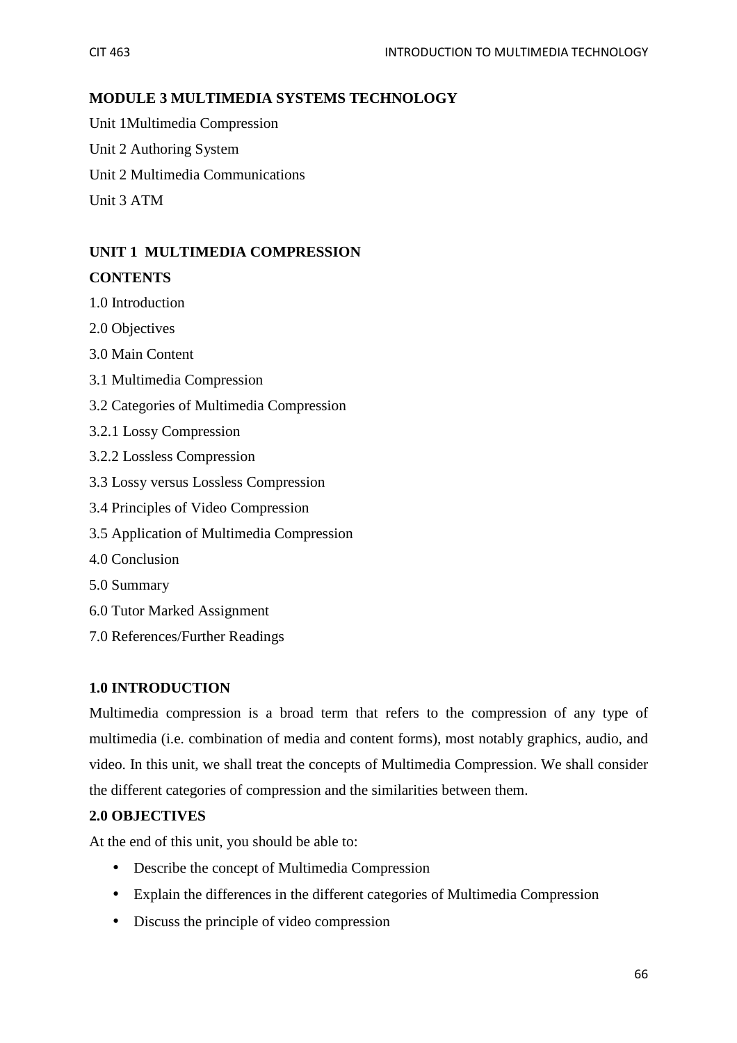## **MODULE 3 MULTIMEDIA SYSTEMS TECHNOLOGY**

Unit 1Multimedia Compression Unit 2 Authoring System

Unit 2 Multimedia Communications

Unit 3 ATM

## **UNIT 1 MULTIMEDIA COMPRESSION**

## **CONTENTS**

- 1.0 Introduction
- 2.0 Objectives
- 3.0 Main Content
- 3.1 Multimedia Compression
- 3.2 Categories of Multimedia Compression
- 3.2.1 Lossy Compression
- 3.2.2 Lossless Compression
- 3.3 Lossy versus Lossless Compression
- 3.4 Principles of Video Compression
- 3.5 Application of Multimedia Compression
- 4.0 Conclusion
- 5.0 Summary
- 6.0 Tutor Marked Assignment
- 7.0 References/Further Readings

## **1.0 INTRODUCTION**

Multimedia compression is a broad term that refers to the compression of any type of multimedia (i.e. combination of media and content forms), most notably graphics, audio, and video. In this unit, we shall treat the concepts of Multimedia Compression. We shall consider the different categories of compression and the similarities between them.

## **2.0 OBJECTIVES**

At the end of this unit, you should be able to:

- Describe the concept of Multimedia Compression
- Explain the differences in the different categories of Multimedia Compression
- Discuss the principle of video compression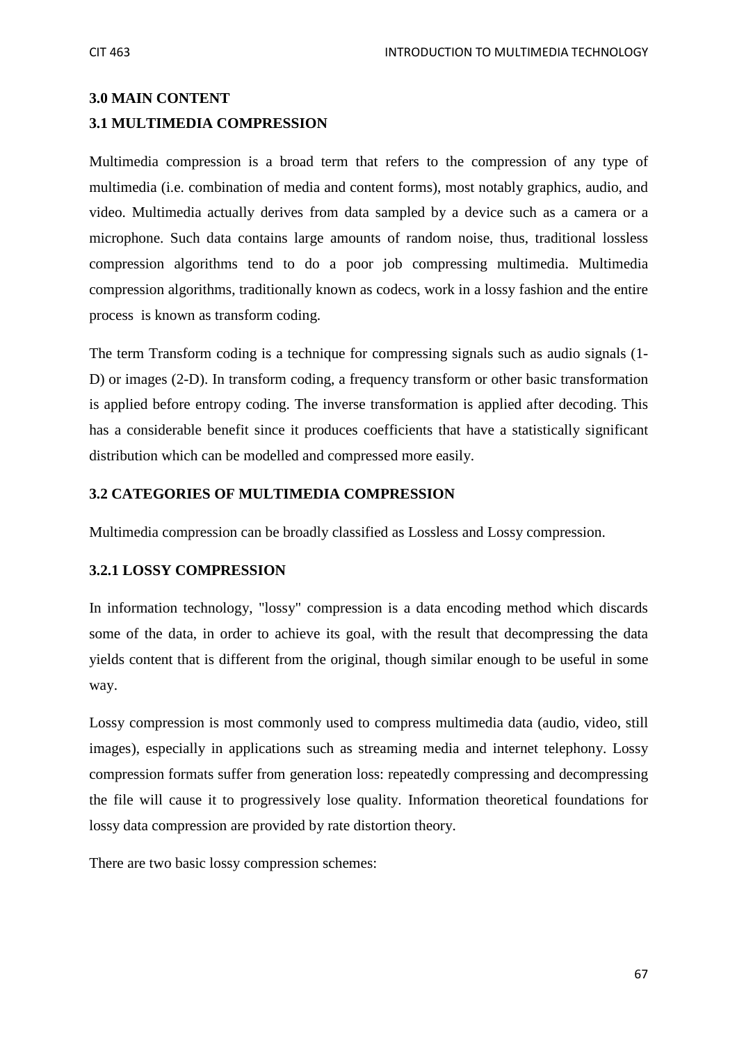## **3.0 MAIN CONTENT 3.1 MULTIMEDIA COMPRESSION**

Multimedia compression is a broad term that refers to the compression of any type of multimedia (i.e. combination of media and content forms), most notably graphics, audio, and video. Multimedia actually derives from data sampled by a device such as a camera or a microphone. Such data contains large amounts of random noise, thus, traditional lossless compression algorithms tend to do a poor job compressing multimedia. Multimedia compression algorithms, traditionally known as codecs, work in a lossy fashion and the entire process is known as transform coding.

The term Transform coding is a technique for compressing signals such as audio signals (1- D) or images (2-D). In transform coding, a frequency transform or other basic transformation is applied before entropy coding. The inverse transformation is applied after decoding. This has a considerable benefit since it produces coefficients that have a statistically significant distribution which can be modelled and compressed more easily.

## **3.2 CATEGORIES OF MULTIMEDIA COMPRESSION**

Multimedia compression can be broadly classified as Lossless and Lossy compression.

## **3.2.1 LOSSY COMPRESSION**

In information technology, "lossy" compression is a data encoding method which discards some of the data, in order to achieve its goal, with the result that decompressing the data yields content that is different from the original, though similar enough to be useful in some way.

Lossy compression is most commonly used to compress multimedia data (audio, video, still images), especially in applications such as streaming media and internet telephony. Lossy compression formats suffer from generation loss: repeatedly compressing and decompressing the file will cause it to progressively lose quality. Information theoretical foundations for lossy data compression are provided by rate distortion theory.

There are two basic lossy compression schemes: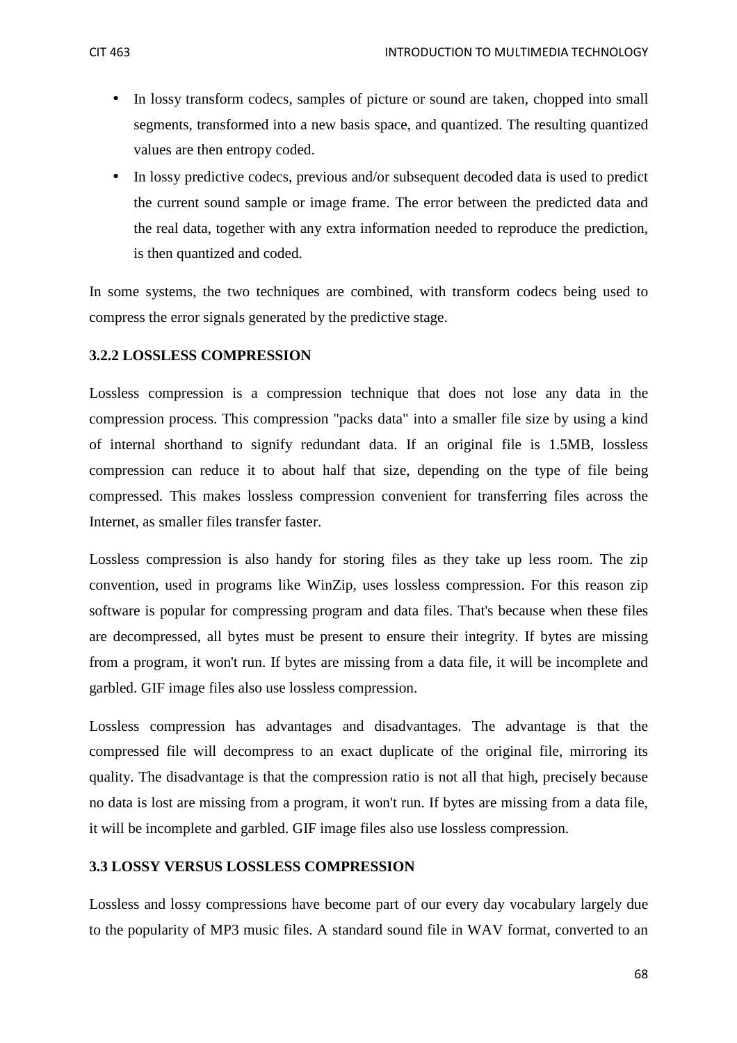- In lossy transform codecs, samples of picture or sound are taken, chopped into small segments, transformed into a new basis space, and quantized. The resulting quantized values are then entropy coded.
- In lossy predictive codecs, previous and/or subsequent decoded data is used to predict the current sound sample or image frame. The error between the predicted data and the real data, together with any extra information needed to reproduce the prediction, is then quantized and coded.

In some systems, the two techniques are combined, with transform codecs being used to compress the error signals generated by the predictive stage.

#### **3.2.2 LOSSLESS COMPRESSION**

Lossless compression is a compression technique that does not lose any data in the compression process. This compression "packs data" into a smaller file size by using a kind of internal shorthand to signify redundant data. If an original file is 1.5MB, lossless compression can reduce it to about half that size, depending on the type of file being compressed. This makes lossless compression convenient for transferring files across the Internet, as smaller files transfer faster.

Lossless compression is also handy for storing files as they take up less room. The zip convention, used in programs like WinZip, uses lossless compression. For this reason zip software is popular for compressing program and data files. That's because when these files are decompressed, all bytes must be present to ensure their integrity. If bytes are missing from a program, it won't run. If bytes are missing from a data file, it will be incomplete and garbled. GIF image files also use lossless compression.

Lossless compression has advantages and disadvantages. The advantage is that the compressed file will decompress to an exact duplicate of the original file, mirroring its quality. The disadvantage is that the compression ratio is not all that high, precisely because no data is lost are missing from a program, it won't run. If bytes are missing from a data file, it will be incomplete and garbled. GIF image files also use lossless compression.

## **3.3 LOSSY VERSUS LOSSLESS COMPRESSION**

Lossless and lossy compressions have become part of our every day vocabulary largely due to the popularity of MP3 music files. A standard sound file in WAV format, converted to an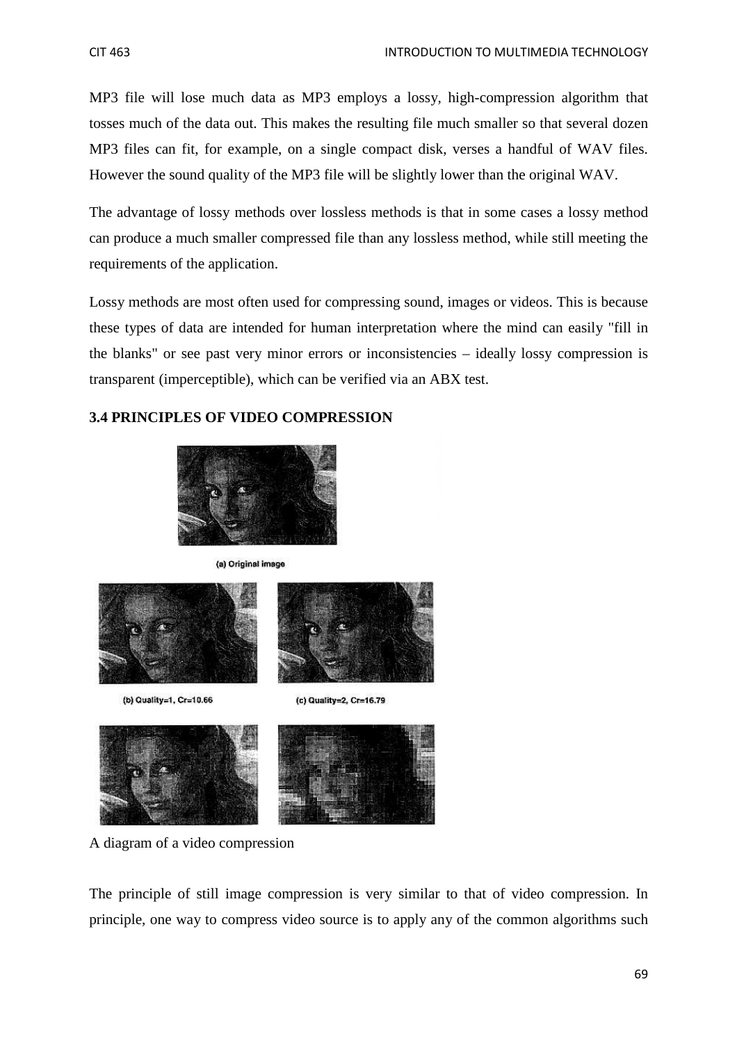MP3 file will lose much data as MP3 employs a lossy, high-compression algorithm that tosses much of the data out. This makes the resulting file much smaller so that several dozen MP3 files can fit, for example, on a single compact disk, verses a handful of WAV files. However the sound quality of the MP3 file will be slightly lower than the original WAV.

The advantage of lossy methods over lossless methods is that in some cases a lossy method can produce a much smaller compressed file than any lossless method, while still meeting the requirements of the application.

Lossy methods are most often used for compressing sound, images or videos. This is because these types of data are intended for human interpretation where the mind can easily "fill in the blanks" or see past very minor errors or inconsistencies – ideally lossy compression is transparent (imperceptible), which can be verified via an ABX test.

## **3.4 PRINCIPLES OF VIDEO COMPRESSION**



(a) Original image







A diagram of a video compression

The principle of still image compression is very similar to that of video compression. In principle, one way to compress video source is to apply any of the common algorithms such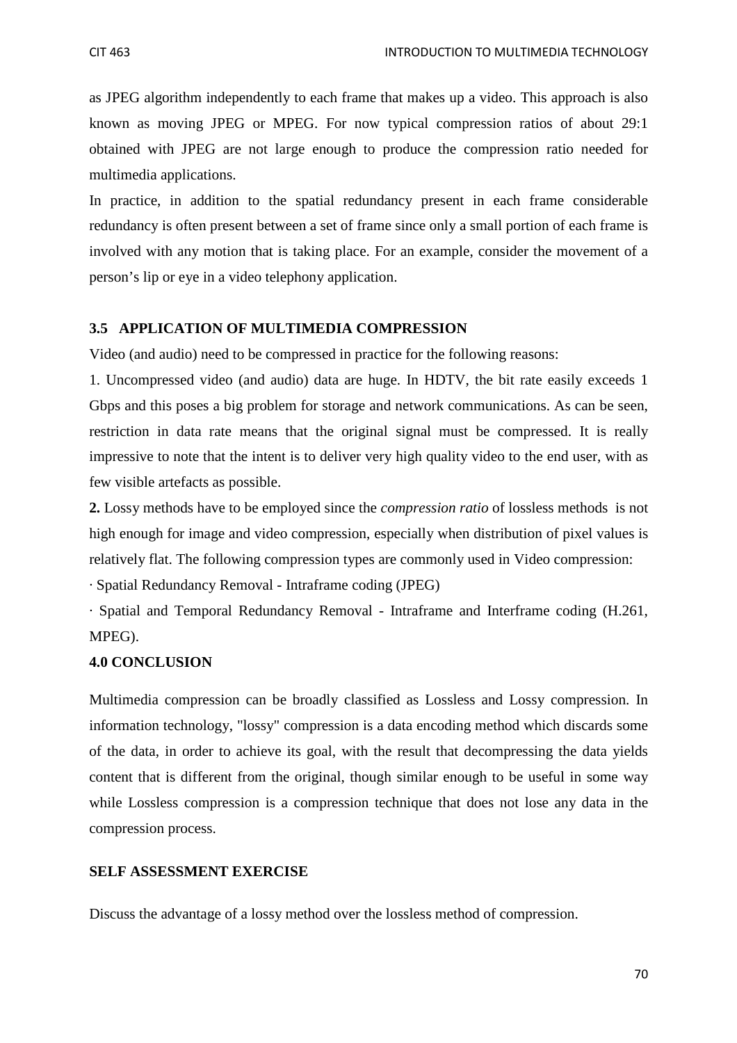as JPEG algorithm independently to each frame that makes up a video. This approach is also known as moving JPEG or MPEG. For now typical compression ratios of about 29:1 obtained with JPEG are not large enough to produce the compression ratio needed for multimedia applications.

In practice, in addition to the spatial redundancy present in each frame considerable redundancy is often present between a set of frame since only a small portion of each frame is involved with any motion that is taking place. For an example, consider the movement of a person's lip or eye in a video telephony application.

## **3.5 APPLICATION OF MULTIMEDIA COMPRESSION**

Video (and audio) need to be compressed in practice for the following reasons:

1. Uncompressed video (and audio) data are huge. In HDTV, the bit rate easily exceeds 1 Gbps and this poses a big problem for storage and network communications. As can be seen, restriction in data rate means that the original signal must be compressed. It is really impressive to note that the intent is to deliver very high quality video to the end user, with as few visible artefacts as possible.

**2.** Lossy methods have to be employed since the *compression ratio* of lossless methods is not high enough for image and video compression, especially when distribution of pixel values is relatively flat. The following compression types are commonly used in Video compression:

· Spatial Redundancy Removal - Intraframe coding (JPEG)

· Spatial and Temporal Redundancy Removal - Intraframe and Interframe coding (H.261, MPEG).

## **4.0 CONCLUSION**

Multimedia compression can be broadly classified as Lossless and Lossy compression. In information technology, "lossy" compression is a data encoding method which discards some of the data, in order to achieve its goal, with the result that decompressing the data yields content that is different from the original, though similar enough to be useful in some way while Lossless compression is a compression technique that does not lose any data in the compression process.

#### **SELF ASSESSMENT EXERCISE**

Discuss the advantage of a lossy method over the lossless method of compression.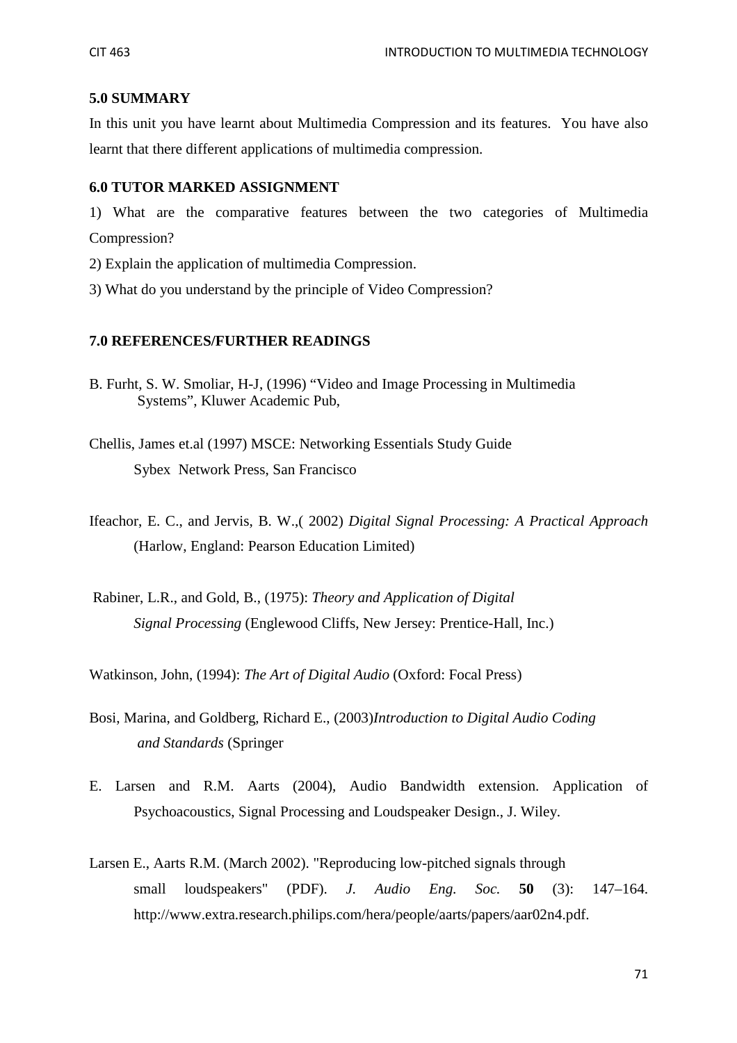## **5.0 SUMMARY**

In this unit you have learnt about Multimedia Compression and its features. You have also learnt that there different applications of multimedia compression.

## **6.0 TUTOR MARKED ASSIGNMENT**

1) What are the comparative features between the two categories of Multimedia Compression?

- 2) Explain the application of multimedia Compression.
- 3) What do you understand by the principle of Video Compression?

#### **7.0 REFERENCES/FURTHER READINGS**

- B. Furht, S. W. Smoliar, H-J, (1996) "Video and Image Processing in Multimedia Systems", Kluwer Academic Pub,
- Chellis, James et.al (1997) MSCE: Networking Essentials Study Guide Sybex Network Press, San Francisco
- Ifeachor, E. C., and Jervis, B. W.,( 2002) *Digital Signal Processing: A Practical Approach* (Harlow, England: Pearson Education Limited)
- Rabiner, L.R., and Gold, B., (1975): *Theory and Application of Digital Signal Processing* (Englewood Cliffs, New Jersey: Prentice-Hall, Inc.)

Watkinson, John, (1994): *The Art of Digital Audio* (Oxford: Focal Press)

- Bosi, Marina, and Goldberg, Richard E., (2003)*Introduction to Digital Audio Coding and Standards* (Springer
- E. Larsen and R.M. Aarts (2004), Audio Bandwidth extension. Application of Psychoacoustics, Signal Processing and Loudspeaker Design., J. Wiley.
- Larsen E., Aarts R.M. (March 2002). "Reproducing low-pitched signals through small loudspeakers" (PDF). *J. Audio Eng. Soc.* **50** (3): 147–164. http://www.extra.research.philips.com/hera/people/aarts/papers/aar02n4.pdf.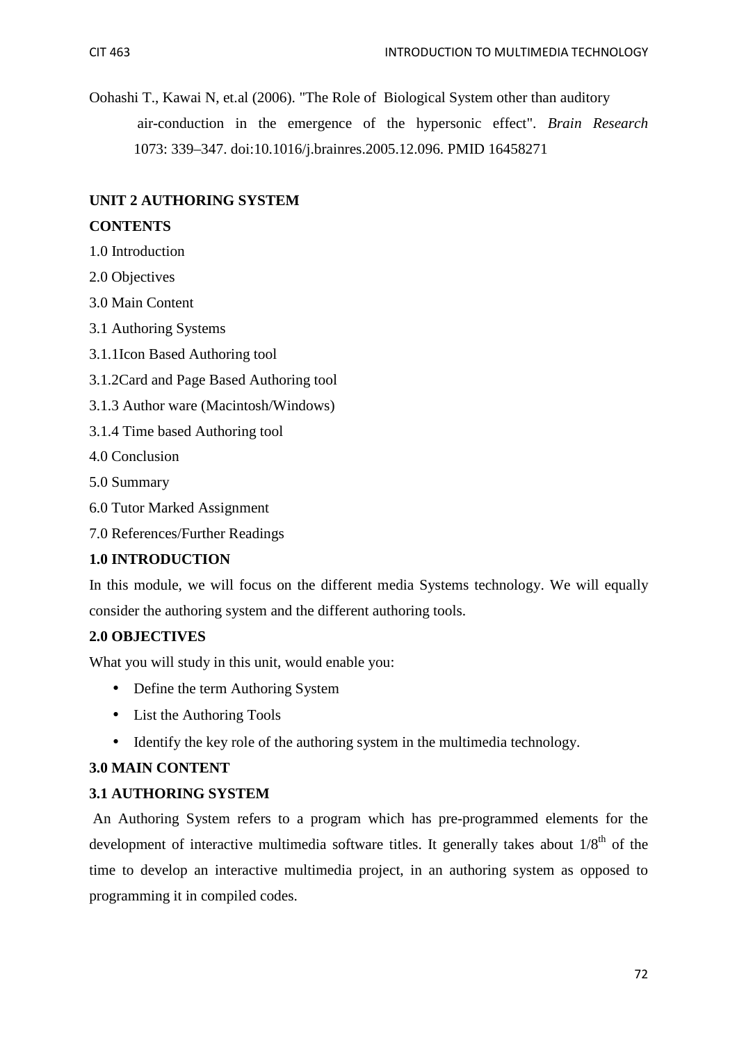Oohashi T., Kawai N, et.al (2006). "The Role of Biological System other than auditory air-conduction in the emergence of the hypersonic effect". *Brain Research* 1073: 339–347. doi:10.1016/j.brainres.2005.12.096. PMID 16458271

## **UNIT 2 AUTHORING SYSTEM**

## **CONTENTS**

- 1.0 Introduction
- 2.0 Objectives
- 3.0 Main Content
- 3.1 Authoring Systems
- 3.1.1Icon Based Authoring tool
- 3.1.2Card and Page Based Authoring tool
- 3.1.3 Author ware (Macintosh/Windows)
- 3.1.4 Time based Authoring tool
- 4.0 Conclusion
- 5.0 Summary
- 6.0 Tutor Marked Assignment
- 7.0 References/Further Readings

## **1.0 INTRODUCTION**

In this module, we will focus on the different media Systems technology. We will equally consider the authoring system and the different authoring tools.

## **2.0 OBJECTIVES**

What you will study in this unit, would enable you:

- Define the term Authoring System
- List the Authoring Tools
- Identify the key role of the authoring system in the multimedia technology.

## **3.0 MAIN CONTENT**

## **3.1 AUTHORING SYSTEM**

An Authoring System refers to a program which has pre-programmed elements for the development of interactive multimedia software titles. It generally takes about  $1/8<sup>th</sup>$  of the time to develop an interactive multimedia project, in an authoring system as opposed to programming it in compiled codes.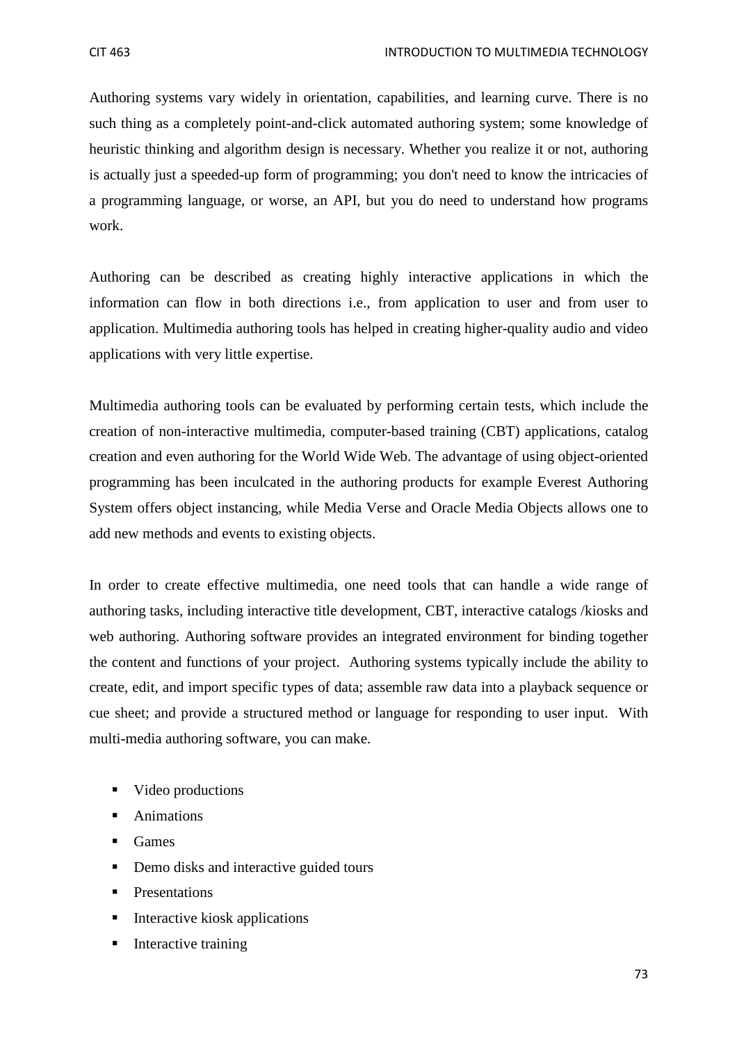Authoring systems vary widely in orientation, capabilities, and learning curve. There is no such thing as a completely point-and-click automated authoring system; some knowledge of heuristic thinking and algorithm design is necessary. Whether you realize it or not, authoring is actually just a speeded-up form of programming; you don't need to know the intricacies of a programming language, or worse, an API, but you do need to understand how programs work.

Authoring can be described as creating highly interactive applications in which the information can flow in both directions i.e., from application to user and from user to application. Multimedia authoring tools has helped in creating higher-quality audio and video applications with very little expertise.

Multimedia authoring tools can be evaluated by performing certain tests, which include the creation of non-interactive multimedia, computer-based training (CBT) applications, catalog creation and even authoring for the World Wide Web. The advantage of using object-oriented programming has been inculcated in the authoring products for example Everest Authoring System offers object instancing, while Media Verse and Oracle Media Objects allows one to add new methods and events to existing objects.

In order to create effective multimedia, one need tools that can handle a wide range of authoring tasks, including interactive title development, CBT, interactive catalogs /kiosks and web authoring. Authoring software provides an integrated environment for binding together the content and functions of your project. Authoring systems typically include the ability to create, edit, and import specific types of data; assemble raw data into a playback sequence or cue sheet; and provide a structured method or language for responding to user input. With multi-media authoring software, you can make.

- video productions
- **Animations**
- **Games**
- Demo disks and interactive guided tours
- **Presentations**
- $\blacksquare$  Interactive kiosk applications
- **I**nteractive training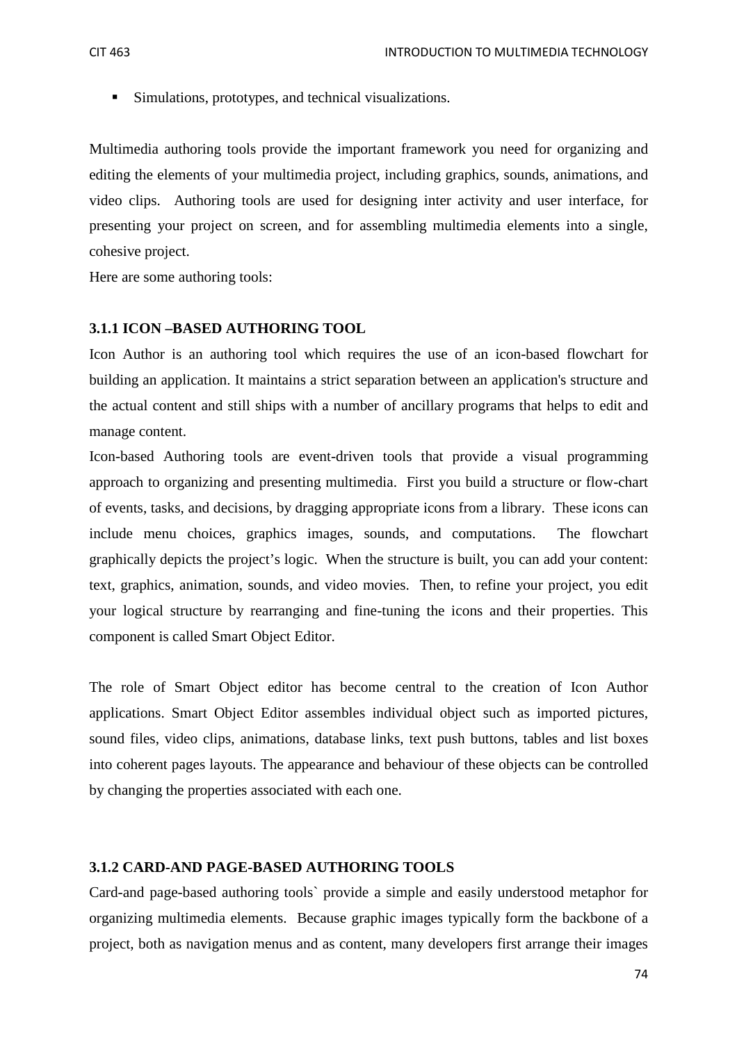Simulations, prototypes, and technical visualizations.

Multimedia authoring tools provide the important framework you need for organizing and editing the elements of your multimedia project, including graphics, sounds, animations, and video clips. Authoring tools are used for designing inter activity and user interface, for presenting your project on screen, and for assembling multimedia elements into a single, cohesive project.

Here are some authoring tools:

#### **3.1.1 ICON –BASED AUTHORING TOOL**

Icon Author is an authoring tool which requires the use of an icon-based flowchart for building an application. It maintains a strict separation between an application's structure and the actual content and still ships with a number of ancillary programs that helps to edit and manage content.

Icon-based Authoring tools are event-driven tools that provide a visual programming approach to organizing and presenting multimedia. First you build a structure or flow-chart of events, tasks, and decisions, by dragging appropriate icons from a library. These icons can include menu choices, graphics images, sounds, and computations. The flowchart graphically depicts the project's logic. When the structure is built, you can add your content: text, graphics, animation, sounds, and video movies. Then, to refine your project, you edit your logical structure by rearranging and fine-tuning the icons and their properties. This component is called Smart Object Editor.

The role of Smart Object editor has become central to the creation of Icon Author applications. Smart Object Editor assembles individual object such as imported pictures, sound files, video clips, animations, database links, text push buttons, tables and list boxes into coherent pages layouts. The appearance and behaviour of these objects can be controlled by changing the properties associated with each one.

#### **3.1.2 CARD-AND PAGE-BASED AUTHORING TOOLS**

Card-and page-based authoring tools` provide a simple and easily understood metaphor for organizing multimedia elements. Because graphic images typically form the backbone of a project, both as navigation menus and as content, many developers first arrange their images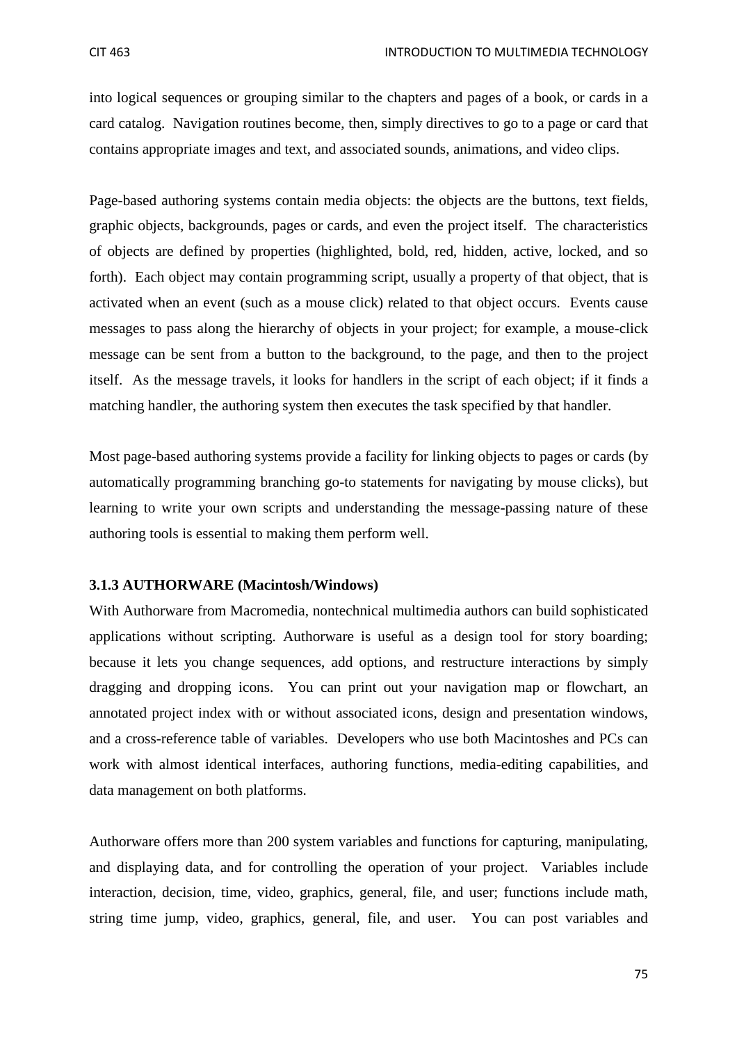into logical sequences or grouping similar to the chapters and pages of a book, or cards in a card catalog. Navigation routines become, then, simply directives to go to a page or card that contains appropriate images and text, and associated sounds, animations, and video clips.

Page-based authoring systems contain media objects: the objects are the buttons, text fields, graphic objects, backgrounds, pages or cards, and even the project itself. The characteristics of objects are defined by properties (highlighted, bold, red, hidden, active, locked, and so forth). Each object may contain programming script, usually a property of that object, that is activated when an event (such as a mouse click) related to that object occurs. Events cause messages to pass along the hierarchy of objects in your project; for example, a mouse-click message can be sent from a button to the background, to the page, and then to the project itself. As the message travels, it looks for handlers in the script of each object; if it finds a matching handler, the authoring system then executes the task specified by that handler.

Most page-based authoring systems provide a facility for linking objects to pages or cards (by automatically programming branching go-to statements for navigating by mouse clicks), but learning to write your own scripts and understanding the message-passing nature of these authoring tools is essential to making them perform well.

#### **3.1.3 AUTHORWARE (Macintosh/Windows)**

With Authorware from Macromedia, nontechnical multimedia authors can build sophisticated applications without scripting. Authorware is useful as a design tool for story boarding; because it lets you change sequences, add options, and restructure interactions by simply dragging and dropping icons. You can print out your navigation map or flowchart, an annotated project index with or without associated icons, design and presentation windows, and a cross-reference table of variables. Developers who use both Macintoshes and PCs can work with almost identical interfaces, authoring functions, media-editing capabilities, and data management on both platforms.

Authorware offers more than 200 system variables and functions for capturing, manipulating, and displaying data, and for controlling the operation of your project. Variables include interaction, decision, time, video, graphics, general, file, and user; functions include math, string time jump, video, graphics, general, file, and user. You can post variables and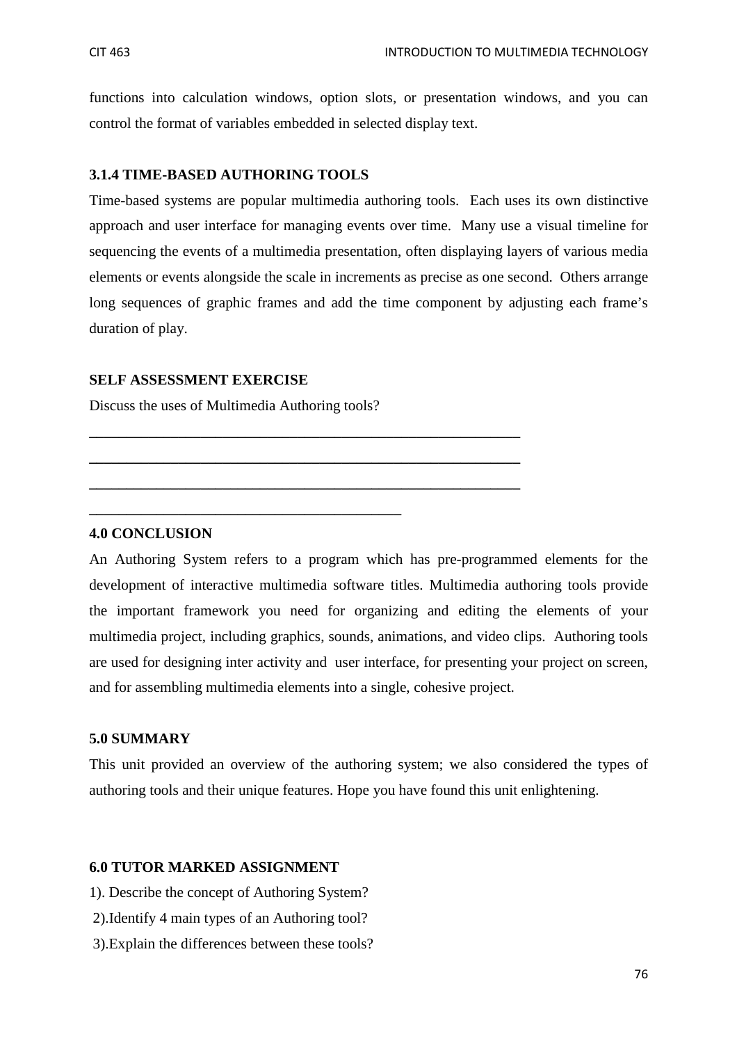functions into calculation windows, option slots, or presentation windows, and you can control the format of variables embedded in selected display text.

### **3.1.4 TIME-BASED AUTHORING TOOLS**

Time-based systems are popular multimedia authoring tools. Each uses its own distinctive approach and user interface for managing events over time. Many use a visual timeline for sequencing the events of a multimedia presentation, often displaying layers of various media elements or events alongside the scale in increments as precise as one second. Others arrange long sequences of graphic frames and add the time component by adjusting each frame's duration of play.

### **SELF ASSESSMENT EXERCISE**

Discuss the uses of Multimedia Authoring tools?

**\_\_\_\_\_\_\_\_\_\_\_\_\_\_\_\_\_\_\_\_\_\_\_\_\_\_\_\_\_\_\_\_\_\_\_\_\_\_\_\_\_\_** 

**\_\_\_\_\_\_\_\_\_\_\_\_\_\_\_\_\_\_\_\_\_\_\_\_\_\_\_\_\_\_\_\_\_\_\_\_\_\_\_\_\_\_\_\_\_\_\_\_\_\_\_\_\_\_\_\_\_\_** 

**\_\_\_\_\_\_\_\_\_\_\_\_\_\_\_\_\_\_\_\_\_\_\_\_\_\_\_\_\_\_\_\_\_\_\_\_\_\_\_\_\_\_\_\_\_\_\_\_\_\_\_\_\_\_\_\_\_\_** 

**\_\_\_\_\_\_\_\_\_\_\_\_\_\_\_\_\_\_\_\_\_\_\_\_\_\_\_\_\_\_\_\_\_\_\_\_\_\_\_\_\_\_\_\_\_\_\_\_\_\_\_\_\_\_\_\_\_\_** 

#### **4.0 CONCLUSION**

An Authoring System refers to a program which has pre-programmed elements for the development of interactive multimedia software titles. Multimedia authoring tools provide the important framework you need for organizing and editing the elements of your multimedia project, including graphics, sounds, animations, and video clips. Authoring tools are used for designing inter activity and user interface, for presenting your project on screen, and for assembling multimedia elements into a single, cohesive project.

#### **5.0 SUMMARY**

This unit provided an overview of the authoring system; we also considered the types of authoring tools and their unique features. Hope you have found this unit enlightening.

### **6.0 TUTOR MARKED ASSIGNMENT**

- 1). Describe the concept of Authoring System?
- 2).Identify 4 main types of an Authoring tool?
- 3).Explain the differences between these tools?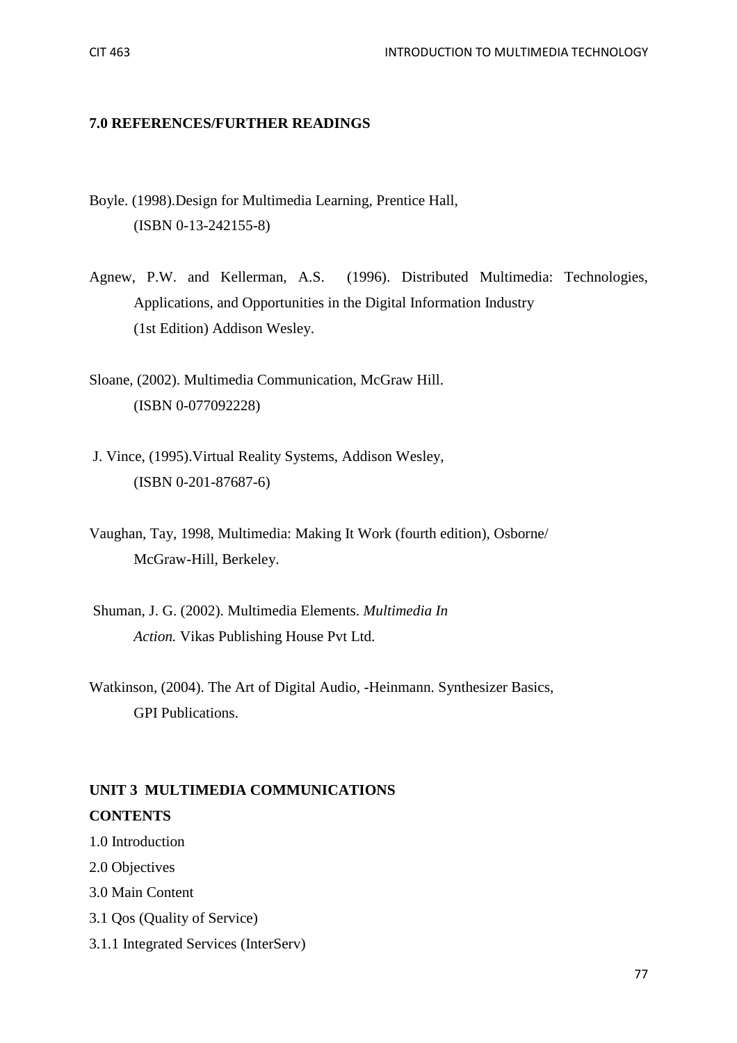#### **7.0 REFERENCES/FURTHER READINGS**

- Boyle. (1998).Design for Multimedia Learning, Prentice Hall, (ISBN 0-13-242155-8)
- Agnew, P.W. and Kellerman, A.S. (1996). Distributed Multimedia: Technologies, Applications, and Opportunities in the Digital Information Industry (1st Edition) Addison Wesley.
- Sloane, (2002). Multimedia Communication, McGraw Hill. (ISBN 0-077092228)
- J. Vince, (1995).Virtual Reality Systems, Addison Wesley, (ISBN 0-201-87687-6)
- Vaughan, Tay, 1998, Multimedia: Making It Work (fourth edition), Osborne/ McGraw-Hill, Berkeley.
- Shuman, J. G. (2002). Multimedia Elements. *Multimedia In Action.* Vikas Publishing House Pvt Ltd.
- Watkinson, (2004). The Art of Digital Audio, -Heinmann. Synthesizer Basics, GPI Publications.

# **UNIT 3 MULTIMEDIA COMMUNICATIONS CONTENTS**

- 1.0 Introduction
- 2.0 Objectives
- 3.0 Main Content
- 3.1 Qos (Quality of Service)
- 3.1.1 Integrated Services (InterServ)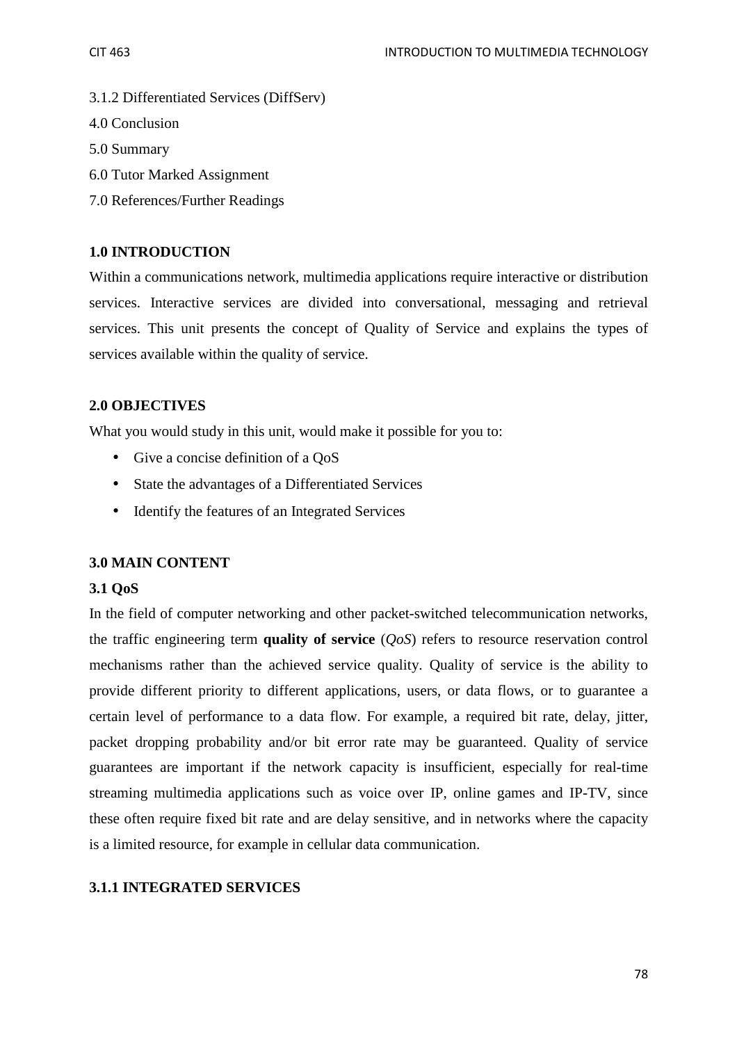- 3.1.2 Differentiated Services (DiffServ)
- 4.0 Conclusion
- 5.0 Summary
- 6.0 Tutor Marked Assignment
- 7.0 References/Further Readings

### **1.0 INTRODUCTION**

Within a communications network, multimedia applications require interactive or distribution services. Interactive services are divided into conversational, messaging and retrieval services. This unit presents the concept of Quality of Service and explains the types of services available within the quality of service.

### **2.0 OBJECTIVES**

What you would study in this unit, would make it possible for you to:

- Give a concise definition of a OoS
- State the advantages of a Differentiated Services
- Identify the features of an Integrated Services

### **3.0 MAIN CONTENT**

### **3.1 QoS**

In the field of computer networking and other packet-switched telecommunication networks, the traffic engineering term **quality of service** (*QoS*) refers to resource reservation control mechanisms rather than the achieved service quality. Quality of service is the ability to provide different priority to different applications, users, or data flows, or to guarantee a certain level of performance to a data flow. For example, a required bit rate, delay, jitter, packet dropping probability and/or bit error rate may be guaranteed. Quality of service guarantees are important if the network capacity is insufficient, especially for real-time streaming multimedia applications such as voice over IP, online games and IP-TV, since these often require fixed bit rate and are delay sensitive, and in networks where the capacity is a limited resource, for example in cellular data communication.

### **3.1.1 INTEGRATED SERVICES**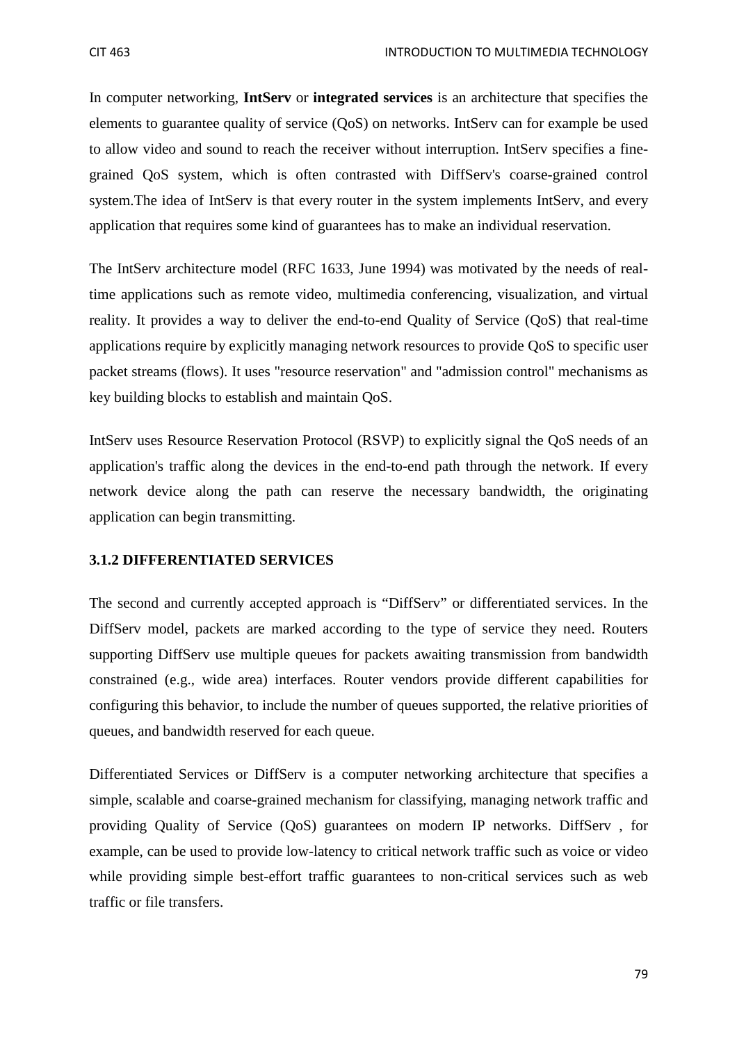In computer networking, **IntServ** or **integrated services** is an architecture that specifies the elements to guarantee quality of service (QoS) on networks. IntServ can for example be used to allow video and sound to reach the receiver without interruption. IntServ specifies a finegrained QoS system, which is often contrasted with DiffServ's coarse-grained control system.The idea of IntServ is that every router in the system implements IntServ, and every application that requires some kind of guarantees has to make an individual reservation.

The IntServ architecture model (RFC 1633, June 1994) was motivated by the needs of realtime applications such as remote video, multimedia conferencing, visualization, and virtual reality. It provides a way to deliver the end-to-end Quality of Service (QoS) that real-time applications require by explicitly managing network resources to provide QoS to specific user packet streams (flows). It uses "resource reservation" and "admission control" mechanisms as key building blocks to establish and maintain QoS.

IntServ uses Resource Reservation Protocol (RSVP) to explicitly signal the QoS needs of an application's traffic along the devices in the end-to-end path through the network. If every network device along the path can reserve the necessary bandwidth, the originating application can begin transmitting.

#### **3.1.2 DIFFERENTIATED SERVICES**

The second and currently accepted approach is "DiffServ" or differentiated services. In the DiffServ model, packets are marked according to the type of service they need. Routers supporting DiffServ use multiple queues for packets awaiting transmission from bandwidth constrained (e.g., wide area) interfaces. Router vendors provide different capabilities for configuring this behavior, to include the number of queues supported, the relative priorities of queues, and bandwidth reserved for each queue.

Differentiated Services or DiffServ is a computer networking architecture that specifies a simple, scalable and coarse-grained mechanism for classifying, managing network traffic and providing Quality of Service (QoS) guarantees on modern IP networks. DiffServ , for example, can be used to provide low-latency to critical network traffic such as voice or video while providing simple best-effort traffic guarantees to non-critical services such as web traffic or file transfers.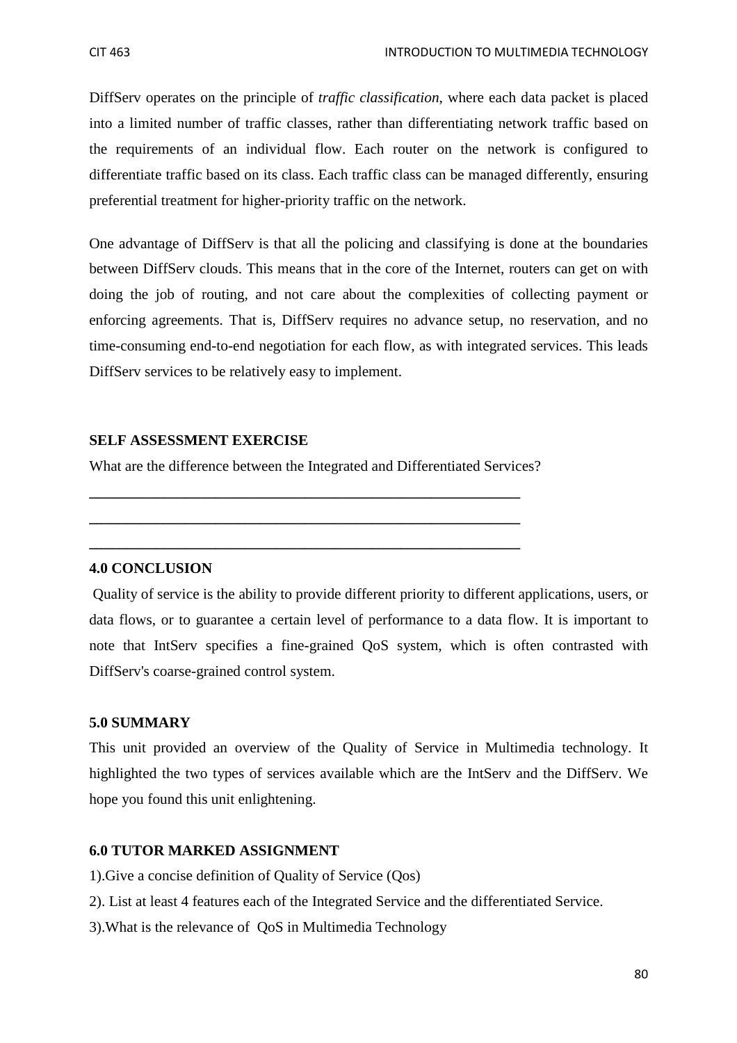DiffServ operates on the principle of *traffic classification*, where each data packet is placed into a limited number of traffic classes, rather than differentiating network traffic based on the requirements of an individual flow. Each router on the network is configured to differentiate traffic based on its class. Each traffic class can be managed differently, ensuring preferential treatment for higher-priority traffic on the network.

One advantage of DiffServ is that all the policing and classifying is done at the boundaries between DiffServ clouds. This means that in the core of the Internet, routers can get on with doing the job of routing, and not care about the complexities of collecting payment or enforcing agreements. That is, DiffServ requires no advance setup, no reservation, and no time-consuming end-to-end negotiation for each flow, as with integrated services. This leads DiffServ services to be relatively easy to implement.

#### **SELF ASSESSMENT EXERCISE**

What are the difference between the Integrated and Differentiated Services?

**\_\_\_\_\_\_\_\_\_\_\_\_\_\_\_\_\_\_\_\_\_\_\_\_\_\_\_\_\_\_\_\_\_\_\_\_\_\_\_\_\_\_\_\_\_\_\_\_\_\_\_\_\_\_\_\_\_\_** 

**\_\_\_\_\_\_\_\_\_\_\_\_\_\_\_\_\_\_\_\_\_\_\_\_\_\_\_\_\_\_\_\_\_\_\_\_\_\_\_\_\_\_\_\_\_\_\_\_\_\_\_\_\_\_\_\_\_\_** 

**\_\_\_\_\_\_\_\_\_\_\_\_\_\_\_\_\_\_\_\_\_\_\_\_\_\_\_\_\_\_\_\_\_\_\_\_\_\_\_\_\_\_\_\_\_\_\_\_\_\_\_\_\_\_\_\_\_\_** 

#### **4.0 CONCLUSION**

 Quality of service is the ability to provide different priority to different applications, users, or data flows, or to guarantee a certain level of performance to a data flow. It is important to note that IntServ specifies a fine-grained QoS system, which is often contrasted with DiffServ's coarse-grained control system.

#### **5.0 SUMMARY**

This unit provided an overview of the Quality of Service in Multimedia technology. It highlighted the two types of services available which are the IntServ and the DiffServ. We hope you found this unit enlightening.

### **6.0 TUTOR MARKED ASSIGNMENT**

- 1).Give a concise definition of Quality of Service (Qos)
- 2). List at least 4 features each of the Integrated Service and the differentiated Service.
- 3).What is the relevance of QoS in Multimedia Technology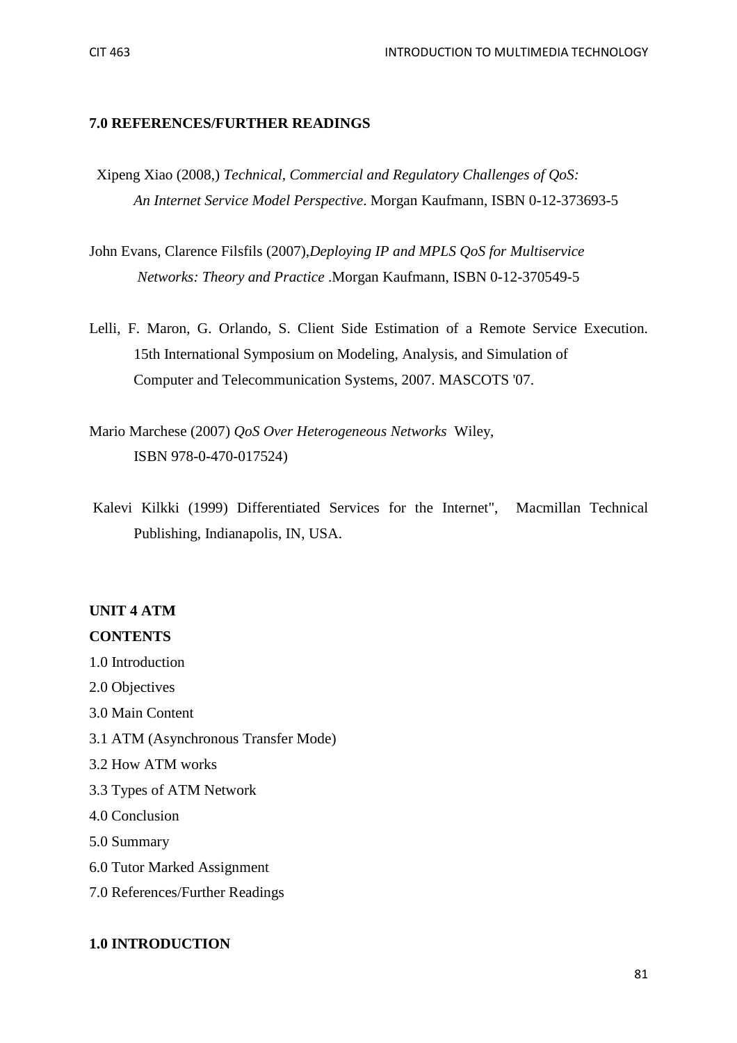#### **7.0 REFERENCES/FURTHER READINGS**

- Xipeng Xiao (2008,) *Technical, Commercial and Regulatory Challenges of QoS: An Internet Service Model Perspective*. Morgan Kaufmann, ISBN 0-12-373693-5
- John Evans, Clarence Filsfils (2007),*Deploying IP and MPLS QoS for Multiservice Networks: Theory and Practice* .Morgan Kaufmann, ISBN 0-12-370549-5
- Lelli, F. Maron, G. Orlando, S. Client Side Estimation of a Remote Service Execution. 15th International Symposium on Modeling, Analysis, and Simulation of Computer and Telecommunication Systems, 2007. MASCOTS '07.

Mario Marchese (2007) *QoS Over Heterogeneous Networks* Wiley, ISBN 978-0-470-017524)

 Kalevi Kilkki (1999) Differentiated Services for the Internet", Macmillan Technical Publishing, Indianapolis, IN, USA.

### **UNIT 4 ATM**

### **CONTENTS**

- 1.0 Introduction
- 2.0 Objectives
- 3.0 Main Content
- 3.1 ATM (Asynchronous Transfer Mode)
- 3.2 How ATM works
- 3.3 Types of ATM Network
- 4.0 Conclusion
- 5.0 Summary
- 6.0 Tutor Marked Assignment
- 7.0 References/Further Readings

#### **1.0 INTRODUCTION**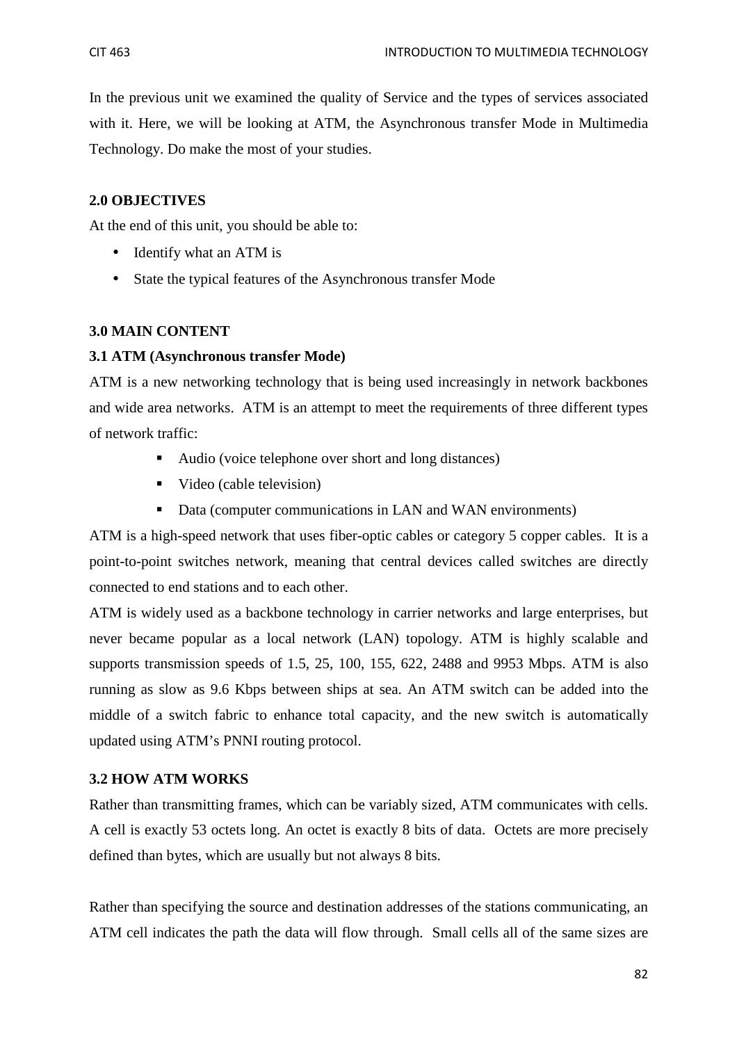In the previous unit we examined the quality of Service and the types of services associated with it. Here, we will be looking at ATM, the Asynchronous transfer Mode in Multimedia Technology. Do make the most of your studies.

#### **2.0 OBJECTIVES**

At the end of this unit, you should be able to:

- Identify what an ATM is
- State the typical features of the Asynchronous transfer Mode

#### **3.0 MAIN CONTENT**

#### **3.1 ATM (Asynchronous transfer Mode)**

ATM is a new networking technology that is being used increasingly in network backbones and wide area networks. ATM is an attempt to meet the requirements of three different types of network traffic:

- Audio (voice telephone over short and long distances)
- Video (cable television)
- Data (computer communications in LAN and WAN environments)

ATM is a high-speed network that uses fiber-optic cables or category 5 copper cables. It is a point-to-point switches network, meaning that central devices called switches are directly connected to end stations and to each other.

ATM is widely used as a backbone technology in carrier networks and large enterprises, but never became popular as a local network (LAN) topology. ATM is highly scalable and supports transmission speeds of 1.5, 25, 100, 155, 622, 2488 and 9953 Mbps. ATM is also running as slow as 9.6 Kbps between ships at sea. An ATM switch can be added into the middle of a switch fabric to enhance total capacity, and the new switch is automatically updated using ATM's PNNI routing protocol.

#### **3.2 HOW ATM WORKS**

Rather than transmitting frames, which can be variably sized, ATM communicates with cells. A cell is exactly 53 octets long. An octet is exactly 8 bits of data. Octets are more precisely defined than bytes, which are usually but not always 8 bits.

Rather than specifying the source and destination addresses of the stations communicating, an ATM cell indicates the path the data will flow through. Small cells all of the same sizes are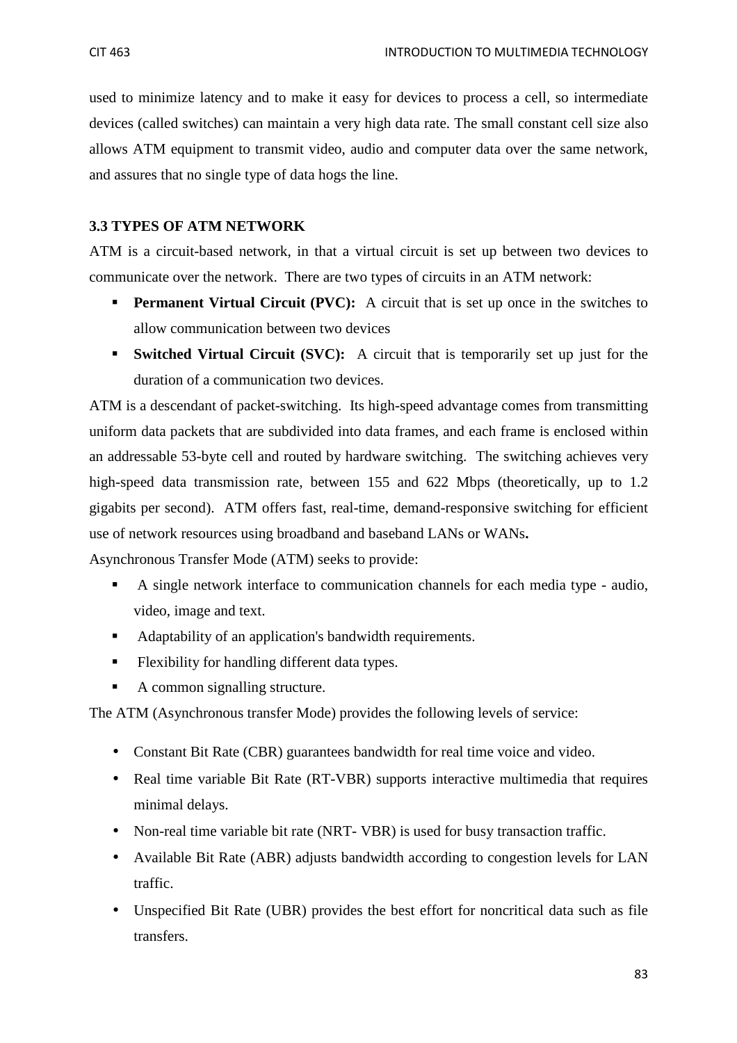used to minimize latency and to make it easy for devices to process a cell, so intermediate devices (called switches) can maintain a very high data rate. The small constant cell size also allows ATM equipment to transmit video, audio and computer data over the same network, and assures that no single type of data hogs the line.

#### **3.3 TYPES OF ATM NETWORK**

ATM is a circuit-based network, in that a virtual circuit is set up between two devices to communicate over the network. There are two types of circuits in an ATM network:

- **Permanent Virtual Circuit (PVC):** A circuit that is set up once in the switches to allow communication between two devices
- **Switched Virtual Circuit (SVC):** A circuit that is temporarily set up just for the duration of a communication two devices.

ATM is a descendant of packet-switching. Its high-speed advantage comes from transmitting uniform data packets that are subdivided into data frames, and each frame is enclosed within an addressable 53-byte cell and routed by hardware switching. The switching achieves very high-speed data transmission rate, between 155 and 622 Mbps (theoretically, up to 1.2) gigabits per second). ATM offers fast, real-time, demand-responsive switching for efficient use of network resources using broadband and baseband LANs or WANs**.** 

Asynchronous Transfer Mode (ATM) seeks to provide:

- A single network interface to communication channels for each media type audio, video, image and text.
- Adaptability of an application's bandwidth requirements.
- **Flexibility for handling different data types.**
- A common signalling structure.

The ATM (Asynchronous transfer Mode) provides the following levels of service:

- Constant Bit Rate (CBR) guarantees bandwidth for real time voice and video.
- Real time variable Bit Rate (RT-VBR) supports interactive multimedia that requires minimal delays.
- Non-real time variable bit rate (NRT- VBR) is used for busy transaction traffic.
- Available Bit Rate (ABR) adjusts bandwidth according to congestion levels for LAN traffic.
- Unspecified Bit Rate (UBR) provides the best effort for noncritical data such as file transfers.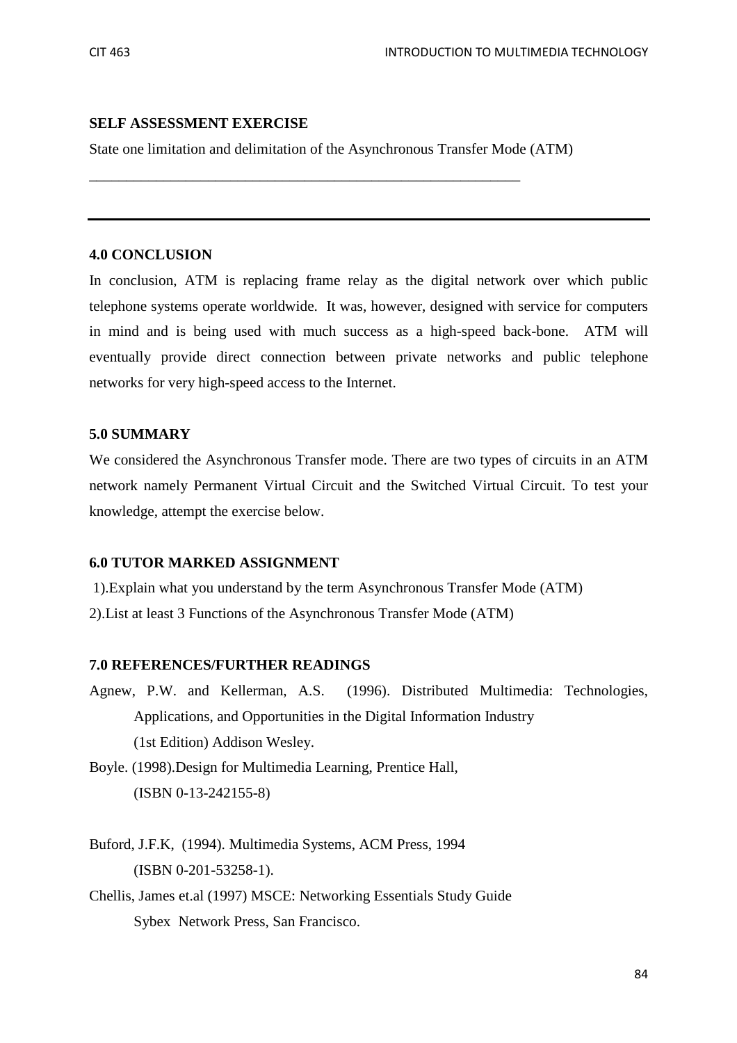#### **SELF ASSESSMENT EXERCISE**

State one limitation and delimitation of the Asynchronous Transfer Mode (ATM)

\_\_\_\_\_\_\_\_\_\_\_\_\_\_\_\_\_\_\_\_\_\_\_\_\_\_\_\_\_\_\_\_\_\_\_\_\_\_\_\_\_\_\_\_\_\_\_\_\_\_\_\_\_\_\_\_\_\_

#### **4.0 CONCLUSION**

In conclusion, ATM is replacing frame relay as the digital network over which public telephone systems operate worldwide. It was, however, designed with service for computers in mind and is being used with much success as a high-speed back-bone. ATM will eventually provide direct connection between private networks and public telephone networks for very high-speed access to the Internet.

#### **5.0 SUMMARY**

We considered the Asynchronous Transfer mode. There are two types of circuits in an ATM network namely Permanent Virtual Circuit and the Switched Virtual Circuit. To test your knowledge, attempt the exercise below.

### **6.0 TUTOR MARKED ASSIGNMENT**

 1).Explain what you understand by the term Asynchronous Transfer Mode (ATM) 2).List at least 3 Functions of the Asynchronous Transfer Mode (ATM)

#### **7.0 REFERENCES/FURTHER READINGS**

- Agnew, P.W. and Kellerman, A.S. (1996). Distributed Multimedia: Technologies, Applications, and Opportunities in the Digital Information Industry (1st Edition) Addison Wesley.
- Boyle. (1998).Design for Multimedia Learning, Prentice Hall, (ISBN 0-13-242155-8)
- Buford, J.F.K, (1994). Multimedia Systems, ACM Press, 1994 (ISBN 0-201-53258-1).
- Chellis, James et.al (1997) MSCE: Networking Essentials Study Guide Sybex Network Press, San Francisco.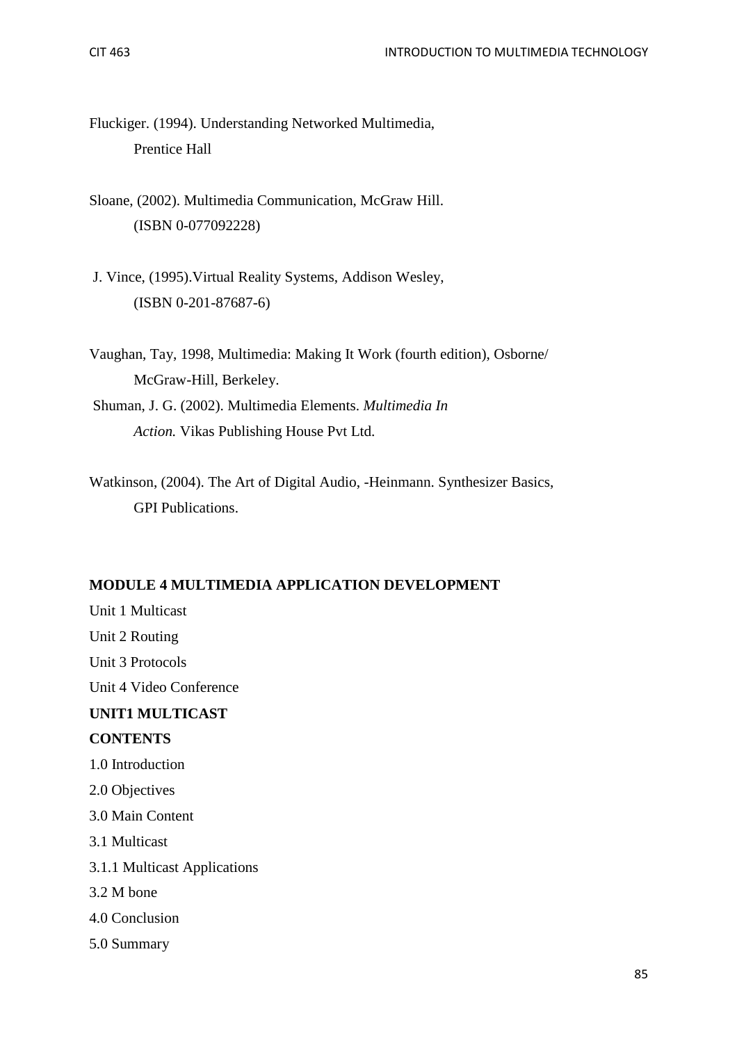Fluckiger. (1994). Understanding Networked Multimedia, Prentice Hall

- Sloane, (2002). Multimedia Communication, McGraw Hill. (ISBN 0-077092228)
- J. Vince, (1995).Virtual Reality Systems, Addison Wesley, (ISBN 0-201-87687-6)
- Vaughan, Tay, 1998, Multimedia: Making It Work (fourth edition), Osborne/ McGraw-Hill, Berkeley.
- Shuman, J. G. (2002). Multimedia Elements. *Multimedia In Action.* Vikas Publishing House Pvt Ltd.
- Watkinson, (2004). The Art of Digital Audio, -Heinmann. Synthesizer Basics, GPI Publications.

### **MODULE 4 MULTIMEDIA APPLICATION DEVELOPMENT**

Unit 1 Multicast Unit 2 Routing Unit 3 Protocols Unit 4 Video Conference **UNIT1 MULTICAST CONTENTS**  1.0 Introduction 2.0 Objectives 3.0 Main Content 3.1 Multicast 3.1.1 Multicast Applications 3.2 M bone 4.0 Conclusion 5.0 Summary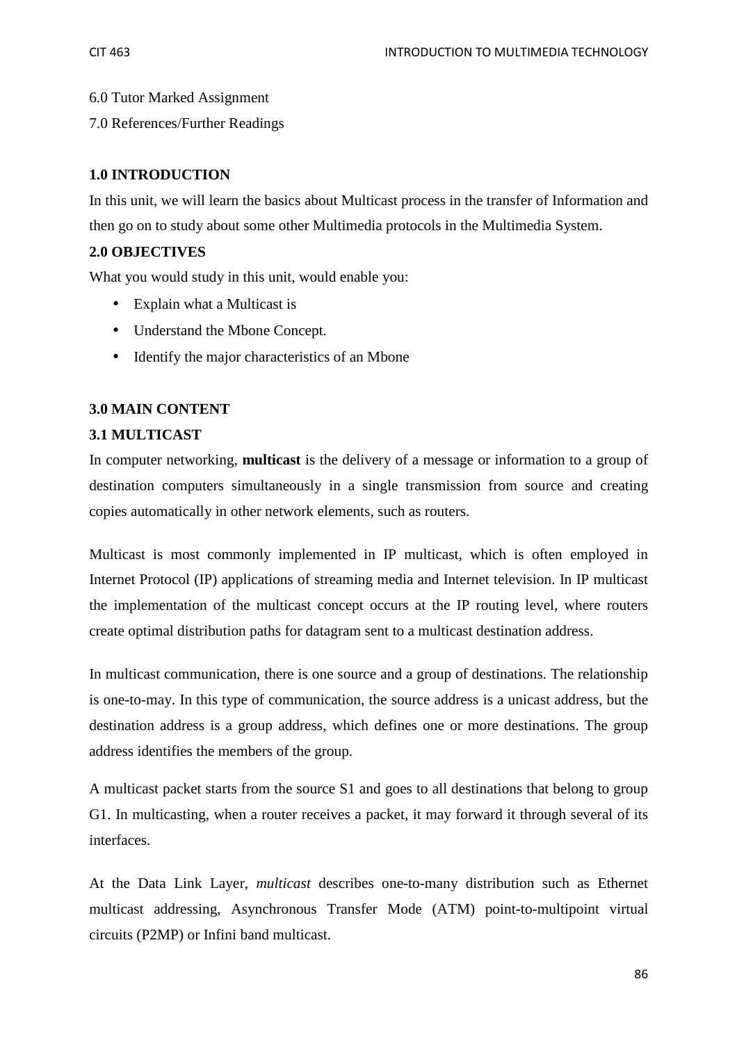6.0 Tutor Marked Assignment

7.0 References/Further Readings

### **1.0 INTRODUCTION**

In this unit, we will learn the basics about Multicast process in the transfer of Information and then go on to study about some other Multimedia protocols in the Multimedia System.

### **2.0 OBJECTIVES**

What you would study in this unit, would enable you:

- Explain what a Multicast is
- Understand the Mbone Concept.
- Identify the major characteristics of an Mbone

### **3.0 MAIN CONTENT**

### **3.1 MULTICAST**

In computer networking, **multicast** is the delivery of a message or information to a group of destination computers simultaneously in a single transmission from source and creating copies automatically in other network elements, such as routers.

Multicast is most commonly implemented in IP multicast, which is often employed in Internet Protocol (IP) applications of streaming media and Internet television. In IP multicast the implementation of the multicast concept occurs at the IP routing level, where routers create optimal distribution paths for datagram sent to a multicast destination address.

In multicast communication, there is one source and a group of destinations. The relationship is one-to-may. In this type of communication, the source address is a unicast address, but the destination address is a group address, which defines one or more destinations. The group address identifies the members of the group.

A multicast packet starts from the source S1 and goes to all destinations that belong to group G1. In multicasting, when a router receives a packet, it may forward it through several of its interfaces.

At the Data Link Layer, *multicast* describes one-to-many distribution such as Ethernet multicast addressing, Asynchronous Transfer Mode (ATM) point-to-multipoint virtual circuits (P2MP) or Infini band multicast.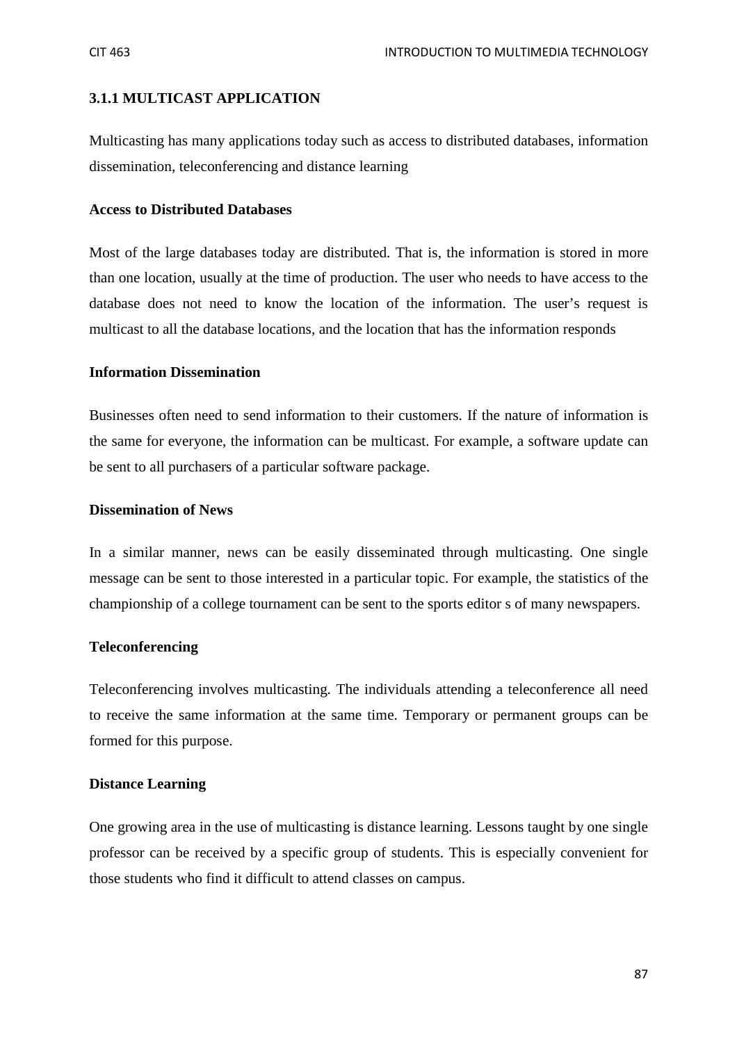### **3.1.1 MULTICAST APPLICATION**

Multicasting has many applications today such as access to distributed databases, information dissemination, teleconferencing and distance learning

#### **Access to Distributed Databases**

Most of the large databases today are distributed. That is, the information is stored in more than one location, usually at the time of production. The user who needs to have access to the database does not need to know the location of the information. The user's request is multicast to all the database locations, and the location that has the information responds

#### **Information Dissemination**

Businesses often need to send information to their customers. If the nature of information is the same for everyone, the information can be multicast. For example, a software update can be sent to all purchasers of a particular software package.

#### **Dissemination of News**

In a similar manner, news can be easily disseminated through multicasting. One single message can be sent to those interested in a particular topic. For example, the statistics of the championship of a college tournament can be sent to the sports editor s of many newspapers.

#### **Teleconferencing**

Teleconferencing involves multicasting. The individuals attending a teleconference all need to receive the same information at the same time. Temporary or permanent groups can be formed for this purpose.

#### **Distance Learning**

One growing area in the use of multicasting is distance learning. Lessons taught by one single professor can be received by a specific group of students. This is especially convenient for those students who find it difficult to attend classes on campus.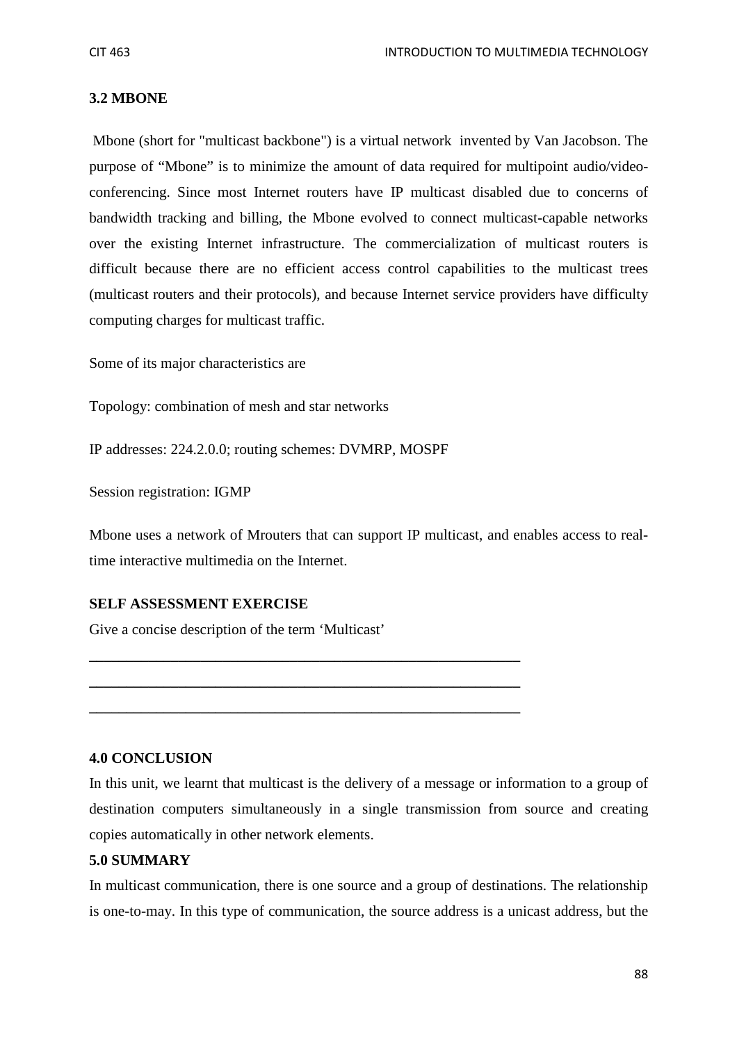### **3.2 MBONE**

Mbone (short for "multicast backbone") is a virtual network invented by Van Jacobson. The purpose of "Mbone" is to minimize the amount of data required for multipoint audio/videoconferencing. Since most Internet routers have IP multicast disabled due to concerns of bandwidth tracking and billing, the Mbone evolved to connect multicast-capable networks over the existing Internet infrastructure. The commercialization of multicast routers is difficult because there are no efficient access control capabilities to the multicast trees (multicast routers and their protocols), and because Internet service providers have difficulty computing charges for multicast traffic.

Some of its major characteristics are

Topology: combination of mesh and star networks

IP addresses: 224.2.0.0; routing schemes: DVMRP, MOSPF

Session registration: IGMP

Mbone uses a network of Mrouters that can support IP multicast, and enables access to realtime interactive multimedia on the Internet.

### **SELF ASSESSMENT EXERCISE**

Give a concise description of the term 'Multicast'

**\_\_\_\_\_\_\_\_\_\_\_\_\_\_\_\_\_\_\_\_\_\_\_\_\_\_\_\_\_\_\_\_\_\_\_\_\_\_\_\_\_\_\_\_\_\_\_\_\_\_\_\_\_\_\_\_\_\_** 

**\_\_\_\_\_\_\_\_\_\_\_\_\_\_\_\_\_\_\_\_\_\_\_\_\_\_\_\_\_\_\_\_\_\_\_\_\_\_\_\_\_\_\_\_\_\_\_\_\_\_\_\_\_\_\_\_\_\_** 

**\_\_\_\_\_\_\_\_\_\_\_\_\_\_\_\_\_\_\_\_\_\_\_\_\_\_\_\_\_\_\_\_\_\_\_\_\_\_\_\_\_\_\_\_\_\_\_\_\_\_\_\_\_\_\_\_\_\_** 

#### **4.0 CONCLUSION**

In this unit, we learnt that multicast is the delivery of a message or information to a group of destination computers simultaneously in a single transmission from source and creating copies automatically in other network elements.

#### **5.0 SUMMARY**

In multicast communication, there is one source and a group of destinations. The relationship is one-to-may. In this type of communication, the source address is a unicast address, but the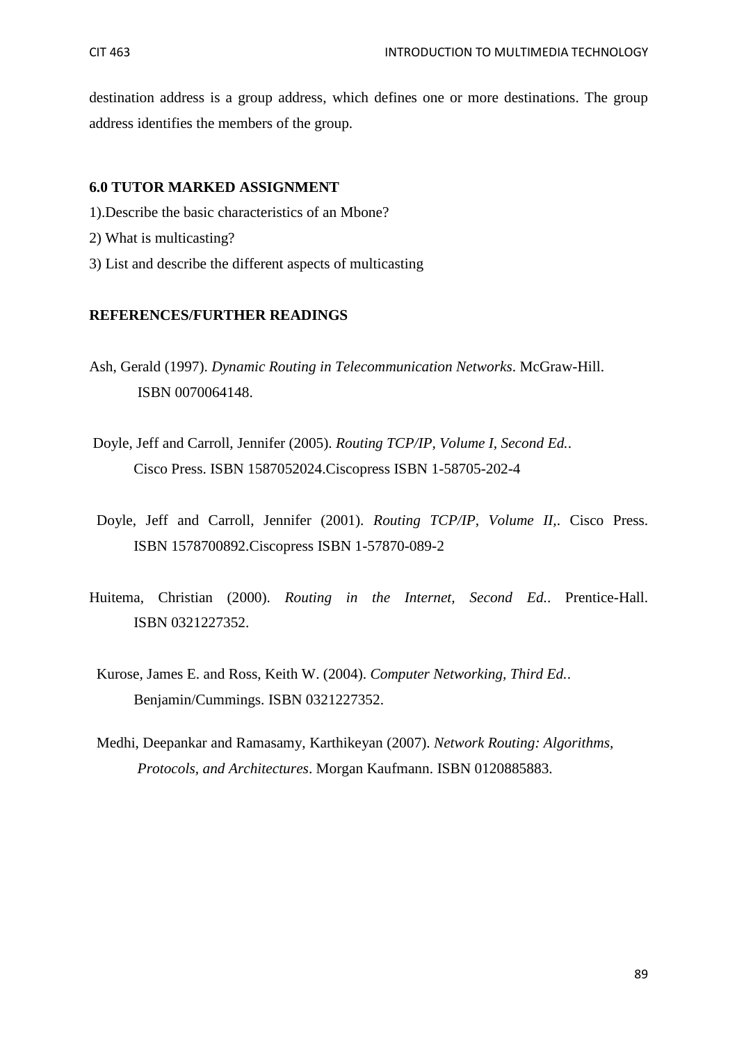destination address is a group address, which defines one or more destinations. The group address identifies the members of the group.

### **6.0 TUTOR MARKED ASSIGNMENT**

- 1).Describe the basic characteristics of an Mbone?
- 2) What is multicasting?
- 3) List and describe the different aspects of multicasting

#### **REFERENCES/FURTHER READINGS**

- Ash, Gerald (1997). *Dynamic Routing in Telecommunication Networks*. McGraw-Hill. ISBN 0070064148.
- Doyle, Jeff and Carroll, Jennifer (2005). *Routing TCP/IP, Volume I, Second Ed.*. Cisco Press. ISBN 1587052024.Ciscopress ISBN 1-58705-202-4
- Doyle, Jeff and Carroll, Jennifer (2001). *Routing TCP/IP, Volume II,*. Cisco Press. ISBN 1578700892.Ciscopress ISBN 1-57870-089-2
- Huitema, Christian (2000). *Routing in the Internet, Second Ed.*. Prentice-Hall. ISBN 0321227352.
	- Kurose, James E. and Ross, Keith W. (2004). *Computer Networking, Third Ed.*. Benjamin/Cummings. ISBN 0321227352.
	- Medhi, Deepankar and Ramasamy, Karthikeyan (2007). *Network Routing: Algorithms, Protocols, and Architectures*. Morgan Kaufmann. ISBN 0120885883.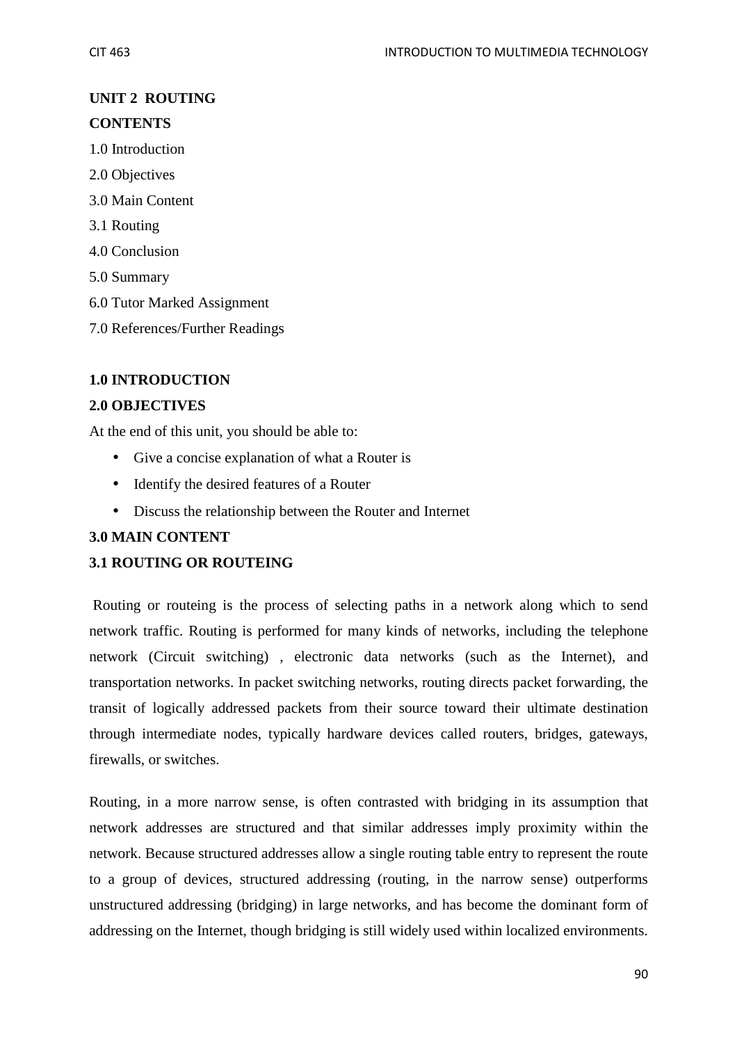## **UNIT 2 ROUTING CONTENTS**

# 1.0 Introduction

- 
- 2.0 Objectives
- 3.0 Main Content
- 3.1 Routing
- 4.0 Conclusion
- 5.0 Summary
- 6.0 Tutor Marked Assignment
- 7.0 References/Further Readings

### **1.0 INTRODUCTION**

### **2.0 OBJECTIVES**

At the end of this unit, you should be able to:

- Give a concise explanation of what a Router is
- Identify the desired features of a Router
- Discuss the relationship between the Router and Internet

### **3.0 MAIN CONTENT**

### **3.1 ROUTING OR ROUTEING**

Routing or routeing is the process of selecting paths in a network along which to send network traffic. Routing is performed for many kinds of networks, including the telephone network (Circuit switching) , electronic data networks (such as the Internet), and transportation networks. In packet switching networks, routing directs packet forwarding, the transit of logically addressed packets from their source toward their ultimate destination through intermediate nodes, typically hardware devices called routers, bridges, gateways, firewalls, or switches.

Routing, in a more narrow sense, is often contrasted with bridging in its assumption that network addresses are structured and that similar addresses imply proximity within the network. Because structured addresses allow a single routing table entry to represent the route to a group of devices, structured addressing (routing, in the narrow sense) outperforms unstructured addressing (bridging) in large networks, and has become the dominant form of addressing on the Internet, though bridging is still widely used within localized environments.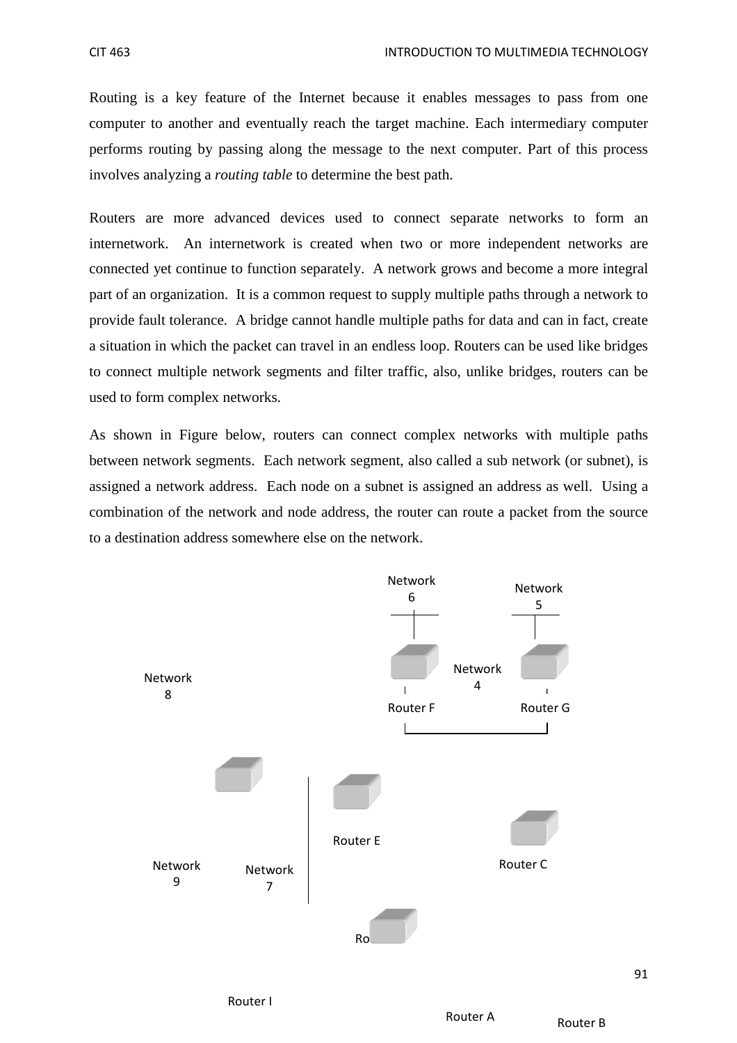Routing is a key feature of the Internet because it enables messages to pass from one computer to another and eventually reach the target machine. Each intermediary computer performs routing by passing along the message to the next computer. Part of this process involves analyzing a *routing table* to determine the best path.

Routers are more advanced devices used to connect separate networks to form an internetwork. An internetwork is created when two or more independent networks are connected yet continue to function separately. A network grows and become a more integral part of an organization. It is a common request to supply multiple paths through a network to provide fault tolerance. A bridge cannot handle multiple paths for data and can in fact, create a situation in which the packet can travel in an endless loop. Routers can be used like bridges to connect multiple network segments and filter traffic, also, unlike bridges, routers can be used to form complex networks.

As shown in Figure below, routers can connect complex networks with multiple paths between network segments. Each network segment, also called a sub network (or subnet), is assigned a network address. Each node on a subnet is assigned an address as well. Using a combination of the network and node address, the router can route a packet from the source to a destination address somewhere else on the network.

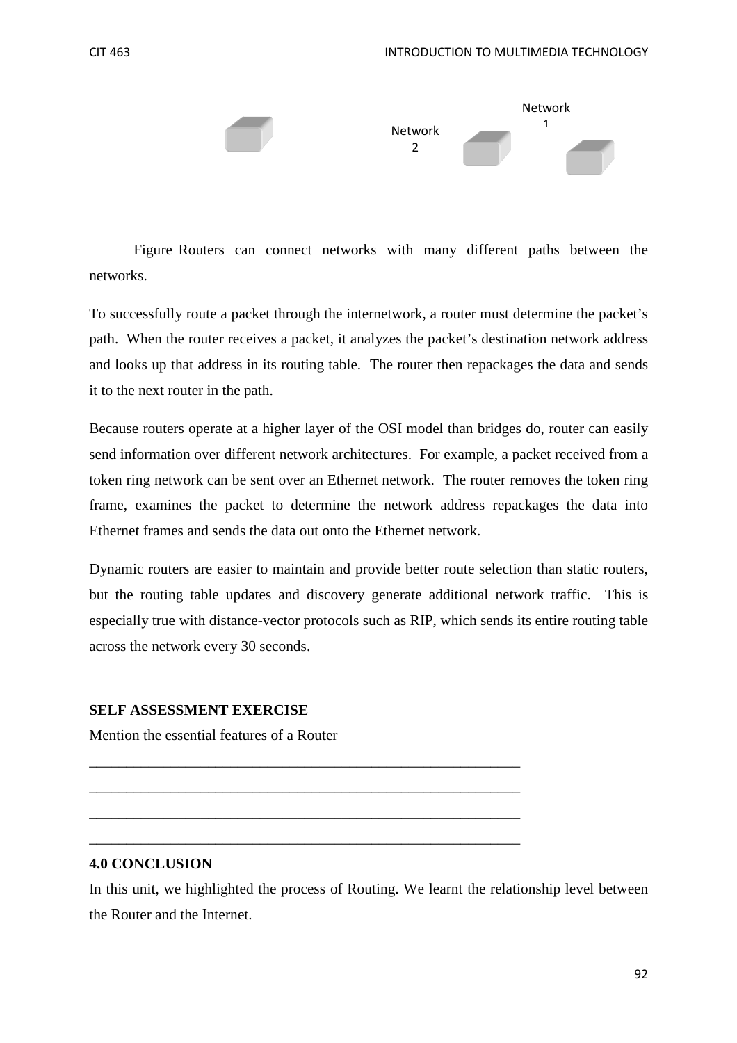



Figure Routers can connect networks with many different paths between the networks.

To successfully route a packet through the internetwork, a router must determine the packet's path. When the router receives a packet, it analyzes the packet's destination network address and looks up that address in its routing table. The router then repackages the data and sends it to the next router in the path.

Because routers operate at a higher layer of the OSI model than bridges do, router can easily send information over different network architectures. For example, a packet received from a token ring network can be sent over an Ethernet network. The router removes the token ring frame, examines the packet to determine the network address repackages the data into Ethernet frames and sends the data out onto the Ethernet network.

Dynamic routers are easier to maintain and provide better route selection than static routers, but the routing table updates and discovery generate additional network traffic. This is especially true with distance-vector protocols such as RIP, which sends its entire routing table across the network every 30 seconds.

#### **SELF ASSESSMENT EXERCISE**

Mention the essential features of a Router

#### **4.0 CONCLUSION**

In this unit, we highlighted the process of Routing. We learnt the relationship level between the Router and the Internet.

\_\_\_\_\_\_\_\_\_\_\_\_\_\_\_\_\_\_\_\_\_\_\_\_\_\_\_\_\_\_\_\_\_\_\_\_\_\_\_\_\_\_\_\_\_\_\_\_\_\_\_\_\_\_\_\_\_\_

\_\_\_\_\_\_\_\_\_\_\_\_\_\_\_\_\_\_\_\_\_\_\_\_\_\_\_\_\_\_\_\_\_\_\_\_\_\_\_\_\_\_\_\_\_\_\_\_\_\_\_\_\_\_\_\_\_\_

\_\_\_\_\_\_\_\_\_\_\_\_\_\_\_\_\_\_\_\_\_\_\_\_\_\_\_\_\_\_\_\_\_\_\_\_\_\_\_\_\_\_\_\_\_\_\_\_\_\_\_\_\_\_\_\_\_\_

\_\_\_\_\_\_\_\_\_\_\_\_\_\_\_\_\_\_\_\_\_\_\_\_\_\_\_\_\_\_\_\_\_\_\_\_\_\_\_\_\_\_\_\_\_\_\_\_\_\_\_\_\_\_\_\_\_\_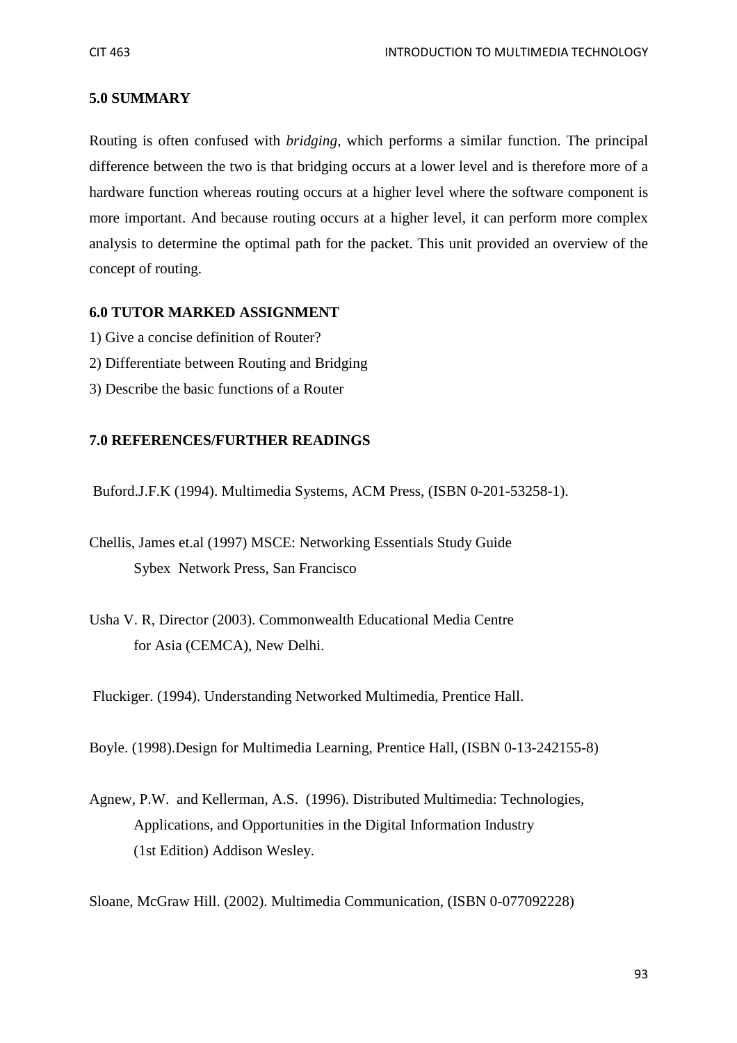### **5.0 SUMMARY**

Routing is often confused with *bridging,* which performs a similar function. The principal difference between the two is that bridging occurs at a lower level and is therefore more of a hardware function whereas routing occurs at a higher level where the software component is more important. And because routing occurs at a higher level, it can perform more complex analysis to determine the optimal path for the packet. This unit provided an overview of the concept of routing.

### **6.0 TUTOR MARKED ASSIGNMENT**

- 1) Give a concise definition of Router?
- 2) Differentiate between Routing and Bridging
- 3) Describe the basic functions of a Router

### **7.0 REFERENCES/FURTHER READINGS**

Buford.J.F.K (1994). Multimedia Systems, ACM Press, (ISBN 0-201-53258-1).

Chellis, James et.al (1997) MSCE: Networking Essentials Study Guide Sybex Network Press, San Francisco

Usha V. R, Director (2003). Commonwealth Educational Media Centre for Asia (CEMCA), New Delhi.

Fluckiger. (1994). Understanding Networked Multimedia, Prentice Hall.

Boyle. (1998).Design for Multimedia Learning, Prentice Hall, (ISBN 0-13-242155-8)

Agnew, P.W. and Kellerman, A.S. (1996). Distributed Multimedia: Technologies, Applications, and Opportunities in the Digital Information Industry (1st Edition) Addison Wesley.

Sloane, McGraw Hill. (2002). Multimedia Communication, (ISBN 0-077092228)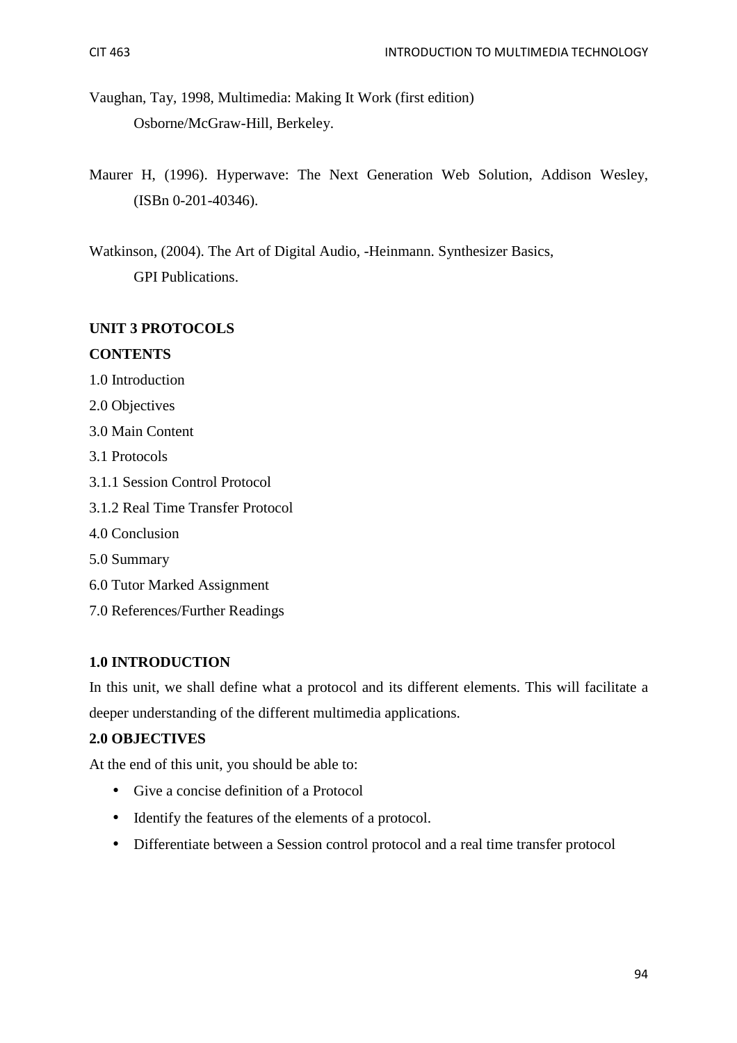- Vaughan, Tay, 1998, Multimedia: Making It Work (first edition) Osborne/McGraw-Hill, Berkeley.
- Maurer H, (1996). Hyperwave: The Next Generation Web Solution, Addison Wesley, (ISBn 0-201-40346).

Watkinson, (2004). The Art of Digital Audio, -Heinmann. Synthesizer Basics, GPI Publications.

### **UNIT 3 PROTOCOLS**

### **CONTENTS**

- 1.0 Introduction
- 2.0 Objectives
- 3.0 Main Content
- 3.1 Protocols
- 3.1.1 Session Control Protocol
- 3.1.2 Real Time Transfer Protocol
- 4.0 Conclusion
- 5.0 Summary
- 6.0 Tutor Marked Assignment
- 7.0 References/Further Readings

### **1.0 INTRODUCTION**

In this unit, we shall define what a protocol and its different elements. This will facilitate a deeper understanding of the different multimedia applications.

### **2.0 OBJECTIVES**

At the end of this unit, you should be able to:

- Give a concise definition of a Protocol
- Identify the features of the elements of a protocol.
- Differentiate between a Session control protocol and a real time transfer protocol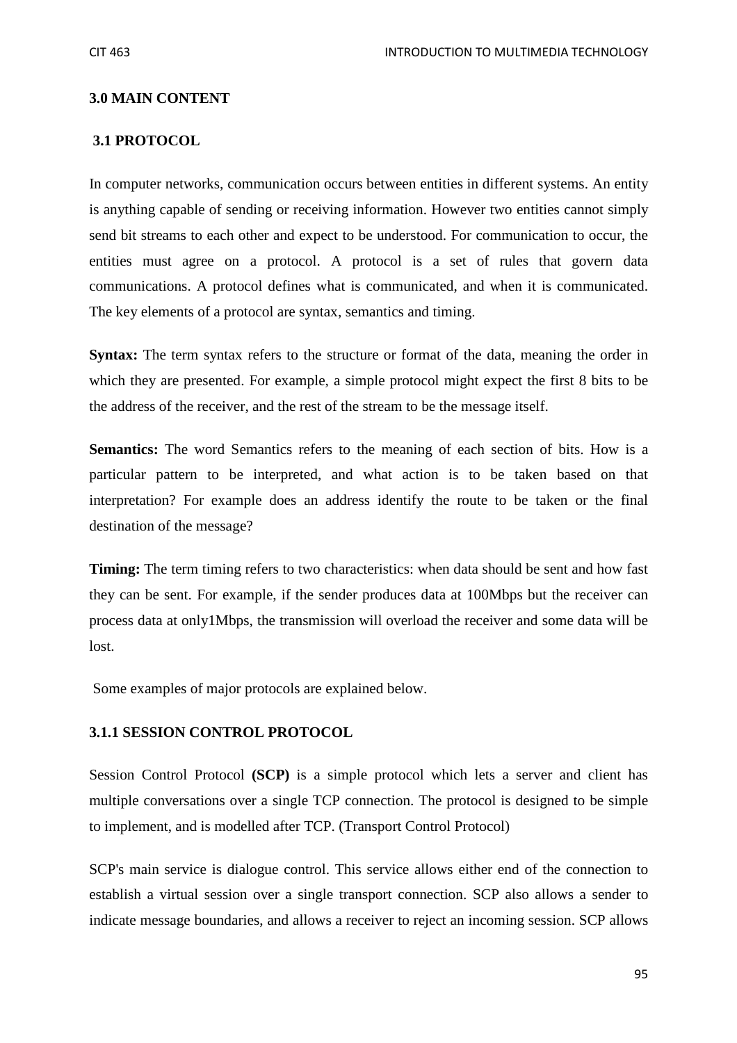#### **3.0 MAIN CONTENT**

#### **3.1 PROTOCOL**

In computer networks, communication occurs between entities in different systems. An entity is anything capable of sending or receiving information. However two entities cannot simply send bit streams to each other and expect to be understood. For communication to occur, the entities must agree on a protocol. A protocol is a set of rules that govern data communications. A protocol defines what is communicated, and when it is communicated. The key elements of a protocol are syntax, semantics and timing.

**Syntax:** The term syntax refers to the structure or format of the data, meaning the order in which they are presented. For example, a simple protocol might expect the first 8 bits to be the address of the receiver, and the rest of the stream to be the message itself.

**Semantics:** The word Semantics refers to the meaning of each section of bits. How is a particular pattern to be interpreted, and what action is to be taken based on that interpretation? For example does an address identify the route to be taken or the final destination of the message?

**Timing:** The term timing refers to two characteristics: when data should be sent and how fast they can be sent. For example, if the sender produces data at 100Mbps but the receiver can process data at only1Mbps, the transmission will overload the receiver and some data will be lost.

Some examples of major protocols are explained below.

#### **3.1.1 SESSION CONTROL PROTOCOL**

Session Control Protocol **(SCP)** is a simple protocol which lets a server and client has multiple conversations over a single TCP connection. The protocol is designed to be simple to implement, and is modelled after TCP. (Transport Control Protocol)

SCP's main service is dialogue control. This service allows either end of the connection to establish a virtual session over a single transport connection. SCP also allows a sender to indicate message boundaries, and allows a receiver to reject an incoming session. SCP allows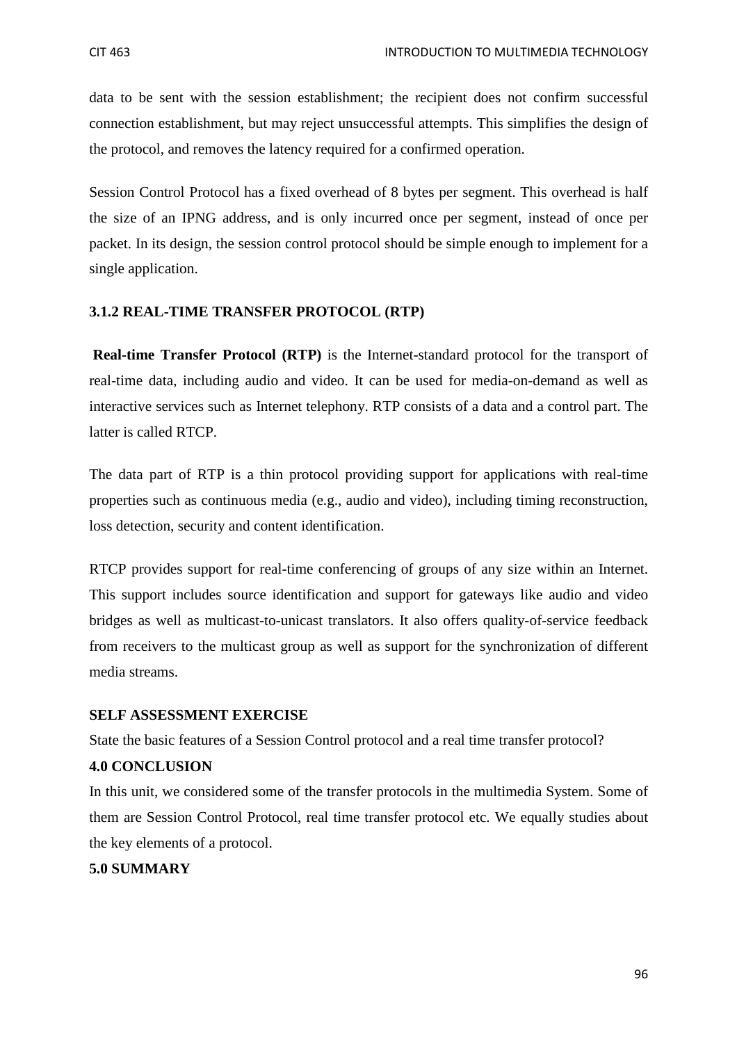data to be sent with the session establishment; the recipient does not confirm successful connection establishment, but may reject unsuccessful attempts. This simplifies the design of the protocol, and removes the latency required for a confirmed operation.

Session Control Protocol has a fixed overhead of 8 bytes per segment. This overhead is half the size of an IPNG address, and is only incurred once per segment, instead of once per packet. In its design, the session control protocol should be simple enough to implement for a single application.

### **3.1.2 REAL-TIME TRANSFER PROTOCOL (RTP)**

 **Real-time Transfer Protocol (RTP)** is the Internet-standard protocol for the transport of real-time data, including audio and video. It can be used for media-on-demand as well as interactive services such as Internet telephony. RTP consists of a data and a control part. The latter is called RTCP.

The data part of RTP is a thin protocol providing support for applications with real-time properties such as continuous media (e.g., audio and video), including timing reconstruction, loss detection, security and content identification.

RTCP provides support for real-time conferencing of groups of any size within an Internet. This support includes source identification and support for gateways like audio and video bridges as well as multicast-to-unicast translators. It also offers quality-of-service feedback from receivers to the multicast group as well as support for the synchronization of different media streams.

#### **SELF ASSESSMENT EXERCISE**

State the basic features of a Session Control protocol and a real time transfer protocol?

#### **4.0 CONCLUSION**

In this unit, we considered some of the transfer protocols in the multimedia System. Some of them are Session Control Protocol, real time transfer protocol etc. We equally studies about the key elements of a protocol.

### **5.0 SUMMARY**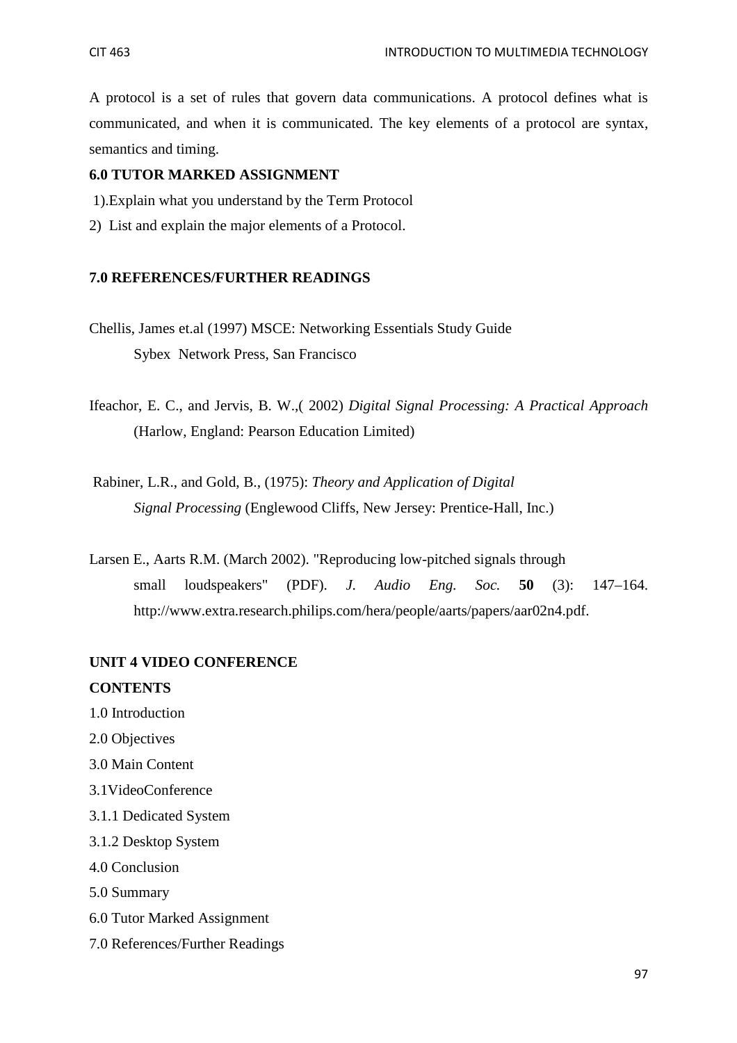A protocol is a set of rules that govern data communications. A protocol defines what is communicated, and when it is communicated. The key elements of a protocol are syntax, semantics and timing.

### **6.0 TUTOR MARKED ASSIGNMENT**

- 1).Explain what you understand by the Term Protocol
- 2) List and explain the major elements of a Protocol.

#### **7.0 REFERENCES/FURTHER READINGS**

- Chellis, James et.al (1997) MSCE: Networking Essentials Study Guide Sybex Network Press, San Francisco
- Ifeachor, E. C., and Jervis, B. W.,( 2002) *Digital Signal Processing: A Practical Approach* (Harlow, England: Pearson Education Limited)
- Rabiner, L.R., and Gold, B., (1975): *Theory and Application of Digital Signal Processing* (Englewood Cliffs, New Jersey: Prentice-Hall, Inc.)
- Larsen E., Aarts R.M. (March 2002). "Reproducing low-pitched signals through small loudspeakers" (PDF). *J. Audio Eng. Soc.* **50** (3): 147–164. http://www.extra.research.philips.com/hera/people/aarts/papers/aar02n4.pdf.

### **UNIT 4 VIDEO CONFERENCE**

#### **CONTENTS**

- 1.0 Introduction
- 2.0 Objectives
- 3.0 Main Content
- 3.1VideoConference
- 3.1.1 Dedicated System
- 3.1.2 Desktop System
- 4.0 Conclusion
- 5.0 Summary
- 6.0 Tutor Marked Assignment
- 7.0 References/Further Readings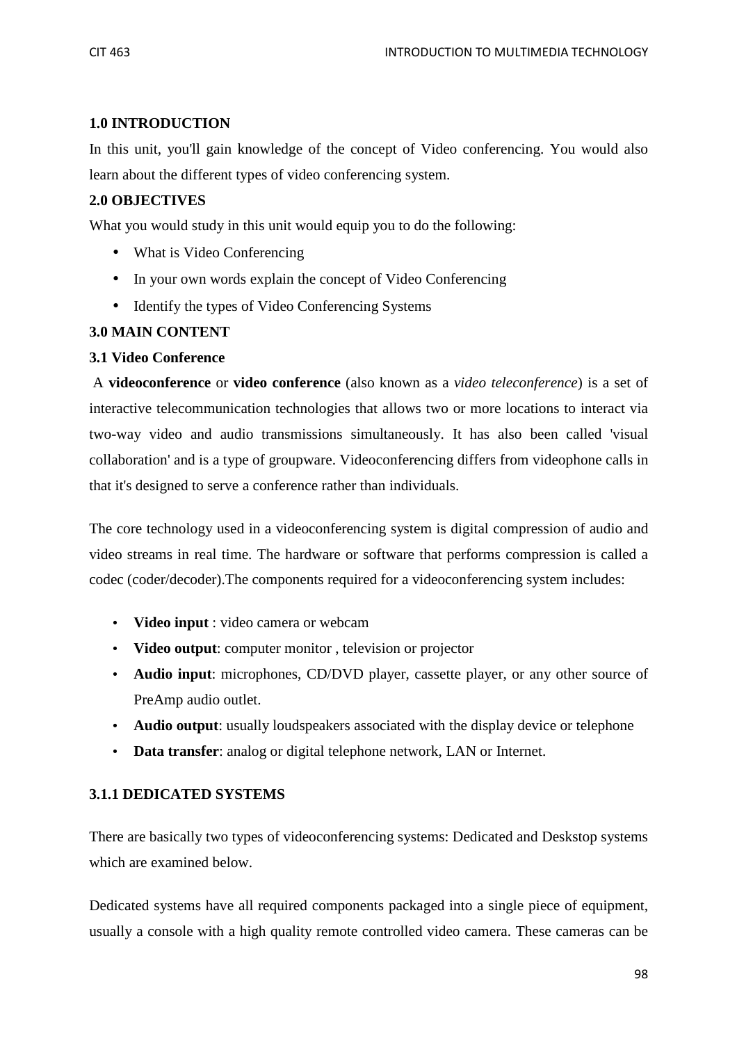### **1.0 INTRODUCTION**

In this unit, you'll gain knowledge of the concept of Video conferencing. You would also learn about the different types of video conferencing system.

### **2.0 OBJECTIVES**

What you would study in this unit would equip you to do the following:

- What is Video Conferencing
- In your own words explain the concept of Video Conferencing
- Identify the types of Video Conferencing Systems

### **3.0 MAIN CONTENT**

### **3.1 Video Conference**

A **videoconference** or **video conference** (also known as a *video teleconference*) is a set of interactive telecommunication technologies that allows two or more locations to interact via two-way video and audio transmissions simultaneously. It has also been called 'visual collaboration' and is a type of groupware. Videoconferencing differs from videophone calls in that it's designed to serve a conference rather than individuals.

The core technology used in a videoconferencing system is digital compression of audio and video streams in real time. The hardware or software that performs compression is called a codec (coder/decoder).The components required for a videoconferencing system includes:

- **Video input** : video camera or webcam
- **Video output**: computer monitor , television or projector
- **Audio input**: microphones, CD/DVD player, cassette player, or any other source of PreAmp audio outlet.
- **Audio output**: usually loudspeakers associated with the display device or telephone
- **Data transfer**: analog or digital telephone network, LAN or Internet.

### **3.1.1 DEDICATED SYSTEMS**

There are basically two types of videoconferencing systems: Dedicated and Deskstop systems which are examined below.

Dedicated systems have all required components packaged into a single piece of equipment, usually a console with a high quality remote controlled video camera. These cameras can be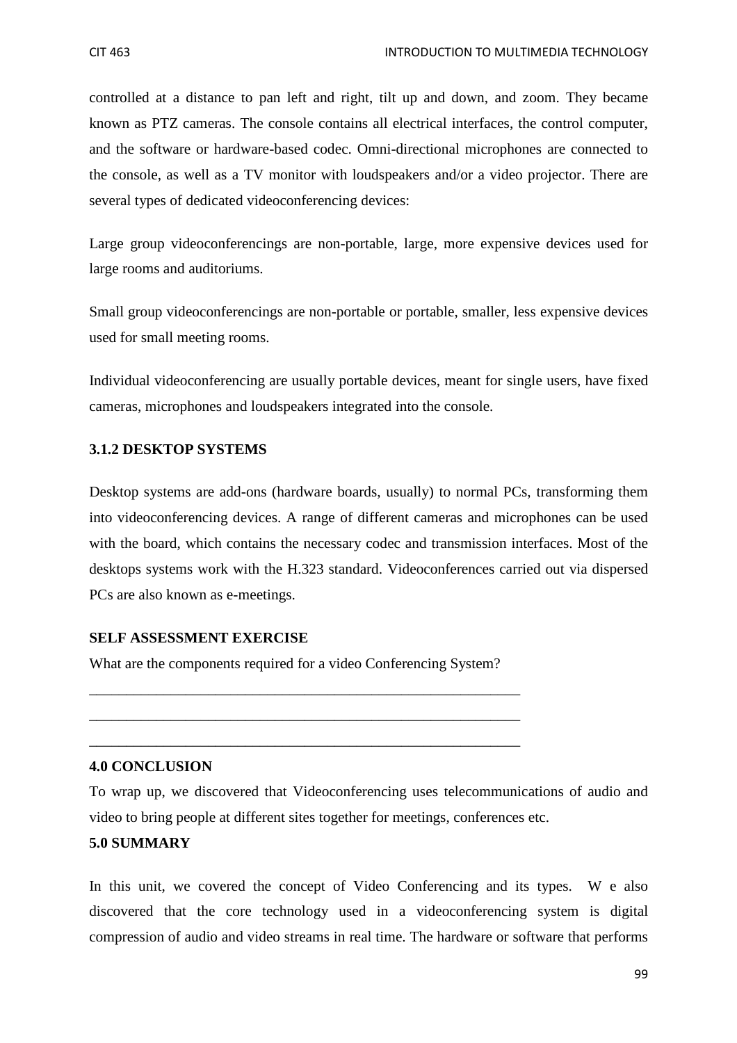controlled at a distance to pan left and right, tilt up and down, and zoom. They became known as PTZ cameras. The console contains all electrical interfaces, the control computer, and the software or hardware-based codec. Omni-directional microphones are connected to the console, as well as a TV monitor with loudspeakers and/or a video projector. There are several types of dedicated videoconferencing devices:

Large group videoconferencings are non-portable, large, more expensive devices used for large rooms and auditoriums.

Small group videoconferencings are non-portable or portable, smaller, less expensive devices used for small meeting rooms.

Individual videoconferencing are usually portable devices, meant for single users, have fixed cameras, microphones and loudspeakers integrated into the console.

#### **3.1.2 DESKTOP SYSTEMS**

Desktop systems are add-ons (hardware boards, usually) to normal PCs, transforming them into videoconferencing devices. A range of different cameras and microphones can be used with the board, which contains the necessary codec and transmission interfaces. Most of the desktops systems work with the H.323 standard. Videoconferences carried out via dispersed PCs are also known as e-meetings.

#### **SELF ASSESSMENT EXERCISE**

What are the components required for a video Conferencing System?

\_\_\_\_\_\_\_\_\_\_\_\_\_\_\_\_\_\_\_\_\_\_\_\_\_\_\_\_\_\_\_\_\_\_\_\_\_\_\_\_\_\_\_\_\_\_\_\_\_\_\_\_\_\_\_\_\_\_

\_\_\_\_\_\_\_\_\_\_\_\_\_\_\_\_\_\_\_\_\_\_\_\_\_\_\_\_\_\_\_\_\_\_\_\_\_\_\_\_\_\_\_\_\_\_\_\_\_\_\_\_\_\_\_\_\_\_

\_\_\_\_\_\_\_\_\_\_\_\_\_\_\_\_\_\_\_\_\_\_\_\_\_\_\_\_\_\_\_\_\_\_\_\_\_\_\_\_\_\_\_\_\_\_\_\_\_\_\_\_\_\_\_\_\_\_

#### **4.0 CONCLUSION**

To wrap up, we discovered that Videoconferencing uses telecommunications of audio and video to bring people at different sites together for meetings, conferences etc.

#### **5.0 SUMMARY**

In this unit, we covered the concept of Video Conferencing and its types. W e also discovered that the core technology used in a videoconferencing system is digital compression of audio and video streams in real time. The hardware or software that performs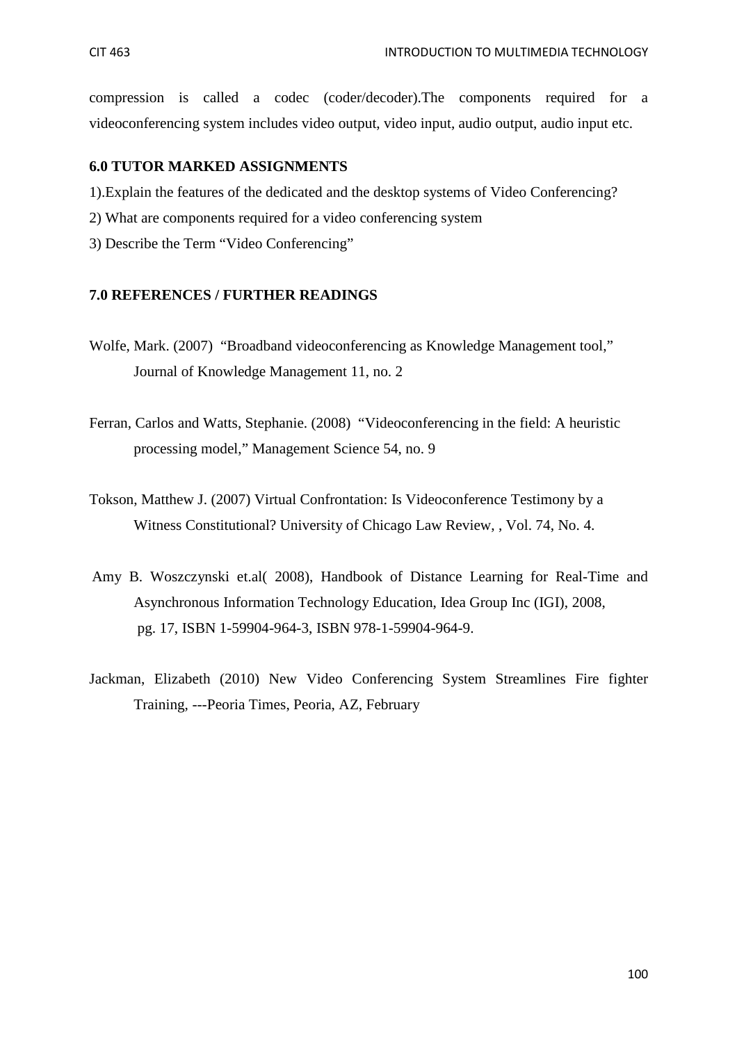compression is called a codec (coder/decoder).The components required for a videoconferencing system includes video output, video input, audio output, audio input etc.

### **6.0 TUTOR MARKED ASSIGNMENTS**

- 1).Explain the features of the dedicated and the desktop systems of Video Conferencing?
- 2) What are components required for a video conferencing system
- 3) Describe the Term "Video Conferencing"

### **7.0 REFERENCES / FURTHER READINGS**

- Wolfe, Mark. (2007) "Broadband videoconferencing as Knowledge Management tool," Journal of Knowledge Management 11, no. 2
- Ferran, Carlos and Watts, Stephanie. (2008) "Videoconferencing in the field: A heuristic processing model," Management Science 54, no. 9
- Tokson, Matthew J. (2007) Virtual Confrontation: Is Videoconference Testimony by a Witness Constitutional? University of Chicago Law Review, , Vol. 74, No. 4.
- Amy B. Woszczynski et.al( 2008), Handbook of Distance Learning for Real-Time and Asynchronous Information Technology Education, Idea Group Inc (IGI), 2008, pg. 17, ISBN 1-59904-964-3, ISBN 978-1-59904-964-9.
- Jackman, Elizabeth (2010) New Video Conferencing System Streamlines Fire fighter Training, ---Peoria Times, Peoria, AZ, February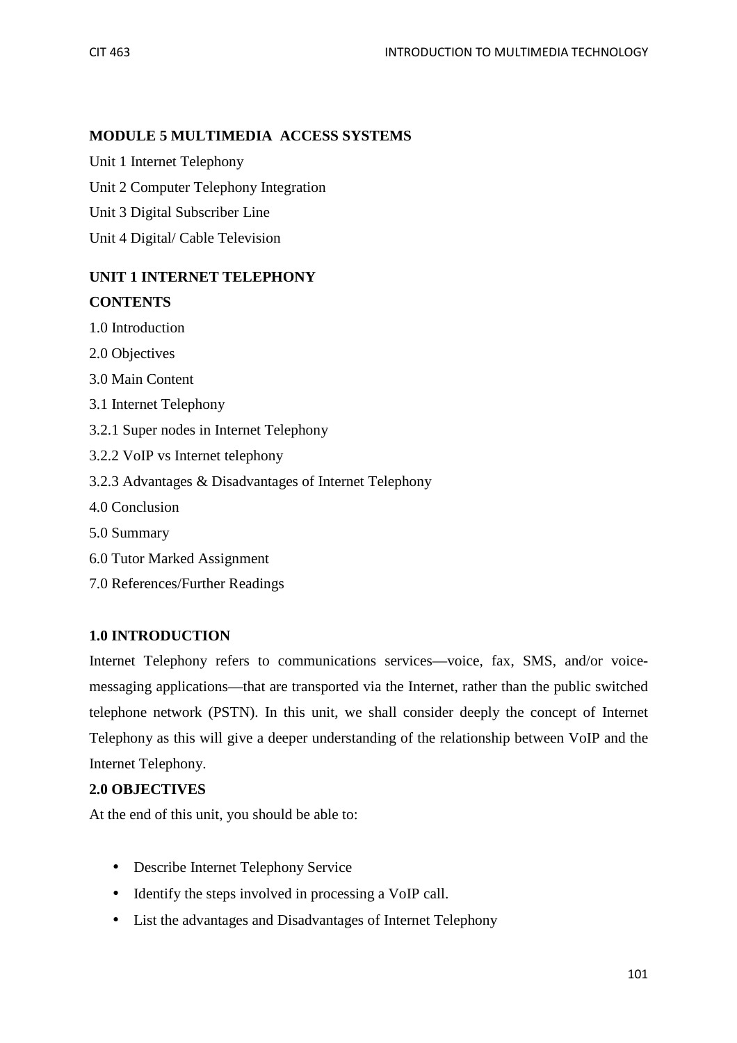### **MODULE 5 MULTIMEDIA ACCESS SYSTEMS**

Unit 1 Internet Telephony

Unit 2 Computer Telephony Integration

Unit 3 Digital Subscriber Line

Unit 4 Digital/ Cable Television

# **UNIT 1 INTERNET TELEPHONY**

### **CONTENTS**

- 1.0 Introduction
- 2.0 Objectives
- 3.0 Main Content
- 3.1 Internet Telephony
- 3.2.1 Super nodes in Internet Telephony
- 3.2.2 VoIP vs Internet telephony
- 3.2.3 Advantages & Disadvantages of Internet Telephony
- 4.0 Conclusion
- 5.0 Summary
- 6.0 Tutor Marked Assignment
- 7.0 References/Further Readings

### **1.0 INTRODUCTION**

Internet Telephony refers to communications services—voice, fax, SMS, and/or voicemessaging applications—that are transported via the Internet, rather than the public switched telephone network (PSTN). In this unit, we shall consider deeply the concept of Internet Telephony as this will give a deeper understanding of the relationship between VoIP and the Internet Telephony.

### **2.0 OBJECTIVES**

At the end of this unit, you should be able to:

- Describe Internet Telephony Service
- Identify the steps involved in processing a VoIP call.
- List the advantages and Disadvantages of Internet Telephony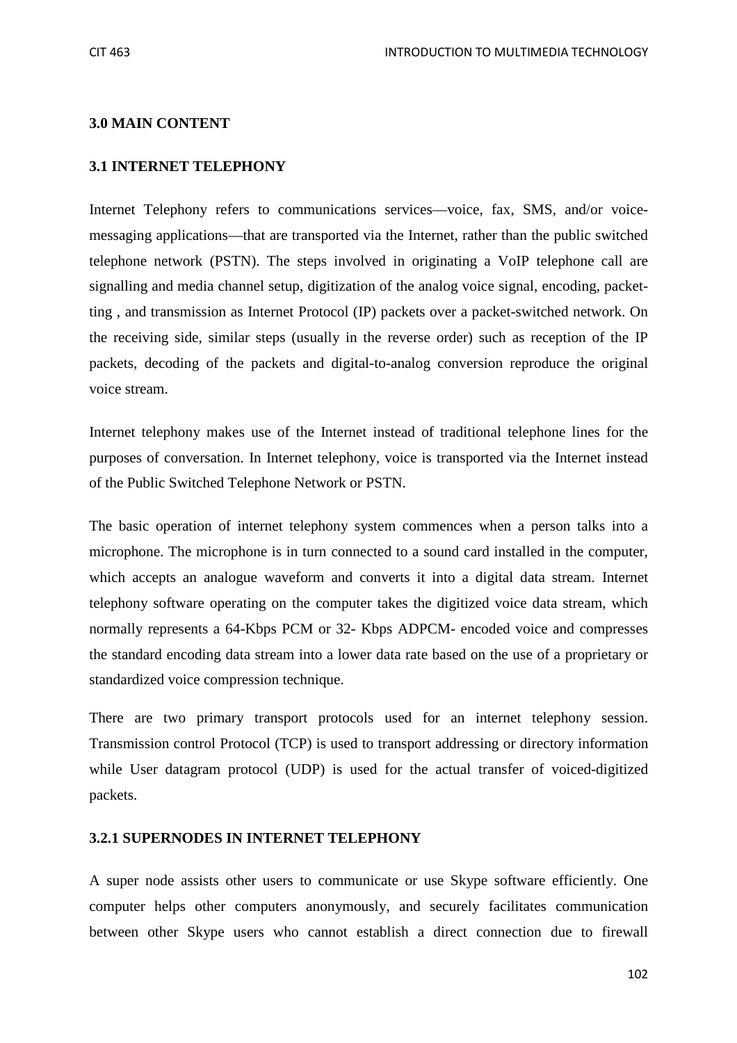#### **3.0 MAIN CONTENT**

#### **3.1 INTERNET TELEPHONY**

Internet Telephony refers to communications services—voice, fax, SMS, and/or voicemessaging applications—that are transported via the Internet, rather than the public switched telephone network (PSTN). The steps involved in originating a VoIP telephone call are signalling and media channel setup, digitization of the analog voice signal, encoding, packetting , and transmission as Internet Protocol (IP) packets over a packet-switched network. On the receiving side, similar steps (usually in the reverse order) such as reception of the IP packets, decoding of the packets and digital-to-analog conversion reproduce the original voice stream.

Internet telephony makes use of the Internet instead of traditional telephone lines for the purposes of conversation. In Internet telephony, voice is transported via the Internet instead of the Public Switched Telephone Network or PSTN.

The basic operation of internet telephony system commences when a person talks into a microphone. The microphone is in turn connected to a sound card installed in the computer, which accepts an analogue waveform and converts it into a digital data stream. Internet telephony software operating on the computer takes the digitized voice data stream, which normally represents a 64-Kbps PCM or 32- Kbps ADPCM- encoded voice and compresses the standard encoding data stream into a lower data rate based on the use of a proprietary or standardized voice compression technique.

There are two primary transport protocols used for an internet telephony session. Transmission control Protocol (TCP) is used to transport addressing or directory information while User datagram protocol (UDP) is used for the actual transfer of voiced-digitized packets.

#### **3.2.1 SUPERNODES IN INTERNET TELEPHONY**

A super node assists other users to communicate or use Skype software efficiently. One computer helps other computers anonymously, and securely facilitates communication between other Skype users who cannot establish a direct connection due to firewall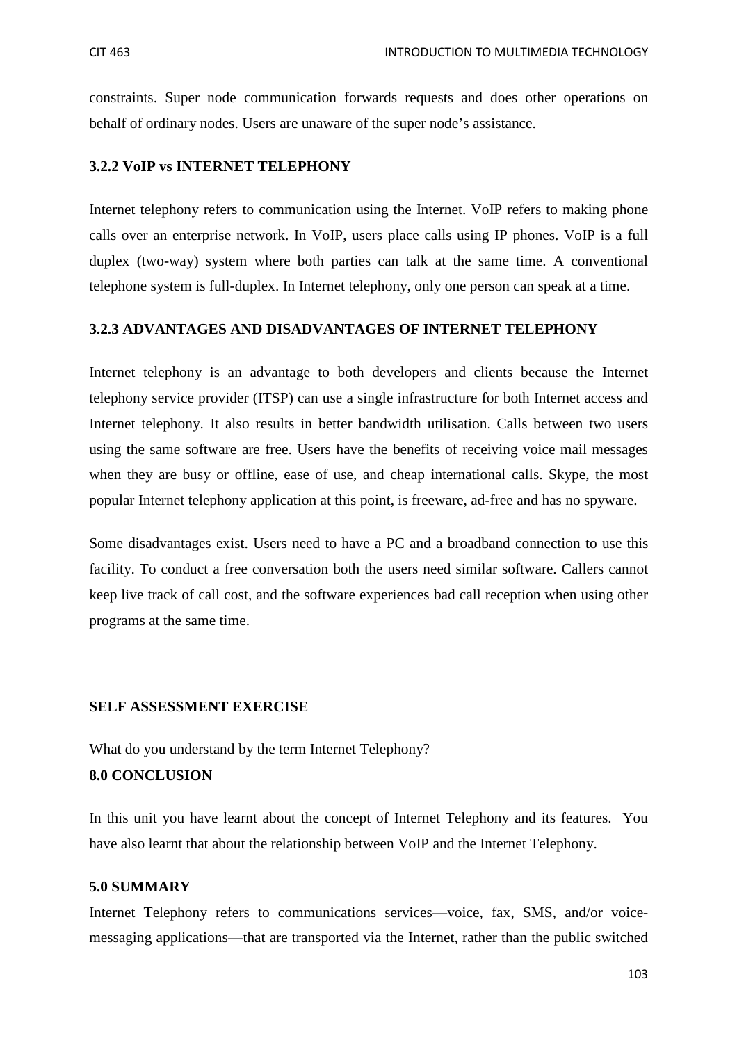constraints. Super node communication forwards requests and does other operations on behalf of ordinary nodes. Users are unaware of the super node's assistance.

#### **3.2.2 VoIP vs INTERNET TELEPHONY**

Internet telephony refers to communication using the Internet. VoIP refers to making phone calls over an enterprise network. In VoIP, users place calls using IP phones. VoIP is a full duplex (two-way) system where both parties can talk at the same time. A conventional telephone system is full-duplex. In Internet telephony, only one person can speak at a time.

#### **3.2.3 ADVANTAGES AND DISADVANTAGES OF INTERNET TELEPHONY**

Internet telephony is an advantage to both developers and clients because the Internet telephony service provider (ITSP) can use a single infrastructure for both Internet access and Internet telephony. It also results in better bandwidth utilisation. Calls between two users using the same software are free. Users have the benefits of receiving voice mail messages when they are busy or offline, ease of use, and cheap international calls. Skype, the most popular Internet telephony application at this point, is freeware, ad-free and has no spyware.

Some disadvantages exist. Users need to have a PC and a broadband connection to use this facility. To conduct a free conversation both the users need similar software. Callers cannot keep live track of call cost, and the software experiences bad call reception when using other programs at the same time.

#### **SELF ASSESSMENT EXERCISE**

What do you understand by the term Internet Telephony?

#### **8.0 CONCLUSION**

In this unit you have learnt about the concept of Internet Telephony and its features. You have also learnt that about the relationship between VoIP and the Internet Telephony.

#### **5.0 SUMMARY**

Internet Telephony refers to communications services—voice, fax, SMS, and/or voicemessaging applications—that are transported via the Internet, rather than the public switched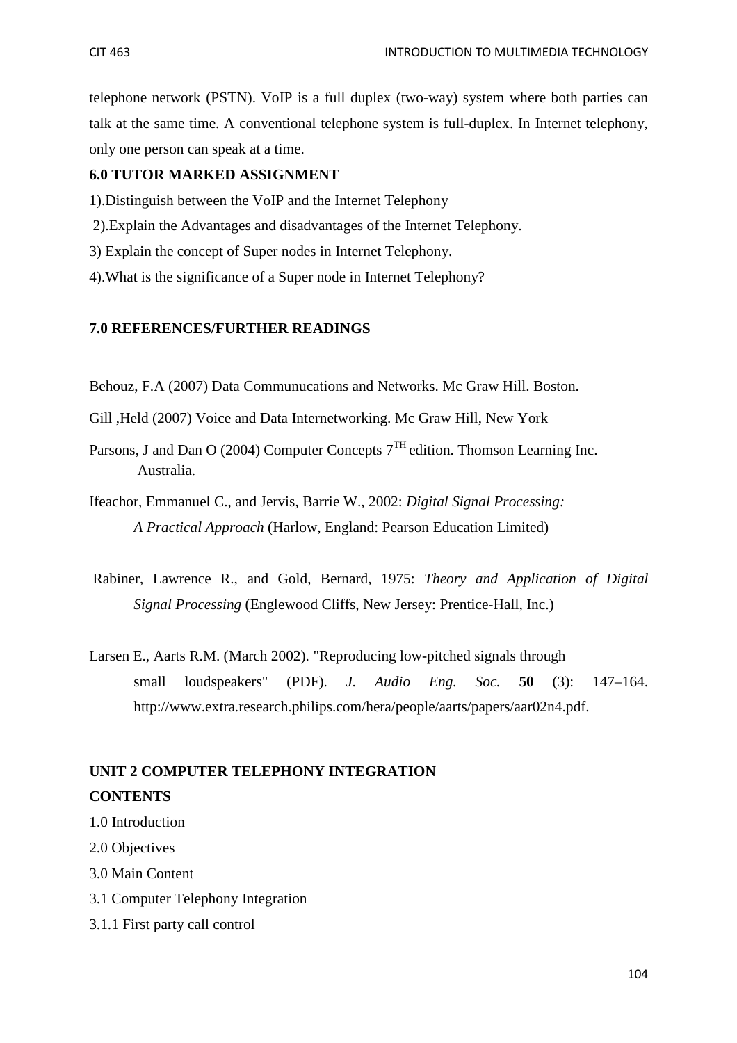telephone network (PSTN). VoIP is a full duplex (two-way) system where both parties can talk at the same time. A conventional telephone system is full-duplex. In Internet telephony, only one person can speak at a time.

### **6.0 TUTOR MARKED ASSIGNMENT**

- 1).Distinguish between the VoIP and the Internet Telephony
- 2).Explain the Advantages and disadvantages of the Internet Telephony.
- 3) Explain the concept of Super nodes in Internet Telephony.
- 4).What is the significance of a Super node in Internet Telephony?

#### **7.0 REFERENCES/FURTHER READINGS**

Behouz, F.A (2007) Data Communucations and Networks. Mc Graw Hill. Boston.

- Gill ,Held (2007) Voice and Data Internetworking. Mc Graw Hill, New York
- Parsons, J and Dan O (2004) Computer Concepts  $7<sup>TH</sup>$  edition. Thomson Learning Inc. Australia.
- Ifeachor, Emmanuel C., and Jervis, Barrie W., 2002: *Digital Signal Processing: A Practical Approach* (Harlow, England: Pearson Education Limited)
- Rabiner, Lawrence R., and Gold, Bernard, 1975: *Theory and Application of Digital Signal Processing* (Englewood Cliffs, New Jersey: Prentice-Hall, Inc.)
- Larsen E., Aarts R.M. (March 2002). "Reproducing low-pitched signals through small loudspeakers" (PDF). *J. Audio Eng. Soc.* **50** (3): 147–164. http://www.extra.research.philips.com/hera/people/aarts/papers/aar02n4.pdf.

# **UNIT 2 COMPUTER TELEPHONY INTEGRATION CONTENTS**

- 1.0 Introduction
- 2.0 Objectives
- 3.0 Main Content
- 3.1 Computer Telephony Integration
- 3.1.1 First party call control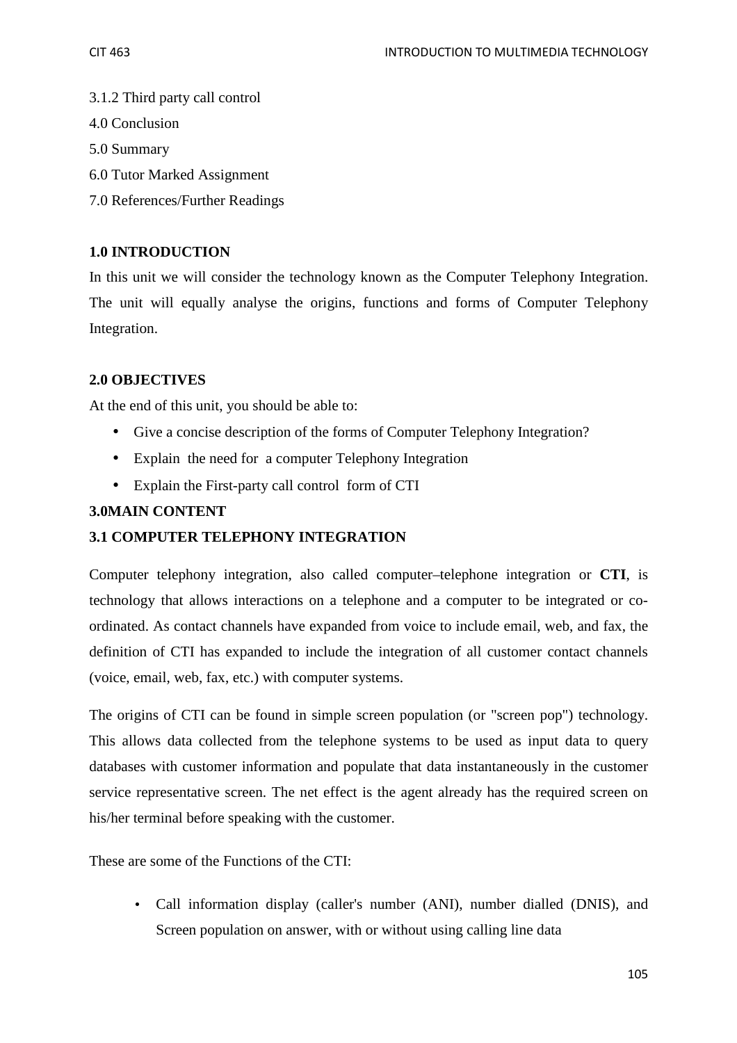- 3.1.2 Third party call control
- 4.0 Conclusion
- 5.0 Summary
- 6.0 Tutor Marked Assignment
- 7.0 References/Further Readings

### **1.0 INTRODUCTION**

In this unit we will consider the technology known as the Computer Telephony Integration. The unit will equally analyse the origins, functions and forms of Computer Telephony Integration.

### **2.0 OBJECTIVES**

At the end of this unit, you should be able to:

- Give a concise description of the forms of Computer Telephony Integration?
- Explain the need for a computer Telephony Integration
- Explain the First-party call control form of CTI

### **3.0MAIN CONTENT**

### **3.1 COMPUTER TELEPHONY INTEGRATION**

Computer telephony integration, also called computer–telephone integration or **CTI**, is technology that allows interactions on a telephone and a computer to be integrated or coordinated. As contact channels have expanded from voice to include email, web, and fax, the definition of CTI has expanded to include the integration of all customer contact channels (voice, email, web, fax, etc.) with computer systems.

The origins of CTI can be found in simple screen population (or "screen pop") technology. This allows data collected from the telephone systems to be used as input data to query databases with customer information and populate that data instantaneously in the customer service representative screen. The net effect is the agent already has the required screen on his/her terminal before speaking with the customer.

These are some of the Functions of the CTI:

• Call information display (caller's number (ANI), number dialled (DNIS), and Screen population on answer, with or without using calling line data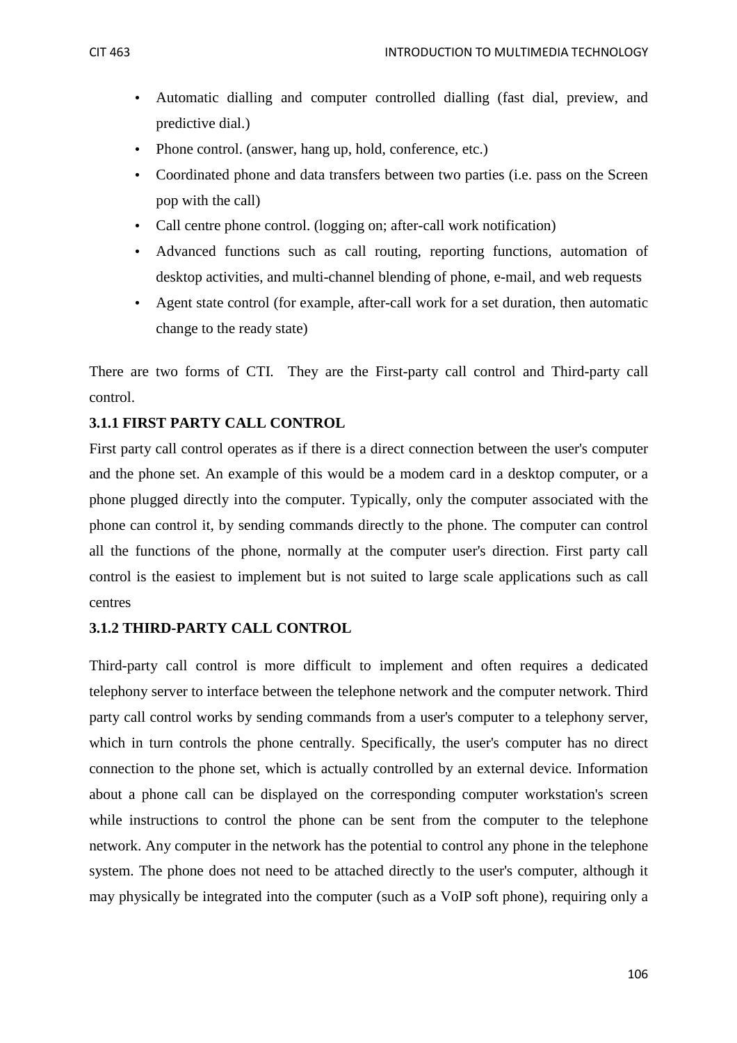- Automatic dialling and computer controlled dialling (fast dial, preview, and predictive dial.)
- Phone control. (answer, hang up, hold, conference, etc.)
- Coordinated phone and data transfers between two parties (i.e. pass on the Screen pop with the call)
- Call centre phone control. (logging on; after-call work notification)
- Advanced functions such as call routing, reporting functions, automation of desktop activities, and multi-channel blending of phone, e-mail, and web requests
- Agent state control (for example, after-call work for a set duration, then automatic change to the ready state)

There are two forms of CTI. They are the First-party call control and Third-party call control.

### **3.1.1 FIRST PARTY CALL CONTROL**

First party call control operates as if there is a direct connection between the user's computer and the phone set. An example of this would be a modem card in a desktop computer, or a phone plugged directly into the computer. Typically, only the computer associated with the phone can control it, by sending commands directly to the phone. The computer can control all the functions of the phone, normally at the computer user's direction. First party call control is the easiest to implement but is not suited to large scale applications such as call centres

#### **3.1.2 THIRD-PARTY CALL CONTROL**

Third-party call control is more difficult to implement and often requires a dedicated telephony server to interface between the telephone network and the computer network. Third party call control works by sending commands from a user's computer to a telephony server, which in turn controls the phone centrally. Specifically, the user's computer has no direct connection to the phone set, which is actually controlled by an external device. Information about a phone call can be displayed on the corresponding computer workstation's screen while instructions to control the phone can be sent from the computer to the telephone network. Any computer in the network has the potential to control any phone in the telephone system. The phone does not need to be attached directly to the user's computer, although it may physically be integrated into the computer (such as a VoIP soft phone), requiring only a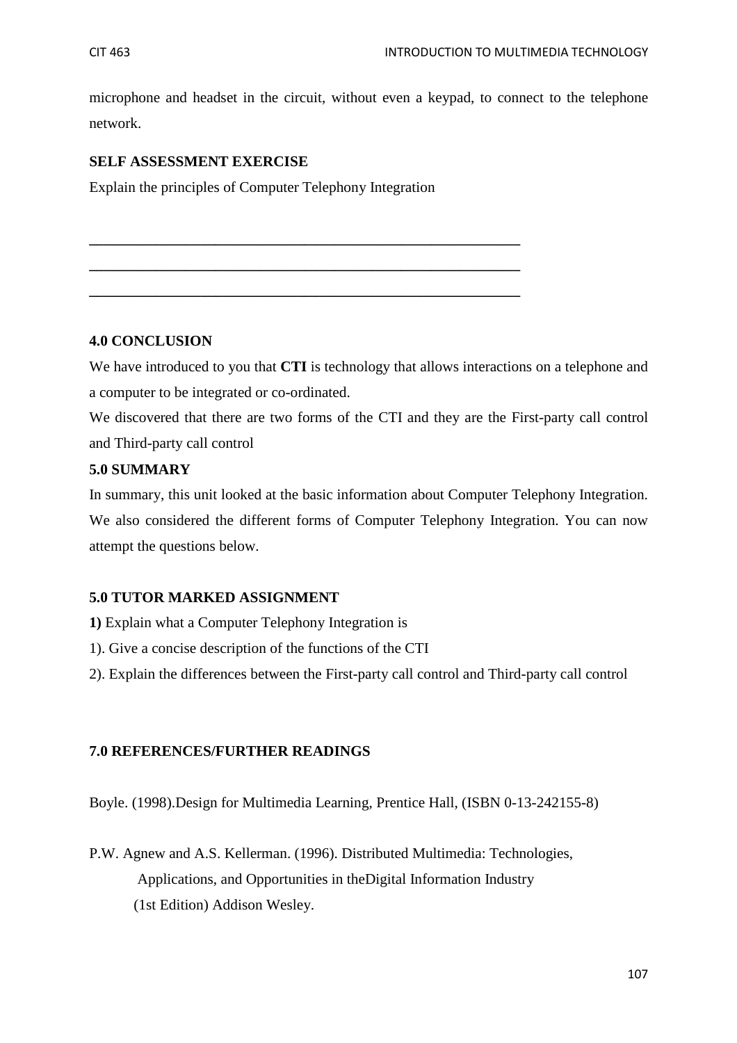microphone and headset in the circuit, without even a keypad, to connect to the telephone network.

### **SELF ASSESSMENT EXERCISE**

Explain the principles of Computer Telephony Integration

**\_\_\_\_\_\_\_\_\_\_\_\_\_\_\_\_\_\_\_\_\_\_\_\_\_\_\_\_\_\_\_\_\_\_\_\_\_\_\_\_\_\_\_\_\_\_\_\_\_\_\_\_\_\_\_\_\_\_** 

**\_\_\_\_\_\_\_\_\_\_\_\_\_\_\_\_\_\_\_\_\_\_\_\_\_\_\_\_\_\_\_\_\_\_\_\_\_\_\_\_\_\_\_\_\_\_\_\_\_\_\_\_\_\_\_\_\_\_** 

**\_\_\_\_\_\_\_\_\_\_\_\_\_\_\_\_\_\_\_\_\_\_\_\_\_\_\_\_\_\_\_\_\_\_\_\_\_\_\_\_\_\_\_\_\_\_\_\_\_\_\_\_\_\_\_\_\_\_** 

### **4.0 CONCLUSION**

We have introduced to you that **CTI** is technology that allows interactions on a telephone and a computer to be integrated or co-ordinated.

We discovered that there are two forms of the CTI and they are the First-party call control and Third-party call control

### **5.0 SUMMARY**

In summary, this unit looked at the basic information about Computer Telephony Integration. We also considered the different forms of Computer Telephony Integration. You can now attempt the questions below.

### **5.0 TUTOR MARKED ASSIGNMENT**

- **1)** Explain what a Computer Telephony Integration is
- 1). Give a concise description of the functions of the CTI
- 2). Explain the differences between the First-party call control and Third-party call control

### **7.0 REFERENCES/FURTHER READINGS**

Boyle. (1998).Design for Multimedia Learning, Prentice Hall, (ISBN 0-13-242155-8)

P.W. Agnew and A.S. Kellerman. (1996). Distributed Multimedia: Technologies, Applications, and Opportunities in theDigital Information Industry (1st Edition) Addison Wesley.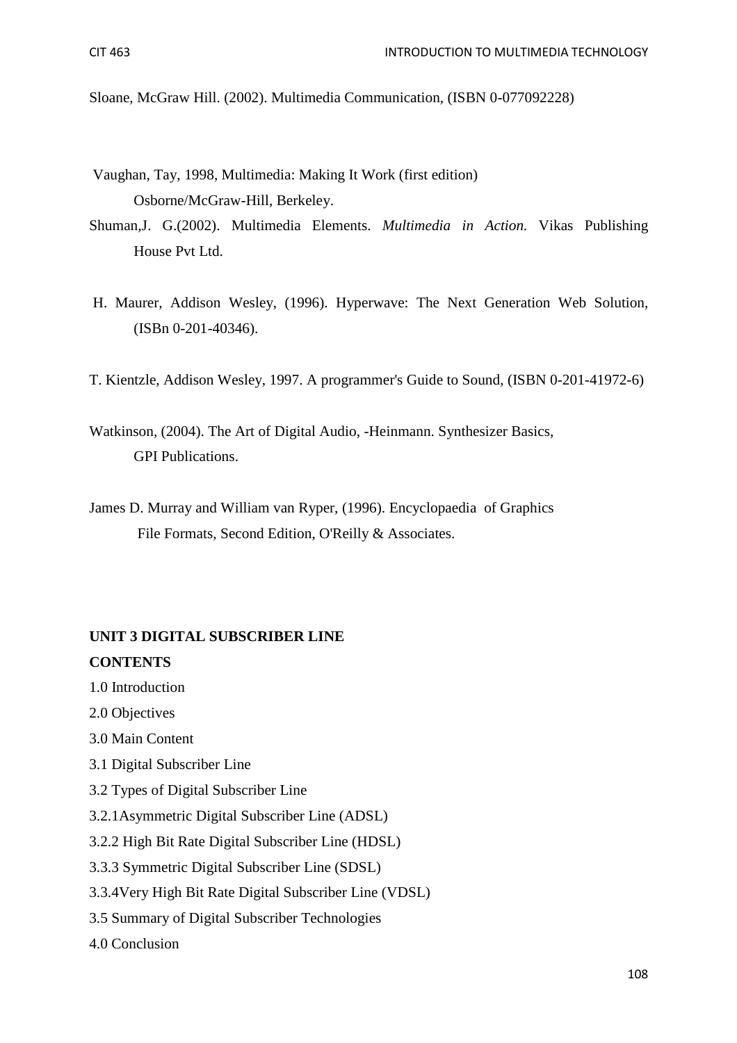Sloane, McGraw Hill. (2002). Multimedia Communication, (ISBN 0-077092228)

- Vaughan, Tay, 1998, Multimedia: Making It Work (first edition) Osborne/McGraw-Hill, Berkeley.
- Shuman,J. G.(2002). Multimedia Elements. *Multimedia in Action.* Vikas Publishing House Pvt Ltd.
- H. Maurer, Addison Wesley, (1996). Hyperwave: The Next Generation Web Solution, (ISBn 0-201-40346).
- T. Kientzle, Addison Wesley, 1997. A programmer's Guide to Sound, (ISBN 0-201-41972-6)
- Watkinson, (2004). The Art of Digital Audio, -Heinmann. Synthesizer Basics, GPI Publications.
- James D. Murray and William van Ryper, (1996). Encyclopaedia of Graphics File Formats, Second Edition, O'Reilly & Associates.

### **UNIT 3 DIGITAL SUBSCRIBER LINE CONTENTS**

- 1.0 Introduction
- 2.0 Objectives
- 3.0 Main Content
- 3.1 Digital Subscriber Line
- 3.2 Types of Digital Subscriber Line
- 3.2.1Asymmetric Digital Subscriber Line (ADSL)
- 3.2.2 High Bit Rate Digital Subscriber Line (HDSL)
- 3.3.3 Symmetric Digital Subscriber Line (SDSL)
- 3.3.4Very High Bit Rate Digital Subscriber Line (VDSL)
- 3.5 Summary of Digital Subscriber Technologies
- 4.0 Conclusion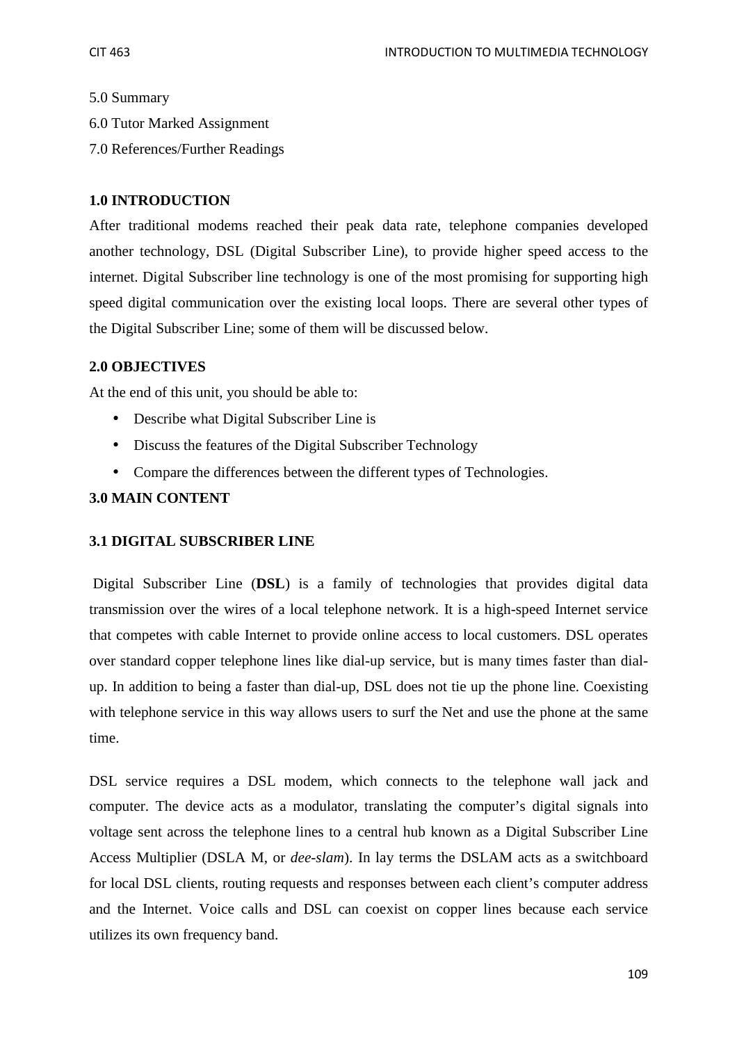#### 5.0 Summary

- 6.0 Tutor Marked Assignment
- 7.0 References/Further Readings

## **1.0 INTRODUCTION**

After traditional modems reached their peak data rate, telephone companies developed another technology, DSL (Digital Subscriber Line), to provide higher speed access to the internet. Digital Subscriber line technology is one of the most promising for supporting high speed digital communication over the existing local loops. There are several other types of the Digital Subscriber Line; some of them will be discussed below.

## **2.0 OBJECTIVES**

At the end of this unit, you should be able to:

- Describe what Digital Subscriber Line is
- Discuss the features of the Digital Subscriber Technology
- Compare the differences between the different types of Technologies.

## **3.0 MAIN CONTENT**

## **3.1 DIGITAL SUBSCRIBER LINE**

Digital Subscriber Line (**DSL**) is a family of technologies that provides digital data transmission over the wires of a local telephone network. It is a high-speed Internet service that competes with cable Internet to provide online access to local customers. DSL operates over standard copper telephone lines like dial-up service, but is many times faster than dialup. In addition to being a faster than dial-up, DSL does not tie up the phone line. Coexisting with telephone service in this way allows users to surf the Net and use the phone at the same time.

DSL service requires a DSL modem, which connects to the telephone wall jack and computer. The device acts as a modulator, translating the computer's digital signals into voltage sent across the telephone lines to a central hub known as a Digital Subscriber Line Access Multiplier (DSLA M, or *dee-slam*). In lay terms the DSLAM acts as a switchboard for local DSL clients, routing requests and responses between each client's computer address and the Internet. Voice calls and DSL can coexist on copper lines because each service utilizes its own frequency band.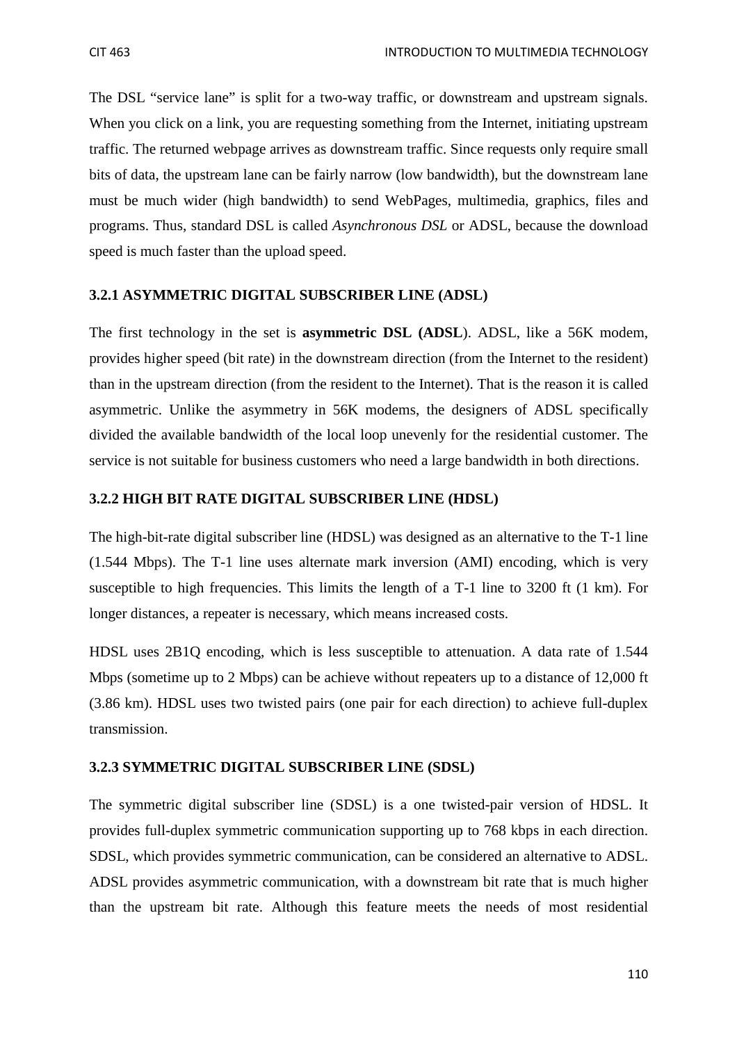The DSL "service lane" is split for a two-way traffic, or downstream and upstream signals. When you click on a link, you are requesting something from the Internet, initiating upstream traffic. The returned webpage arrives as downstream traffic. Since requests only require small bits of data, the upstream lane can be fairly narrow (low bandwidth), but the downstream lane must be much wider (high bandwidth) to send WebPages, multimedia, graphics, files and programs. Thus, standard DSL is called *Asynchronous DSL* or ADSL, because the download speed is much faster than the upload speed.

## **3.2.1 ASYMMETRIC DIGITAL SUBSCRIBER LINE (ADSL)**

The first technology in the set is **asymmetric DSL (ADSL**). ADSL, like a 56K modem, provides higher speed (bit rate) in the downstream direction (from the Internet to the resident) than in the upstream direction (from the resident to the Internet). That is the reason it is called asymmetric. Unlike the asymmetry in 56K modems, the designers of ADSL specifically divided the available bandwidth of the local loop unevenly for the residential customer. The service is not suitable for business customers who need a large bandwidth in both directions.

## **3.2.2 HIGH BIT RATE DIGITAL SUBSCRIBER LINE (HDSL)**

The high-bit-rate digital subscriber line (HDSL) was designed as an alternative to the T-1 line (1.544 Mbps). The T-1 line uses alternate mark inversion (AMI) encoding, which is very susceptible to high frequencies. This limits the length of a T-1 line to 3200 ft (1 km). For longer distances, a repeater is necessary, which means increased costs.

HDSL uses 2B1Q encoding, which is less susceptible to attenuation. A data rate of 1.544 Mbps (sometime up to 2 Mbps) can be achieve without repeaters up to a distance of 12,000 ft (3.86 km). HDSL uses two twisted pairs (one pair for each direction) to achieve full-duplex transmission.

## **3.2.3 SYMMETRIC DIGITAL SUBSCRIBER LINE (SDSL)**

The symmetric digital subscriber line (SDSL) is a one twisted-pair version of HDSL. It provides full-duplex symmetric communication supporting up to 768 kbps in each direction. SDSL, which provides symmetric communication, can be considered an alternative to ADSL. ADSL provides asymmetric communication, with a downstream bit rate that is much higher than the upstream bit rate. Although this feature meets the needs of most residential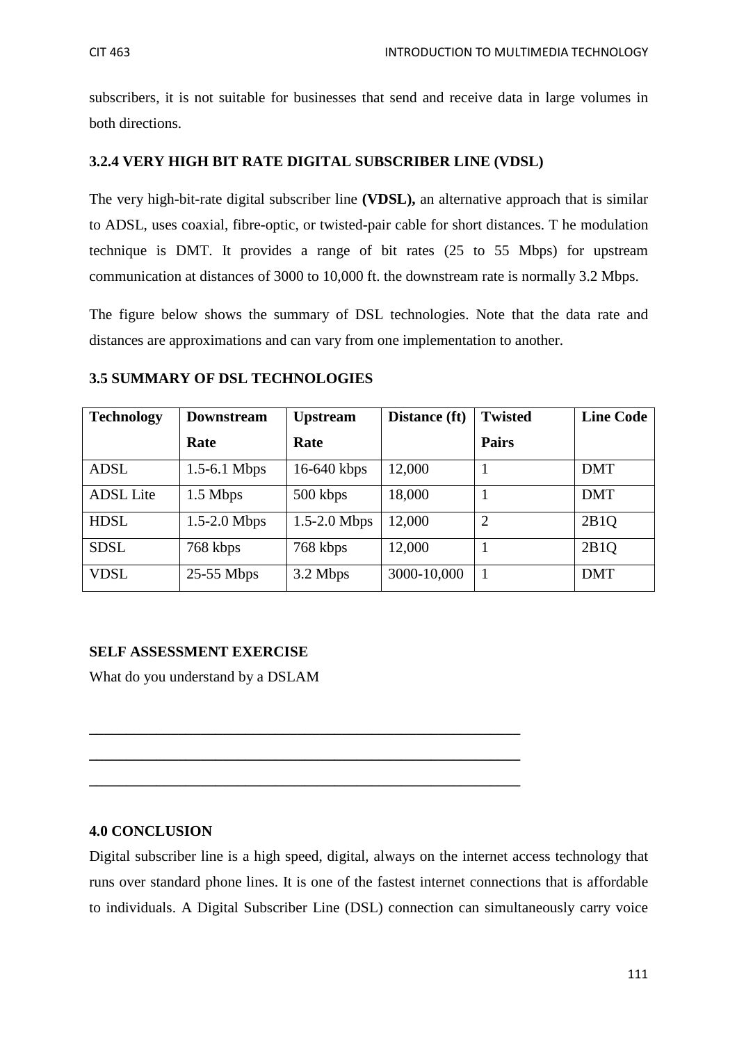subscribers, it is not suitable for businesses that send and receive data in large volumes in both directions.

# **3.2.4 VERY HIGH BIT RATE DIGITAL SUBSCRIBER LINE (VDSL)**

The very high-bit-rate digital subscriber line **(VDSL),** an alternative approach that is similar to ADSL, uses coaxial, fibre-optic, or twisted-pair cable for short distances. T he modulation technique is DMT. It provides a range of bit rates (25 to 55 Mbps) for upstream communication at distances of 3000 to 10,000 ft. the downstream rate is normally 3.2 Mbps.

The figure below shows the summary of DSL technologies. Note that the data rate and distances are approximations and can vary from one implementation to another.

## **3.5 SUMMARY OF DSL TECHNOLOGIES**

| <b>Technology</b> | <b>Downstream</b> | <b>Upstream</b> | Distance (ft) | <b>Twisted</b> | <b>Line Code</b> |
|-------------------|-------------------|-----------------|---------------|----------------|------------------|
|                   | Rate              | Rate            |               | <b>Pairs</b>   |                  |
| <b>ADSL</b>       | $1.5-6.1$ Mbps    | 16-640 kbps     | 12,000        |                | <b>DMT</b>       |
| <b>ADSL</b> Lite  | 1.5 Mbps          | 500 kbps        | 18,000        |                | <b>DMT</b>       |
| <b>HDSL</b>       | $1.5-2.0$ Mbps    | $1.5-2.0$ Mbps  | 12,000        | $\overline{2}$ | 2B1O             |
| <b>SDSL</b>       | 768 kbps          | 768 kbps        | 12,000        |                | 2B1O             |
| VDSL              | $25-55$ Mbps      | 3.2 Mbps        | 3000-10,000   | -1             | <b>DMT</b>       |

# **SELF ASSESSMENT EXERCISE**

What do you understand by a DSLAM

## **4.0 CONCLUSION**

Digital subscriber line is a high speed, digital, always on the internet access technology that runs over standard phone lines. It is one of the fastest internet connections that is affordable to individuals. A Digital Subscriber Line (DSL) connection can simultaneously carry voice

**\_\_\_\_\_\_\_\_\_\_\_\_\_\_\_\_\_\_\_\_\_\_\_\_\_\_\_\_\_\_\_\_\_\_\_\_\_\_\_\_\_\_\_\_\_\_\_\_\_\_\_\_\_\_\_\_\_\_** 

**\_\_\_\_\_\_\_\_\_\_\_\_\_\_\_\_\_\_\_\_\_\_\_\_\_\_\_\_\_\_\_\_\_\_\_\_\_\_\_\_\_\_\_\_\_\_\_\_\_\_\_\_\_\_\_\_\_\_** 

**\_\_\_\_\_\_\_\_\_\_\_\_\_\_\_\_\_\_\_\_\_\_\_\_\_\_\_\_\_\_\_\_\_\_\_\_\_\_\_\_\_\_\_\_\_\_\_\_\_\_\_\_\_\_\_\_\_\_**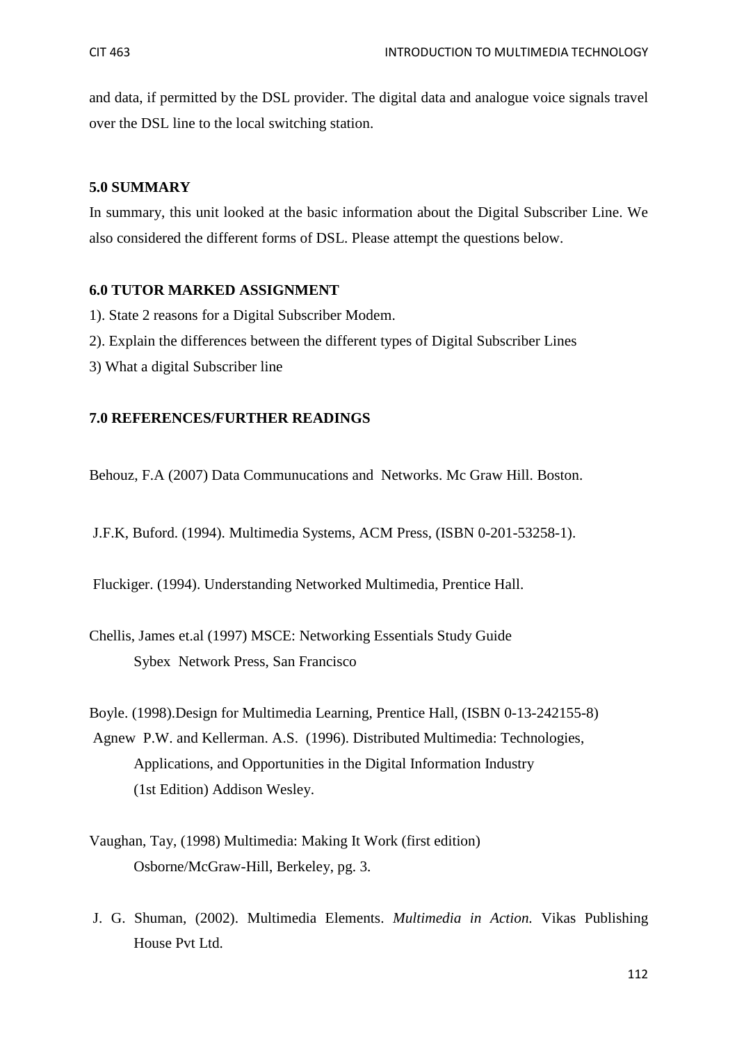and data, if permitted by the DSL provider. The digital data and analogue voice signals travel over the DSL line to the local switching station.

#### **5.0 SUMMARY**

In summary, this unit looked at the basic information about the Digital Subscriber Line. We also considered the different forms of DSL. Please attempt the questions below.

#### **6.0 TUTOR MARKED ASSIGNMENT**

- 1). State 2 reasons for a Digital Subscriber Modem.
- 2). Explain the differences between the different types of Digital Subscriber Lines
- 3) What a digital Subscriber line

#### **7.0 REFERENCES/FURTHER READINGS**

Behouz, F.A (2007) Data Communucations and Networks. Mc Graw Hill. Boston.

J.F.K, Buford. (1994). Multimedia Systems, ACM Press, (ISBN 0-201-53258-1).

Fluckiger. (1994). Understanding Networked Multimedia, Prentice Hall.

Chellis, James et.al (1997) MSCE: Networking Essentials Study Guide Sybex Network Press, San Francisco

Boyle. (1998).Design for Multimedia Learning, Prentice Hall, (ISBN 0-13-242155-8) Agnew P.W. and Kellerman. A.S. (1996). Distributed Multimedia: Technologies, Applications, and Opportunities in the Digital Information Industry (1st Edition) Addison Wesley.

- Vaughan, Tay, (1998) Multimedia: Making It Work (first edition) Osborne/McGraw-Hill, Berkeley, pg. 3.
- J. G. Shuman, (2002). Multimedia Elements. *Multimedia in Action.* Vikas Publishing House Pvt Ltd.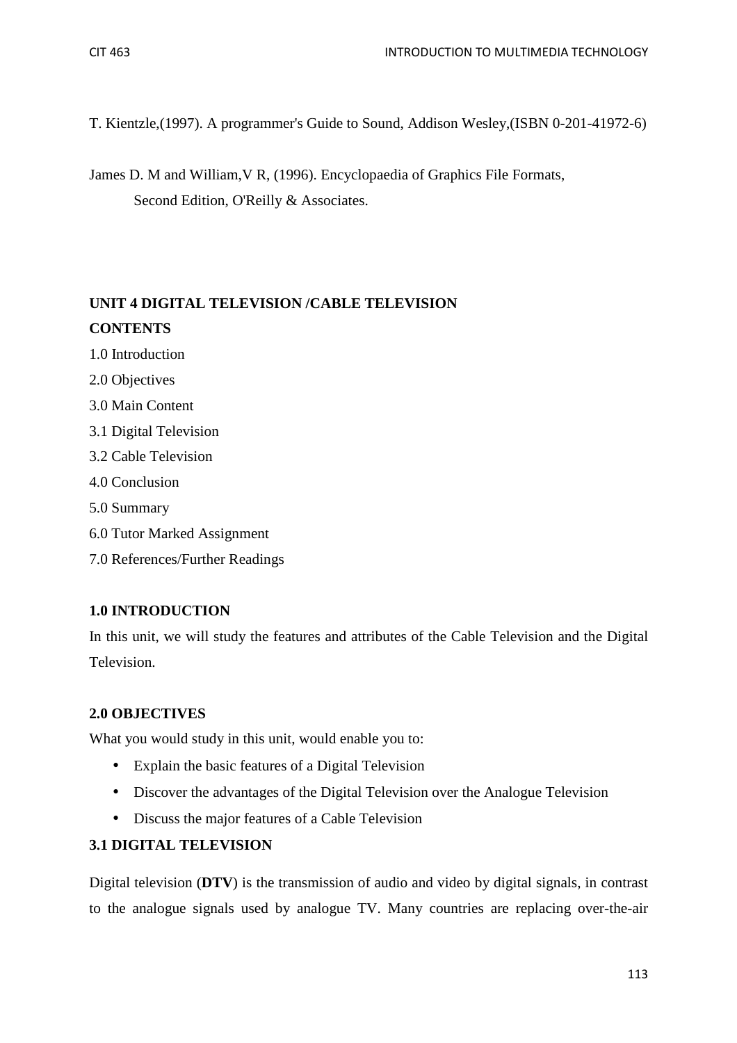T. Kientzle,(1997). A programmer's Guide to Sound, Addison Wesley,(ISBN 0-201-41972-6)

James D. M and William,V R, (1996). Encyclopaedia of Graphics File Formats, Second Edition, O'Reilly & Associates.

# **UNIT 4 DIGITAL TELEVISION /CABLE TELEVISION CONTENTS**

- 1.0 Introduction
- 2.0 Objectives
- 3.0 Main Content
- 3.1 Digital Television
- 3.2 Cable Television
- 4.0 Conclusion
- 5.0 Summary
- 6.0 Tutor Marked Assignment
- 7.0 References/Further Readings

## **1.0 INTRODUCTION**

In this unit, we will study the features and attributes of the Cable Television and the Digital Television.

## **2.0 OBJECTIVES**

What you would study in this unit, would enable you to:

- Explain the basic features of a Digital Television
- Discover the advantages of the Digital Television over the Analogue Television
- Discuss the major features of a Cable Television

# **3.1 DIGITAL TELEVISION**

Digital television (**DTV**) is the transmission of audio and video by digital signals, in contrast to the analogue signals used by analogue TV. Many countries are replacing over-the-air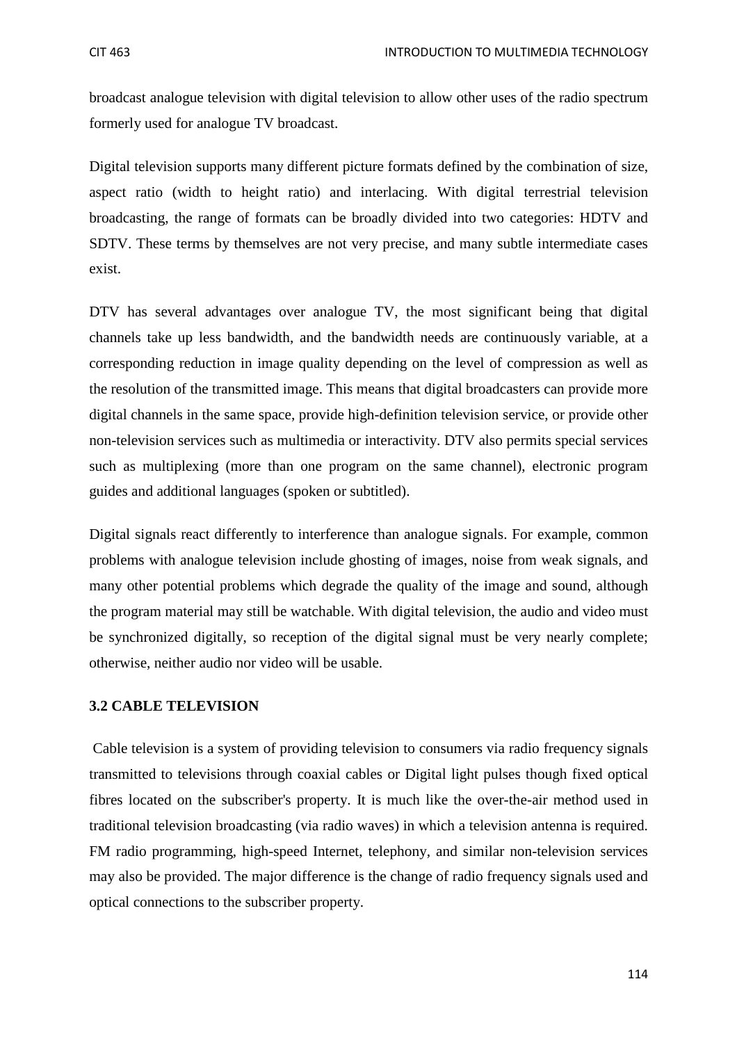broadcast analogue television with digital television to allow other uses of the radio spectrum formerly used for analogue TV broadcast.

Digital television supports many different picture formats defined by the combination of size, aspect ratio (width to height ratio) and interlacing. With digital terrestrial television broadcasting, the range of formats can be broadly divided into two categories: HDTV and SDTV. These terms by themselves are not very precise, and many subtle intermediate cases exist.

DTV has several advantages over analogue TV, the most significant being that digital channels take up less bandwidth, and the bandwidth needs are continuously variable, at a corresponding reduction in image quality depending on the level of compression as well as the resolution of the transmitted image. This means that digital broadcasters can provide more digital channels in the same space, provide high-definition television service, or provide other non-television services such as multimedia or interactivity. DTV also permits special services such as multiplexing (more than one program on the same channel), electronic program guides and additional languages (spoken or subtitled).

Digital signals react differently to interference than analogue signals. For example, common problems with analogue television include ghosting of images, noise from weak signals, and many other potential problems which degrade the quality of the image and sound, although the program material may still be watchable. With digital television, the audio and video must be synchronized digitally, so reception of the digital signal must be very nearly complete; otherwise, neither audio nor video will be usable.

#### **3.2 CABLE TELEVISION**

Cable television is a system of providing television to consumers via radio frequency signals transmitted to televisions through coaxial cables or Digital light pulses though fixed optical fibres located on the subscriber's property. It is much like the over-the-air method used in traditional television broadcasting (via radio waves) in which a television antenna is required. FM radio programming, high-speed Internet, telephony, and similar non-television services may also be provided. The major difference is the change of radio frequency signals used and optical connections to the subscriber property.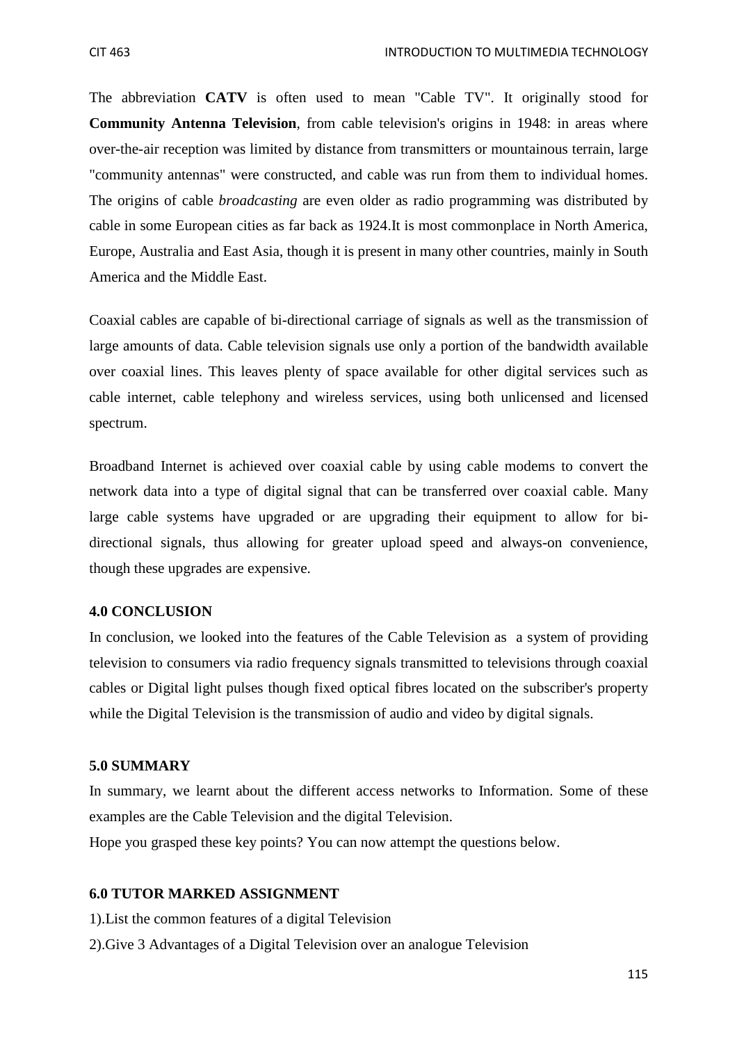The abbreviation **CATV** is often used to mean "Cable TV". It originally stood for **Community Antenna Television**, from cable television's origins in 1948: in areas where over-the-air reception was limited by distance from transmitters or mountainous terrain, large "community antennas" were constructed, and cable was run from them to individual homes. The origins of cable *broadcasting* are even older as radio programming was distributed by cable in some European cities as far back as 1924.It is most commonplace in North America, Europe, Australia and East Asia, though it is present in many other countries, mainly in South America and the Middle East.

Coaxial cables are capable of bi-directional carriage of signals as well as the transmission of large amounts of data. Cable television signals use only a portion of the bandwidth available over coaxial lines. This leaves plenty of space available for other digital services such as cable internet, cable telephony and wireless services, using both unlicensed and licensed spectrum.

Broadband Internet is achieved over coaxial cable by using cable modems to convert the network data into a type of digital signal that can be transferred over coaxial cable. Many large cable systems have upgraded or are upgrading their equipment to allow for bidirectional signals, thus allowing for greater upload speed and always-on convenience, though these upgrades are expensive.

## **4.0 CONCLUSION**

In conclusion, we looked into the features of the Cable Television as a system of providing television to consumers via radio frequency signals transmitted to televisions through coaxial cables or Digital light pulses though fixed optical fibres located on the subscriber's property while the Digital Television is the transmission of audio and video by digital signals.

# **5.0 SUMMARY**

In summary, we learnt about the different access networks to Information. Some of these examples are the Cable Television and the digital Television.

Hope you grasped these key points? You can now attempt the questions below.

# **6.0 TUTOR MARKED ASSIGNMENT**

1).List the common features of a digital Television

2).Give 3 Advantages of a Digital Television over an analogue Television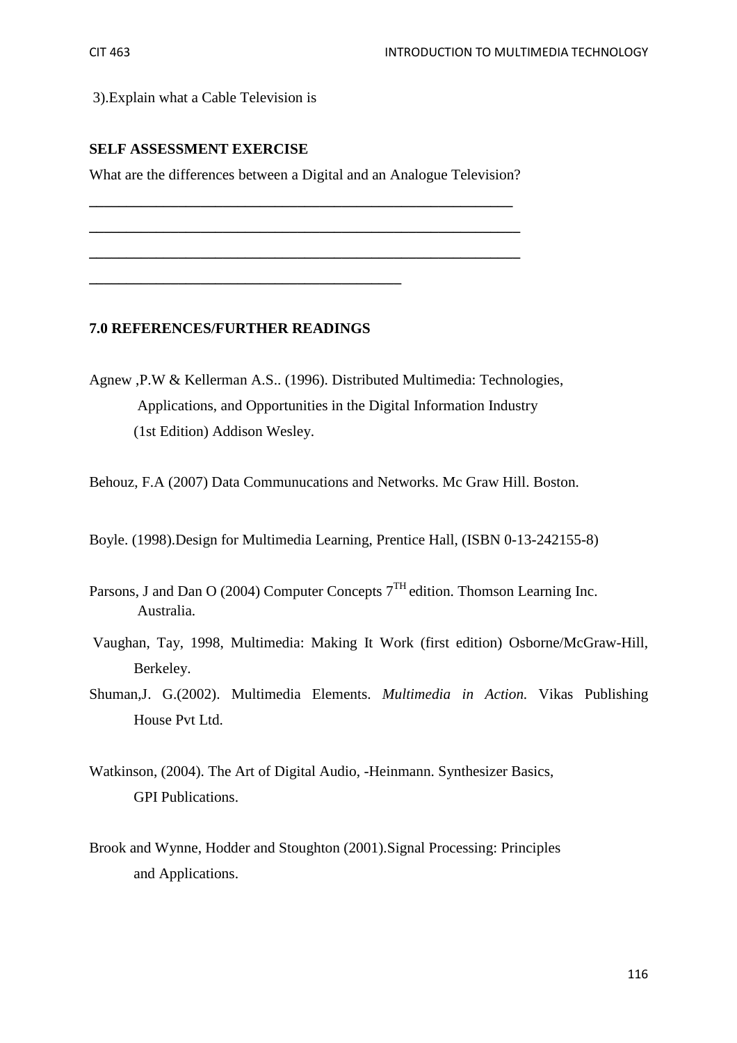3).Explain what a Cable Television is

## **SELF ASSESSMENT EXERCISE**

What are the differences between a Digital and an Analogue Television?

**\_\_\_\_\_\_\_\_\_\_\_\_\_\_\_\_\_\_\_\_\_\_\_\_\_\_\_\_\_\_\_\_\_\_\_\_\_\_\_\_\_\_\_\_\_\_\_\_\_\_\_\_\_\_\_\_\_** 

**\_\_\_\_\_\_\_\_\_\_\_\_\_\_\_\_\_\_\_\_\_\_\_\_\_\_\_\_\_\_\_\_\_\_\_\_\_\_\_\_\_\_\_\_\_\_\_\_\_\_\_\_\_\_\_\_\_\_** 

**\_\_\_\_\_\_\_\_\_\_\_\_\_\_\_\_\_\_\_\_\_\_\_\_\_\_\_\_\_\_\_\_\_\_\_\_\_\_\_\_\_\_\_\_\_\_\_\_\_\_\_\_\_\_\_\_\_\_** 

#### **7.0 REFERENCES/FURTHER READINGS**

**\_\_\_\_\_\_\_\_\_\_\_\_\_\_\_\_\_\_\_\_\_\_\_\_\_\_\_\_\_\_\_\_\_\_\_\_\_\_\_\_\_\_** 

Agnew ,P.W & Kellerman A.S.. (1996). Distributed Multimedia: Technologies, Applications, and Opportunities in the Digital Information Industry (1st Edition) Addison Wesley.

Behouz, F.A (2007) Data Communucations and Networks. Mc Graw Hill. Boston.

Boyle. (1998).Design for Multimedia Learning, Prentice Hall, (ISBN 0-13-242155-8)

- Parsons, J and Dan O (2004) Computer Concepts  $7<sup>TH</sup>$  edition. Thomson Learning Inc. Australia.
- Vaughan, Tay, 1998, Multimedia: Making It Work (first edition) Osborne/McGraw-Hill, Berkeley.
- Shuman,J. G.(2002). Multimedia Elements. *Multimedia in Action.* Vikas Publishing House Pvt Ltd.
- Watkinson, (2004). The Art of Digital Audio, -Heinmann. Synthesizer Basics, GPI Publications.
- Brook and Wynne, Hodder and Stoughton (2001).Signal Processing: Principles and Applications.